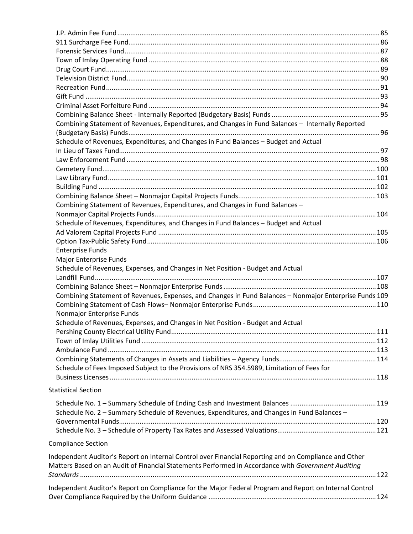| Combining Statement of Revenues, Expenditures, and Changes in Fund Balances - Internally Reported<br>Schedule of Revenues, Expenditures, and Changes in Fund Balances - Budget and Actual<br>Combining Statement of Revenues, Expenditures, and Changes in Fund Balances -<br>Schedule of Revenues, Expenditures, and Changes in Fund Balances - Budget and Actual<br><b>Enterprise Funds</b><br>Major Enterprise Funds<br>Schedule of Revenues, Expenses, and Changes in Net Position - Budget and Actual<br>Combining Statement of Revenues, Expenses, and Changes in Fund Balances - Nonmajor Enterprise Funds 109<br>Nonmajor Enterprise Funds<br>Schedule of Revenues, Expenses, and Changes in Net Position - Budget and Actual<br>Schedule of Fees Imposed Subject to the Provisions of NRS 354.5989, Limitation of Fees for<br><b>Statistical Section</b><br>Schedule No. 2 - Summary Schedule of Revenues, Expenditures, and Changes in Fund Balances -<br><b>Compliance Section</b><br>Independent Auditor's Report on Internal Control over Financial Reporting and on Compliance and Other<br>Matters Based on an Audit of Financial Statements Performed in Accordance with Government Auditing<br>Independent Auditor's Report on Compliance for the Major Federal Program and Report on Internal Control |  |
|-------------------------------------------------------------------------------------------------------------------------------------------------------------------------------------------------------------------------------------------------------------------------------------------------------------------------------------------------------------------------------------------------------------------------------------------------------------------------------------------------------------------------------------------------------------------------------------------------------------------------------------------------------------------------------------------------------------------------------------------------------------------------------------------------------------------------------------------------------------------------------------------------------------------------------------------------------------------------------------------------------------------------------------------------------------------------------------------------------------------------------------------------------------------------------------------------------------------------------------------------------------------------------------------------------------------------|--|
|                                                                                                                                                                                                                                                                                                                                                                                                                                                                                                                                                                                                                                                                                                                                                                                                                                                                                                                                                                                                                                                                                                                                                                                                                                                                                                                         |  |
|                                                                                                                                                                                                                                                                                                                                                                                                                                                                                                                                                                                                                                                                                                                                                                                                                                                                                                                                                                                                                                                                                                                                                                                                                                                                                                                         |  |
|                                                                                                                                                                                                                                                                                                                                                                                                                                                                                                                                                                                                                                                                                                                                                                                                                                                                                                                                                                                                                                                                                                                                                                                                                                                                                                                         |  |
|                                                                                                                                                                                                                                                                                                                                                                                                                                                                                                                                                                                                                                                                                                                                                                                                                                                                                                                                                                                                                                                                                                                                                                                                                                                                                                                         |  |
|                                                                                                                                                                                                                                                                                                                                                                                                                                                                                                                                                                                                                                                                                                                                                                                                                                                                                                                                                                                                                                                                                                                                                                                                                                                                                                                         |  |
|                                                                                                                                                                                                                                                                                                                                                                                                                                                                                                                                                                                                                                                                                                                                                                                                                                                                                                                                                                                                                                                                                                                                                                                                                                                                                                                         |  |
|                                                                                                                                                                                                                                                                                                                                                                                                                                                                                                                                                                                                                                                                                                                                                                                                                                                                                                                                                                                                                                                                                                                                                                                                                                                                                                                         |  |
|                                                                                                                                                                                                                                                                                                                                                                                                                                                                                                                                                                                                                                                                                                                                                                                                                                                                                                                                                                                                                                                                                                                                                                                                                                                                                                                         |  |
|                                                                                                                                                                                                                                                                                                                                                                                                                                                                                                                                                                                                                                                                                                                                                                                                                                                                                                                                                                                                                                                                                                                                                                                                                                                                                                                         |  |
|                                                                                                                                                                                                                                                                                                                                                                                                                                                                                                                                                                                                                                                                                                                                                                                                                                                                                                                                                                                                                                                                                                                                                                                                                                                                                                                         |  |
|                                                                                                                                                                                                                                                                                                                                                                                                                                                                                                                                                                                                                                                                                                                                                                                                                                                                                                                                                                                                                                                                                                                                                                                                                                                                                                                         |  |
|                                                                                                                                                                                                                                                                                                                                                                                                                                                                                                                                                                                                                                                                                                                                                                                                                                                                                                                                                                                                                                                                                                                                                                                                                                                                                                                         |  |
|                                                                                                                                                                                                                                                                                                                                                                                                                                                                                                                                                                                                                                                                                                                                                                                                                                                                                                                                                                                                                                                                                                                                                                                                                                                                                                                         |  |
|                                                                                                                                                                                                                                                                                                                                                                                                                                                                                                                                                                                                                                                                                                                                                                                                                                                                                                                                                                                                                                                                                                                                                                                                                                                                                                                         |  |
|                                                                                                                                                                                                                                                                                                                                                                                                                                                                                                                                                                                                                                                                                                                                                                                                                                                                                                                                                                                                                                                                                                                                                                                                                                                                                                                         |  |
|                                                                                                                                                                                                                                                                                                                                                                                                                                                                                                                                                                                                                                                                                                                                                                                                                                                                                                                                                                                                                                                                                                                                                                                                                                                                                                                         |  |
|                                                                                                                                                                                                                                                                                                                                                                                                                                                                                                                                                                                                                                                                                                                                                                                                                                                                                                                                                                                                                                                                                                                                                                                                                                                                                                                         |  |
|                                                                                                                                                                                                                                                                                                                                                                                                                                                                                                                                                                                                                                                                                                                                                                                                                                                                                                                                                                                                                                                                                                                                                                                                                                                                                                                         |  |
|                                                                                                                                                                                                                                                                                                                                                                                                                                                                                                                                                                                                                                                                                                                                                                                                                                                                                                                                                                                                                                                                                                                                                                                                                                                                                                                         |  |
|                                                                                                                                                                                                                                                                                                                                                                                                                                                                                                                                                                                                                                                                                                                                                                                                                                                                                                                                                                                                                                                                                                                                                                                                                                                                                                                         |  |
|                                                                                                                                                                                                                                                                                                                                                                                                                                                                                                                                                                                                                                                                                                                                                                                                                                                                                                                                                                                                                                                                                                                                                                                                                                                                                                                         |  |
|                                                                                                                                                                                                                                                                                                                                                                                                                                                                                                                                                                                                                                                                                                                                                                                                                                                                                                                                                                                                                                                                                                                                                                                                                                                                                                                         |  |
|                                                                                                                                                                                                                                                                                                                                                                                                                                                                                                                                                                                                                                                                                                                                                                                                                                                                                                                                                                                                                                                                                                                                                                                                                                                                                                                         |  |
|                                                                                                                                                                                                                                                                                                                                                                                                                                                                                                                                                                                                                                                                                                                                                                                                                                                                                                                                                                                                                                                                                                                                                                                                                                                                                                                         |  |
|                                                                                                                                                                                                                                                                                                                                                                                                                                                                                                                                                                                                                                                                                                                                                                                                                                                                                                                                                                                                                                                                                                                                                                                                                                                                                                                         |  |
|                                                                                                                                                                                                                                                                                                                                                                                                                                                                                                                                                                                                                                                                                                                                                                                                                                                                                                                                                                                                                                                                                                                                                                                                                                                                                                                         |  |
|                                                                                                                                                                                                                                                                                                                                                                                                                                                                                                                                                                                                                                                                                                                                                                                                                                                                                                                                                                                                                                                                                                                                                                                                                                                                                                                         |  |
|                                                                                                                                                                                                                                                                                                                                                                                                                                                                                                                                                                                                                                                                                                                                                                                                                                                                                                                                                                                                                                                                                                                                                                                                                                                                                                                         |  |
|                                                                                                                                                                                                                                                                                                                                                                                                                                                                                                                                                                                                                                                                                                                                                                                                                                                                                                                                                                                                                                                                                                                                                                                                                                                                                                                         |  |
|                                                                                                                                                                                                                                                                                                                                                                                                                                                                                                                                                                                                                                                                                                                                                                                                                                                                                                                                                                                                                                                                                                                                                                                                                                                                                                                         |  |
|                                                                                                                                                                                                                                                                                                                                                                                                                                                                                                                                                                                                                                                                                                                                                                                                                                                                                                                                                                                                                                                                                                                                                                                                                                                                                                                         |  |
|                                                                                                                                                                                                                                                                                                                                                                                                                                                                                                                                                                                                                                                                                                                                                                                                                                                                                                                                                                                                                                                                                                                                                                                                                                                                                                                         |  |
|                                                                                                                                                                                                                                                                                                                                                                                                                                                                                                                                                                                                                                                                                                                                                                                                                                                                                                                                                                                                                                                                                                                                                                                                                                                                                                                         |  |
|                                                                                                                                                                                                                                                                                                                                                                                                                                                                                                                                                                                                                                                                                                                                                                                                                                                                                                                                                                                                                                                                                                                                                                                                                                                                                                                         |  |
|                                                                                                                                                                                                                                                                                                                                                                                                                                                                                                                                                                                                                                                                                                                                                                                                                                                                                                                                                                                                                                                                                                                                                                                                                                                                                                                         |  |
|                                                                                                                                                                                                                                                                                                                                                                                                                                                                                                                                                                                                                                                                                                                                                                                                                                                                                                                                                                                                                                                                                                                                                                                                                                                                                                                         |  |
|                                                                                                                                                                                                                                                                                                                                                                                                                                                                                                                                                                                                                                                                                                                                                                                                                                                                                                                                                                                                                                                                                                                                                                                                                                                                                                                         |  |
|                                                                                                                                                                                                                                                                                                                                                                                                                                                                                                                                                                                                                                                                                                                                                                                                                                                                                                                                                                                                                                                                                                                                                                                                                                                                                                                         |  |
|                                                                                                                                                                                                                                                                                                                                                                                                                                                                                                                                                                                                                                                                                                                                                                                                                                                                                                                                                                                                                                                                                                                                                                                                                                                                                                                         |  |
|                                                                                                                                                                                                                                                                                                                                                                                                                                                                                                                                                                                                                                                                                                                                                                                                                                                                                                                                                                                                                                                                                                                                                                                                                                                                                                                         |  |
|                                                                                                                                                                                                                                                                                                                                                                                                                                                                                                                                                                                                                                                                                                                                                                                                                                                                                                                                                                                                                                                                                                                                                                                                                                                                                                                         |  |
|                                                                                                                                                                                                                                                                                                                                                                                                                                                                                                                                                                                                                                                                                                                                                                                                                                                                                                                                                                                                                                                                                                                                                                                                                                                                                                                         |  |
|                                                                                                                                                                                                                                                                                                                                                                                                                                                                                                                                                                                                                                                                                                                                                                                                                                                                                                                                                                                                                                                                                                                                                                                                                                                                                                                         |  |
|                                                                                                                                                                                                                                                                                                                                                                                                                                                                                                                                                                                                                                                                                                                                                                                                                                                                                                                                                                                                                                                                                                                                                                                                                                                                                                                         |  |
|                                                                                                                                                                                                                                                                                                                                                                                                                                                                                                                                                                                                                                                                                                                                                                                                                                                                                                                                                                                                                                                                                                                                                                                                                                                                                                                         |  |
|                                                                                                                                                                                                                                                                                                                                                                                                                                                                                                                                                                                                                                                                                                                                                                                                                                                                                                                                                                                                                                                                                                                                                                                                                                                                                                                         |  |
|                                                                                                                                                                                                                                                                                                                                                                                                                                                                                                                                                                                                                                                                                                                                                                                                                                                                                                                                                                                                                                                                                                                                                                                                                                                                                                                         |  |
|                                                                                                                                                                                                                                                                                                                                                                                                                                                                                                                                                                                                                                                                                                                                                                                                                                                                                                                                                                                                                                                                                                                                                                                                                                                                                                                         |  |
|                                                                                                                                                                                                                                                                                                                                                                                                                                                                                                                                                                                                                                                                                                                                                                                                                                                                                                                                                                                                                                                                                                                                                                                                                                                                                                                         |  |
|                                                                                                                                                                                                                                                                                                                                                                                                                                                                                                                                                                                                                                                                                                                                                                                                                                                                                                                                                                                                                                                                                                                                                                                                                                                                                                                         |  |
|                                                                                                                                                                                                                                                                                                                                                                                                                                                                                                                                                                                                                                                                                                                                                                                                                                                                                                                                                                                                                                                                                                                                                                                                                                                                                                                         |  |
|                                                                                                                                                                                                                                                                                                                                                                                                                                                                                                                                                                                                                                                                                                                                                                                                                                                                                                                                                                                                                                                                                                                                                                                                                                                                                                                         |  |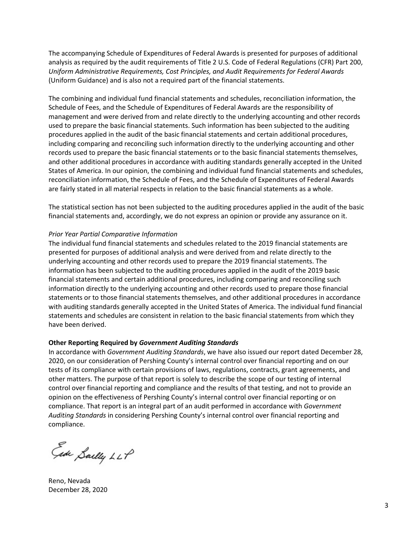The accompanying Schedule of Expenditures of Federal Awards is presented for purposes of additional analysis as required by the audit requirements of Title 2 U.S. Code of Federal Regulations (CFR) Part 200, *Uniform Administrative Requirements, Cost Principles, and Audit Requirements for Federal Awards* (Uniform Guidance) and is also not a required part of the financial statements.

The combining and individual fund financial statements and schedules, reconciliation information, the Schedule of Fees, and the Schedule of Expenditures of Federal Awards are the responsibility of management and were derived from and relate directly to the underlying accounting and other records used to prepare the basic financial statements. Such information has been subjected to the auditing procedures applied in the audit of the basic financial statements and certain additional procedures, including comparing and reconciling such information directly to the underlying accounting and other records used to prepare the basic financial statements or to the basic financial statements themselves, and other additional procedures in accordance with auditing standards generally accepted in the United States of America. In our opinion, the combining and individual fund financial statements and schedules, reconciliation information, the Schedule of Fees, and the Schedule of Expenditures of Federal Awards are fairly stated in all material respects in relation to the basic financial statements as a whole.

The statistical section has not been subjected to the auditing procedures applied in the audit of the basic financial statements and, accordingly, we do not express an opinion or provide any assurance on it.

#### *Prior Year Partial Comparative Information*

The individual fund financial statements and schedules related to the 2019 financial statements are presented for purposes of additional analysis and were derived from and relate directly to the underlying accounting and other records used to prepare the 2019 financial statements. The information has been subjected to the auditing procedures applied in the audit of the 2019 basic financial statements and certain additional procedures, including comparing and reconciling such information directly to the underlying accounting and other records used to prepare those financial statements or to those financial statements themselves, and other additional procedures in accordance with auditing standards generally accepted in the United States of America. The individual fund financial statements and schedules are consistent in relation to the basic financial statements from which they have been derived.

# **Other Reporting Required by** *Government Auditing Standards*

In accordance with *Government Auditing Standards*, we have also issued our report dated December 28, 2020, on our consideration of Pershing County's internal control over financial reporting and on our tests of its compliance with certain provisions of laws, regulations, contracts, grant agreements, and other matters. The purpose of that report is solely to describe the scope of our testing of internal control over financial reporting and compliance and the results of that testing, and not to provide an opinion on the effectiveness of Pershing County's internal control over financial reporting or on compliance. That report is an integral part of an audit performed in accordance with *Government Auditing Standards* in considering Pershing County's internal control over financial reporting and compliance.

Ede Sailly LLP

Reno, Nevada December 28, 2020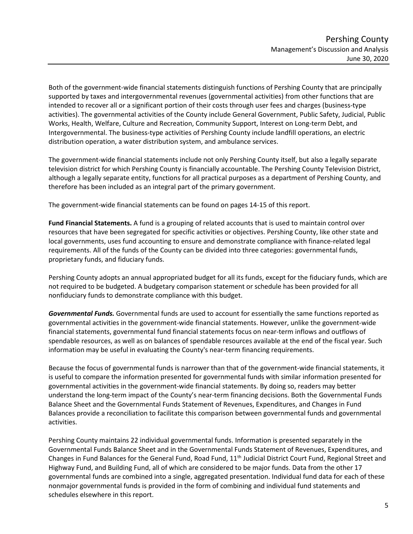Both of the government-wide financial statements distinguish functions of Pershing County that are principally supported by taxes and intergovernmental revenues (governmental activities) from other functions that are intended to recover all or a significant portion of their costs through user fees and charges (business-type activities). The governmental activities of the County include General Government, Public Safety, Judicial, Public Works, Health, Welfare, Culture and Recreation, Community Support, Interest on Long-term Debt, and Intergovernmental. The business-type activities of Pershing County include landfill operations, an electric distribution operation, a water distribution system, and ambulance services.

The government-wide financial statements include not only Pershing County itself, but also a legally separate television district for which Pershing County is financially accountable. The Pershing County Television District, although a legally separate entity, functions for all practical purposes as a department of Pershing County, and therefore has been included as an integral part of the primary government.

The government-wide financial statements can be found on pages 14-15 of this report.

**Fund Financial Statements.** A fund is a grouping of related accounts that is used to maintain control over resources that have been segregated for specific activities or objectives. Pershing County, like other state and local governments, uses fund accounting to ensure and demonstrate compliance with finance-related legal requirements. All of the funds of the County can be divided into three categories: governmental funds, proprietary funds, and fiduciary funds.

Pershing County adopts an annual appropriated budget for all its funds, except for the fiduciary funds, which are not required to be budgeted. A budgetary comparison statement or schedule has been provided for all nonfiduciary funds to demonstrate compliance with this budget.

*Governmental Funds.* Governmental funds are used to account for essentially the same functions reported as governmental activities in the government-wide financial statements. However, unlike the government-wide financial statements, governmental fund financial statements focus on near-term inflows and outflows of spendable resources, as well as on balances of spendable resources available at the end of the fiscal year. Such information may be useful in evaluating the County's near-term financing requirements.

Because the focus of governmental funds is narrower than that of the government-wide financial statements, it is useful to compare the information presented for governmental funds with similar information presented for governmental activities in the government-wide financial statements. By doing so, readers may better understand the long-term impact of the County's near-term financing decisions. Both the Governmental Funds Balance Sheet and the Governmental Funds Statement of Revenues, Expenditures, and Changes in Fund Balances provide a reconciliation to facilitate this comparison between governmental funds and governmental activities.

Pershing County maintains 22 individual governmental funds. Information is presented separately in the Governmental Funds Balance Sheet and in the Governmental Funds Statement of Revenues, Expenditures, and Changes in Fund Balances for the General Fund, Road Fund,  $11<sup>th</sup>$  Judicial District Court Fund, Regional Street and Highway Fund, and Building Fund, all of which are considered to be major funds. Data from the other 17 governmental funds are combined into a single, aggregated presentation. Individual fund data for each of these nonmajor governmental funds is provided in the form of combining and individual fund statements and schedules elsewhere in this report.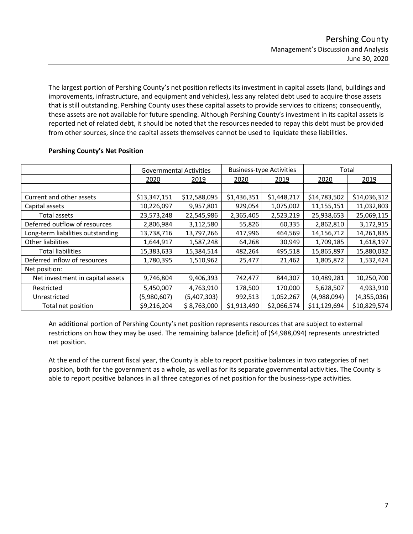The largest portion of Pershing County's net position reflects its investment in capital assets (land, buildings and improvements, infrastructure, and equipment and vehicles), less any related debt used to acquire those assets that is still outstanding. Pershing County uses these capital assets to provide services to citizens; consequently, these assets are not available for future spending. Although Pershing County's investment in its capital assets is reported net of related debt, it should be noted that the resources needed to repay this debt must be provided from other sources, since the capital assets themselves cannot be used to liquidate these liabilities.

|                                   | <b>Governmental Activities</b> |              |              | <b>Business-type Activities</b> | Total        |              |  |
|-----------------------------------|--------------------------------|--------------|--------------|---------------------------------|--------------|--------------|--|
|                                   | 2020                           | 2019         | 2020<br>2019 |                                 | 2020         | 2019         |  |
|                                   |                                |              |              |                                 |              |              |  |
| Current and other assets          | \$13,347,151                   | \$12,588,095 | \$1,436,351  | \$1,448,217                     | \$14,783,502 | \$14,036,312 |  |
| Capital assets                    | 10,226,097                     | 9,957,801    | 929,054      | 1,075,002                       | 11,155,151   | 11,032,803   |  |
| Total assets                      | 23,573,248                     | 22,545,986   | 2,365,405    | 2,523,219                       | 25,938,653   | 25,069,115   |  |
| Deferred outflow of resources     | 2,806,984                      | 3,112,580    | 55,826       | 60,335                          | 2,862,810    | 3,172,915    |  |
| Long-term liabilities outstanding | 13,738,716                     | 13,797,266   | 417,996      | 464,569                         | 14,156,712   | 14,261,835   |  |
| Other liabilities                 | 1,644,917                      | 1,587,248    | 64,268       | 30,949                          | 1,709,185    | 1,618,197    |  |
| <b>Total liabilities</b>          | 15,383,633                     | 15,384,514   | 482,264      | 495,518                         | 15,865,897   | 15,880,032   |  |
| Deferred inflow of resources      | 1,780,395                      | 1,510,962    | 25,477       | 21,462                          | 1,805,872    | 1,532,424    |  |
| Net position:                     |                                |              |              |                                 |              |              |  |
| Net investment in capital assets  | 9,746,804                      | 9,406,393    | 742,477      | 844,307                         | 10,489,281   | 10,250,700   |  |
| Restricted                        | 5,450,007                      | 4,763,910    | 178,500      | 170,000                         | 5,628,507    | 4,933,910    |  |
| Unrestricted                      | (5,980,607)                    | (5,407,303)  | 992,513      | 1,052,267                       | (4,988,094)  | (4,355,036)  |  |
| Total net position                | \$9,216,204                    | \$8,763,000  | \$1,913,490  | \$2,066,574                     | \$11,129,694 | \$10,829,574 |  |

# **Pershing County's Net Position**

An additional portion of Pershing County's net position represents resources that are subject to external restrictions on how they may be used. The remaining balance (deficit) of (\$4,988,094) represents unrestricted net position.

At the end of the current fiscal year, the County is able to report positive balances in two categories of net position, both for the government as a whole, as well as for its separate governmental activities. The County is able to report positive balances in all three categories of net position for the business-type activities.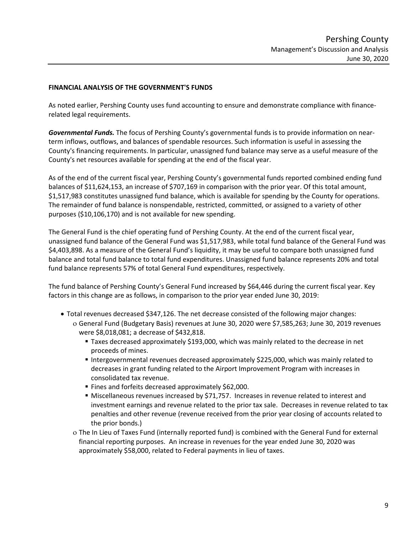#### **FINANCIAL ANALYSIS OF THE GOVERNMENT'S FUNDS**

As noted earlier, Pershing County uses fund accounting to ensure and demonstrate compliance with financerelated legal requirements.

*Governmental Funds.* The focus of Pershing County's governmental funds is to provide information on nearterm inflows, outflows, and balances of spendable resources. Such information is useful in assessing the County's financing requirements. In particular, unassigned fund balance may serve as a useful measure of the County's net resources available for spending at the end of the fiscal year.

As of the end of the current fiscal year, Pershing County's governmental funds reported combined ending fund balances of \$11,624,153, an increase of \$707,169 in comparison with the prior year. Of this total amount, \$1,517,983 constitutes unassigned fund balance, which is available for spending by the County for operations. The remainder of fund balance is nonspendable, restricted, committed, or assigned to a variety of other purposes (\$10,106,170) and is not available for new spending.

The General Fund is the chief operating fund of Pershing County. At the end of the current fiscal year, unassigned fund balance of the General Fund was \$1,517,983, while total fund balance of the General Fund was \$4,403,898. As a measure of the General Fund's liquidity, it may be useful to compare both unassigned fund balance and total fund balance to total fund expenditures. Unassigned fund balance represents 20% and total fund balance represents 57% of total General Fund expenditures, respectively.

The fund balance of Pershing County's General Fund increased by \$64,446 during the current fiscal year. Key factors in this change are as follows, in comparison to the prior year ended June 30, 2019:

- Total revenues decreased \$347,126. The net decrease consisted of the following major changes: ο General Fund (Budgetary Basis) revenues at June 30, 2020 were \$7,585,263; June 30, 2019 revenues were \$8,018,081; a decrease of \$432,818.
	- Taxes decreased approximately \$193,000, which was mainly related to the decrease in net proceeds of mines.
	- Intergovernmental revenues decreased approximately \$225,000, which was mainly related to decreases in grant funding related to the Airport Improvement Program with increases in consolidated tax revenue.
	- **Fines and forfeits decreased approximately \$62,000.**
	- Miscellaneous revenues increased by \$71,757. Increases in revenue related to interest and investment earnings and revenue related to the prior tax sale. Decreases in revenue related to tax penalties and other revenue (revenue received from the prior year closing of accounts related to the prior bonds.)
	- ο The In Lieu of Taxes Fund (internally reported fund) is combined with the General Fund for external financial reporting purposes. An increase in revenues for the year ended June 30, 2020 was approximately \$58,000, related to Federal payments in lieu of taxes.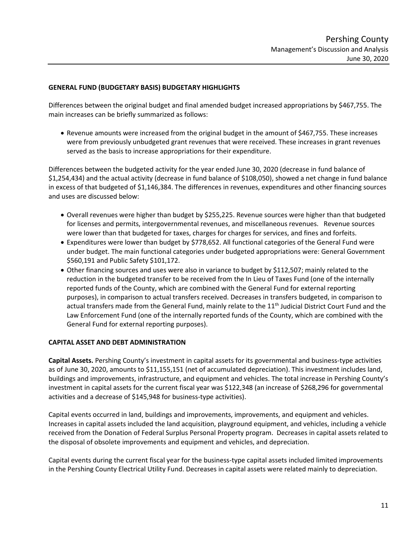# **GENERAL FUND (BUDGETARY BASIS) BUDGETARY HIGHLIGHTS**

Differences between the original budget and final amended budget increased appropriations by \$467,755. The main increases can be briefly summarized as follows:

• Revenue amounts were increased from the original budget in the amount of \$467,755. These increases were from previously unbudgeted grant revenues that were received. These increases in grant revenues served as the basis to increase appropriations for their expenditure.

Differences between the budgeted activity for the year ended June 30, 2020 (decrease in fund balance of \$1,254,434) and the actual activity (decrease in fund balance of \$108,050), showed a net change in fund balance in excess of that budgeted of \$1,146,384. The differences in revenues, expenditures and other financing sources and uses are discussed below:

- Overall revenues were higher than budget by \$255,225. Revenue sources were higher than that budgeted for licenses and permits, intergovernmental revenues, and miscellaneous revenues. Revenue sources were lower than that budgeted for taxes, charges for charges for services, and fines and forfeits.
- Expenditures were lower than budget by \$778,652. All functional categories of the General Fund were under budget. The main functional categories under budgeted appropriations were: General Government \$560,191 and Public Safety \$101,172.
- Other financing sources and uses were also in variance to budget by \$112,507; mainly related to the reduction in the budgeted transfer to be received from the In Lieu of Taxes Fund (one of the internally reported funds of the County, which are combined with the General Fund for external reporting purposes), in comparison to actual transfers received. Decreases in transfers budgeted, in comparison to actual transfers made from the General Fund, mainly relate to the 11<sup>th</sup> Judicial District Court Fund and the Law Enforcement Fund (one of the internally reported funds of the County, which are combined with the General Fund for external reporting purposes).

# **CAPITAL ASSET AND DEBT ADMINISTRATION**

**Capital Assets.** Pershing County's investment in capital assets for its governmental and business-type activities as of June 30, 2020, amounts to \$11,155,151 (net of accumulated depreciation). This investment includes land, buildings and improvements, infrastructure, and equipment and vehicles. The total increase in Pershing County's investment in capital assets for the current fiscal year was \$122,348 (an increase of \$268,296 for governmental activities and a decrease of \$145,948 for business-type activities).

Capital events occurred in land, buildings and improvements, improvements, and equipment and vehicles. Increases in capital assets included the land acquisition, playground equipment, and vehicles, including a vehicle received from the Donation of Federal Surplus Personal Property program. Decreases in capital assets related to the disposal of obsolete improvements and equipment and vehicles, and depreciation.

Capital events during the current fiscal year for the business-type capital assets included limited improvements in the Pershing County Electrical Utility Fund. Decreases in capital assets were related mainly to depreciation.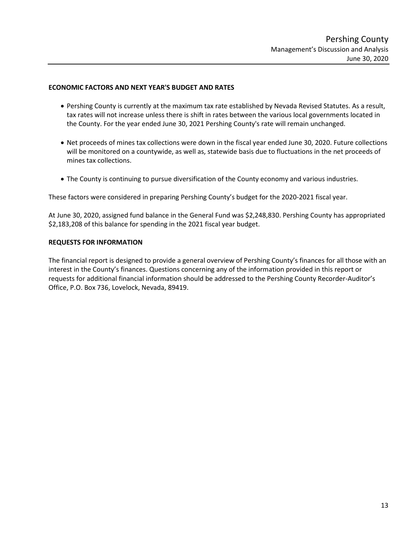#### **ECONOMIC FACTORS AND NEXT YEAR'S BUDGET AND RATES**

- Pershing County is currently at the maximum tax rate established by Nevada Revised Statutes. As a result, tax rates will not increase unless there is shift in rates between the various local governments located in the County. For the year ended June 30, 2021 Pershing County's rate will remain unchanged.
- Net proceeds of mines tax collections were down in the fiscal year ended June 30, 2020. Future collections will be monitored on a countywide, as well as, statewide basis due to fluctuations in the net proceeds of mines tax collections.
- The County is continuing to pursue diversification of the County economy and various industries.

These factors were considered in preparing Pershing County's budget for the 2020-2021 fiscal year.

At June 30, 2020, assigned fund balance in the General Fund was \$2,248,830. Pershing County has appropriated \$2,183,208 of this balance for spending in the 2021 fiscal year budget.

#### **REQUESTS FOR INFORMATION**

The financial report is designed to provide a general overview of Pershing County's finances for all those with an interest in the County's finances. Questions concerning any of the information provided in this report or requests for additional financial information should be addressed to the Pershing County Recorder-Auditor's Office, P.O. Box 736, Lovelock, Nevada, 89419.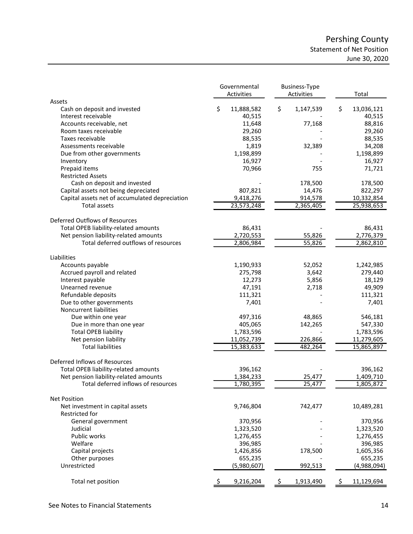# Pershing County Statement of Net Position June 30, 2020

|                                                | Governmental<br>Activities | <b>Business-Type</b><br>Activities | Total            |
|------------------------------------------------|----------------------------|------------------------------------|------------------|
| Assets                                         |                            |                                    |                  |
| Cash on deposit and invested                   | \$<br>11,888,582           | \$<br>1,147,539                    | \$<br>13,036,121 |
| Interest receivable                            | 40,515                     |                                    | 40,515           |
| Accounts receivable, net                       | 11,648                     | 77,168                             | 88,816           |
| Room taxes receivable                          | 29,260                     |                                    | 29,260           |
| Taxes receivable                               | 88,535                     |                                    | 88,535           |
| Assessments receivable                         | 1,819                      | 32,389                             | 34,208           |
| Due from other governments                     | 1,198,899                  |                                    | 1,198,899        |
| Inventory                                      | 16,927                     |                                    | 16,927           |
| Prepaid items                                  | 70,966                     | 755                                | 71,721           |
| <b>Restricted Assets</b>                       |                            |                                    |                  |
| Cash on deposit and invested                   |                            | 178,500                            | 178,500          |
| Capital assets not being depreciated           | 807,821                    | 14,476                             | 822,297          |
| Capital assets net of accumulated depreciation | 9,418,276                  | 914,578                            | 10,332,854       |
| <b>Total assets</b>                            | 23,573,248                 | 2,365,405                          | 25,938,653       |
| Deferred Outflows of Resources                 |                            |                                    |                  |
| Total OPEB liability-related amounts           | 86,431                     |                                    | 86,431           |
| Net pension liability-related amounts          | 2,720,553                  | 55,826                             | 2,776,379        |
| Total deferred outflows of resources           | 2,806,984                  | 55,826                             | 2,862,810        |
|                                                |                            |                                    |                  |
| Liabilities<br>Accounts payable                | 1,190,933                  | 52,052                             | 1,242,985        |
| Accrued payroll and related                    | 275,798                    | 3,642                              |                  |
|                                                |                            |                                    | 279,440          |
| Interest payable                               | 12,273                     | 5,856                              | 18,129           |
| Unearned revenue                               | 47,191                     | 2,718                              | 49,909           |
| Refundable deposits                            | 111,321                    |                                    | 111,321          |
| Due to other governments                       | 7,401                      |                                    | 7,401            |
| Noncurrent liabilities                         |                            |                                    |                  |
| Due within one year                            | 497,316                    | 48,865                             | 546,181          |
| Due in more than one year                      | 405,065                    | 142,265                            | 547,330          |
| <b>Total OPEB liability</b>                    | 1,783,596                  |                                    | 1,783,596        |
| Net pension liability                          | 11,052,739                 | 226,866                            | 11,279,605       |
| <b>Total liabilities</b>                       | 15,383,633                 | 482,264                            | 15,865,897       |
| Deferred Inflows of Resources                  |                            |                                    |                  |
| Total OPEB liability-related amounts           | 396,162                    |                                    | 396,162          |
| Net pension liability-related amounts          | 1,384,233                  | 25,477                             | 1,409,710        |
| Total deferred inflows of resources            | 1,780,395                  | 25,477                             | 1,805,872        |
| <b>Net Position</b>                            |                            |                                    |                  |
| Net investment in capital assets               | 9,746,804                  | 742,477                            | 10,489,281       |
| Restricted for                                 |                            |                                    |                  |
| General government                             | 370,956                    |                                    | 370,956          |
| Judicial                                       | 1,323,520                  |                                    | 1,323,520        |
| Public works                                   | 1,276,455                  |                                    | 1,276,455        |
| Welfare                                        | 396,985                    |                                    | 396,985          |
| Capital projects                               | 1,426,856                  | 178,500                            | 1,605,356        |
| Other purposes                                 | 655,235                    |                                    | 655,235          |
| Unrestricted                                   | (5,980,607)                | 992,513                            | (4,988,094)      |
| Total net position                             | 9,216,204                  | 1,913,490                          | 11,129,694       |
|                                                |                            |                                    |                  |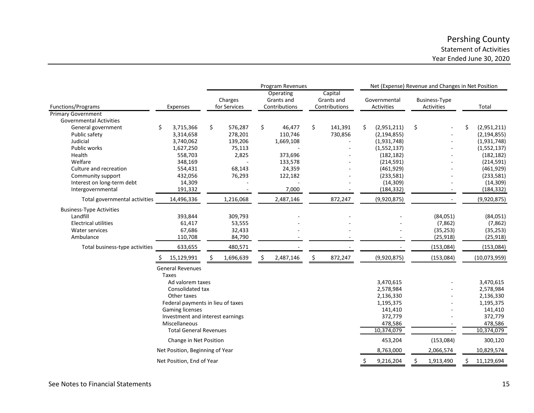|                                 |    |                                         |    | Program Revenues        |    |                                          |    |                                        |    | Net (Expense) Revenue and Changes in Net Position |    |                                           |    |               |  |
|---------------------------------|----|-----------------------------------------|----|-------------------------|----|------------------------------------------|----|----------------------------------------|----|---------------------------------------------------|----|-------------------------------------------|----|---------------|--|
| <b>Functions/Programs</b>       |    | Expenses                                |    | Charges<br>for Services |    | Operating<br>Grants and<br>Contributions |    | Capital<br>Grants and<br>Contributions |    | Governmental<br><b>Activities</b>                 |    | <b>Business-Type</b><br><b>Activities</b> |    | Total         |  |
| <b>Primary Government</b>       |    |                                         |    |                         |    |                                          |    |                                        |    |                                                   |    |                                           |    |               |  |
| <b>Governmental Activities</b>  |    |                                         |    |                         |    |                                          |    |                                        |    |                                                   |    |                                           |    |               |  |
| General government              | \$ | 3,715,366                               | \$ | 576,287                 | \$ | 46,477                                   | \$ | 141,391                                | \$ | (2,951,211)                                       | \$ |                                           | Ś. | (2,951,211)   |  |
| Public safety                   |    | 3,314,658                               |    | 278,201                 |    | 110,746                                  |    | 730,856                                |    | (2, 194, 855)                                     |    |                                           |    | (2, 194, 855) |  |
| Judicial                        |    | 3,740,062                               |    | 139,206                 |    | 1,669,108                                |    |                                        |    | (1,931,748)                                       |    |                                           |    | (1,931,748)   |  |
| Public works                    |    | 1,627,250                               |    | 75,113                  |    |                                          |    |                                        |    | (1, 552, 137)                                     |    |                                           |    | (1,552,137)   |  |
| Health                          |    | 558,703                                 |    | 2,825                   |    | 373,696                                  |    |                                        |    | (182, 182)                                        |    |                                           |    | (182, 182)    |  |
| Welfare                         |    | 348,169                                 |    |                         |    | 133,578                                  |    |                                        |    | (214, 591)                                        |    |                                           |    | (214, 591)    |  |
| Culture and recreation          |    | 554,431                                 |    | 68,143                  |    | 24,359                                   |    |                                        |    | (461, 929)                                        |    |                                           |    | (461, 929)    |  |
| Community support               |    | 432,056                                 |    | 76,293                  |    | 122,182                                  |    |                                        |    | (233,581)                                         |    |                                           |    | (233,581)     |  |
| Interest on long-term debt      |    | 14,309                                  |    |                         |    |                                          |    |                                        |    | (14, 309)                                         |    |                                           |    | (14, 309)     |  |
| Intergovernmental               |    | 191,332                                 |    |                         |    | 7,000                                    |    |                                        |    | (184, 332)                                        |    |                                           |    | (184, 332)    |  |
| Total governmental activities   |    | 14,496,336                              |    | 1,216,068               |    | 2,487,146                                |    | 872,247                                |    | (9,920,875)                                       |    |                                           |    | (9,920,875)   |  |
| <b>Business-Type Activities</b> |    |                                         |    |                         |    |                                          |    |                                        |    |                                                   |    |                                           |    |               |  |
| Landfill                        |    | 393,844                                 |    | 309,793                 |    |                                          |    |                                        |    |                                                   |    | (84,051)                                  |    | (84,051)      |  |
| <b>Electrical utilities</b>     |    | 61,417                                  |    | 53,555                  |    |                                          |    |                                        |    |                                                   |    | (7,862)                                   |    | (7, 862)      |  |
| Water services                  |    | 67,686                                  |    | 32,433                  |    |                                          |    |                                        |    |                                                   |    | (35, 253)                                 |    | (35, 253)     |  |
| Ambulance                       |    | 110,708                                 |    | 84,790                  |    |                                          |    |                                        |    |                                                   |    | (25, 918)                                 |    | (25, 918)     |  |
| Total business-type activities  |    | 633,655                                 |    | 480,571                 |    |                                          |    |                                        |    |                                                   |    | (153, 084)                                |    | (153,084)     |  |
|                                 |    | 15,129,991                              |    | 1,696,639               |    | 2,487,146                                | \$ | 872,247                                |    | (9,920,875)                                       |    | (153,084)                                 |    | (10,073,959)  |  |
|                                 |    |                                         |    |                         |    |                                          |    |                                        |    |                                                   |    |                                           |    |               |  |
|                                 |    | <b>General Revenues</b><br><b>Taxes</b> |    |                         |    |                                          |    |                                        |    |                                                   |    |                                           |    |               |  |
|                                 |    | Ad valorem taxes                        |    |                         |    |                                          |    |                                        |    | 3,470,615                                         |    |                                           |    | 3,470,615     |  |
|                                 |    | Consolidated tax                        |    |                         |    |                                          |    |                                        |    |                                                   |    |                                           |    |               |  |
|                                 |    | Other taxes                             |    |                         |    |                                          |    |                                        |    | 2,578,984                                         |    |                                           |    | 2,578,984     |  |
|                                 |    |                                         |    |                         |    |                                          |    |                                        |    | 2,136,330                                         |    |                                           |    | 2,136,330     |  |
|                                 |    | Federal payments in lieu of taxes       |    |                         |    |                                          |    |                                        |    | 1,195,375                                         |    |                                           |    | 1,195,375     |  |
|                                 |    | <b>Gaming licenses</b>                  |    |                         |    |                                          |    |                                        |    | 141,410                                           |    |                                           |    | 141,410       |  |
|                                 |    | Investment and interest earnings        |    |                         |    |                                          |    |                                        |    | 372,779                                           |    |                                           |    | 372,779       |  |
|                                 |    | Miscellaneous                           |    |                         |    |                                          |    |                                        |    | 478,586                                           |    |                                           |    | 478,586       |  |
|                                 |    | <b>Total General Revenues</b>           |    |                         |    |                                          |    |                                        |    | 10,374,079                                        |    |                                           |    | 10,374,079    |  |
|                                 |    | Change in Net Position                  |    |                         |    |                                          |    |                                        |    | 453,204                                           |    | (153,084)                                 |    | 300,120       |  |
|                                 |    | Net Position, Beginning of Year         |    |                         |    |                                          |    |                                        |    | 8,763,000                                         |    | 2,066,574                                 |    | 10,829,574    |  |
|                                 |    | Net Position, End of Year               |    |                         |    |                                          |    |                                        | S  | 9,216,204                                         |    | 1,913,490                                 | S  | 11,129,694    |  |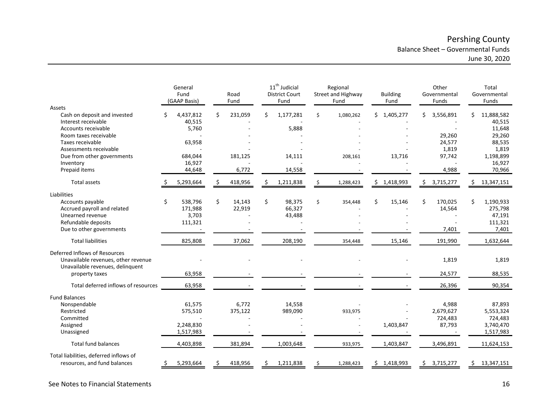# Pershing County Balance Sheet – Governmental Funds June 30, 2020

|                                                     | General<br>Fund<br>(GAAP Basis) |    | Road<br>Fund |    | 11 <sup>th</sup> Judicial<br><b>District Court</b><br>Fund |    | Regional<br>Street and Highway<br>Fund | <b>Building</b><br>Fund |     | Other<br>Governmental<br>Funds |    | Total<br>Governmental<br>Funds |
|-----------------------------------------------------|---------------------------------|----|--------------|----|------------------------------------------------------------|----|----------------------------------------|-------------------------|-----|--------------------------------|----|--------------------------------|
| Assets                                              |                                 |    |              |    |                                                            |    |                                        |                         |     |                                |    |                                |
| Cash on deposit and invested<br>Interest receivable | 4,437,812                       | Ś. | 231,059      | Ś. | 1,177,281                                                  | Ŝ. | 1,080,262                              | \$1,405,277             | Ś.  | 3,556,891                      |    | 11,888,582                     |
| Accounts receivable                                 | 40,515                          |    |              |    | 5,888                                                      |    |                                        |                         |     |                                |    | 40,515                         |
| Room taxes receivable                               | 5,760                           |    |              |    |                                                            |    |                                        |                         |     | 29,260                         |    | 11,648<br>29,260               |
| Taxes receivable                                    | 63,958                          |    |              |    |                                                            |    |                                        |                         |     | 24,577                         |    | 88,535                         |
| Assessments receivable                              |                                 |    |              |    |                                                            |    |                                        |                         |     | 1,819                          |    | 1,819                          |
| Due from other governments                          | 684,044                         |    | 181,125      |    | 14,111                                                     |    | 208,161                                | 13,716                  |     | 97,742                         |    | 1,198,899                      |
| Inventory                                           | 16,927                          |    |              |    |                                                            |    |                                        |                         |     |                                |    | 16,927                         |
| Prepaid items                                       | 44,648                          |    | 6,772        |    | 14,558                                                     |    |                                        |                         |     | 4,988                          |    | 70,966                         |
|                                                     |                                 |    |              |    |                                                            |    |                                        |                         |     |                                |    |                                |
| Total assets                                        | 5,293,664                       |    | 418,956      |    | 1,211,838                                                  |    | 1,288,423                              | \$<br>1,418,993         | \$  | 3,715,277                      |    | 13,347,151                     |
| Liabilities                                         |                                 |    |              |    |                                                            |    |                                        |                         |     |                                |    |                                |
| Accounts payable                                    | \$<br>538,796                   | \$ | 14,143       | Ś. | 98,375                                                     | \$ | 354,448                                | \$<br>15,146            | \$  | 170,025                        | \$ | 1,190,933                      |
| Accrued payroll and related                         | 171,988                         |    | 22,919       |    | 66,327                                                     |    |                                        |                         |     | 14,564                         |    | 275,798                        |
| Unearned revenue                                    | 3,703                           |    |              |    | 43,488                                                     |    |                                        |                         |     |                                |    | 47,191                         |
| Refundable deposits                                 | 111,321                         |    |              |    |                                                            |    |                                        |                         |     |                                |    | 111,321                        |
| Due to other governments                            |                                 |    |              |    |                                                            |    |                                        |                         |     | 7,401                          |    | 7,401                          |
| <b>Total liabilities</b>                            | 825,808                         |    | 37,062       |    | 208,190                                                    |    | 354,448                                | 15,146                  |     | 191,990                        |    | 1,632,644                      |
| Deferred Inflows of Resources                       |                                 |    |              |    |                                                            |    |                                        |                         |     |                                |    |                                |
| Unavailable revenues, other revenue                 |                                 |    |              |    |                                                            |    |                                        |                         |     | 1,819                          |    | 1,819                          |
| Unavailable revenues, delinquent                    |                                 |    |              |    |                                                            |    |                                        |                         |     |                                |    |                                |
| property taxes                                      | 63,958                          |    |              |    |                                                            |    |                                        |                         |     | 24,577                         |    | 88,535                         |
| Total deferred inflows of resources                 | 63,958                          |    |              |    |                                                            |    |                                        |                         |     | 26,396                         |    | 90,354                         |
|                                                     |                                 |    |              |    |                                                            |    |                                        |                         |     |                                |    |                                |
| <b>Fund Balances</b>                                |                                 |    |              |    |                                                            |    |                                        |                         |     |                                |    |                                |
| Nonspendable<br>Restricted                          | 61,575                          |    | 6,772        |    | 14,558                                                     |    |                                        |                         |     | 4,988                          |    | 87,893                         |
| Committed                                           | 575,510                         |    | 375,122      |    | 989,090                                                    |    | 933,975                                |                         |     | 2,679,627                      |    | 5,553,324                      |
| Assigned                                            | 2,248,830                       |    |              |    |                                                            |    |                                        | 1,403,847               |     | 724,483<br>87,793              |    | 724,483<br>3,740,470           |
| Unassigned                                          | 1,517,983                       |    |              |    |                                                            |    |                                        |                         |     |                                |    | 1,517,983                      |
|                                                     |                                 |    |              |    |                                                            |    |                                        |                         |     |                                |    |                                |
| <b>Total fund balances</b>                          | 4,403,898                       |    | 381,894      |    | 1,003,648                                                  |    | 933,975                                | 1,403,847               |     | 3,496,891                      |    | 11,624,153                     |
| Total liabilities, deferred inflows of              |                                 |    |              |    |                                                            |    |                                        |                         |     |                                |    |                                |
| resources, and fund balances                        | 5,293,664                       |    | 418,956      |    | 1,211,838                                                  |    | 1,288,423                              | \$1,418,993             | \$. | 3,715,277                      | S  | 13,347,151                     |

See Notes to Financial Statements 16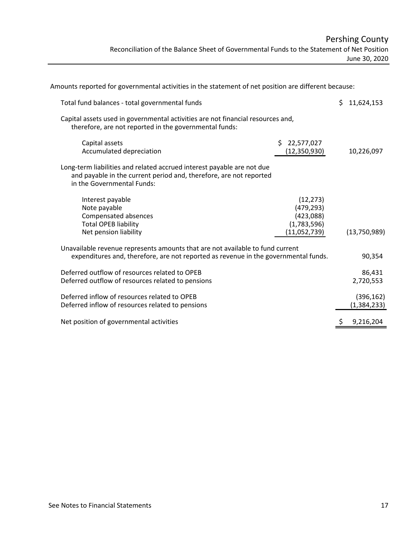Amounts reported for governmental activities in the statement of net position are different because:

| Total fund balances - total governmental funds                                                                                                                             |                                                                     | Ś. | 11,624,153                |
|----------------------------------------------------------------------------------------------------------------------------------------------------------------------------|---------------------------------------------------------------------|----|---------------------------|
| Capital assets used in governmental activities are not financial resources and,<br>therefore, are not reported in the governmental funds:                                  |                                                                     |    |                           |
| Capital assets<br>Accumulated depreciation                                                                                                                                 | S.<br>22,577,027<br>(12, 350, 930)                                  |    | 10,226,097                |
| Long-term liabilities and related accrued interest payable are not due<br>and payable in the current period and, therefore, are not reported<br>in the Governmental Funds: |                                                                     |    |                           |
| Interest payable<br>Note payable<br>Compensated absences<br><b>Total OPEB liability</b><br>Net pension liability                                                           | (12, 273)<br>(479, 293)<br>(423,088)<br>(1,783,596)<br>(11,052,739) |    | (13,750,989)              |
| Unavailable revenue represents amounts that are not available to fund current<br>expenditures and, therefore, are not reported as revenue in the governmental funds.       |                                                                     |    | 90,354                    |
| Deferred outflow of resources related to OPEB<br>Deferred outflow of resources related to pensions                                                                         |                                                                     |    | 86,431<br>2,720,553       |
| Deferred inflow of resources related to OPEB<br>Deferred inflow of resources related to pensions                                                                           |                                                                     |    | (396, 162)<br>(1,384,233) |
| Net position of governmental activities                                                                                                                                    |                                                                     | \$ | 9,216,204                 |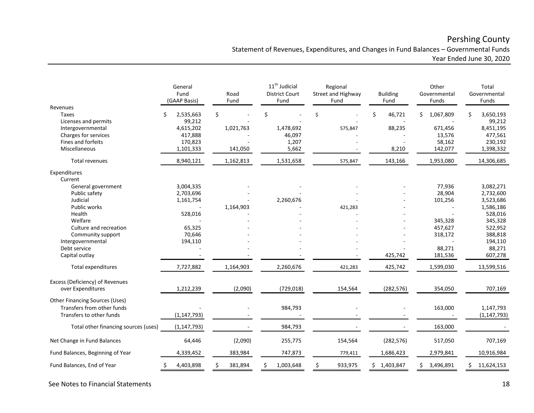# Pershing County

Statement of Revenues, Expenditures, and Changes in Fund Balances – Governmental Funds Year Ended June 30, 2020

|                                      | General<br>Fund<br>(GAAP Basis) | Road<br>Fund | $11th$ Judicial<br><b>District Court</b><br>Fund | Regional<br>Street and Highway<br>Fund | <b>Building</b><br>Fund | Other<br>Governmental<br>Funds | Total<br>Governmental<br><b>Funds</b> |
|--------------------------------------|---------------------------------|--------------|--------------------------------------------------|----------------------------------------|-------------------------|--------------------------------|---------------------------------------|
| Revenues                             |                                 |              |                                                  |                                        |                         |                                |                                       |
| Taxes                                | 2,535,663                       | \$           | \$                                               | \$                                     | \$<br>46,721            | 1,067,809<br>\$.               | 3,650,193<br>Ś                        |
| Licenses and permits                 | 99,212                          |              |                                                  |                                        |                         |                                | 99,212                                |
| Intergovernmental                    | 4,615,202                       | 1,021,763    | 1,478,692                                        | 575,847                                | 88,235                  | 671,456                        | 8,451,195                             |
| Charges for services                 | 417,888                         |              | 46,097                                           |                                        |                         | 13,576                         | 477,561                               |
| Fines and forfeits                   | 170,823                         |              | 1,207                                            |                                        |                         | 58,162                         | 230,192                               |
| Miscellaneous                        | 1,101,333                       | 141,050      | 5,662                                            |                                        | 8,210                   | 142,077                        | 1,398,332                             |
| Total revenues                       | 8,940,121                       | 1,162,813    | 1,531,658                                        | 575,847                                | 143,166                 | 1,953,080                      | 14,306,685                            |
| Expenditures                         |                                 |              |                                                  |                                        |                         |                                |                                       |
| Current                              |                                 |              |                                                  |                                        |                         |                                |                                       |
| General government                   | 3,004,335                       |              |                                                  |                                        |                         | 77,936                         | 3,082,271                             |
| Public safety                        | 2,703,696                       |              |                                                  |                                        |                         | 28,904                         | 2,732,600                             |
| Judicial                             | 1,161,754                       |              | 2,260,676                                        |                                        |                         | 101,256                        | 3,523,686                             |
| Public works                         |                                 | 1,164,903    |                                                  | 421,283                                |                         |                                | 1,586,186                             |
| Health                               | 528,016                         |              |                                                  |                                        |                         |                                | 528,016                               |
| Welfare                              |                                 |              |                                                  |                                        |                         | 345,328                        | 345,328                               |
| Culture and recreation               | 65,325                          |              |                                                  |                                        |                         | 457,627                        | 522,952                               |
| Community support                    | 70,646                          |              |                                                  |                                        |                         | 318,172                        | 388,818                               |
| Intergovernmental                    | 194,110                         |              |                                                  |                                        |                         |                                | 194,110                               |
| Debt service                         |                                 |              |                                                  |                                        |                         | 88,271                         | 88,271                                |
| Capital outlay                       |                                 |              |                                                  |                                        | 425,742                 | 181,536                        | 607,278                               |
| <b>Total expenditures</b>            | 7,727,882                       | 1,164,903    | 2,260,676                                        | 421,283                                | 425,742                 | 1,599,030                      | 13,599,516                            |
| Excess (Deficiency) of Revenues      |                                 |              |                                                  |                                        |                         |                                |                                       |
| over Expenditures                    | 1,212,239                       | (2,090)      | (729, 018)                                       | 154,564                                | (282, 576)              | 354,050                        | 707,169                               |
|                                      |                                 |              |                                                  |                                        |                         |                                |                                       |
| Other Financing Sources (Uses)       |                                 |              |                                                  |                                        |                         |                                |                                       |
| Transfers from other funds           |                                 |              | 984,793                                          |                                        |                         | 163,000                        | 1,147,793                             |
| Transfers to other funds             | (1, 147, 793)                   |              |                                                  |                                        |                         |                                | (1, 147, 793)                         |
| Total other financing sources (uses) | (1, 147, 793)                   |              | 984,793                                          |                                        |                         | 163,000                        |                                       |
| Net Change in Fund Balances          | 64,446                          | (2,090)      | 255,775                                          | 154,564                                | (282, 576)              | 517,050                        | 707,169                               |
| Fund Balances, Beginning of Year     | 4,339,452                       | 383,984      | 747,873                                          | 779,411                                | 1,686,423               | 2,979,841                      | 10,916,984                            |
| Fund Balances, End of Year           | 4,403,898                       | 381,894      | 1,003,648                                        | 933,975                                | 1,403,847               | 3,496,891<br>\$                | 11,624,153                            |

See Notes to Financial Statements 18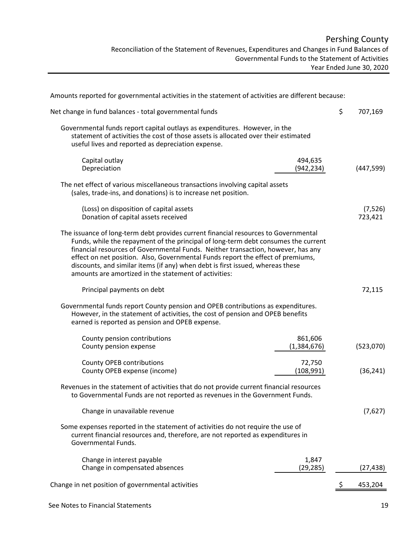| <b>Pershing County</b>                                                                    |
|-------------------------------------------------------------------------------------------|
| Reconciliation of the Statement of Revenues, Expenditures and Changes in Fund Balances of |
| Governmental Funds to the Statement of Activities                                         |
| Year Ended June 30, 2020                                                                  |

| Amounts reported for governmental activities in the statement of activities are different because:                                                                                                                                                                                                                                                                                                                                                                                          |                     |
|---------------------------------------------------------------------------------------------------------------------------------------------------------------------------------------------------------------------------------------------------------------------------------------------------------------------------------------------------------------------------------------------------------------------------------------------------------------------------------------------|---------------------|
| Net change in fund balances - total governmental funds                                                                                                                                                                                                                                                                                                                                                                                                                                      | \$<br>707,169       |
| Governmental funds report capital outlays as expenditures. However, in the<br>statement of activities the cost of those assets is allocated over their estimated<br>useful lives and reported as depreciation expense.                                                                                                                                                                                                                                                                      |                     |
| Capital outlay<br>494,635<br>(942, 234)<br>Depreciation                                                                                                                                                                                                                                                                                                                                                                                                                                     | (447, 599)          |
| The net effect of various miscellaneous transactions involving capital assets<br>(sales, trade-ins, and donations) is to increase net position.                                                                                                                                                                                                                                                                                                                                             |                     |
| (Loss) on disposition of capital assets<br>Donation of capital assets received                                                                                                                                                                                                                                                                                                                                                                                                              | (7, 526)<br>723,421 |
| The issuance of long-term debt provides current financial resources to Governmental<br>Funds, while the repayment of the principal of long-term debt consumes the current<br>financial resources of Governmental Funds. Neither transaction, however, has any<br>effect on net position. Also, Governmental Funds report the effect of premiums,<br>discounts, and similar items (if any) when debt is first issued, whereas these<br>amounts are amortized in the statement of activities: |                     |
| Principal payments on debt                                                                                                                                                                                                                                                                                                                                                                                                                                                                  | 72,115              |
| Governmental funds report County pension and OPEB contributions as expenditures.<br>However, in the statement of activities, the cost of pension and OPEB benefits<br>earned is reported as pension and OPEB expense.                                                                                                                                                                                                                                                                       |                     |
| County pension contributions<br>861,606<br>County pension expense<br>(1,384,676)                                                                                                                                                                                                                                                                                                                                                                                                            | (523,070)           |
| <b>County OPEB contributions</b><br>72,750<br>County OPEB expense (income)<br>(108, 991)                                                                                                                                                                                                                                                                                                                                                                                                    | (36, 241)           |
| Revenues in the statement of activities that do not provide current financial resources<br>to Governmental Funds are not reported as revenues in the Government Funds.                                                                                                                                                                                                                                                                                                                      |                     |
| Change in unavailable revenue                                                                                                                                                                                                                                                                                                                                                                                                                                                               | (7,627)             |
| Some expenses reported in the statement of activities do not require the use of<br>current financial resources and, therefore, are not reported as expenditures in<br>Governmental Funds.                                                                                                                                                                                                                                                                                                   |                     |
| Change in interest payable<br>1,847<br>Change in compensated absences<br>(29, 285)                                                                                                                                                                                                                                                                                                                                                                                                          | (27,438)            |
| Change in net position of governmental activities                                                                                                                                                                                                                                                                                                                                                                                                                                           | 453,204             |
|                                                                                                                                                                                                                                                                                                                                                                                                                                                                                             |                     |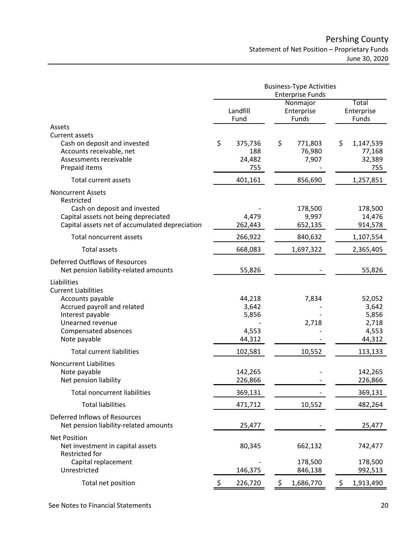# Pershing County Statement of Net Position – Proprietary Funds June 30, 2020

|                                                | <b>Business-Type Activities</b> |                         |                 |  |  |  |  |  |
|------------------------------------------------|---------------------------------|-------------------------|-----------------|--|--|--|--|--|
|                                                |                                 | <b>Enterprise Funds</b> | Total           |  |  |  |  |  |
|                                                | Landfill                        | Nonmajor<br>Enterprise  | Enterprise      |  |  |  |  |  |
|                                                | Fund                            | Funds                   | Funds           |  |  |  |  |  |
| Assets                                         |                                 |                         |                 |  |  |  |  |  |
| <b>Current assets</b>                          |                                 |                         |                 |  |  |  |  |  |
| Cash on deposit and invested                   | \$<br>375,736                   | \$<br>771,803           | \$<br>1,147,539 |  |  |  |  |  |
| Accounts receivable, net                       | 188                             | 76,980                  | 77,168          |  |  |  |  |  |
| Assessments receivable                         | 24,482                          | 7,907                   | 32,389          |  |  |  |  |  |
| Prepaid items                                  | 755                             |                         | 755             |  |  |  |  |  |
| <b>Total current assets</b>                    | 401,161                         | 856,690                 | 1,257,851       |  |  |  |  |  |
| <b>Noncurrent Assets</b>                       |                                 |                         |                 |  |  |  |  |  |
| Restricted                                     |                                 |                         |                 |  |  |  |  |  |
| Cash on deposit and invested                   |                                 | 178,500                 | 178,500         |  |  |  |  |  |
| Capital assets not being depreciated           | 4,479                           | 9,997                   | 14,476          |  |  |  |  |  |
| Capital assets net of accumulated depreciation | 262,443                         | 652,135                 | 914,578         |  |  |  |  |  |
| <b>Total noncurrent assets</b>                 | 266,922                         | 840,632                 | 1,107,554       |  |  |  |  |  |
| <b>Total assets</b>                            | 668,083                         | 1,697,322               | 2,365,405       |  |  |  |  |  |
| <b>Deferred Outflows of Resources</b>          |                                 |                         |                 |  |  |  |  |  |
| Net pension liability-related amounts          | 55,826                          |                         | 55,826          |  |  |  |  |  |
| Liabilities                                    |                                 |                         |                 |  |  |  |  |  |
| <b>Current Liabilities</b>                     |                                 |                         |                 |  |  |  |  |  |
| Accounts payable                               | 44,218                          | 7,834                   | 52,052          |  |  |  |  |  |
| Accrued payroll and related                    | 3,642                           |                         | 3,642           |  |  |  |  |  |
| Interest payable                               | 5,856                           |                         | 5,856           |  |  |  |  |  |
| Unearned revenue                               |                                 | 2,718                   | 2,718           |  |  |  |  |  |
| Compensated absences                           | 4,553                           |                         | 4,553           |  |  |  |  |  |
| Note payable                                   | 44,312                          |                         | 44,312          |  |  |  |  |  |
| <b>Total current liabilities</b>               | 102,581                         | 10,552                  | 113,133         |  |  |  |  |  |
| <b>Noncurrent Liabilities</b>                  |                                 |                         |                 |  |  |  |  |  |
| Note payable                                   | 142,265                         |                         | 142,265         |  |  |  |  |  |
| Net pension liability                          | 226,866                         |                         | 226,866         |  |  |  |  |  |
| <b>Total noncurrent liabilities</b>            | 369,131                         |                         | 369,131         |  |  |  |  |  |
| <b>Total liabilities</b>                       | 471,712                         | 10,552                  | 482,264         |  |  |  |  |  |
| Deferred Inflows of Resources                  |                                 |                         |                 |  |  |  |  |  |
| Net pension liability-related amounts          | 25,477                          |                         | 25,477          |  |  |  |  |  |
| <b>Net Position</b>                            |                                 |                         |                 |  |  |  |  |  |
| Net investment in capital assets               | 80,345                          | 662,132                 | 742,477         |  |  |  |  |  |
| Restricted for                                 |                                 |                         |                 |  |  |  |  |  |
| Capital replacement                            |                                 | 178,500                 | 178,500         |  |  |  |  |  |
| Unrestricted                                   | 146,375                         | 846,138                 | 992,513         |  |  |  |  |  |
| Total net position                             | 226,720                         | 1,686,770<br>- Ş        | 1,913,490<br>-Ş |  |  |  |  |  |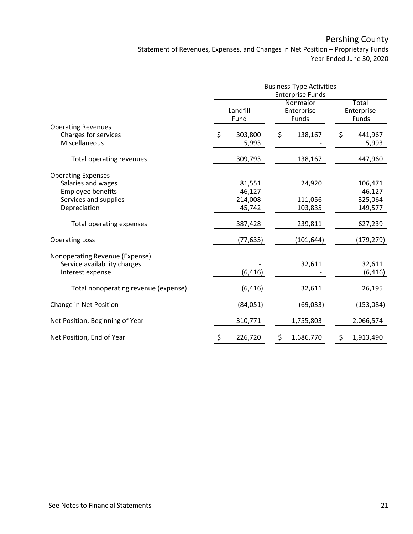|                                                                                                               | <b>Business-Type Activities</b><br><b>Enterprise Funds</b> |                                       |    |                                 |    |                                         |  |  |
|---------------------------------------------------------------------------------------------------------------|------------------------------------------------------------|---------------------------------------|----|---------------------------------|----|-----------------------------------------|--|--|
|                                                                                                               |                                                            | Landfill<br>Fund                      |    | Nonmajor<br>Enterprise<br>Funds |    | Total<br>Enterprise<br>Funds            |  |  |
| <b>Operating Revenues</b><br>Charges for services<br>Miscellaneous                                            | \$                                                         | 303,800<br>5,993                      | \$ | 138,167                         | \$ | 441,967<br>5,993                        |  |  |
| Total operating revenues                                                                                      |                                                            | 309,793                               |    | 138,167                         |    | 447,960                                 |  |  |
| <b>Operating Expenses</b><br>Salaries and wages<br>Employee benefits<br>Services and supplies<br>Depreciation |                                                            | 81,551<br>46,127<br>214,008<br>45,742 |    | 24,920<br>111,056<br>103,835    |    | 106,471<br>46,127<br>325,064<br>149,577 |  |  |
| Total operating expenses                                                                                      |                                                            | 387,428                               |    | 239,811                         |    | 627,239                                 |  |  |
| <b>Operating Loss</b>                                                                                         |                                                            | (77, 635)                             |    | (101, 644)                      |    | (179, 279)                              |  |  |
| Nonoperating Revenue (Expense)<br>Service availability charges<br>Interest expense                            |                                                            | (6, 416)                              |    | 32,611                          |    | 32,611<br>(6, 416)                      |  |  |
| Total nonoperating revenue (expense)                                                                          |                                                            | (6, 416)                              |    | 32,611                          |    | 26,195                                  |  |  |
| Change in Net Position                                                                                        |                                                            | (84,051)                              |    | (69, 033)                       |    | (153,084)                               |  |  |
| Net Position, Beginning of Year                                                                               |                                                            | 310,771                               |    | 1,755,803                       |    | 2,066,574                               |  |  |
| Net Position, End of Year                                                                                     |                                                            | 226,720                               |    | 1,686,770                       |    | 1,913,490                               |  |  |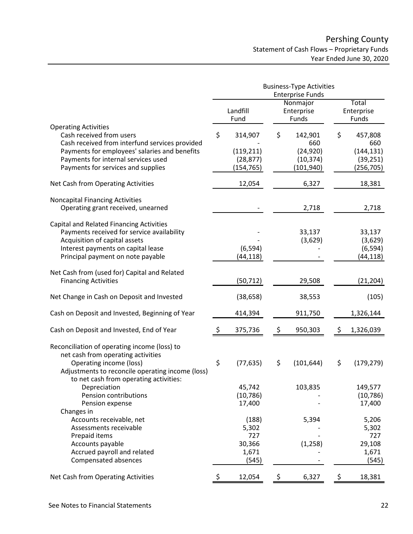# Pershing County Statement of Cash Flows – Proprietary Funds Year Ended June 30, 2020

|                                                  | <b>Business-Type Activities</b> |              |     |                         |     |              |  |  |
|--------------------------------------------------|---------------------------------|--------------|-----|-------------------------|-----|--------------|--|--|
|                                                  |                                 |              |     | <b>Enterprise Funds</b> |     |              |  |  |
|                                                  |                                 |              |     | Nonmajor                |     | Total        |  |  |
|                                                  |                                 | Landfill     |     | Enterprise              |     | Enterprise   |  |  |
|                                                  |                                 | Fund         |     | Funds                   |     | Funds        |  |  |
| <b>Operating Activities</b>                      |                                 |              |     |                         |     |              |  |  |
| Cash received from users                         | \$                              | 314,907      | \$  | 142,901                 | \$  | 457,808      |  |  |
| Cash received from interfund services provided   |                                 |              |     | 660                     |     | 660          |  |  |
| Payments for employees' salaries and benefits    |                                 | (119, 211)   |     | (24, 920)               |     | (144, 131)   |  |  |
| Payments for internal services used              |                                 | (28, 877)    |     | (10, 374)               |     | (39, 251)    |  |  |
| Payments for services and supplies               |                                 | (154,765)    |     | (101, 940)              |     | (256,705)    |  |  |
| Net Cash from Operating Activities               |                                 | 12,054       |     | 6,327                   |     | 18,381       |  |  |
| <b>Noncapital Financing Activities</b>           |                                 |              |     |                         |     |              |  |  |
| Operating grant received, unearned               |                                 |              |     | 2,718                   |     | 2,718        |  |  |
|                                                  |                                 |              |     |                         |     |              |  |  |
| Capital and Related Financing Activities         |                                 |              |     |                         |     |              |  |  |
| Payments received for service availability       |                                 |              |     | 33,137                  |     | 33,137       |  |  |
| Acquisition of capital assets                    |                                 |              |     | (3,629)                 |     | (3,629)      |  |  |
| Interest payments on capital lease               |                                 | (6, 594)     |     |                         |     | (6, 594)     |  |  |
| Principal payment on note payable                |                                 | (44, 118)    |     |                         |     | (44, 118)    |  |  |
| Net Cash from (used for) Capital and Related     |                                 |              |     |                         |     |              |  |  |
| <b>Financing Activities</b>                      |                                 | (50, 712)    |     | 29,508                  |     | (21, 204)    |  |  |
|                                                  |                                 |              |     |                         |     |              |  |  |
| Net Change in Cash on Deposit and Invested       |                                 | (38, 658)    |     | 38,553                  |     | (105)        |  |  |
| Cash on Deposit and Invested, Beginning of Year  |                                 | 414,394      |     | 911,750                 |     | 1,326,144    |  |  |
| Cash on Deposit and Invested, End of Year        | Ş                               | 375,736      | \$, | 950,303                 | \$. | 1,326,039    |  |  |
| Reconciliation of operating income (loss) to     |                                 |              |     |                         |     |              |  |  |
| net cash from operating activities               |                                 |              |     |                         |     |              |  |  |
| Operating income (loss)                          | \$                              | (77, 635)    | \$  | (101, 644)              | \$  | (179, 279)   |  |  |
| Adjustments to reconcile operating income (loss) |                                 |              |     |                         |     |              |  |  |
| to net cash from operating activities:           |                                 |              |     |                         |     |              |  |  |
| Depreciation                                     |                                 | 45,742       |     | 103,835                 |     | 149,577      |  |  |
| Pension contributions                            |                                 | (10, 786)    |     |                         |     | (10, 786)    |  |  |
| Pension expense                                  |                                 | 17,400       |     |                         |     | 17,400       |  |  |
| Changes in                                       |                                 |              |     |                         |     |              |  |  |
|                                                  |                                 | (188)        |     |                         |     |              |  |  |
| Accounts receivable, net                         |                                 |              |     | 5,394                   |     | 5,206        |  |  |
| Assessments receivable                           |                                 | 5,302<br>727 |     |                         |     | 5,302<br>727 |  |  |
| Prepaid items                                    |                                 |              |     |                         |     |              |  |  |
| Accounts payable                                 |                                 | 30,366       |     | (1, 258)                |     | 29,108       |  |  |
| Accrued payroll and related                      |                                 | 1,671        |     |                         |     | 1,671        |  |  |
| Compensated absences                             |                                 | (545)        |     |                         |     | (545)        |  |  |
| Net Cash from Operating Activities               | \$                              | 12,054       | \$  | 6,327                   | \$  | 18,381       |  |  |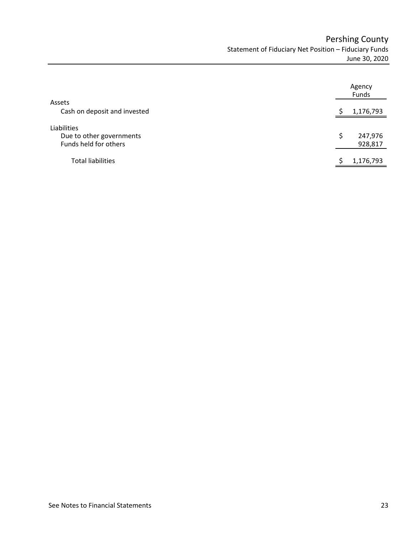# Pershing County Statement of Fiduciary Net Position – Fiduciary Funds June 30, 2020

|                                                                  | Agency<br>Funds          |
|------------------------------------------------------------------|--------------------------|
| Assets                                                           |                          |
| Cash on deposit and invested                                     | 1,176,793                |
| Liabilities<br>Due to other governments<br>Funds held for others | \$<br>247,976<br>928,817 |
| <b>Total liabilities</b>                                         | 1,176,793                |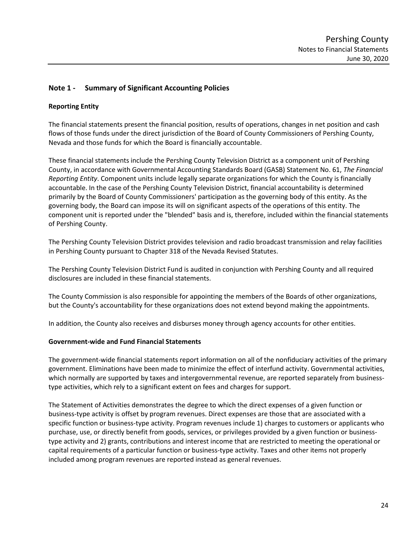# **Note 1 - Summary of Significant Accounting Policies**

# **Reporting Entity**

The financial statements present the financial position, results of operations, changes in net position and cash flows of those funds under the direct jurisdiction of the Board of County Commissioners of Pershing County, Nevada and those funds for which the Board is financially accountable.

These financial statements include the Pershing County Television District as a component unit of Pershing County, in accordance with Governmental Accounting Standards Board (GASB) Statement No. 61, *The Financial Reporting Entity*. Component units include legally separate organizations for which the County is financially accountable. In the case of the Pershing County Television District, financial accountability is determined primarily by the Board of County Commissioners' participation as the governing body of this entity. As the governing body, the Board can impose its will on significant aspects of the operations of this entity. The component unit is reported under the "blended" basis and is, therefore, included within the financial statements of Pershing County.

The Pershing County Television District provides television and radio broadcast transmission and relay facilities in Pershing County pursuant to Chapter 318 of the Nevada Revised Statutes.

The Pershing County Television District Fund is audited in conjunction with Pershing County and all required disclosures are included in these financial statements.

The County Commission is also responsible for appointing the members of the Boards of other organizations, but the County's accountability for these organizations does not extend beyond making the appointments.

In addition, the County also receives and disburses money through agency accounts for other entities.

# **Government-wide and Fund Financial Statements**

The government-wide financial statements report information on all of the nonfiduciary activities of the primary government. Eliminations have been made to minimize the effect of interfund activity. Governmental activities, which normally are supported by taxes and intergovernmental revenue, are reported separately from businesstype activities, which rely to a significant extent on fees and charges for support.

The Statement of Activities demonstrates the degree to which the direct expenses of a given function or business-type activity is offset by program revenues. Direct expenses are those that are associated with a specific function or business-type activity. Program revenues include 1) charges to customers or applicants who purchase, use, or directly benefit from goods, services, or privileges provided by a given function or businesstype activity and 2) grants, contributions and interest income that are restricted to meeting the operational or capital requirements of a particular function or business-type activity. Taxes and other items not properly included among program revenues are reported instead as general revenues.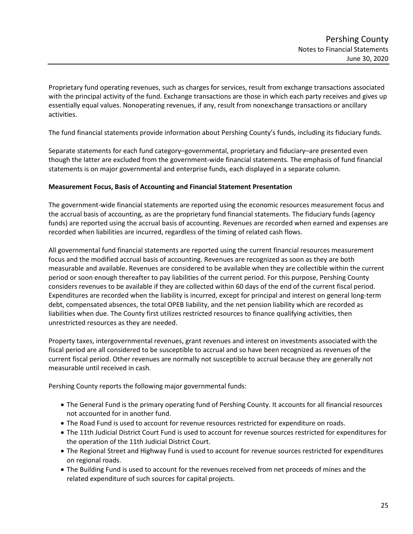Proprietary fund operating revenues, such as charges for services, result from exchange transactions associated with the principal activity of the fund. Exchange transactions are those in which each party receives and gives up essentially equal values. Nonoperating revenues, if any, result from nonexchange transactions or ancillary activities.

The fund financial statements provide information about Pershing County's funds, including its fiduciary funds.

Separate statements for each fund category–governmental, proprietary and fiduciary–are presented even though the latter are excluded from the government-wide financial statements. The emphasis of fund financial statements is on major governmental and enterprise funds, each displayed in a separate column.

# **Measurement Focus, Basis of Accounting and Financial Statement Presentation**

The government-wide financial statements are reported using the economic resources measurement focus and the accrual basis of accounting, as are the proprietary fund financial statements. The fiduciary funds (agency funds) are reported using the accrual basis of accounting. Revenues are recorded when earned and expenses are recorded when liabilities are incurred, regardless of the timing of related cash flows.

All governmental fund financial statements are reported using the current financial resources measurement focus and the modified accrual basis of accounting. Revenues are recognized as soon as they are both measurable and available. Revenues are considered to be available when they are collectible within the current period or soon enough thereafter to pay liabilities of the current period. For this purpose, Pershing County considers revenues to be available if they are collected within 60 days of the end of the current fiscal period. Expenditures are recorded when the liability is incurred, except for principal and interest on general long-term debt, compensated absences, the total OPEB liability, and the net pension liability which are recorded as liabilities when due. The County first utilizes restricted resources to finance qualifying activities, then unrestricted resources as they are needed.

Property taxes, intergovernmental revenues, grant revenues and interest on investments associated with the fiscal period are all considered to be susceptible to accrual and so have been recognized as revenues of the current fiscal period. Other revenues are normally not susceptible to accrual because they are generally not measurable until received in cash.

Pershing County reports the following major governmental funds:

- The General Fund is the primary operating fund of Pershing County. It accounts for all financial resources not accounted for in another fund.
- The Road Fund is used to account for revenue resources restricted for expenditure on roads.
- The 11th Judicial District Court Fund is used to account for revenue sources restricted for expenditures for the operation of the 11th Judicial District Court.
- The Regional Street and Highway Fund is used to account for revenue sources restricted for expenditures on regional roads.
- The Building Fund is used to account for the revenues received from net proceeds of mines and the related expenditure of such sources for capital projects.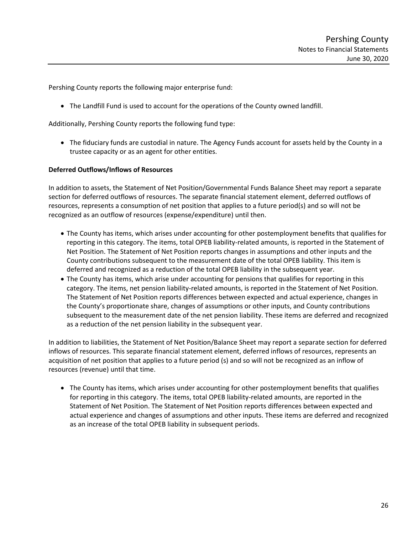Pershing County reports the following major enterprise fund:

• The Landfill Fund is used to account for the operations of the County owned landfill.

Additionally, Pershing County reports the following fund type:

• The fiduciary funds are custodial in nature. The Agency Funds account for assets held by the County in a trustee capacity or as an agent for other entities.

#### **Deferred Outflows/Inflows of Resources**

In addition to assets, the Statement of Net Position/Governmental Funds Balance Sheet may report a separate section for deferred outflows of resources. The separate financial statement element, deferred outflows of resources, represents a consumption of net position that applies to a future period(s) and so will not be recognized as an outflow of resources (expense/expenditure) until then.

- The County has items, which arises under accounting for other postemployment benefits that qualifies for reporting in this category. The items, total OPEB liability-related amounts, is reported in the Statement of Net Position. The Statement of Net Position reports changes in assumptions and other inputs and the County contributions subsequent to the measurement date of the total OPEB liability. This item is deferred and recognized as a reduction of the total OPEB liability in the subsequent year.
- The County has items, which arise under accounting for pensions that qualifies for reporting in this category. The items, net pension liability-related amounts, is reported in the Statement of Net Position. The Statement of Net Position reports differences between expected and actual experience, changes in the County's proportionate share, changes of assumptions or other inputs, and County contributions subsequent to the measurement date of the net pension liability. These items are deferred and recognized as a reduction of the net pension liability in the subsequent year.

In addition to liabilities, the Statement of Net Position/Balance Sheet may report a separate section for deferred inflows of resources. This separate financial statement element, deferred inflows of resources, represents an acquisition of net position that applies to a future period (s) and so will not be recognized as an inflow of resources (revenue) until that time.

• The County has items, which arises under accounting for other postemployment benefits that qualifies for reporting in this category. The items, total OPEB liability-related amounts, are reported in the Statement of Net Position. The Statement of Net Position reports differences between expected and actual experience and changes of assumptions and other inputs. These items are deferred and recognized as an increase of the total OPEB liability in subsequent periods.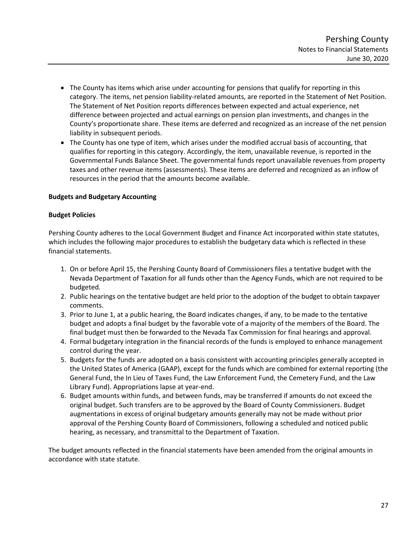- The County has items which arise under accounting for pensions that qualify for reporting in this category. The items, net pension liability-related amounts, are reported in the Statement of Net Position. The Statement of Net Position reports differences between expected and actual experience, net difference between projected and actual earnings on pension plan investments, and changes in the County's proportionate share. These items are deferred and recognized as an increase of the net pension liability in subsequent periods.
- The County has one type of item, which arises under the modified accrual basis of accounting, that qualifies for reporting in this category. Accordingly, the item, unavailable revenue, is reported in the Governmental Funds Balance Sheet. The governmental funds report unavailable revenues from property taxes and other revenue items (assessments). These items are deferred and recognized as an inflow of resources in the period that the amounts become available.

# **Budgets and Budgetary Accounting**

# **Budget Policies**

Pershing County adheres to the Local Government Budget and Finance Act incorporated within state statutes, which includes the following major procedures to establish the budgetary data which is reflected in these financial statements.

- 1. On or before April 15, the Pershing County Board of Commissioners files a tentative budget with the Nevada Department of Taxation for all funds other than the Agency Funds, which are not required to be budgeted.
- 2. Public hearings on the tentative budget are held prior to the adoption of the budget to obtain taxpayer comments.
- 3. Prior to June 1, at a public hearing, the Board indicates changes, if any, to be made to the tentative budget and adopts a final budget by the favorable vote of a majority of the members of the Board. The final budget must then be forwarded to the Nevada Tax Commission for final hearings and approval.
- 4. Formal budgetary integration in the financial records of the funds is employed to enhance management control during the year.
- 5. Budgets for the funds are adopted on a basis consistent with accounting principles generally accepted in the United States of America (GAAP), except for the funds which are combined for external reporting (the General Fund, the In Lieu of Taxes Fund, the Law Enforcement Fund, the Cemetery Fund, and the Law Library Fund). Appropriations lapse at year-end.
- 6. Budget amounts within funds, and between funds, may be transferred if amounts do not exceed the original budget. Such transfers are to be approved by the Board of County Commissioners. Budget augmentations in excess of original budgetary amounts generally may not be made without prior approval of the Pershing County Board of Commissioners, following a scheduled and noticed public hearing, as necessary, and transmittal to the Department of Taxation.

The budget amounts reflected in the financial statements have been amended from the original amounts in accordance with state statute.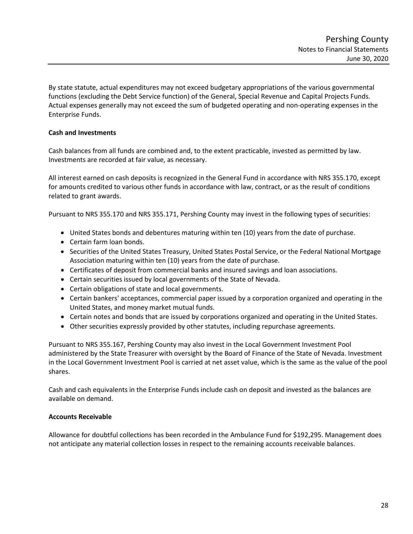By state statute, actual expenditures may not exceed budgetary appropriations of the various governmental functions (excluding the Debt Service function) of the General, Special Revenue and Capital Projects Funds. Actual expenses generally may not exceed the sum of budgeted operating and non-operating expenses in the Enterprise Funds.

# **Cash and Investments**

Cash balances from all funds are combined and, to the extent practicable, invested as permitted by law. Investments are recorded at fair value, as necessary.

All interest earned on cash deposits is recognized in the General Fund in accordance with NRS 355.170, except for amounts credited to various other funds in accordance with law, contract, or as the result of conditions related to grant awards.

Pursuant to NRS 355.170 and NRS 355.171, Pershing County may invest in the following types of securities:

- United States bonds and debentures maturing within ten (10) years from the date of purchase.
- Certain farm loan bonds.
- Securities of the United States Treasury, United States Postal Service, or the Federal National Mortgage Association maturing within ten (10) years from the date of purchase.
- Certificates of deposit from commercial banks and insured savings and loan associations.
- Certain securities issued by local governments of the State of Nevada.
- Certain obligations of state and local governments.
- Certain bankers' acceptances, commercial paper issued by a corporation organized and operating in the United States, and money market mutual funds.
- Certain notes and bonds that are issued by corporations organized and operating in the United States.
- Other securities expressly provided by other statutes, including repurchase agreements.

Pursuant to NRS 355.167, Pershing County may also invest in the Local Government Investment Pool administered by the State Treasurer with oversight by the Board of Finance of the State of Nevada. Investment in the Local Government Investment Pool is carried at net asset value, which is the same as the value of the pool shares.

Cash and cash equivalents in the Enterprise Funds include cash on deposit and invested as the balances are available on demand.

# **Accounts Receivable**

Allowance for doubtful collections has been recorded in the Ambulance Fund for \$192,295. Management does not anticipate any material collection losses in respect to the remaining accounts receivable balances.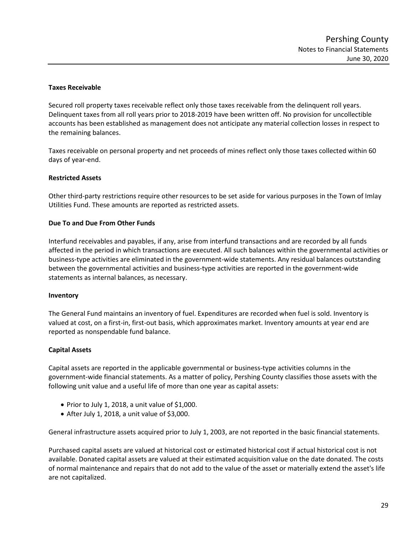#### **Taxes Receivable**

Secured roll property taxes receivable reflect only those taxes receivable from the delinquent roll years. Delinquent taxes from all roll years prior to 2018-2019 have been written off. No provision for uncollectible accounts has been established as management does not anticipate any material collection losses in respect to the remaining balances.

Taxes receivable on personal property and net proceeds of mines reflect only those taxes collected within 60 days of year-end.

#### **Restricted Assets**

Other third-party restrictions require other resources to be set aside for various purposes in the Town of Imlay Utilities Fund. These amounts are reported as restricted assets.

#### **Due To and Due From Other Funds**

Interfund receivables and payables, if any, arise from interfund transactions and are recorded by all funds affected in the period in which transactions are executed. All such balances within the governmental activities or business-type activities are eliminated in the government-wide statements. Any residual balances outstanding between the governmental activities and business-type activities are reported in the government-wide statements as internal balances, as necessary.

#### **Inventory**

The General Fund maintains an inventory of fuel. Expenditures are recorded when fuel is sold. Inventory is valued at cost, on a first-in, first-out basis, which approximates market. Inventory amounts at year end are reported as nonspendable fund balance.

# **Capital Assets**

Capital assets are reported in the applicable governmental or business-type activities columns in the government-wide financial statements. As a matter of policy, Pershing County classifies those assets with the following unit value and a useful life of more than one year as capital assets:

- Prior to July 1, 2018, a unit value of \$1,000.
- After July 1, 2018, a unit value of \$3,000.

General infrastructure assets acquired prior to July 1, 2003, are not reported in the basic financial statements.

Purchased capital assets are valued at historical cost or estimated historical cost if actual historical cost is not available. Donated capital assets are valued at their estimated acquisition value on the date donated. The costs of normal maintenance and repairs that do not add to the value of the asset or materially extend the asset's life are not capitalized.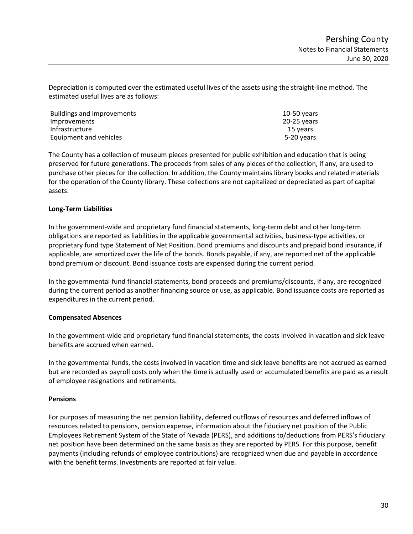Depreciation is computed over the estimated useful lives of the assets using the straight-line method. The estimated useful lives are as follows:

| Buildings and improvements | $10-50$ years |  |
|----------------------------|---------------|--|
| Improvements               | 20-25 years   |  |
| Infrastructure             | 15 vears      |  |
| Equipment and vehicles     | 5-20 years    |  |

The County has a collection of museum pieces presented for public exhibition and education that is being preserved for future generations. The proceeds from sales of any pieces of the collection, if any, are used to purchase other pieces for the collection. In addition, the County maintains library books and related materials for the operation of the County library. These collections are not capitalized or depreciated as part of capital assets.

# **Long-Term Liabilities**

In the government-wide and proprietary fund financial statements, long-term debt and other long-term obligations are reported as liabilities in the applicable governmental activities, business-type activities, or proprietary fund type Statement of Net Position. Bond premiums and discounts and prepaid bond insurance, if applicable, are amortized over the life of the bonds. Bonds payable, if any, are reported net of the applicable bond premium or discount. Bond issuance costs are expensed during the current period.

In the governmental fund financial statements, bond proceeds and premiums/discounts, if any, are recognized during the current period as another financing source or use, as applicable. Bond issuance costs are reported as expenditures in the current period.

# **Compensated Absences**

In the government-wide and proprietary fund financial statements, the costs involved in vacation and sick leave benefits are accrued when earned.

In the governmental funds, the costs involved in vacation time and sick leave benefits are not accrued as earned but are recorded as payroll costs only when the time is actually used or accumulated benefits are paid as a result of employee resignations and retirements.

# **Pensions**

For purposes of measuring the net pension liability, deferred outflows of resources and deferred inflows of resources related to pensions, pension expense, information about the fiduciary net position of the Public Employees Retirement System of the State of Nevada (PERS), and additions to/deductions from PERS's fiduciary net position have been determined on the same basis as they are reported by PERS. For this purpose, benefit payments (including refunds of employee contributions) are recognized when due and payable in accordance with the benefit terms. Investments are reported at fair value.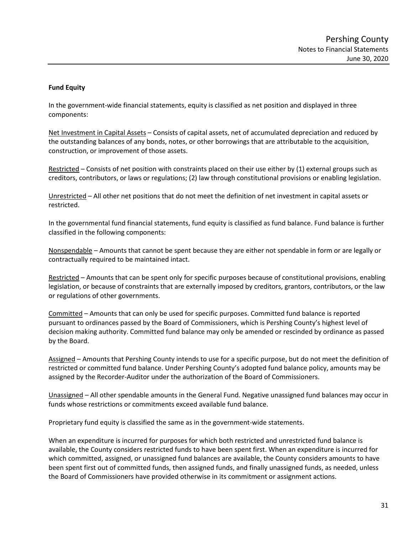# **Fund Equity**

In the government-wide financial statements, equity is classified as net position and displayed in three components:

Net Investment in Capital Assets – Consists of capital assets, net of accumulated depreciation and reduced by the outstanding balances of any bonds, notes, or other borrowings that are attributable to the acquisition, construction, or improvement of those assets.

Restricted – Consists of net position with constraints placed on their use either by (1) external groups such as creditors, contributors, or laws or regulations; (2) law through constitutional provisions or enabling legislation.

Unrestricted – All other net positions that do not meet the definition of net investment in capital assets or restricted.

In the governmental fund financial statements, fund equity is classified as fund balance. Fund balance is further classified in the following components:

Nonspendable – Amounts that cannot be spent because they are either not spendable in form or are legally or contractually required to be maintained intact.

Restricted – Amounts that can be spent only for specific purposes because of constitutional provisions, enabling legislation, or because of constraints that are externally imposed by creditors, grantors, contributors, or the law or regulations of other governments.

Committed – Amounts that can only be used for specific purposes. Committed fund balance is reported pursuant to ordinances passed by the Board of Commissioners, which is Pershing County's highest level of decision making authority. Committed fund balance may only be amended or rescinded by ordinance as passed by the Board.

Assigned – Amounts that Pershing County intends to use for a specific purpose, but do not meet the definition of restricted or committed fund balance. Under Pershing County's adopted fund balance policy, amounts may be assigned by the Recorder-Auditor under the authorization of the Board of Commissioners.

Unassigned – All other spendable amounts in the General Fund. Negative unassigned fund balances may occur in funds whose restrictions or commitments exceed available fund balance.

Proprietary fund equity is classified the same as in the government-wide statements.

When an expenditure is incurred for purposes for which both restricted and unrestricted fund balance is available, the County considers restricted funds to have been spent first. When an expenditure is incurred for which committed, assigned, or unassigned fund balances are available, the County considers amounts to have been spent first out of committed funds, then assigned funds, and finally unassigned funds, as needed, unless the Board of Commissioners have provided otherwise in its commitment or assignment actions.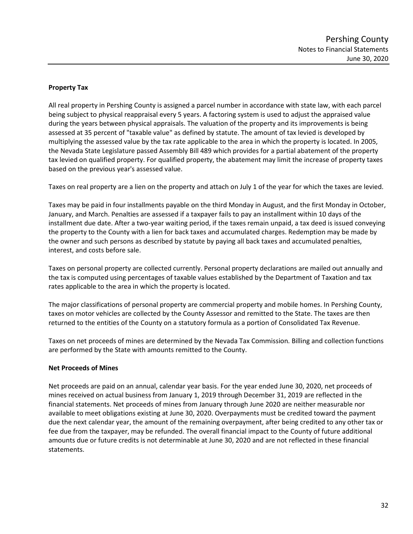# **Property Tax**

All real property in Pershing County is assigned a parcel number in accordance with state law, with each parcel being subject to physical reappraisal every 5 years. A factoring system is used to adjust the appraised value during the years between physical appraisals. The valuation of the property and its improvements is being assessed at 35 percent of "taxable value" as defined by statute. The amount of tax levied is developed by multiplying the assessed value by the tax rate applicable to the area in which the property is located. In 2005, the Nevada State Legislature passed Assembly Bill 489 which provides for a partial abatement of the property tax levied on qualified property. For qualified property, the abatement may limit the increase of property taxes based on the previous year's assessed value.

Taxes on real property are a lien on the property and attach on July 1 of the year for which the taxes are levied.

Taxes may be paid in four installments payable on the third Monday in August, and the first Monday in October, January, and March. Penalties are assessed if a taxpayer fails to pay an installment within 10 days of the installment due date. After a two-year waiting period, if the taxes remain unpaid, a tax deed is issued conveying the property to the County with a lien for back taxes and accumulated charges. Redemption may be made by the owner and such persons as described by statute by paying all back taxes and accumulated penalties, interest, and costs before sale.

Taxes on personal property are collected currently. Personal property declarations are mailed out annually and the tax is computed using percentages of taxable values established by the Department of Taxation and tax rates applicable to the area in which the property is located.

The major classifications of personal property are commercial property and mobile homes. In Pershing County, taxes on motor vehicles are collected by the County Assessor and remitted to the State. The taxes are then returned to the entities of the County on a statutory formula as a portion of Consolidated Tax Revenue.

Taxes on net proceeds of mines are determined by the Nevada Tax Commission. Billing and collection functions are performed by the State with amounts remitted to the County.

# **Net Proceeds of Mines**

Net proceeds are paid on an annual, calendar year basis. For the year ended June 30, 2020, net proceeds of mines received on actual business from January 1, 2019 through December 31, 2019 are reflected in the financial statements. Net proceeds of mines from January through June 2020 are neither measurable nor available to meet obligations existing at June 30, 2020. Overpayments must be credited toward the payment due the next calendar year, the amount of the remaining overpayment, after being credited to any other tax or fee due from the taxpayer, may be refunded. The overall financial impact to the County of future additional amounts due or future credits is not determinable at June 30, 2020 and are not reflected in these financial statements.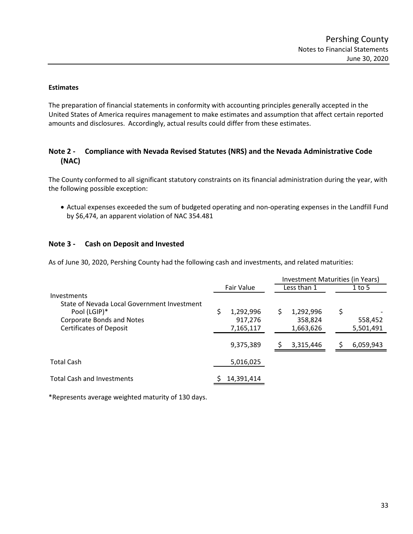#### **Estimates**

The preparation of financial statements in conformity with accounting principles generally accepted in the United States of America requires management to make estimates and assumption that affect certain reported amounts and disclosures. Accordingly, actual results could differ from these estimates.

### **Note 2 - Compliance with Nevada Revised Statutes (NRS) and the Nevada Administrative Code (NAC)**

The County conformed to all significant statutory constraints on its financial administration during the year, with the following possible exception:

• Actual expenses exceeded the sum of budgeted operating and non-operating expenses in the Landfill Fund by \$6,474, an apparent violation of NAC 354.481

#### **Note 3 - Cash on Deposit and Invested**

As of June 30, 2020, Pershing County had the following cash and investments, and related maturities:

|                                                                                                                                           |            |                                   | Investment Maturities (in Years) |                                   |    |                      |  |
|-------------------------------------------------------------------------------------------------------------------------------------------|------------|-----------------------------------|----------------------------------|-----------------------------------|----|----------------------|--|
|                                                                                                                                           | Fair Value |                                   |                                  | Less than 1                       |    | 1 to 5               |  |
| Investments<br>State of Nevada Local Government Investment<br>Pool (LGIP)*<br>Corporate Bonds and Notes<br><b>Certificates of Deposit</b> |            | 1,292,996<br>917,276<br>7,165,117 |                                  | 1,292,996<br>358,824<br>1,663,626 | \$ | 558,452<br>5,501,491 |  |
|                                                                                                                                           |            | 9,375,389                         |                                  | 3,315,446                         |    | 6,059,943            |  |
| <b>Total Cash</b>                                                                                                                         |            | 5,016,025                         |                                  |                                   |    |                      |  |
| <b>Total Cash and Investments</b>                                                                                                         |            | 14,391,414                        |                                  |                                   |    |                      |  |

\*Represents average weighted maturity of 130 days.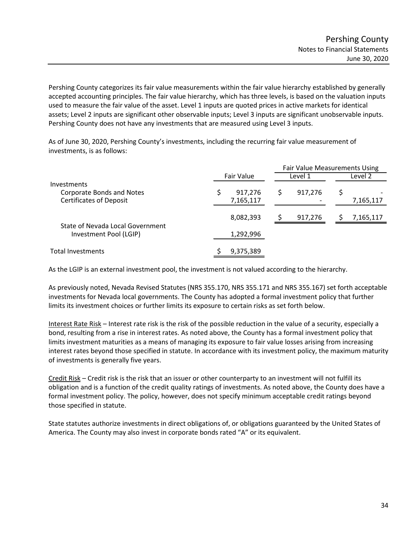Pershing County categorizes its fair value measurements within the fair value hierarchy established by generally accepted accounting principles. The fair value hierarchy, which has three levels, is based on the valuation inputs used to measure the fair value of the asset. Level 1 inputs are quoted prices in active markets for identical assets; Level 2 inputs are significant other observable inputs; Level 3 inputs are significant unobservable inputs. Pershing County does not have any investments that are measured using Level 3 inputs.

As of June 30, 2020, Pershing County's investments, including the recurring fair value measurement of investments, is as follows:

|                                                                                   |                      | <b>Fair Value Measurements Using</b> |           |  |
|-----------------------------------------------------------------------------------|----------------------|--------------------------------------|-----------|--|
|                                                                                   | Fair Value           | Level 1                              | Level 2   |  |
| Investments<br><b>Corporate Bonds and Notes</b><br><b>Certificates of Deposit</b> | 917,276<br>7,165,117 | 917,276                              | 7,165,117 |  |
|                                                                                   | 8,082,393            | 917,276                              | 7,165,117 |  |
| State of Nevada Local Government<br>Investment Pool (LGIP)                        | 1,292,996            |                                      |           |  |
| Total Investments                                                                 | 9,375,389            |                                      |           |  |

As the LGIP is an external investment pool, the investment is not valued according to the hierarchy.

As previously noted, Nevada Revised Statutes (NRS 355.170, NRS 355.171 and NRS 355.167) set forth acceptable investments for Nevada local governments. The County has adopted a formal investment policy that further limits its investment choices or further limits its exposure to certain risks as set forth below.

Interest Rate Risk – Interest rate risk is the risk of the possible reduction in the value of a security, especially a bond, resulting from a rise in interest rates. As noted above, the County has a formal investment policy that limits investment maturities as a means of managing its exposure to fair value losses arising from increasing interest rates beyond those specified in statute. In accordance with its investment policy, the maximum maturity of investments is generally five years.

Credit Risk – Credit risk is the risk that an issuer or other counterparty to an investment will not fulfill its obligation and is a function of the credit quality ratings of investments. As noted above, the County does have a formal investment policy. The policy, however, does not specify minimum acceptable credit ratings beyond those specified in statute.

State statutes authorize investments in direct obligations of, or obligations guaranteed by the United States of America. The County may also invest in corporate bonds rated "A" or its equivalent.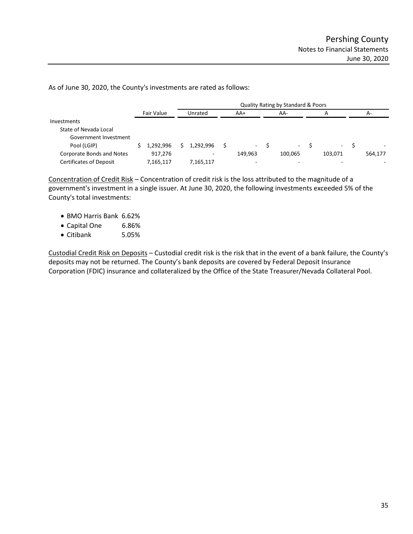As of June 30, 2020, the County's investments are rated as follows:

|                                | Quality Rating by Standard & Poors |  |           |  |                          |  |                      |  |         |  |         |  |
|--------------------------------|------------------------------------|--|-----------|--|--------------------------|--|----------------------|--|---------|--|---------|--|
|                                | <b>Fair Value</b>                  |  | Unrated   |  | AA+                      |  | AA-                  |  |         |  | А-      |  |
| Investments                    |                                    |  |           |  |                          |  |                      |  |         |  |         |  |
| State of Nevada Local          |                                    |  |           |  |                          |  |                      |  |         |  |         |  |
| Government Investment          |                                    |  |           |  |                          |  |                      |  |         |  |         |  |
| Pool (LGIP)                    | 1.292.996                          |  | 1.292.996 |  | $\overline{\phantom{a}}$ |  | $\sim 100$ m $^{-1}$ |  | ۰.      |  |         |  |
| Corporate Bonds and Notes      | 917,276                            |  | ۰         |  | 149.963                  |  | 100.065              |  | 103.071 |  | 564,177 |  |
| <b>Certificates of Deposit</b> | 7,165,117                          |  | 7,165,117 |  | -                        |  |                      |  |         |  |         |  |

Concentration of Credit Risk – Concentration of credit risk is the loss attributed to the magnitude of a government's investment in a single issuer. At June 30, 2020, the following investments exceeded 5% of the County's total investments:

- BMO Harris Bank 6.62%
- Capital One 6.86%
- Citibank 5.05%

Custodial Credit Risk on Deposits – Custodial credit risk is the risk that in the event of a bank failure, the County's deposits may not be returned. The County's bank deposits are covered by Federal Deposit Insurance Corporation (FDIC) insurance and collateralized by the Office of the State Treasurer/Nevada Collateral Pool.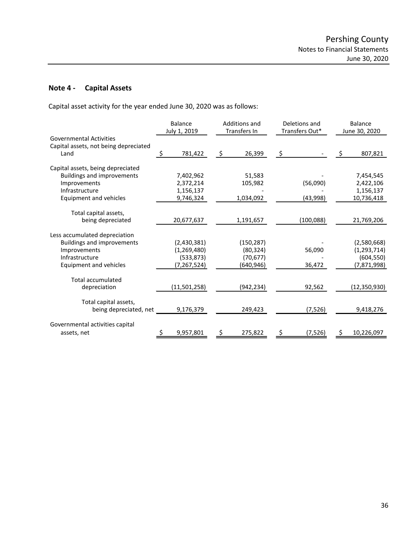### **Note 4 - Capital Assets**

Capital asset activity for the year ended June 30, 2020 was as follows:

|                                                                                 |   | <b>Balance</b><br>July 1, 2019 |    | Additions and<br>Transfers In | Deletions and<br>Transfers Out* | <b>Balance</b><br>June 30, 2020 |                |  |
|---------------------------------------------------------------------------------|---|--------------------------------|----|-------------------------------|---------------------------------|---------------------------------|----------------|--|
| <b>Governmental Activities</b><br>Capital assets, not being depreciated<br>Land | S | 781,422                        | \$ | 26,399                        | \$                              | Ŝ.                              | 807,821        |  |
| Capital assets, being depreciated                                               |   |                                |    |                               |                                 |                                 |                |  |
| <b>Buildings and improvements</b>                                               |   | 7,402,962                      |    | 51,583                        |                                 |                                 | 7,454,545      |  |
| Improvements                                                                    |   | 2,372,214                      |    | 105,982                       | (56,090)                        |                                 | 2,422,106      |  |
| Infrastructure                                                                  |   | 1,156,137                      |    |                               |                                 |                                 | 1,156,137      |  |
| Equipment and vehicles                                                          |   | 9,746,324                      |    | 1,034,092                     | (43,998)                        |                                 | 10,736,418     |  |
|                                                                                 |   |                                |    |                               |                                 |                                 |                |  |
| Total capital assets,<br>being depreciated                                      |   | 20,677,637                     |    | 1,191,657                     | (100, 088)                      |                                 | 21,769,206     |  |
| Less accumulated depreciation                                                   |   |                                |    |                               |                                 |                                 |                |  |
| <b>Buildings and improvements</b>                                               |   | (2,430,381)                    |    | (150, 287)                    |                                 |                                 | (2,580,668)    |  |
| Improvements                                                                    |   | (1,269,480)                    |    | (80, 324)                     | 56,090                          |                                 | (1, 293, 714)  |  |
| Infrastructure                                                                  |   | (533, 873)                     |    | (70, 677)                     |                                 |                                 | (604, 550)     |  |
| Equipment and vehicles                                                          |   | (7, 267, 524)                  |    | (640,946)                     | 36,472                          |                                 | (7,871,998)    |  |
| <b>Total accumulated</b>                                                        |   |                                |    |                               |                                 |                                 |                |  |
| depreciation                                                                    |   | (11,501,258)                   |    | (942, 234)                    | 92,562                          |                                 | (12, 350, 930) |  |
| Total capital assets,                                                           |   |                                |    |                               |                                 |                                 |                |  |
| being depreciated, net                                                          |   | 9,176,379                      |    | 249,423                       | (7, 526)                        |                                 | 9,418,276      |  |
| Governmental activities capital                                                 |   |                                |    |                               |                                 |                                 |                |  |
| assets, net                                                                     |   | 9,957,801                      | S  | 275,822                       | (7, 526)                        |                                 | 10,226,097     |  |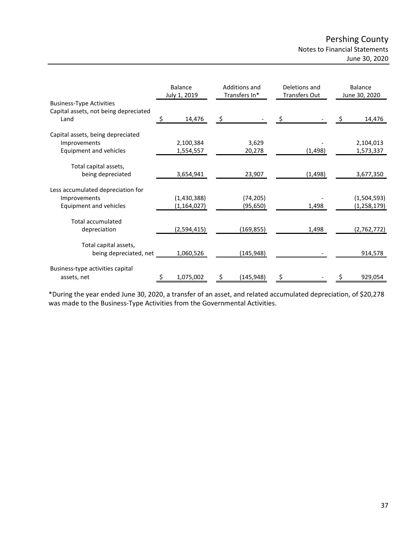|                                       | <b>Balance</b><br>July 1, 2019 |               | Additions and<br>Transfers In* |    | Deletions and<br><b>Transfers Out</b> |    | Balance<br>June 30, 2020 |  |
|---------------------------------------|--------------------------------|---------------|--------------------------------|----|---------------------------------------|----|--------------------------|--|
| <b>Business-Type Activities</b>       |                                |               |                                |    |                                       |    |                          |  |
| Capital assets, not being depreciated |                                |               |                                |    |                                       |    |                          |  |
| Land                                  | \$                             | 14,476        | \$                             | \$ |                                       | \$ | 14,476                   |  |
| Capital assets, being depreciated     |                                |               |                                |    |                                       |    |                          |  |
| Improvements                          |                                | 2,100,384     | 3,629                          |    |                                       |    | 2,104,013                |  |
| Equipment and vehicles                |                                | 1,554,557     | 20,278                         |    | (1, 498)                              |    | 1,573,337                |  |
| Total capital assets,                 |                                |               |                                |    |                                       |    |                          |  |
| being depreciated                     |                                | 3,654,941     | 23,907                         |    | (1, 498)                              |    | 3,677,350                |  |
|                                       |                                |               |                                |    |                                       |    |                          |  |
| Less accumulated depreciation for     |                                |               |                                |    |                                       |    |                          |  |
| Improvements                          |                                | (1,430,388)   | (74, 205)                      |    |                                       |    | (1,504,593)              |  |
| Equipment and vehicles                |                                | (1, 164, 027) | (95, 650)                      |    | 1,498                                 |    | (1, 258, 179)            |  |
| <b>Total accumulated</b>              |                                |               |                                |    |                                       |    |                          |  |
| depreciation                          |                                | (2,594,415)   | (169,855)                      |    | 1,498                                 |    | (2,762,772)              |  |
| Total capital assets,                 |                                |               |                                |    |                                       |    |                          |  |
| being depreciated, net                |                                |               |                                |    |                                       |    |                          |  |
|                                       |                                | 1,060,526     | (145,948)                      |    |                                       |    | 914,578                  |  |
| Business-type activities capital      |                                |               |                                |    |                                       |    |                          |  |
| assets, net                           |                                | 1,075,002     | (145, 948)                     |    |                                       |    | 929,054                  |  |

\*During the year ended June 30, 2020, a transfer of an asset, and related accumulated depreciation, of \$20,278 was made to the Business-Type Activities from the Governmental Activities.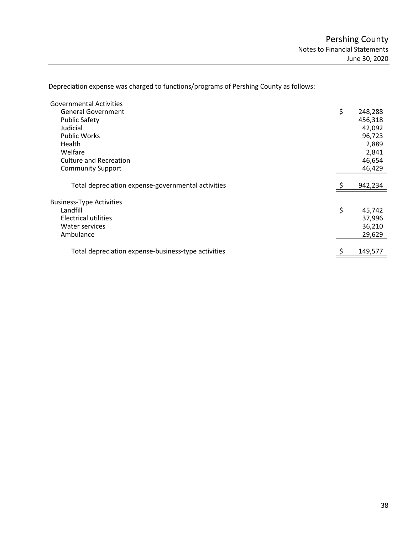Depreciation expense was charged to functions/programs of Pershing County as follows:

| <b>Governmental Activities</b>                      |               |
|-----------------------------------------------------|---------------|
| <b>General Government</b>                           | \$<br>248,288 |
| <b>Public Safety</b>                                | 456,318       |
| Judicial                                            | 42,092        |
| <b>Public Works</b>                                 | 96,723        |
| <b>Health</b>                                       | 2,889         |
| Welfare                                             | 2,841         |
| <b>Culture and Recreation</b>                       | 46,654        |
| <b>Community Support</b>                            | 46,429        |
| Total depreciation expense-governmental activities  | 942,234       |
| <b>Business-Type Activities</b>                     |               |
| Landfill                                            | \$<br>45,742  |
| Electrical utilities                                | 37,996        |
| Water services                                      | 36,210        |
| Ambulance                                           | 29,629        |
| Total depreciation expense-business-type activities | \$<br>149,577 |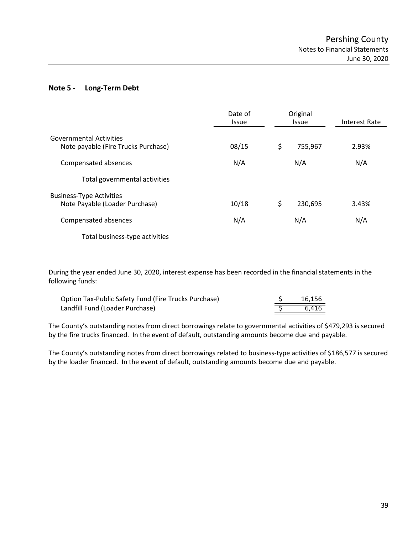#### **Note 5 - Long-Term Debt**

|                                                                       | Date of<br><b>Issue</b> | Original<br><b>Issue</b> | Interest Rate |  |  |
|-----------------------------------------------------------------------|-------------------------|--------------------------|---------------|--|--|
| <b>Governmental Activities</b><br>Note payable (Fire Trucks Purchase) | 08/15                   | \$<br>755,967            | 2.93%         |  |  |
| Compensated absences                                                  | N/A                     | N/A                      | N/A           |  |  |
| Total governmental activities                                         |                         |                          |               |  |  |
| <b>Business-Type Activities</b><br>Note Payable (Loader Purchase)     | 10/18                   | \$<br>230,695            | 3.43%         |  |  |
| Compensated absences                                                  | N/A                     | N/A                      | N/A           |  |  |
|                                                                       |                         |                          |               |  |  |

Total business-type activities

During the year ended June 30, 2020, interest expense has been recorded in the financial statements in the following funds:

| Option Tax-Public Safety Fund (Fire Trucks Purchase) | 16.156 |
|------------------------------------------------------|--------|
| Landfill Fund (Loader Purchase)                      | 6.416  |

The County's outstanding notes from direct borrowings relate to governmental activities of \$479,293 is secured by the fire trucks financed. In the event of default, outstanding amounts become due and payable.

The County's outstanding notes from direct borrowings related to business-type activities of \$186,577 is secured by the loader financed. In the event of default, outstanding amounts become due and payable.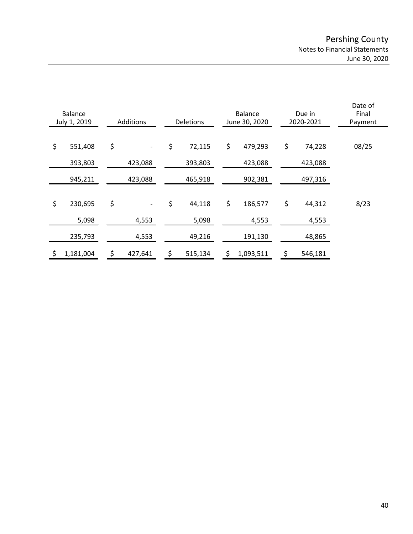| <b>Balance</b><br>July 1, 2019 | <b>Additions</b> |    | <b>Deletions</b> |    | <b>Balance</b><br>Due in<br>June 30, 2020<br>2020-2021 |    |                 | Date of<br>Final<br>Payment |
|--------------------------------|------------------|----|------------------|----|--------------------------------------------------------|----|-----------------|-----------------------------|
| \$<br>551,408                  | \$               | \$ | 72,115           | \$ | 479,293                                                | \$ | 74,228          | 08/25                       |
| 393,803                        | 423,088          |    | 393,803          |    | 423,088                                                |    | 423,088         |                             |
| 945,211                        | 423,088          |    | 465,918          |    | 902,381                                                |    | 497,316         |                             |
| \$<br>230,695<br>5,098         | \$<br>4,553      | \$ | 44,118<br>5,098  | \$ | 186,577<br>4,553                                       | \$ | 44,312<br>4,553 | 8/23                        |
| 235,793                        | 4,553            |    | 49,216           |    | 191,130                                                |    | 48,865          |                             |
| \$<br>1,181,004                | \$<br>427,641    | \$ | 515,134          |    | 1,093,511                                              | \$ | 546,181         |                             |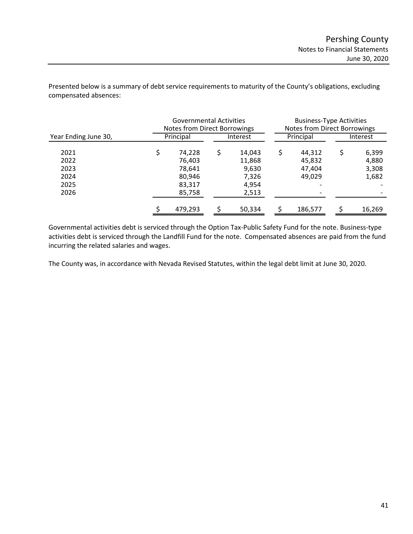Presented below is a summary of debt service requirements to maturity of the County's obligations, excluding compensated absences:

|                      | <b>Governmental Activities</b><br>Notes from Direct Borrowings |   |          | <b>Business-Type Activities</b><br>Notes from Direct Borrowings |           |  |          |  |
|----------------------|----------------------------------------------------------------|---|----------|-----------------------------------------------------------------|-----------|--|----------|--|
| Year Ending June 30, | Principal                                                      |   | Interest |                                                                 | Principal |  | Interest |  |
| 2021                 | 74,228                                                         | S | 14,043   |                                                                 | 44,312    |  | 6,399    |  |
| 2022                 | 76,403                                                         |   | 11,868   |                                                                 | 45,832    |  | 4,880    |  |
| 2023                 | 78,641                                                         |   | 9,630    |                                                                 | 47,404    |  | 3,308    |  |
| 2024                 | 80,946                                                         |   | 7,326    |                                                                 | 49.029    |  | 1,682    |  |
| 2025                 | 83,317                                                         |   | 4,954    |                                                                 |           |  |          |  |
| 2026                 | 85,758                                                         |   | 2,513    |                                                                 |           |  |          |  |
|                      | 479,293                                                        |   | 50,334   |                                                                 | 186,577   |  | 16,269   |  |

Governmental activities debt is serviced through the Option Tax-Public Safety Fund for the note. Business-type activities debt is serviced through the Landfill Fund for the note. Compensated absences are paid from the fund incurring the related salaries and wages.

The County was, in accordance with Nevada Revised Statutes, within the legal debt limit at June 30, 2020.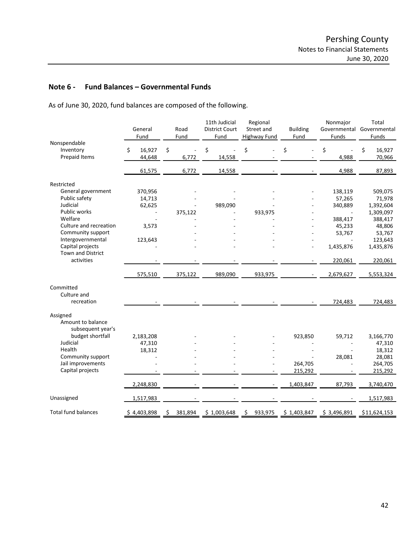### **Note 6 - Fund Balances – Governmental Funds**

As of June 30, 2020, fund balances are composed of the following.

|                                                   | General<br>Fund        | Road<br>Fund  | 11th Judicial<br><b>District Court</b><br>Fund | Regional<br>Street and<br><b>Highway Fund</b> | <b>Building</b><br>Fund | Nonmajor<br>Funds | Total<br>Governmental Governmental<br>Funds |
|---------------------------------------------------|------------------------|---------------|------------------------------------------------|-----------------------------------------------|-------------------------|-------------------|---------------------------------------------|
| Nonspendable<br>Inventory<br><b>Prepaid Items</b> | \$<br>16,927<br>44,648 | \$<br>6,772   | \$<br>14,558                                   | \$                                            | \$                      | \$<br>4,988       | \$<br>16,927<br>70,966                      |
|                                                   | 61,575                 | 6,772         | 14,558                                         |                                               |                         | 4,988             | 87,893                                      |
| Restricted                                        |                        |               |                                                |                                               |                         |                   |                                             |
| General government                                | 370,956                |               |                                                |                                               |                         | 138,119           | 509,075                                     |
| Public safety                                     | 14,713                 |               |                                                |                                               |                         | 57,265            | 71,978                                      |
| Judicial                                          | 62,625                 |               | 989,090                                        |                                               |                         | 340,889           | 1,392,604                                   |
| Public works                                      |                        | 375,122       |                                                | 933,975                                       |                         |                   | 1,309,097                                   |
| Welfare                                           |                        |               |                                                |                                               |                         | 388,417           | 388,417                                     |
| Culture and recreation                            | 3,573                  |               |                                                |                                               |                         | 45,233            | 48,806                                      |
| Community support                                 |                        |               |                                                |                                               |                         | 53,767            | 53,767                                      |
| Intergovernmental                                 | 123,643                |               |                                                |                                               |                         |                   | 123,643                                     |
| Capital projects<br><b>Town and District</b>      |                        |               |                                                |                                               |                         | 1,435,876         | 1,435,876                                   |
| activities                                        |                        |               |                                                |                                               |                         | 220,061           | 220,061                                     |
|                                                   | 575,510                | 375,122       | 989,090                                        | 933,975                                       |                         | 2,679,627         | 5,553,324                                   |
| Committed                                         |                        |               |                                                |                                               |                         |                   |                                             |
| Culture and                                       |                        |               |                                                |                                               |                         |                   |                                             |
| recreation                                        |                        |               |                                                |                                               |                         | 724,483           | 724,483                                     |
| Assigned                                          |                        |               |                                                |                                               |                         |                   |                                             |
| Amount to balance<br>subsequent year's            |                        |               |                                                |                                               |                         |                   |                                             |
| budget shortfall                                  | 2,183,208              |               |                                                |                                               | 923,850                 | 59,712            | 3,166,770                                   |
| Judicial                                          | 47,310                 |               |                                                |                                               |                         |                   | 47,310                                      |
| Health                                            | 18,312                 |               |                                                |                                               |                         |                   | 18,312                                      |
| Community support                                 |                        |               |                                                |                                               |                         | 28,081            | 28,081                                      |
| Jail improvements                                 |                        |               |                                                |                                               | 264,705                 |                   | 264,705                                     |
| Capital projects                                  |                        |               |                                                |                                               | 215,292                 |                   | 215,292                                     |
|                                                   | 2,248,830              |               |                                                |                                               | 1,403,847               | 87,793            | 3,740,470                                   |
| Unassigned                                        | 1,517,983              |               |                                                |                                               |                         |                   | 1,517,983                                   |
| <b>Total fund balances</b>                        | \$4,403,898            | 381,894<br>\$ | \$1,003,648                                    | \$<br>933,975                                 | \$1,403,847             | \$3,496,891       | \$11,624,153                                |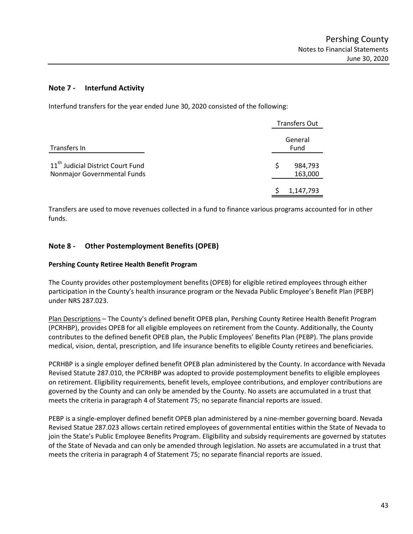### **Note 7 - Interfund Activity**

Interfund transfers for the year ended June 30, 2020 consisted of the following:

|                                                                              | <b>Transfers Out</b> |                    |  |  |  |
|------------------------------------------------------------------------------|----------------------|--------------------|--|--|--|
| Transfers In                                                                 | General<br>Fund      |                    |  |  |  |
| 11 <sup>th</sup> Judicial District Court Fund<br>Nonmajor Governmental Funds | S                    | 984,793<br>163,000 |  |  |  |
|                                                                              |                      | 1,147,793          |  |  |  |

Transfers are used to move revenues collected in a fund to finance various programs accounted for in other funds.

### **Note 8 - Other Postemployment Benefits (OPEB)**

#### **Pershing County Retiree Health Benefit Program**

The County provides other postemployment benefits (OPEB) for eligible retired employees through either participation in the County's health insurance program or the Nevada Public Employee's Benefit Plan (PEBP) under NRS 287.023.

Plan Descriptions – The County's defined benefit OPEB plan, Pershing County Retiree Health Benefit Program (PCRHBP), provides OPEB for all eligible employees on retirement from the County. Additionally, the County contributes to the defined benefit OPEB plan, the Public Employees' Benefits Plan (PEBP). The plans provide medical, vision, dental, prescription, and life insurance benefits to eligible County retirees and beneficiaries.

PCRHBP is a single employer defined benefit OPEB plan administered by the County. In accordance with Nevada Revised Statute 287.010, the PCRHBP was adopted to provide postemployment benefits to eligible employees on retirement. Eligibility requirements, benefit levels, employee contributions, and employer contributions are governed by the County and can only be amended by the County. No assets are accumulated in a trust that meets the criteria in paragraph 4 of Statement 75; no separate financial reports are issued.

PEBP is a single-employer defined benefit OPEB plan administered by a nine-member governing board. Nevada Revised Statue 287.023 allows certain retired employees of governmental entities within the State of Nevada to join the State's Public Employee Benefits Program. Eligibility and subsidy requirements are governed by statutes of the State of Nevada and can only be amended through legislation. No assets are accumulated in a trust that meets the criteria in paragraph 4 of Statement 75; no separate financial reports are issued.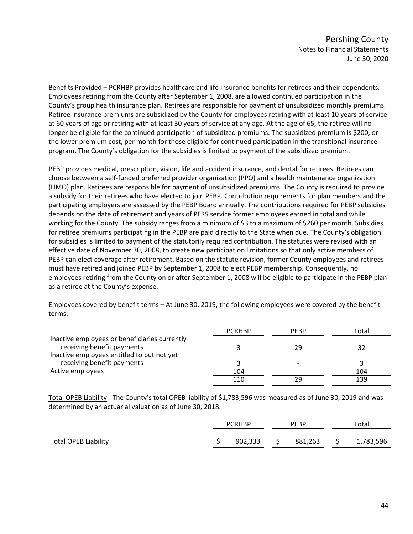Benefits Provided – PCRHBP provides healthcare and life insurance benefits for retirees and their dependents. Employees retiring from the County after September 1, 2008, are allowed continued participation in the County's group health insurance plan. Retirees are responsible for payment of unsubsidized monthly premiums. Retiree insurance premiums are subsidized by the County for employees retiring with at least 10 years of service at 60 years of age or retiring with at least 30 years of service at any age. At the age of 65, the retiree will no longer be eligible for the continued participation of subsidized premiums. The subsidized premium is \$200, or the lower premium cost, per month for those eligible for continued participation in the transitional insurance program. The County's obligation for the subsidies is limited to payment of the subsidized premium.

PEBP provides medical, prescription, vision, life and accident insurance, and dental for retirees. Retirees can choose between a self-funded preferred provider organization (PPO) and a health maintenance organization (HMO) plan. Retirees are responsible for payment of unsubsidized premiums. The County is required to provide a subsidy for their retirees who have elected to join PEBP. Contribution requirements for plan members and the participating employers are assessed by the PEBP Board annually. The contributions required for PEBP subsidies depends on the date of retirement and years of PERS service former employees earned in total and while working for the County. The subsidy ranges from a minimum of \$3 to a maximum of \$260 per month. Subsidies for retiree premiums participating in the PEBP are paid directly to the State when due. The County's obligation for subsidies is limited to payment of the statutorily required contribution. The statutes were revised with an effective date of November 30, 2008, to create new participation limitations so that only active members of PEBP can elect coverage after retirement. Based on the statute revision, former County employees and retirees must have retired and joined PEBP by September 1, 2008 to elect PEBP membership. Consequently, no employees retiring from the County on or after September 1, 2008 will be eligible to participate in the PEBP plan as a retiree at the County's expense.

Employees covered by benefit terms – At June 30, 2019, the following employees were covered by the benefit terms:

|                                                                             | <b>PCRHBP</b> | <b>PEBP</b> | Total |
|-----------------------------------------------------------------------------|---------------|-------------|-------|
| Inactive employees or beneficiaries currently<br>receiving benefit payments |               | 29          | 32    |
| Inactive employees entitled to but not yet                                  |               |             |       |
| receiving benefit payments                                                  |               |             |       |
| Active employees                                                            | 104           |             | 104   |
|                                                                             | 110           | 29          | 139   |

Total OPEB Liability - The County's total OPEB liability of \$1,783,596 was measured as of June 30, 2019 and was determined by an actuarial valuation as of June 30, 2018.

|                             | <b>PCRHBP</b> |         | <b>PEBP</b> |         | Total |           |
|-----------------------------|---------------|---------|-------------|---------|-------|-----------|
| <b>Total OPEB Liability</b> |               | 902,333 |             | 881,263 |       | 1,783,596 |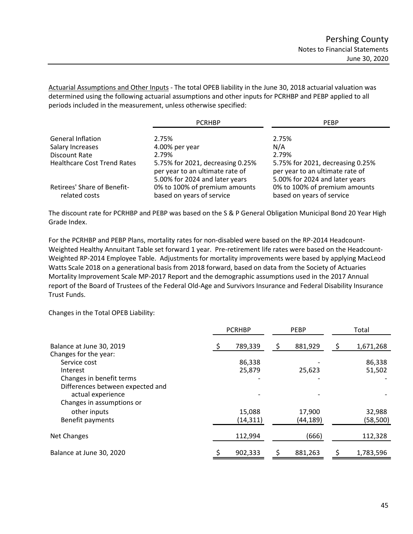Actuarial Assumptions and Other Inputs - The total OPEB liability in the June 30, 2018 actuarial valuation was determined using the following actuarial assumptions and other inputs for PCRHBP and PEBP applied to all periods included in the measurement, unless otherwise specified:

|                                                     | <b>PCRHBP</b>                                                                                | <b>PEBP</b>                                                                                  |
|-----------------------------------------------------|----------------------------------------------------------------------------------------------|----------------------------------------------------------------------------------------------|
| <b>General Inflation</b>                            | 2.75%                                                                                        | 2.75%                                                                                        |
| Salary Increases                                    | 4.00% per year                                                                               | N/A                                                                                          |
| Discount Rate                                       | 2.79%                                                                                        | 2.79%                                                                                        |
| <b>Healthcare Cost Trend Rates</b>                  | 5.75% for 2021, decreasing 0.25%<br>per year to an ultimate rate of                          | 5.75% for 2021, decreasing 0.25%<br>per year to an ultimate rate of                          |
| <b>Retirees' Share of Benefit-</b><br>related costs | 5.00% for 2024 and later years<br>0% to 100% of premium amounts<br>based on years of service | 5.00% for 2024 and later years<br>0% to 100% of premium amounts<br>based on years of service |

The discount rate for PCRHBP and PEBP was based on the S & P General Obligation Municipal Bond 20 Year High Grade Index.

For the PCRHBP and PEBP Plans, mortality rates for non-disabled were based on the RP-2014 Headcount-Weighted Healthy Annuitant Table set forward 1 year. Pre-retirement life rates were based on the Headcount-Weighted RP-2014 Employee Table. Adjustments for mortality improvements were based by applying MacLeod Watts Scale 2018 on a generational basis from 2018 forward, based on data from the Society of Actuaries Mortality Improvement Scale MP-2017 Report and the demographic assumptions used in the 2017 Annual report of the Board of Trustees of the Federal Old-Age and Survivors Insurance and Federal Disability Insurance Trust Funds.

Changes in the Total OPEB Liability:

|                                  | <b>PCRHBP</b> |           | PEBP |          |  | Total     |  |
|----------------------------------|---------------|-----------|------|----------|--|-----------|--|
| Balance at June 30, 2019         |               | 789,339   | \$   | 881,929  |  | 1,671,268 |  |
| Changes for the year:            |               |           |      |          |  |           |  |
| Service cost                     |               | 86,338    |      |          |  | 86,338    |  |
| Interest                         |               | 25,879    |      | 25,623   |  | 51,502    |  |
| Changes in benefit terms         |               |           |      |          |  |           |  |
| Differences between expected and |               |           |      |          |  |           |  |
| actual experience                |               |           |      |          |  |           |  |
| Changes in assumptions or        |               |           |      |          |  |           |  |
| other inputs                     |               | 15,088    |      | 17,900   |  | 32,988    |  |
| Benefit payments                 |               | (14, 311) |      | (44,189) |  | (58, 500) |  |
| <b>Net Changes</b>               |               | 112,994   |      | (666)    |  | 112,328   |  |
| Balance at June 30, 2020         |               | 902,333   |      | 881,263  |  | 1,783,596 |  |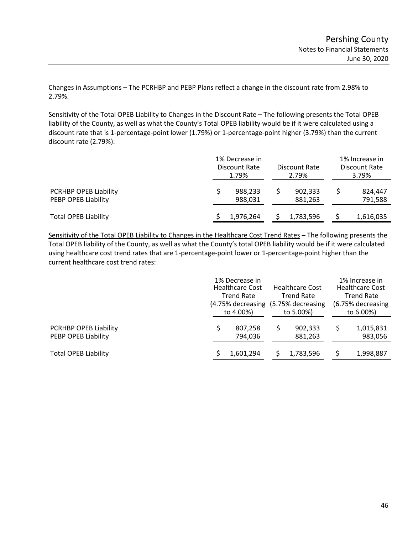Changes in Assumptions – The PCRHBP and PEBP Plans reflect a change in the discount rate from 2.98% to 2.79%.

Sensitivity of the Total OPEB Liability to Changes in the Discount Rate – The following presents the Total OPEB liability of the County, as well as what the County's Total OPEB liability would be if it were calculated using a discount rate that is 1-percentage-point lower (1.79%) or 1-percentage-point higher (3.79%) than the current discount rate (2.79%):

|                                              | 1% Decrease in<br>Discount Rate<br>1.79% |                    | Discount Rate<br>2.79% |                    | 1% Increase in<br>Discount Rate<br>3.79% |                    |
|----------------------------------------------|------------------------------------------|--------------------|------------------------|--------------------|------------------------------------------|--------------------|
| PCRHBP OPEB Liability<br>PEBP OPEB Liability |                                          | 988,233<br>988,031 |                        | 902,333<br>881,263 |                                          | 824,447<br>791,588 |
| <b>Total OPEB Liability</b>                  |                                          | 1,976,264          |                        | 1,783,596          |                                          | 1,616,035          |

Sensitivity of the Total OPEB Liability to Changes in the Healthcare Cost Trend Rates – The following presents the Total OPEB liability of the County, as well as what the County's total OPEB liability would be if it were calculated using healthcare cost trend rates that are 1-percentage-point lower or 1-percentage-point higher than the current healthcare cost trend rates:

|                                                     | 1% Decrease in<br><b>Healthcare Cost</b><br><b>Trend Rate</b><br>to 4.00%) |                    | <b>Healthcare Cost</b><br><b>Trend Rate</b><br>(4.75% decreasing (5.75% decreasing<br>to 5.00%) |                    | 1% Increase in<br><b>Healthcare Cost</b><br><b>Trend Rate</b><br>(6.75% decreasing<br>to 6.00%) |                      |
|-----------------------------------------------------|----------------------------------------------------------------------------|--------------------|-------------------------------------------------------------------------------------------------|--------------------|-------------------------------------------------------------------------------------------------|----------------------|
| <b>PCRHBP OPEB Liability</b><br>PEBP OPEB Liability |                                                                            | 807,258<br>794,036 |                                                                                                 | 902,333<br>881,263 |                                                                                                 | 1,015,831<br>983,056 |
| <b>Total OPEB Liability</b>                         |                                                                            | 1,601,294          |                                                                                                 | 1,783,596          |                                                                                                 | 1,998,887            |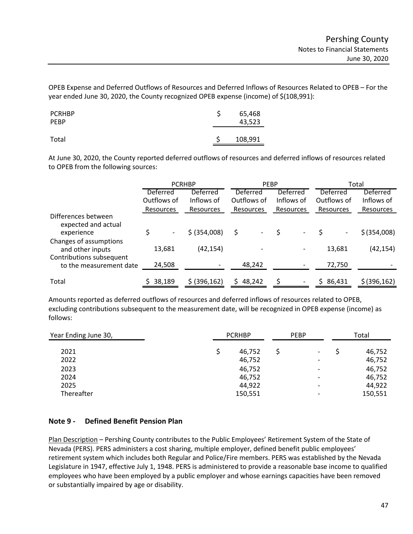OPEB Expense and Deferred Outflows of Resources and Deferred Inflows of Resources Related to OPEB – For the year ended June 30, 2020, the County recognized OPEB expense (income) of \$(108,991):

| <b>PCRHBP</b><br><b>PEBP</b> | 65,468<br>43,523 |
|------------------------------|------------------|
| Total                        | 108,991          |

At June 30, 2020, the County reported deferred outflows of resources and deferred inflows of resources related to OPEB from the following sources:

|                                                     |                          | <b>PCRHBP</b>   |             | PEBP            |                 | Total            |
|-----------------------------------------------------|--------------------------|-----------------|-------------|-----------------|-----------------|------------------|
|                                                     | Deferred                 | <b>Deferred</b> | Deferred    | <b>Deferred</b> | <b>Deferred</b> | <b>Deferred</b>  |
|                                                     | Outflows of              | Inflows of      | Outflows of | Inflows of      | Outflows of     | Inflows of       |
|                                                     | Resources                | Resources       | Resources   | Resources       | Resources       | <b>Resources</b> |
| Differences between<br>expected and actual          |                          |                 |             |                 |                 |                  |
| experience                                          | $\overline{\phantom{a}}$ | \$ (354,008)    | \$          |                 |                 | \$ (354,008)     |
| Changes of assumptions<br>and other inputs          | 13,681                   | (42, 154)       |             |                 | 13,681          | (42, 154)        |
| Contributions subsequent<br>to the measurement date | 24,508                   |                 | 48,242      |                 | 72,750          |                  |
| Total                                               | 38,189                   | \$ (396, 162)   | 48,242      |                 | 86,431          | \$ (396, 162)    |

Amounts reported as deferred outflows of resources and deferred inflows of resources related to OPEB, excluding contributions subsequent to the measurement date, will be recognized in OPEB expense (income) as follows:

| Year Ending June 30, | <b>PCRHBP</b> | <b>PEBP</b>              | Total   |
|----------------------|---------------|--------------------------|---------|
| 2021                 | 46,752        | $\overline{\phantom{a}}$ | 46,752  |
| 2022                 | 46,752        | $\overline{\phantom{0}}$ | 46,752  |
| 2023                 | 46,752        | $\overline{\phantom{0}}$ | 46,752  |
| 2024                 | 46,752        | $\overline{\phantom{0}}$ | 46,752  |
| 2025                 | 44,922        | $\overline{\phantom{0}}$ | 44,922  |
| Thereafter           | 150,551       | $\overline{\phantom{0}}$ | 150,551 |

#### **Note 9 - Defined Benefit Pension Plan**

Plan Description – Pershing County contributes to the Public Employees' Retirement System of the State of Nevada (PERS). PERS administers a cost sharing, multiple employer, defined benefit public employees' retirement system which includes both Regular and Police/Fire members. PERS was established by the Nevada Legislature in 1947, effective July 1, 1948. PERS is administered to provide a reasonable base income to qualified employees who have been employed by a public employer and whose earnings capacities have been removed or substantially impaired by age or disability.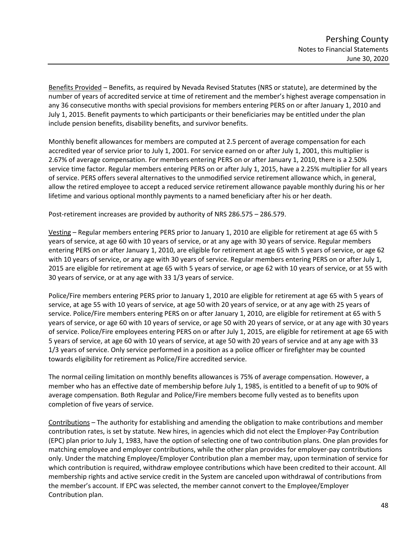Benefits Provided – Benefits, as required by Nevada Revised Statutes (NRS or statute), are determined by the number of years of accredited service at time of retirement and the member's highest average compensation in any 36 consecutive months with special provisions for members entering PERS on or after January 1, 2010 and July 1, 2015. Benefit payments to which participants or their beneficiaries may be entitled under the plan include pension benefits, disability benefits, and survivor benefits.

Monthly benefit allowances for members are computed at 2.5 percent of average compensation for each accredited year of service prior to July 1, 2001. For service earned on or after July 1, 2001, this multiplier is 2.67% of average compensation. For members entering PERS on or after January 1, 2010, there is a 2.50% service time factor. Regular members entering PERS on or after July 1, 2015, have a 2.25% multiplier for all years of service. PERS offers several alternatives to the unmodified service retirement allowance which, in general, allow the retired employee to accept a reduced service retirement allowance payable monthly during his or her lifetime and various optional monthly payments to a named beneficiary after his or her death.

Post-retirement increases are provided by authority of NRS 286.575 – 286.579.

Vesting – Regular members entering PERS prior to January 1, 2010 are eligible for retirement at age 65 with 5 years of service, at age 60 with 10 years of service, or at any age with 30 years of service. Regular members entering PERS on or after January 1, 2010, are eligible for retirement at age 65 with 5 years of service, or age 62 with 10 years of service, or any age with 30 years of service. Regular members entering PERS on or after July 1, 2015 are eligible for retirement at age 65 with 5 years of service, or age 62 with 10 years of service, or at 55 with 30 years of service, or at any age with 33 1/3 years of service.

Police/Fire members entering PERS prior to January 1, 2010 are eligible for retirement at age 65 with 5 years of service, at age 55 with 10 years of service, at age 50 with 20 years of service, or at any age with 25 years of service. Police/Fire members entering PERS on or after January 1, 2010, are eligible for retirement at 65 with 5 years of service, or age 60 with 10 years of service, or age 50 with 20 years of service, or at any age with 30 years of service. Police/Fire employees entering PERS on or after July 1, 2015, are eligible for retirement at age 65 with 5 years of service, at age 60 with 10 years of service, at age 50 with 20 years of service and at any age with 33 1/3 years of service. Only service performed in a position as a police officer or firefighter may be counted towards eligibility for retirement as Police/Fire accredited service.

The normal ceiling limitation on monthly benefits allowances is 75% of average compensation. However, a member who has an effective date of membership before July 1, 1985, is entitled to a benefit of up to 90% of average compensation. Both Regular and Police/Fire members become fully vested as to benefits upon completion of five years of service.

Contributions – The authority for establishing and amending the obligation to make contributions and member contribution rates, is set by statute. New hires, in agencies which did not elect the Employer-Pay Contribution (EPC) plan prior to July 1, 1983, have the option of selecting one of two contribution plans. One plan provides for matching employee and employer contributions, while the other plan provides for employer-pay contributions only. Under the matching Employee/Employer Contribution plan a member may, upon termination of service for which contribution is required, withdraw employee contributions which have been credited to their account. All membership rights and active service credit in the System are canceled upon withdrawal of contributions from the member's account. If EPC was selected, the member cannot convert to the Employee/Employer Contribution plan.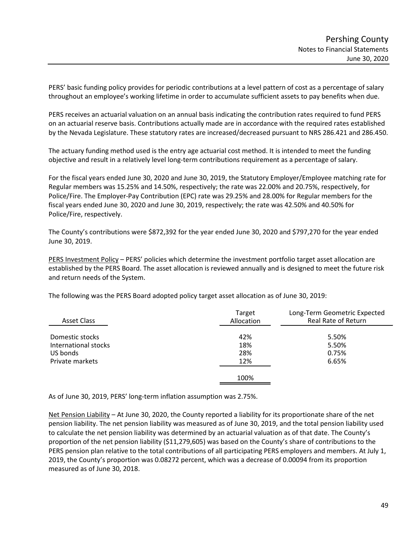PERS' basic funding policy provides for periodic contributions at a level pattern of cost as a percentage of salary throughout an employee's working lifetime in order to accumulate sufficient assets to pay benefits when due.

PERS receives an actuarial valuation on an annual basis indicating the contribution rates required to fund PERS on an actuarial reserve basis. Contributions actually made are in accordance with the required rates established by the Nevada Legislature. These statutory rates are increased/decreased pursuant to NRS 286.421 and 286.450.

The actuary funding method used is the entry age actuarial cost method. It is intended to meet the funding objective and result in a relatively level long-term contributions requirement as a percentage of salary.

For the fiscal years ended June 30, 2020 and June 30, 2019, the Statutory Employer/Employee matching rate for Regular members was 15.25% and 14.50%, respectively; the rate was 22.00% and 20.75%, respectively, for Police/Fire. The Employer-Pay Contribution (EPC) rate was 29.25% and 28.00% for Regular members for the fiscal years ended June 30, 2020 and June 30, 2019, respectively; the rate was 42.50% and 40.50% for Police/Fire, respectively.

The County's contributions were \$872,392 for the year ended June 30, 2020 and \$797,270 for the year ended June 30, 2019.

PERS Investment Policy – PERS' policies which determine the investment portfolio target asset allocation are established by the PERS Board. The asset allocation is reviewed annually and is designed to meet the future risk and return needs of the System.

The following was the PERS Board adopted policy target asset allocation as of June 30, 2019:

| <b>Asset Class</b>   | Target<br>Allocation | Long-Term Geometric Expected<br>Real Rate of Return |
|----------------------|----------------------|-----------------------------------------------------|
| Domestic stocks      | 42%                  | 5.50%                                               |
| International stocks | 18%                  | 5.50%                                               |
| US bonds             | 28%                  | 0.75%                                               |
| Private markets      | 12%                  | 6.65%                                               |
|                      | 100%                 |                                                     |

As of June 30, 2019, PERS' long-term inflation assumption was 2.75%.

Net Pension Liability - At June 30, 2020, the County reported a liability for its proportionate share of the net pension liability. The net pension liability was measured as of June 30, 2019, and the total pension liability used to calculate the net pension liability was determined by an actuarial valuation as of that date. The County's proportion of the net pension liability (\$11,279,605) was based on the County's share of contributions to the PERS pension plan relative to the total contributions of all participating PERS employers and members. At July 1, 2019, the County's proportion was 0.08272 percent, which was a decrease of 0.00094 from its proportion measured as of June 30, 2018.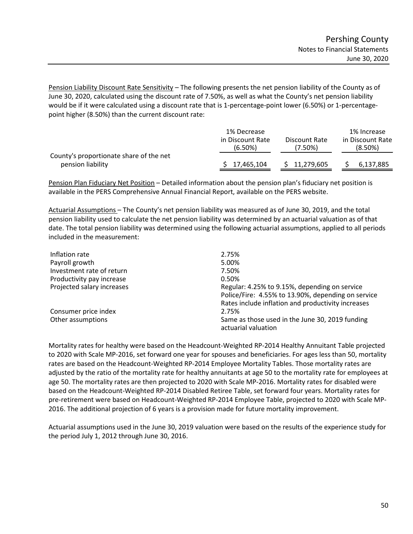Pension Liability Discount Rate Sensitivity – The following presents the net pension liability of the County as of June 30, 2020, calculated using the discount rate of 7.50%, as well as what the County's net pension liability would be if it were calculated using a discount rate that is 1-percentage-point lower (6.50%) or 1-percentagepoint higher (8.50%) than the current discount rate:

|                                         | 1% Decrease      |               | 1% Increase      |
|-----------------------------------------|------------------|---------------|------------------|
|                                         | in Discount Rate | Discount Rate | in Discount Rate |
|                                         | $(6.50\%)$       | (7.50%)       | $(8.50\%)$       |
| County's proportionate share of the net |                  |               |                  |
| pension liability                       | 17,465,104       | 11,279,605    | 6,137,885        |

Pension Plan Fiduciary Net Position – Detailed information about the pension plan's fiduciary net position is available in the PERS Comprehensive Annual Financial Report, available on the PERS website.

Actuarial Assumptions – The County's net pension liability was measured as of June 30, 2019, and the total pension liability used to calculate the net pension liability was determined by an actuarial valuation as of that date. The total pension liability was determined using the following actuarial assumptions, applied to all periods included in the measurement:

| Inflation rate             | 2.75%                                                                                                                                                     |
|----------------------------|-----------------------------------------------------------------------------------------------------------------------------------------------------------|
| Payroll growth             | 5.00%                                                                                                                                                     |
| Investment rate of return  | 7.50%                                                                                                                                                     |
| Productivity pay increase  | 0.50%                                                                                                                                                     |
| Projected salary increases | Regular: 4.25% to 9.15%, depending on service<br>Police/Fire: 4.55% to 13.90%, depending on service<br>Rates include inflation and productivity increases |
| Consumer price index       | 2.75%                                                                                                                                                     |
| Other assumptions          | Same as those used in the June 30, 2019 funding<br>actuarial valuation                                                                                    |

Mortality rates for healthy were based on the Headcount-Weighted RP-2014 Healthy Annuitant Table projected to 2020 with Scale MP-2016, set forward one year for spouses and beneficiaries. For ages less than 50, mortality rates are based on the Headcount-Weighted RP-2014 Employee Mortality Tables. Those mortality rates are adjusted by the ratio of the mortality rate for healthy annuitants at age 50 to the mortality rate for employees at age 50. The mortality rates are then projected to 2020 with Scale MP-2016. Mortality rates for disabled were based on the Headcount-Weighted RP-2014 Disabled Retiree Table, set forward four years. Mortality rates for pre-retirement were based on Headcount-Weighted RP-2014 Employee Table, projected to 2020 with Scale MP-2016. The additional projection of 6 years is a provision made for future mortality improvement.

Actuarial assumptions used in the June 30, 2019 valuation were based on the results of the experience study for the period July 1, 2012 through June 30, 2016.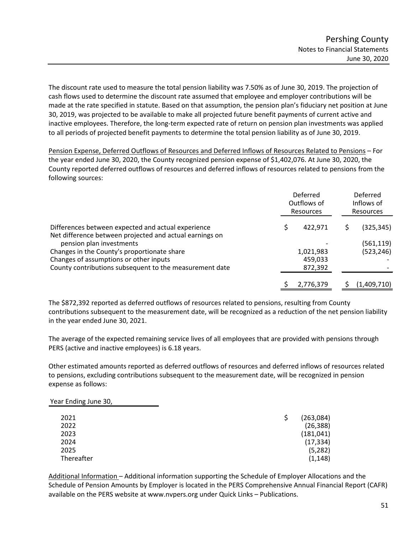The discount rate used to measure the total pension liability was 7.50% as of June 30, 2019. The projection of cash flows used to determine the discount rate assumed that employee and employer contributions will be made at the rate specified in statute. Based on that assumption, the pension plan's fiduciary net position at June 30, 2019, was projected to be available to make all projected future benefit payments of current active and inactive employees. Therefore, the long-term expected rate of return on pension plan investments was applied to all periods of projected benefit payments to determine the total pension liability as of June 30, 2019.

Pension Expense, Deferred Outflows of Resources and Deferred Inflows of Resources Related to Pensions – For the year ended June 30, 2020, the County recognized pension expense of \$1,402,076. At June 30, 2020, the County reported deferred outflows of resources and deferred inflows of resources related to pensions from the following sources:

|                                                                                     | Deferred<br>Outflows of<br>Resources | Deferred<br>Inflows of<br>Resources |  |  |
|-------------------------------------------------------------------------------------|--------------------------------------|-------------------------------------|--|--|
| Differences between expected and actual experience                                  | 422,971                              | (325, 345)                          |  |  |
| Net difference between projected and actual earnings on<br>pension plan investments |                                      | (561,119)                           |  |  |
| Changes in the County's proportionate share                                         | 1,021,983                            | (523, 246)                          |  |  |
| Changes of assumptions or other inputs                                              | 459,033                              |                                     |  |  |
| County contributions subsequent to the measurement date                             | 872,392                              |                                     |  |  |
|                                                                                     |                                      |                                     |  |  |
|                                                                                     | 2,776,379                            | (1,409,710)                         |  |  |

The \$872,392 reported as deferred outflows of resources related to pensions, resulting from County contributions subsequent to the measurement date, will be recognized as a reduction of the net pension liability in the year ended June 30, 2021.

The average of the expected remaining service lives of all employees that are provided with pensions through PERS (active and inactive employees) is 6.18 years.

Other estimated amounts reported as deferred outflows of resources and deferred inflows of resources related to pensions, excluding contributions subsequent to the measurement date, will be recognized in pension expense as follows:

| Year Ending June 30, |            |
|----------------------|------------|
| 2021                 | (263,084)  |
| 2022                 | (26, 388)  |
| 2023                 | (181, 041) |
| 2024                 | (17, 334)  |
| 2025                 | (5, 282)   |
| Thereafter           | (1, 148)   |

Additional Information – Additional information supporting the Schedule of Employer Allocations and the Schedule of Pension Amounts by Employer is located in the PERS Comprehensive Annual Financial Report (CAFR) available on the PERS website at www.nvpers.org under Quick Links – Publications.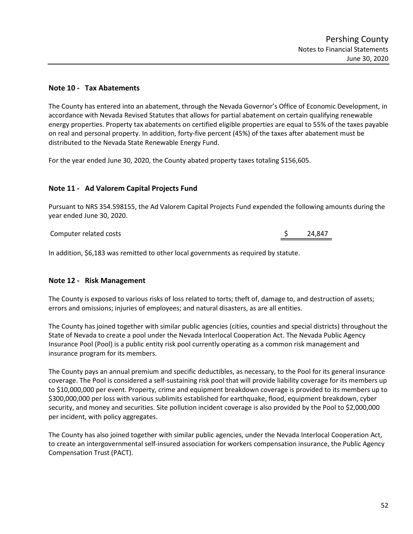#### **Note 10 - Tax Abatements**

The County has entered into an abatement, through the Nevada Governor's Office of Economic Development, in accordance with Nevada Revised Statutes that allows for partial abatement on certain qualifying renewable energy properties. Property tax abatements on certified eligible properties are equal to 55% of the taxes payable on real and personal property. In addition, forty-five percent (45%) of the taxes after abatement must be distributed to the Nevada State Renewable Energy Fund.

For the year ended June 30, 2020, the County abated property taxes totaling \$156,605.

#### **Note 11 - Ad Valorem Capital Projects Fund**

Pursuant to NRS 354.598155, the Ad Valorem Capital Projects Fund expended the following amounts during the year ended June 30, 2020.

Computer related costs  $\zeta$  24,847

In addition, \$6,183 was remitted to other local governments as required by statute.

#### **Note 12 - Risk Management**

The County is exposed to various risks of loss related to torts; theft of, damage to, and destruction of assets; errors and omissions; injuries of employees; and natural disasters, as are all entities.

The County has joined together with similar public agencies (cities, counties and special districts) throughout the State of Nevada to create a pool under the Nevada Interlocal Cooperation Act. The Nevada Public Agency Insurance Pool (Pool) is a public entity risk pool currently operating as a common risk management and insurance program for its members.

The County pays an annual premium and specific deductibles, as necessary, to the Pool for its general insurance coverage. The Pool is considered a self-sustaining risk pool that will provide liability coverage for its members up to \$10,000,000 per event. Property, crime and equipment breakdown coverage is provided to its members up to \$300,000,000 per loss with various sublimits established for earthquake, flood, equipment breakdown, cyber security, and money and securities. Site pollution incident coverage is also provided by the Pool to \$2,000,000 per incident, with policy aggregates.

The County has also joined together with similar public agencies, under the Nevada Interlocal Cooperation Act, to create an intergovernmental self-insured association for workers compensation insurance, the Public Agency Compensation Trust (PACT).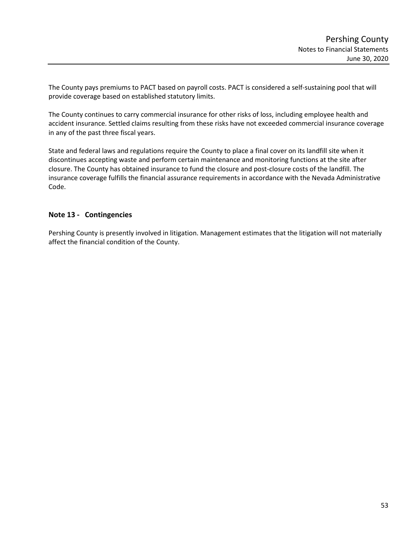The County pays premiums to PACT based on payroll costs. PACT is considered a self-sustaining pool that will provide coverage based on established statutory limits.

The County continues to carry commercial insurance for other risks of loss, including employee health and accident insurance. Settled claims resulting from these risks have not exceeded commercial insurance coverage in any of the past three fiscal years.

State and federal laws and regulations require the County to place a final cover on its landfill site when it discontinues accepting waste and perform certain maintenance and monitoring functions at the site after closure. The County has obtained insurance to fund the closure and post-closure costs of the landfill. The insurance coverage fulfills the financial assurance requirements in accordance with the Nevada Administrative Code.

#### **Note 13 - Contingencies**

Pershing County is presently involved in litigation. Management estimates that the litigation will not materially affect the financial condition of the County.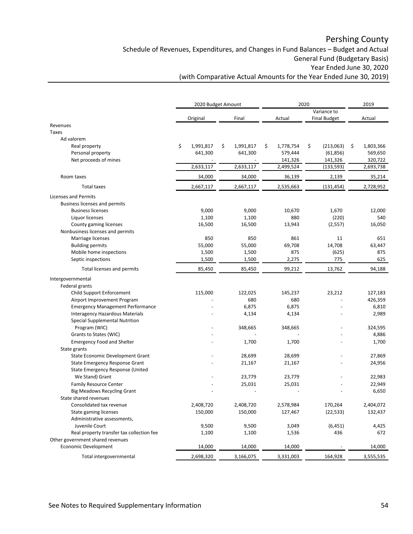Schedule of Revenues, Expenditures, and Changes in Fund Balances – Budget and Actual General Fund (Budgetary Basis) Year Ended June 30, 2020

|                                           |                 | 2020 Budget Amount | 2020            | 2019                |                 |
|-------------------------------------------|-----------------|--------------------|-----------------|---------------------|-----------------|
|                                           |                 |                    |                 | Variance to         |                 |
|                                           | Original        | Final              | Actual          | <b>Final Budget</b> | Actual          |
| Revenues                                  |                 |                    |                 |                     |                 |
| <b>Taxes</b>                              |                 |                    |                 |                     |                 |
| Ad valorem                                |                 |                    |                 |                     |                 |
| Real property                             | \$<br>1,991,817 | \$<br>1,991,817    | \$<br>1,778,754 | \$<br>(213,063)     | \$<br>1,803,366 |
| Personal property                         | 641,300         | 641,300            | 579,444         | (61, 856)           | 569,650         |
| Net proceeds of mines                     |                 |                    | 141,326         | 141,326             | 320,722         |
|                                           | 2,633,117       | 2,633,117          | 2,499,524       | (133, 593)          | 2,693,738       |
| Room taxes                                | 34,000          | 34,000             | 36,139          | 2,139               | 35,214          |
| Total taxes                               | 2,667,117       | 2,667,117          | 2,535,663       | (131, 454)          | 2,728,952       |
| <b>Licenses and Permits</b>               |                 |                    |                 |                     |                 |
| Business licenses and permits             |                 |                    |                 |                     |                 |
| <b>Business licenses</b>                  | 9,000           | 9,000              | 10,670          | 1,670               | 12,000          |
| Liquor licenses                           | 1,100           | 1,100              | 880             | (220)               | 540             |
| County gaming licenses                    | 16,500          | 16,500             | 13,943          | (2, 557)            | 16,050          |
| Nonbusiness licenses and permits          |                 |                    |                 |                     |                 |
| Marriage licenses                         |                 | 850<br>850         | 861             | 11                  | 651             |
| <b>Building permits</b>                   | 55,000          | 55,000             | 69,708          | 14,708              | 63,447          |
| Mobile home inspections                   | 1,500           | 1,500              | 875             | (625)               | 875             |
| Septic inspections                        | 1,500           | 1,500              | 2,275           | 775                 | 625             |
| Total licenses and permits                | 85,450          | 85,450             | 99,212          | 13,762              | 94,188          |
| Intergovernmental                         |                 |                    |                 |                     |                 |
| Federal grants                            |                 |                    |                 |                     |                 |
| <b>Child Support Enforcement</b>          | 115,000         | 122,025            | 145,237         | 23,212              | 127,183         |
| Airport Improvement Program               |                 | 680                | 680             |                     | 426,359         |
| <b>Emergency Management Performance</b>   |                 | 6,875              | 6,875           |                     | 6,810           |
| Interagency Hazardous Materials           |                 | 4,134              | 4,134           |                     | 2,989           |
| <b>Special Supplemental Nutrition</b>     |                 |                    |                 |                     |                 |
| Program (WIC)                             |                 | 348,665            | 348,665         |                     | 324,595         |
| Grants to States (WIC)                    |                 |                    |                 |                     | 4,886           |
| <b>Emergency Food and Shelter</b>         |                 | 1,700              | 1,700           |                     | 1,700           |
| State grants                              |                 |                    |                 |                     |                 |
| State Economic Development Grant          |                 | 28,699             | 28,699          |                     | 27,869          |
| <b>State Emergency Response Grant</b>     |                 | 21,167             | 21,167          |                     | 24,956          |
| State Emergency Response (United          |                 |                    |                 |                     |                 |
| We Stand) Grant                           |                 | 23,779             | 23,779          |                     | 22,983          |
| <b>Family Resource Center</b>             |                 | 25,031             | 25,031          |                     | 22,949          |
| <b>Big Meadows Recycling Grant</b>        |                 |                    |                 |                     | 6,650           |
| State shared revenues                     |                 |                    |                 |                     |                 |
| Consolidated tax revenue                  | 2,408,720       | 2,408,720          | 2,578,984       | 170,264             | 2,404,072       |
| State gaming licenses                     | 150,000         | 150,000            | 127,467         | (22, 533)           | 132,437         |
| Administrative assessments,               |                 |                    |                 |                     |                 |
| Juvenile Court                            | 9,500           | 9,500              | 3,049           | (6, 451)            | 4,425           |
| Real property transfer tax collection fee | 1,100           | 1,100              | 1,536           | 436                 | 672             |
| Other government shared revenues          |                 |                    |                 |                     |                 |
| Economic Development                      | 14,000          | 14,000             | 14,000          |                     | 14,000          |
| Total intergovernmental                   | 2,698,320       | 3,166,075          | 3,331,003       | 164,928             | 3,555,535       |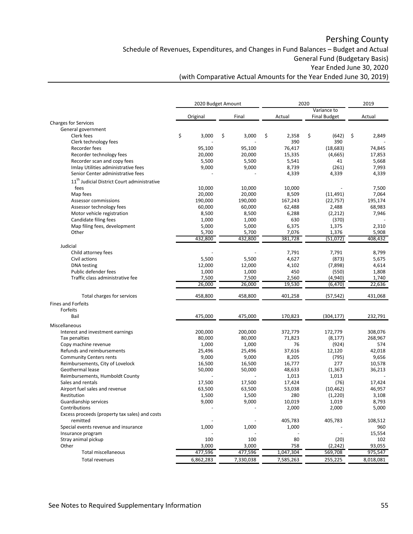Schedule of Revenues, Expenditures, and Changes in Fund Balances – Budget and Actual General Fund (Budgetary Basis) Year Ended June 30, 2020

| Variance to<br><b>Final Budget</b><br>Actual<br>Original<br>Final<br>Actual<br><b>Charges for Services</b><br>General government<br>Clerk fees<br>\$<br>3,000<br>\$<br>\$<br>\$<br>\$<br>3,000<br>2,358<br>(642)<br>2,849<br>390<br>390<br>Clerk technology fees<br>Recorder fees<br>95,100<br>95,100<br>76,417<br>(18, 683)<br>74,845<br>Recorder technology fees<br>20,000<br>20,000<br>15,335<br>(4,665)<br>17,853<br>Recorder scan and copy fees<br>5,500<br>5,500<br>5,541<br>41<br>5,668<br>9,000<br>9,000<br>8,739<br>Imlay Utilities administrative fees<br>(261)<br>7,993<br>Senior Center administrative fees<br>4,339<br>4,339<br>4,339<br>11 <sup>th</sup> Judicial District Court administrative<br>fees<br>10,000<br>10,000<br>10,000<br>7,500<br>20,000<br>8,509<br>Map fees<br>20,000<br>(11, 491)<br>7,064<br>190,000<br>190,000<br>195,174<br>Assessor commissions<br>167,243<br>(22, 757)<br>Assessor technology fees<br>60,000<br>60,000<br>62,488<br>2,488<br>68,983<br>Motor vehicle registration<br>8,500<br>8,500<br>6,288<br>(2, 212)<br>7,946<br>Candidate filing fees<br>1,000<br>1,000<br>630<br>(370)<br>5,000<br>Map filing fees, development<br>5,000<br>6,375<br>1,375<br>2,310<br>7,076<br>1,376<br>Other<br>5,700<br>5,700<br>5,908<br>432,800<br>432,800<br>381,728<br>(51,072)<br>408,432<br>Judicial<br>Child attorney fees<br>7,791<br>7,791<br>8,799<br>5,500<br>4,627<br>(873)<br>Civil actions<br>5,500<br>5,675<br>4,102<br>(7, 898)<br>DNA testing<br>12,000<br>12,000<br>4,614<br>Public defender fees<br>1,000<br>1,000<br>450<br>(550)<br>1,808<br>Traffic class administrative fee<br>7,500<br>7,500<br>2,560<br>(4,940)<br>1,740<br>26,000<br>19,530<br>26,000<br>(6, 470)<br>22,636<br>458,800<br>458,800<br>(57, 542)<br>Total charges for services<br>401,258<br>431,068<br><b>Fines and Forfeits</b><br>Forfeits<br>475,000<br>475,000<br>Bail<br>170,823<br>(304, 177)<br>232,791<br>Miscellaneous<br>Interest and investment earnings<br>200,000<br>200,000<br>372,779<br>172,779<br>308,076<br>80,000<br>80,000<br>71,823<br>(8, 177)<br>268,967<br>Tax penalties<br>Copy machine revenue<br>1,000<br>1,000<br>76<br>(924)<br>574<br>Refunds and reimbursements<br>25,496<br>25,496<br>37,616<br>12,120<br>42,018<br><b>Community Centers rents</b><br>9,000<br>9,000<br>8,205<br>(795)<br>9,656<br>277<br>Reimbursements, City of Lovelock<br>16,500<br>16,500<br>16,777<br>10,578<br>Geothermal lease<br>50,000<br>50,000<br>48,633<br>(1, 367)<br>36,213<br>Reimbursements, Humboldt County<br>1,013<br>1,013<br>Sales and rentals<br>17,500<br>17,500<br>17,424<br>(76)<br>17,424<br>46,957<br>Airport fuel sales and revenue<br>63,500<br>63,500<br>53,038<br>(10, 462)<br>Restitution<br>1,500<br>1,500<br>280<br>(1, 220)<br>3,108<br>9,000<br>9,000<br>10,019<br>1,019<br>8,793<br>Guardianship services<br>Contributions<br>2,000<br>5,000<br>2,000<br>Excess proceeds (property tax sales) and costs<br>remitted<br>405,783<br>405,783<br>108,512<br>Special events revenue and insurance<br>1,000<br>1,000<br>1,000<br>960<br>Insurance program<br>15,554<br>100<br>80<br>Stray animal pickup<br>100<br>(20)<br>102<br>Other<br>3,000<br>3,000<br>758<br>(2, 242)<br>93,055<br><b>Total miscellaneous</b><br>477,596<br>477,596<br>1,047,304<br>569,708<br>975,547<br>6,862,283<br>7,330,038<br>7,585,263<br>255,225<br>8,018,081<br>Total revenues |  | 2020 Budget Amount |  |  | 2020 | 2019 |  |
|-----------------------------------------------------------------------------------------------------------------------------------------------------------------------------------------------------------------------------------------------------------------------------------------------------------------------------------------------------------------------------------------------------------------------------------------------------------------------------------------------------------------------------------------------------------------------------------------------------------------------------------------------------------------------------------------------------------------------------------------------------------------------------------------------------------------------------------------------------------------------------------------------------------------------------------------------------------------------------------------------------------------------------------------------------------------------------------------------------------------------------------------------------------------------------------------------------------------------------------------------------------------------------------------------------------------------------------------------------------------------------------------------------------------------------------------------------------------------------------------------------------------------------------------------------------------------------------------------------------------------------------------------------------------------------------------------------------------------------------------------------------------------------------------------------------------------------------------------------------------------------------------------------------------------------------------------------------------------------------------------------------------------------------------------------------------------------------------------------------------------------------------------------------------------------------------------------------------------------------------------------------------------------------------------------------------------------------------------------------------------------------------------------------------------------------------------------------------------------------------------------------------------------------------------------------------------------------------------------------------------------------------------------------------------------------------------------------------------------------------------------------------------------------------------------------------------------------------------------------------------------------------------------------------------------------------------------------------------------------------------------------------------------------------------------------------------------------------------------------------------------------------------------------------------------------------------------------------------------------------------------------------------------------------------------------------------------------------------------------------------------------------------------------------------|--|--------------------|--|--|------|------|--|
|                                                                                                                                                                                                                                                                                                                                                                                                                                                                                                                                                                                                                                                                                                                                                                                                                                                                                                                                                                                                                                                                                                                                                                                                                                                                                                                                                                                                                                                                                                                                                                                                                                                                                                                                                                                                                                                                                                                                                                                                                                                                                                                                                                                                                                                                                                                                                                                                                                                                                                                                                                                                                                                                                                                                                                                                                                                                                                                                                                                                                                                                                                                                                                                                                                                                                                                                                                                                                       |  |                    |  |  |      |      |  |
|                                                                                                                                                                                                                                                                                                                                                                                                                                                                                                                                                                                                                                                                                                                                                                                                                                                                                                                                                                                                                                                                                                                                                                                                                                                                                                                                                                                                                                                                                                                                                                                                                                                                                                                                                                                                                                                                                                                                                                                                                                                                                                                                                                                                                                                                                                                                                                                                                                                                                                                                                                                                                                                                                                                                                                                                                                                                                                                                                                                                                                                                                                                                                                                                                                                                                                                                                                                                                       |  |                    |  |  |      |      |  |
|                                                                                                                                                                                                                                                                                                                                                                                                                                                                                                                                                                                                                                                                                                                                                                                                                                                                                                                                                                                                                                                                                                                                                                                                                                                                                                                                                                                                                                                                                                                                                                                                                                                                                                                                                                                                                                                                                                                                                                                                                                                                                                                                                                                                                                                                                                                                                                                                                                                                                                                                                                                                                                                                                                                                                                                                                                                                                                                                                                                                                                                                                                                                                                                                                                                                                                                                                                                                                       |  |                    |  |  |      |      |  |
|                                                                                                                                                                                                                                                                                                                                                                                                                                                                                                                                                                                                                                                                                                                                                                                                                                                                                                                                                                                                                                                                                                                                                                                                                                                                                                                                                                                                                                                                                                                                                                                                                                                                                                                                                                                                                                                                                                                                                                                                                                                                                                                                                                                                                                                                                                                                                                                                                                                                                                                                                                                                                                                                                                                                                                                                                                                                                                                                                                                                                                                                                                                                                                                                                                                                                                                                                                                                                       |  |                    |  |  |      |      |  |
|                                                                                                                                                                                                                                                                                                                                                                                                                                                                                                                                                                                                                                                                                                                                                                                                                                                                                                                                                                                                                                                                                                                                                                                                                                                                                                                                                                                                                                                                                                                                                                                                                                                                                                                                                                                                                                                                                                                                                                                                                                                                                                                                                                                                                                                                                                                                                                                                                                                                                                                                                                                                                                                                                                                                                                                                                                                                                                                                                                                                                                                                                                                                                                                                                                                                                                                                                                                                                       |  |                    |  |  |      |      |  |
|                                                                                                                                                                                                                                                                                                                                                                                                                                                                                                                                                                                                                                                                                                                                                                                                                                                                                                                                                                                                                                                                                                                                                                                                                                                                                                                                                                                                                                                                                                                                                                                                                                                                                                                                                                                                                                                                                                                                                                                                                                                                                                                                                                                                                                                                                                                                                                                                                                                                                                                                                                                                                                                                                                                                                                                                                                                                                                                                                                                                                                                                                                                                                                                                                                                                                                                                                                                                                       |  |                    |  |  |      |      |  |
|                                                                                                                                                                                                                                                                                                                                                                                                                                                                                                                                                                                                                                                                                                                                                                                                                                                                                                                                                                                                                                                                                                                                                                                                                                                                                                                                                                                                                                                                                                                                                                                                                                                                                                                                                                                                                                                                                                                                                                                                                                                                                                                                                                                                                                                                                                                                                                                                                                                                                                                                                                                                                                                                                                                                                                                                                                                                                                                                                                                                                                                                                                                                                                                                                                                                                                                                                                                                                       |  |                    |  |  |      |      |  |
|                                                                                                                                                                                                                                                                                                                                                                                                                                                                                                                                                                                                                                                                                                                                                                                                                                                                                                                                                                                                                                                                                                                                                                                                                                                                                                                                                                                                                                                                                                                                                                                                                                                                                                                                                                                                                                                                                                                                                                                                                                                                                                                                                                                                                                                                                                                                                                                                                                                                                                                                                                                                                                                                                                                                                                                                                                                                                                                                                                                                                                                                                                                                                                                                                                                                                                                                                                                                                       |  |                    |  |  |      |      |  |
|                                                                                                                                                                                                                                                                                                                                                                                                                                                                                                                                                                                                                                                                                                                                                                                                                                                                                                                                                                                                                                                                                                                                                                                                                                                                                                                                                                                                                                                                                                                                                                                                                                                                                                                                                                                                                                                                                                                                                                                                                                                                                                                                                                                                                                                                                                                                                                                                                                                                                                                                                                                                                                                                                                                                                                                                                                                                                                                                                                                                                                                                                                                                                                                                                                                                                                                                                                                                                       |  |                    |  |  |      |      |  |
|                                                                                                                                                                                                                                                                                                                                                                                                                                                                                                                                                                                                                                                                                                                                                                                                                                                                                                                                                                                                                                                                                                                                                                                                                                                                                                                                                                                                                                                                                                                                                                                                                                                                                                                                                                                                                                                                                                                                                                                                                                                                                                                                                                                                                                                                                                                                                                                                                                                                                                                                                                                                                                                                                                                                                                                                                                                                                                                                                                                                                                                                                                                                                                                                                                                                                                                                                                                                                       |  |                    |  |  |      |      |  |
|                                                                                                                                                                                                                                                                                                                                                                                                                                                                                                                                                                                                                                                                                                                                                                                                                                                                                                                                                                                                                                                                                                                                                                                                                                                                                                                                                                                                                                                                                                                                                                                                                                                                                                                                                                                                                                                                                                                                                                                                                                                                                                                                                                                                                                                                                                                                                                                                                                                                                                                                                                                                                                                                                                                                                                                                                                                                                                                                                                                                                                                                                                                                                                                                                                                                                                                                                                                                                       |  |                    |  |  |      |      |  |
|                                                                                                                                                                                                                                                                                                                                                                                                                                                                                                                                                                                                                                                                                                                                                                                                                                                                                                                                                                                                                                                                                                                                                                                                                                                                                                                                                                                                                                                                                                                                                                                                                                                                                                                                                                                                                                                                                                                                                                                                                                                                                                                                                                                                                                                                                                                                                                                                                                                                                                                                                                                                                                                                                                                                                                                                                                                                                                                                                                                                                                                                                                                                                                                                                                                                                                                                                                                                                       |  |                    |  |  |      |      |  |
|                                                                                                                                                                                                                                                                                                                                                                                                                                                                                                                                                                                                                                                                                                                                                                                                                                                                                                                                                                                                                                                                                                                                                                                                                                                                                                                                                                                                                                                                                                                                                                                                                                                                                                                                                                                                                                                                                                                                                                                                                                                                                                                                                                                                                                                                                                                                                                                                                                                                                                                                                                                                                                                                                                                                                                                                                                                                                                                                                                                                                                                                                                                                                                                                                                                                                                                                                                                                                       |  |                    |  |  |      |      |  |
|                                                                                                                                                                                                                                                                                                                                                                                                                                                                                                                                                                                                                                                                                                                                                                                                                                                                                                                                                                                                                                                                                                                                                                                                                                                                                                                                                                                                                                                                                                                                                                                                                                                                                                                                                                                                                                                                                                                                                                                                                                                                                                                                                                                                                                                                                                                                                                                                                                                                                                                                                                                                                                                                                                                                                                                                                                                                                                                                                                                                                                                                                                                                                                                                                                                                                                                                                                                                                       |  |                    |  |  |      |      |  |
|                                                                                                                                                                                                                                                                                                                                                                                                                                                                                                                                                                                                                                                                                                                                                                                                                                                                                                                                                                                                                                                                                                                                                                                                                                                                                                                                                                                                                                                                                                                                                                                                                                                                                                                                                                                                                                                                                                                                                                                                                                                                                                                                                                                                                                                                                                                                                                                                                                                                                                                                                                                                                                                                                                                                                                                                                                                                                                                                                                                                                                                                                                                                                                                                                                                                                                                                                                                                                       |  |                    |  |  |      |      |  |
|                                                                                                                                                                                                                                                                                                                                                                                                                                                                                                                                                                                                                                                                                                                                                                                                                                                                                                                                                                                                                                                                                                                                                                                                                                                                                                                                                                                                                                                                                                                                                                                                                                                                                                                                                                                                                                                                                                                                                                                                                                                                                                                                                                                                                                                                                                                                                                                                                                                                                                                                                                                                                                                                                                                                                                                                                                                                                                                                                                                                                                                                                                                                                                                                                                                                                                                                                                                                                       |  |                    |  |  |      |      |  |
|                                                                                                                                                                                                                                                                                                                                                                                                                                                                                                                                                                                                                                                                                                                                                                                                                                                                                                                                                                                                                                                                                                                                                                                                                                                                                                                                                                                                                                                                                                                                                                                                                                                                                                                                                                                                                                                                                                                                                                                                                                                                                                                                                                                                                                                                                                                                                                                                                                                                                                                                                                                                                                                                                                                                                                                                                                                                                                                                                                                                                                                                                                                                                                                                                                                                                                                                                                                                                       |  |                    |  |  |      |      |  |
|                                                                                                                                                                                                                                                                                                                                                                                                                                                                                                                                                                                                                                                                                                                                                                                                                                                                                                                                                                                                                                                                                                                                                                                                                                                                                                                                                                                                                                                                                                                                                                                                                                                                                                                                                                                                                                                                                                                                                                                                                                                                                                                                                                                                                                                                                                                                                                                                                                                                                                                                                                                                                                                                                                                                                                                                                                                                                                                                                                                                                                                                                                                                                                                                                                                                                                                                                                                                                       |  |                    |  |  |      |      |  |
|                                                                                                                                                                                                                                                                                                                                                                                                                                                                                                                                                                                                                                                                                                                                                                                                                                                                                                                                                                                                                                                                                                                                                                                                                                                                                                                                                                                                                                                                                                                                                                                                                                                                                                                                                                                                                                                                                                                                                                                                                                                                                                                                                                                                                                                                                                                                                                                                                                                                                                                                                                                                                                                                                                                                                                                                                                                                                                                                                                                                                                                                                                                                                                                                                                                                                                                                                                                                                       |  |                    |  |  |      |      |  |
|                                                                                                                                                                                                                                                                                                                                                                                                                                                                                                                                                                                                                                                                                                                                                                                                                                                                                                                                                                                                                                                                                                                                                                                                                                                                                                                                                                                                                                                                                                                                                                                                                                                                                                                                                                                                                                                                                                                                                                                                                                                                                                                                                                                                                                                                                                                                                                                                                                                                                                                                                                                                                                                                                                                                                                                                                                                                                                                                                                                                                                                                                                                                                                                                                                                                                                                                                                                                                       |  |                    |  |  |      |      |  |
|                                                                                                                                                                                                                                                                                                                                                                                                                                                                                                                                                                                                                                                                                                                                                                                                                                                                                                                                                                                                                                                                                                                                                                                                                                                                                                                                                                                                                                                                                                                                                                                                                                                                                                                                                                                                                                                                                                                                                                                                                                                                                                                                                                                                                                                                                                                                                                                                                                                                                                                                                                                                                                                                                                                                                                                                                                                                                                                                                                                                                                                                                                                                                                                                                                                                                                                                                                                                                       |  |                    |  |  |      |      |  |
|                                                                                                                                                                                                                                                                                                                                                                                                                                                                                                                                                                                                                                                                                                                                                                                                                                                                                                                                                                                                                                                                                                                                                                                                                                                                                                                                                                                                                                                                                                                                                                                                                                                                                                                                                                                                                                                                                                                                                                                                                                                                                                                                                                                                                                                                                                                                                                                                                                                                                                                                                                                                                                                                                                                                                                                                                                                                                                                                                                                                                                                                                                                                                                                                                                                                                                                                                                                                                       |  |                    |  |  |      |      |  |
|                                                                                                                                                                                                                                                                                                                                                                                                                                                                                                                                                                                                                                                                                                                                                                                                                                                                                                                                                                                                                                                                                                                                                                                                                                                                                                                                                                                                                                                                                                                                                                                                                                                                                                                                                                                                                                                                                                                                                                                                                                                                                                                                                                                                                                                                                                                                                                                                                                                                                                                                                                                                                                                                                                                                                                                                                                                                                                                                                                                                                                                                                                                                                                                                                                                                                                                                                                                                                       |  |                    |  |  |      |      |  |
|                                                                                                                                                                                                                                                                                                                                                                                                                                                                                                                                                                                                                                                                                                                                                                                                                                                                                                                                                                                                                                                                                                                                                                                                                                                                                                                                                                                                                                                                                                                                                                                                                                                                                                                                                                                                                                                                                                                                                                                                                                                                                                                                                                                                                                                                                                                                                                                                                                                                                                                                                                                                                                                                                                                                                                                                                                                                                                                                                                                                                                                                                                                                                                                                                                                                                                                                                                                                                       |  |                    |  |  |      |      |  |
|                                                                                                                                                                                                                                                                                                                                                                                                                                                                                                                                                                                                                                                                                                                                                                                                                                                                                                                                                                                                                                                                                                                                                                                                                                                                                                                                                                                                                                                                                                                                                                                                                                                                                                                                                                                                                                                                                                                                                                                                                                                                                                                                                                                                                                                                                                                                                                                                                                                                                                                                                                                                                                                                                                                                                                                                                                                                                                                                                                                                                                                                                                                                                                                                                                                                                                                                                                                                                       |  |                    |  |  |      |      |  |
|                                                                                                                                                                                                                                                                                                                                                                                                                                                                                                                                                                                                                                                                                                                                                                                                                                                                                                                                                                                                                                                                                                                                                                                                                                                                                                                                                                                                                                                                                                                                                                                                                                                                                                                                                                                                                                                                                                                                                                                                                                                                                                                                                                                                                                                                                                                                                                                                                                                                                                                                                                                                                                                                                                                                                                                                                                                                                                                                                                                                                                                                                                                                                                                                                                                                                                                                                                                                                       |  |                    |  |  |      |      |  |
|                                                                                                                                                                                                                                                                                                                                                                                                                                                                                                                                                                                                                                                                                                                                                                                                                                                                                                                                                                                                                                                                                                                                                                                                                                                                                                                                                                                                                                                                                                                                                                                                                                                                                                                                                                                                                                                                                                                                                                                                                                                                                                                                                                                                                                                                                                                                                                                                                                                                                                                                                                                                                                                                                                                                                                                                                                                                                                                                                                                                                                                                                                                                                                                                                                                                                                                                                                                                                       |  |                    |  |  |      |      |  |
|                                                                                                                                                                                                                                                                                                                                                                                                                                                                                                                                                                                                                                                                                                                                                                                                                                                                                                                                                                                                                                                                                                                                                                                                                                                                                                                                                                                                                                                                                                                                                                                                                                                                                                                                                                                                                                                                                                                                                                                                                                                                                                                                                                                                                                                                                                                                                                                                                                                                                                                                                                                                                                                                                                                                                                                                                                                                                                                                                                                                                                                                                                                                                                                                                                                                                                                                                                                                                       |  |                    |  |  |      |      |  |
|                                                                                                                                                                                                                                                                                                                                                                                                                                                                                                                                                                                                                                                                                                                                                                                                                                                                                                                                                                                                                                                                                                                                                                                                                                                                                                                                                                                                                                                                                                                                                                                                                                                                                                                                                                                                                                                                                                                                                                                                                                                                                                                                                                                                                                                                                                                                                                                                                                                                                                                                                                                                                                                                                                                                                                                                                                                                                                                                                                                                                                                                                                                                                                                                                                                                                                                                                                                                                       |  |                    |  |  |      |      |  |
|                                                                                                                                                                                                                                                                                                                                                                                                                                                                                                                                                                                                                                                                                                                                                                                                                                                                                                                                                                                                                                                                                                                                                                                                                                                                                                                                                                                                                                                                                                                                                                                                                                                                                                                                                                                                                                                                                                                                                                                                                                                                                                                                                                                                                                                                                                                                                                                                                                                                                                                                                                                                                                                                                                                                                                                                                                                                                                                                                                                                                                                                                                                                                                                                                                                                                                                                                                                                                       |  |                    |  |  |      |      |  |
|                                                                                                                                                                                                                                                                                                                                                                                                                                                                                                                                                                                                                                                                                                                                                                                                                                                                                                                                                                                                                                                                                                                                                                                                                                                                                                                                                                                                                                                                                                                                                                                                                                                                                                                                                                                                                                                                                                                                                                                                                                                                                                                                                                                                                                                                                                                                                                                                                                                                                                                                                                                                                                                                                                                                                                                                                                                                                                                                                                                                                                                                                                                                                                                                                                                                                                                                                                                                                       |  |                    |  |  |      |      |  |
|                                                                                                                                                                                                                                                                                                                                                                                                                                                                                                                                                                                                                                                                                                                                                                                                                                                                                                                                                                                                                                                                                                                                                                                                                                                                                                                                                                                                                                                                                                                                                                                                                                                                                                                                                                                                                                                                                                                                                                                                                                                                                                                                                                                                                                                                                                                                                                                                                                                                                                                                                                                                                                                                                                                                                                                                                                                                                                                                                                                                                                                                                                                                                                                                                                                                                                                                                                                                                       |  |                    |  |  |      |      |  |
|                                                                                                                                                                                                                                                                                                                                                                                                                                                                                                                                                                                                                                                                                                                                                                                                                                                                                                                                                                                                                                                                                                                                                                                                                                                                                                                                                                                                                                                                                                                                                                                                                                                                                                                                                                                                                                                                                                                                                                                                                                                                                                                                                                                                                                                                                                                                                                                                                                                                                                                                                                                                                                                                                                                                                                                                                                                                                                                                                                                                                                                                                                                                                                                                                                                                                                                                                                                                                       |  |                    |  |  |      |      |  |
|                                                                                                                                                                                                                                                                                                                                                                                                                                                                                                                                                                                                                                                                                                                                                                                                                                                                                                                                                                                                                                                                                                                                                                                                                                                                                                                                                                                                                                                                                                                                                                                                                                                                                                                                                                                                                                                                                                                                                                                                                                                                                                                                                                                                                                                                                                                                                                                                                                                                                                                                                                                                                                                                                                                                                                                                                                                                                                                                                                                                                                                                                                                                                                                                                                                                                                                                                                                                                       |  |                    |  |  |      |      |  |
|                                                                                                                                                                                                                                                                                                                                                                                                                                                                                                                                                                                                                                                                                                                                                                                                                                                                                                                                                                                                                                                                                                                                                                                                                                                                                                                                                                                                                                                                                                                                                                                                                                                                                                                                                                                                                                                                                                                                                                                                                                                                                                                                                                                                                                                                                                                                                                                                                                                                                                                                                                                                                                                                                                                                                                                                                                                                                                                                                                                                                                                                                                                                                                                                                                                                                                                                                                                                                       |  |                    |  |  |      |      |  |
|                                                                                                                                                                                                                                                                                                                                                                                                                                                                                                                                                                                                                                                                                                                                                                                                                                                                                                                                                                                                                                                                                                                                                                                                                                                                                                                                                                                                                                                                                                                                                                                                                                                                                                                                                                                                                                                                                                                                                                                                                                                                                                                                                                                                                                                                                                                                                                                                                                                                                                                                                                                                                                                                                                                                                                                                                                                                                                                                                                                                                                                                                                                                                                                                                                                                                                                                                                                                                       |  |                    |  |  |      |      |  |
|                                                                                                                                                                                                                                                                                                                                                                                                                                                                                                                                                                                                                                                                                                                                                                                                                                                                                                                                                                                                                                                                                                                                                                                                                                                                                                                                                                                                                                                                                                                                                                                                                                                                                                                                                                                                                                                                                                                                                                                                                                                                                                                                                                                                                                                                                                                                                                                                                                                                                                                                                                                                                                                                                                                                                                                                                                                                                                                                                                                                                                                                                                                                                                                                                                                                                                                                                                                                                       |  |                    |  |  |      |      |  |
|                                                                                                                                                                                                                                                                                                                                                                                                                                                                                                                                                                                                                                                                                                                                                                                                                                                                                                                                                                                                                                                                                                                                                                                                                                                                                                                                                                                                                                                                                                                                                                                                                                                                                                                                                                                                                                                                                                                                                                                                                                                                                                                                                                                                                                                                                                                                                                                                                                                                                                                                                                                                                                                                                                                                                                                                                                                                                                                                                                                                                                                                                                                                                                                                                                                                                                                                                                                                                       |  |                    |  |  |      |      |  |
|                                                                                                                                                                                                                                                                                                                                                                                                                                                                                                                                                                                                                                                                                                                                                                                                                                                                                                                                                                                                                                                                                                                                                                                                                                                                                                                                                                                                                                                                                                                                                                                                                                                                                                                                                                                                                                                                                                                                                                                                                                                                                                                                                                                                                                                                                                                                                                                                                                                                                                                                                                                                                                                                                                                                                                                                                                                                                                                                                                                                                                                                                                                                                                                                                                                                                                                                                                                                                       |  |                    |  |  |      |      |  |
|                                                                                                                                                                                                                                                                                                                                                                                                                                                                                                                                                                                                                                                                                                                                                                                                                                                                                                                                                                                                                                                                                                                                                                                                                                                                                                                                                                                                                                                                                                                                                                                                                                                                                                                                                                                                                                                                                                                                                                                                                                                                                                                                                                                                                                                                                                                                                                                                                                                                                                                                                                                                                                                                                                                                                                                                                                                                                                                                                                                                                                                                                                                                                                                                                                                                                                                                                                                                                       |  |                    |  |  |      |      |  |
|                                                                                                                                                                                                                                                                                                                                                                                                                                                                                                                                                                                                                                                                                                                                                                                                                                                                                                                                                                                                                                                                                                                                                                                                                                                                                                                                                                                                                                                                                                                                                                                                                                                                                                                                                                                                                                                                                                                                                                                                                                                                                                                                                                                                                                                                                                                                                                                                                                                                                                                                                                                                                                                                                                                                                                                                                                                                                                                                                                                                                                                                                                                                                                                                                                                                                                                                                                                                                       |  |                    |  |  |      |      |  |
|                                                                                                                                                                                                                                                                                                                                                                                                                                                                                                                                                                                                                                                                                                                                                                                                                                                                                                                                                                                                                                                                                                                                                                                                                                                                                                                                                                                                                                                                                                                                                                                                                                                                                                                                                                                                                                                                                                                                                                                                                                                                                                                                                                                                                                                                                                                                                                                                                                                                                                                                                                                                                                                                                                                                                                                                                                                                                                                                                                                                                                                                                                                                                                                                                                                                                                                                                                                                                       |  |                    |  |  |      |      |  |
|                                                                                                                                                                                                                                                                                                                                                                                                                                                                                                                                                                                                                                                                                                                                                                                                                                                                                                                                                                                                                                                                                                                                                                                                                                                                                                                                                                                                                                                                                                                                                                                                                                                                                                                                                                                                                                                                                                                                                                                                                                                                                                                                                                                                                                                                                                                                                                                                                                                                                                                                                                                                                                                                                                                                                                                                                                                                                                                                                                                                                                                                                                                                                                                                                                                                                                                                                                                                                       |  |                    |  |  |      |      |  |
|                                                                                                                                                                                                                                                                                                                                                                                                                                                                                                                                                                                                                                                                                                                                                                                                                                                                                                                                                                                                                                                                                                                                                                                                                                                                                                                                                                                                                                                                                                                                                                                                                                                                                                                                                                                                                                                                                                                                                                                                                                                                                                                                                                                                                                                                                                                                                                                                                                                                                                                                                                                                                                                                                                                                                                                                                                                                                                                                                                                                                                                                                                                                                                                                                                                                                                                                                                                                                       |  |                    |  |  |      |      |  |
|                                                                                                                                                                                                                                                                                                                                                                                                                                                                                                                                                                                                                                                                                                                                                                                                                                                                                                                                                                                                                                                                                                                                                                                                                                                                                                                                                                                                                                                                                                                                                                                                                                                                                                                                                                                                                                                                                                                                                                                                                                                                                                                                                                                                                                                                                                                                                                                                                                                                                                                                                                                                                                                                                                                                                                                                                                                                                                                                                                                                                                                                                                                                                                                                                                                                                                                                                                                                                       |  |                    |  |  |      |      |  |
|                                                                                                                                                                                                                                                                                                                                                                                                                                                                                                                                                                                                                                                                                                                                                                                                                                                                                                                                                                                                                                                                                                                                                                                                                                                                                                                                                                                                                                                                                                                                                                                                                                                                                                                                                                                                                                                                                                                                                                                                                                                                                                                                                                                                                                                                                                                                                                                                                                                                                                                                                                                                                                                                                                                                                                                                                                                                                                                                                                                                                                                                                                                                                                                                                                                                                                                                                                                                                       |  |                    |  |  |      |      |  |
|                                                                                                                                                                                                                                                                                                                                                                                                                                                                                                                                                                                                                                                                                                                                                                                                                                                                                                                                                                                                                                                                                                                                                                                                                                                                                                                                                                                                                                                                                                                                                                                                                                                                                                                                                                                                                                                                                                                                                                                                                                                                                                                                                                                                                                                                                                                                                                                                                                                                                                                                                                                                                                                                                                                                                                                                                                                                                                                                                                                                                                                                                                                                                                                                                                                                                                                                                                                                                       |  |                    |  |  |      |      |  |
|                                                                                                                                                                                                                                                                                                                                                                                                                                                                                                                                                                                                                                                                                                                                                                                                                                                                                                                                                                                                                                                                                                                                                                                                                                                                                                                                                                                                                                                                                                                                                                                                                                                                                                                                                                                                                                                                                                                                                                                                                                                                                                                                                                                                                                                                                                                                                                                                                                                                                                                                                                                                                                                                                                                                                                                                                                                                                                                                                                                                                                                                                                                                                                                                                                                                                                                                                                                                                       |  |                    |  |  |      |      |  |
|                                                                                                                                                                                                                                                                                                                                                                                                                                                                                                                                                                                                                                                                                                                                                                                                                                                                                                                                                                                                                                                                                                                                                                                                                                                                                                                                                                                                                                                                                                                                                                                                                                                                                                                                                                                                                                                                                                                                                                                                                                                                                                                                                                                                                                                                                                                                                                                                                                                                                                                                                                                                                                                                                                                                                                                                                                                                                                                                                                                                                                                                                                                                                                                                                                                                                                                                                                                                                       |  |                    |  |  |      |      |  |
|                                                                                                                                                                                                                                                                                                                                                                                                                                                                                                                                                                                                                                                                                                                                                                                                                                                                                                                                                                                                                                                                                                                                                                                                                                                                                                                                                                                                                                                                                                                                                                                                                                                                                                                                                                                                                                                                                                                                                                                                                                                                                                                                                                                                                                                                                                                                                                                                                                                                                                                                                                                                                                                                                                                                                                                                                                                                                                                                                                                                                                                                                                                                                                                                                                                                                                                                                                                                                       |  |                    |  |  |      |      |  |
|                                                                                                                                                                                                                                                                                                                                                                                                                                                                                                                                                                                                                                                                                                                                                                                                                                                                                                                                                                                                                                                                                                                                                                                                                                                                                                                                                                                                                                                                                                                                                                                                                                                                                                                                                                                                                                                                                                                                                                                                                                                                                                                                                                                                                                                                                                                                                                                                                                                                                                                                                                                                                                                                                                                                                                                                                                                                                                                                                                                                                                                                                                                                                                                                                                                                                                                                                                                                                       |  |                    |  |  |      |      |  |
|                                                                                                                                                                                                                                                                                                                                                                                                                                                                                                                                                                                                                                                                                                                                                                                                                                                                                                                                                                                                                                                                                                                                                                                                                                                                                                                                                                                                                                                                                                                                                                                                                                                                                                                                                                                                                                                                                                                                                                                                                                                                                                                                                                                                                                                                                                                                                                                                                                                                                                                                                                                                                                                                                                                                                                                                                                                                                                                                                                                                                                                                                                                                                                                                                                                                                                                                                                                                                       |  |                    |  |  |      |      |  |
|                                                                                                                                                                                                                                                                                                                                                                                                                                                                                                                                                                                                                                                                                                                                                                                                                                                                                                                                                                                                                                                                                                                                                                                                                                                                                                                                                                                                                                                                                                                                                                                                                                                                                                                                                                                                                                                                                                                                                                                                                                                                                                                                                                                                                                                                                                                                                                                                                                                                                                                                                                                                                                                                                                                                                                                                                                                                                                                                                                                                                                                                                                                                                                                                                                                                                                                                                                                                                       |  |                    |  |  |      |      |  |
|                                                                                                                                                                                                                                                                                                                                                                                                                                                                                                                                                                                                                                                                                                                                                                                                                                                                                                                                                                                                                                                                                                                                                                                                                                                                                                                                                                                                                                                                                                                                                                                                                                                                                                                                                                                                                                                                                                                                                                                                                                                                                                                                                                                                                                                                                                                                                                                                                                                                                                                                                                                                                                                                                                                                                                                                                                                                                                                                                                                                                                                                                                                                                                                                                                                                                                                                                                                                                       |  |                    |  |  |      |      |  |
|                                                                                                                                                                                                                                                                                                                                                                                                                                                                                                                                                                                                                                                                                                                                                                                                                                                                                                                                                                                                                                                                                                                                                                                                                                                                                                                                                                                                                                                                                                                                                                                                                                                                                                                                                                                                                                                                                                                                                                                                                                                                                                                                                                                                                                                                                                                                                                                                                                                                                                                                                                                                                                                                                                                                                                                                                                                                                                                                                                                                                                                                                                                                                                                                                                                                                                                                                                                                                       |  |                    |  |  |      |      |  |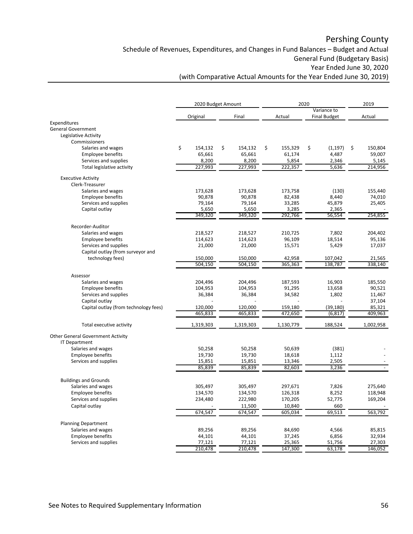Schedule of Revenues, Expenditures, and Changes in Fund Balances – Budget and Actual General Fund (Budgetary Basis) Year Ended June 30, 2020

|                                                   | 2020 Budget Amount |                         | 2020                    |    |                                    |    | 2019              |  |
|---------------------------------------------------|--------------------|-------------------------|-------------------------|----|------------------------------------|----|-------------------|--|
|                                                   | Original           | Final                   | Actual                  |    | Variance to<br><b>Final Budget</b> |    | Actual            |  |
| Expenditures                                      |                    |                         |                         |    |                                    |    |                   |  |
| <b>General Government</b>                         |                    |                         |                         |    |                                    |    |                   |  |
| Legislative Activity                              |                    |                         |                         |    |                                    |    |                   |  |
| Commissioners                                     |                    |                         |                         |    |                                    |    |                   |  |
| Salaries and wages                                | \$<br>154,132      | \$<br>154,132<br>65,661 | \$<br>155,329<br>61,174 | \$ | (1, 197)                           | \$ | 150,804<br>59,007 |  |
| <b>Employee benefits</b><br>Services and supplies | 65,661<br>8,200    | 8,200                   | 5,854                   |    | 4,487<br>2,346                     |    | 5,145             |  |
| Total legislative activity                        | 227,993            | 227,993                 | 222,357                 |    | 5,636                              |    | 214,956           |  |
|                                                   |                    |                         |                         |    |                                    |    |                   |  |
| <b>Executive Activity</b>                         |                    |                         |                         |    |                                    |    |                   |  |
| Clerk-Treasurer                                   |                    |                         |                         |    |                                    |    |                   |  |
| Salaries and wages                                | 173,628            | 173,628                 | 173,758                 |    | (130)                              |    | 155,440           |  |
| <b>Employee benefits</b><br>Services and supplies | 90,878<br>79,164   | 90,878<br>79,164        | 82,438<br>33,285        |    | 8,440<br>45,879                    |    | 74,010<br>25,405  |  |
| Capital outlay                                    | 5,650              | 5,650                   | 3,285                   |    | 2,365                              |    |                   |  |
|                                                   | 349,320            | 349.320                 | 292.766                 |    | 56.554                             |    | 254,855           |  |
|                                                   |                    |                         |                         |    |                                    |    |                   |  |
| Recorder-Auditor                                  |                    |                         |                         |    |                                    |    |                   |  |
| Salaries and wages                                | 218,527            | 218,527                 | 210,725                 |    | 7,802                              |    | 204,402           |  |
| <b>Employee benefits</b><br>Services and supplies | 114,623<br>21,000  | 114,623<br>21,000       | 96,109<br>15,571        |    | 18,514<br>5,429                    |    | 95,136<br>17,037  |  |
| Capital outlay (from surveyor and                 |                    |                         |                         |    |                                    |    |                   |  |
| technology fees)                                  | 150,000            | 150,000                 | 42,958                  |    | 107,042                            |    | 21,565            |  |
|                                                   | 504,150            | 504,150                 | 365,363                 |    | 138,787                            |    | 338,140           |  |
|                                                   |                    |                         |                         |    |                                    |    |                   |  |
| Assessor                                          |                    |                         |                         |    |                                    |    |                   |  |
| Salaries and wages                                | 204,496            | 204,496                 | 187,593                 |    | 16,903                             |    | 185,550           |  |
| <b>Employee benefits</b><br>Services and supplies | 104,953<br>36,384  | 104,953<br>36,384       | 91,295<br>34,582        |    | 13,658                             |    | 90,521<br>11,467  |  |
| Capital outlay                                    |                    |                         |                         |    | 1,802                              |    | 37,104            |  |
| Capital outlay (from technology fees)             | 120,000            | 120,000                 | 159,180                 |    | (39, 180)                          |    | 85,321            |  |
|                                                   | 465,833            | 465,833                 | 472,650                 |    | (6, 817)                           |    | 409,963           |  |
|                                                   |                    |                         |                         |    |                                    |    |                   |  |
| Total executive activity                          | 1,319,303          | 1,319,303               | 1,130,779               |    | 188,524                            |    | 1,002,958         |  |
| Other General Government Activity                 |                    |                         |                         |    |                                    |    |                   |  |
| <b>IT Department</b>                              |                    |                         |                         |    |                                    |    |                   |  |
| Salaries and wages                                | 50,258             | 50,258                  | 50,639                  |    | (381)                              |    |                   |  |
| <b>Employee benefits</b><br>Services and supplies | 19,730<br>15,851   | 19,730<br>15,851        | 18,618<br>13,346        |    | 1,112<br>2,505                     |    |                   |  |
|                                                   | 85,839             | 85,839                  | 82,603                  |    | 3,236                              |    |                   |  |
|                                                   |                    |                         |                         |    |                                    |    |                   |  |
| <b>Buildings and Grounds</b>                      |                    |                         |                         |    |                                    |    |                   |  |
| Salaries and wages                                | 305,497            | 305,497                 | 297,671                 |    | 7,826                              |    | 275,640           |  |
| <b>Employee benefits</b>                          | 134,570            | 134,570                 | 126,318                 |    | 8,252                              |    | 118,948           |  |
| Services and supplies                             | 234,480            | 222,980                 | 170,205                 |    | 52,775                             |    | 169,204           |  |
| Capital outlay                                    |                    | 11,500                  | 10,840                  |    | 660                                |    |                   |  |
|                                                   | 674,547            | 674,547                 | 605,034                 |    | 69,513                             |    | 563,792           |  |
| <b>Planning Department</b>                        |                    |                         |                         |    |                                    |    |                   |  |
| Salaries and wages                                | 89,256             | 89,256                  | 84,690                  |    | 4,566                              |    | 85,815            |  |
| <b>Employee benefits</b>                          | 44,101             | 44,101                  | 37,245                  |    | 6,856                              |    | 32,934            |  |
| Services and supplies                             | 77,121             | 77,121                  | 25,365                  |    | 51,756                             |    | 27,303            |  |
|                                                   | 210,478            | 210,478                 | 147,300                 |    | 63,178                             |    | 146,052           |  |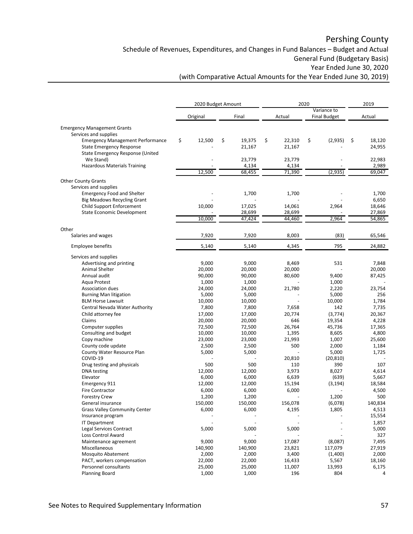Schedule of Revenues, Expenditures, and Changes in Fund Balances – Budget and Actual General Fund (Budgetary Basis) Year Ended June 30, 2020

|                                                           | 2020 Budget Amount |                 | 2020 |         |             |                     |    | 2019          |  |
|-----------------------------------------------------------|--------------------|-----------------|------|---------|-------------|---------------------|----|---------------|--|
|                                                           |                    |                 |      |         | Variance to |                     |    |               |  |
|                                                           | Original           | Final           |      | Actual  |             | <b>Final Budget</b> |    | Actual        |  |
| <b>Emergency Management Grants</b>                        |                    |                 |      |         |             |                     |    |               |  |
| Services and supplies                                     |                    |                 |      |         |             |                     |    |               |  |
| <b>Emergency Management Performance</b>                   | \$<br>12,500       | \$<br>19,375    | \$   | 22,310  | \$          | (2,935)             | \$ | 18,120        |  |
| <b>State Emergency Response</b>                           |                    | 21,167          |      | 21,167  |             |                     |    | 24,955        |  |
| State Emergency Response (United                          |                    |                 |      |         |             |                     |    |               |  |
| We Stand)                                                 |                    | 23,779          |      | 23,779  |             |                     |    | 22,983        |  |
| <b>Hazardous Materials Training</b>                       |                    | 4,134           |      | 4,134   |             |                     |    | 2,989         |  |
|                                                           | 12,500             | 68,455          |      | 71,390  |             | (2, 935)            |    | 69,047        |  |
| <b>Other County Grants</b>                                |                    |                 |      |         |             |                     |    |               |  |
| Services and supplies                                     |                    |                 |      |         |             |                     |    |               |  |
| <b>Emergency Food and Shelter</b>                         |                    | 1,700           |      | 1,700   |             |                     |    | 1,700         |  |
| <b>Big Meadows Recycling Grant</b>                        |                    |                 |      |         |             |                     |    | 6,650         |  |
| <b>Child Support Enforcement</b>                          | 10,000             | 17,025          |      | 14,061  |             | 2,964               |    | 18,646        |  |
| <b>State Economic Development</b>                         |                    | 28,699          |      | 28,699  |             |                     |    | 27,869        |  |
|                                                           | 10,000             | 47,424          |      | 44,460  |             | 2,964               |    | 54,865        |  |
| Other                                                     |                    |                 |      |         |             |                     |    |               |  |
| Salaries and wages                                        | 7,920              | 7,920           |      | 8,003   |             | (83)                |    | 65,546        |  |
| <b>Employee benefits</b>                                  | 5,140              | 5,140           |      | 4,345   |             | 795                 |    | 24,882        |  |
|                                                           |                    |                 |      |         |             |                     |    |               |  |
| Services and supplies                                     |                    |                 |      |         |             |                     |    |               |  |
| Advertising and printing                                  | 9,000              | 9,000           |      | 8,469   |             | 531                 |    | 7,848         |  |
| Animal Shelter                                            | 20,000             | 20,000          |      | 20,000  |             |                     |    | 20,000        |  |
| Annual audit                                              | 90,000             | 90,000          |      | 80,600  |             | 9,400               |    | 87,425        |  |
| Aqua Protest                                              | 1,000              | 1,000           |      |         |             | 1,000               |    |               |  |
| Association dues                                          | 24,000<br>5,000    | 24,000<br>5,000 |      | 21,780  |             | 2,220<br>5,000      |    | 23,754<br>256 |  |
| <b>Burning Man litigation</b><br><b>BLM Horse Lawsuit</b> | 10,000             | 10,000          |      |         |             | 10,000              |    | 1,784         |  |
| Central Nevada Water Authority                            | 7,800              | 7,800           |      | 7,658   |             | 142                 |    | 7,735         |  |
| Child attorney fee                                        | 17,000             | 17,000          |      | 20,774  |             | (3,774)             |    | 20,367        |  |
| Claims                                                    | 20,000             | 20,000          |      | 646     |             | 19,354              |    | 4,228         |  |
| Computer supplies                                         | 72,500             | 72,500          |      | 26,764  |             | 45,736              |    | 17,365        |  |
| Consulting and budget                                     | 10,000             | 10,000          |      | 1,395   |             | 8,605               |    | 4,800         |  |
| Copy machine                                              | 23,000             | 23,000          |      | 21,993  |             | 1,007               |    | 25,600        |  |
| County code update                                        | 2,500              | 2,500           |      | 500     |             | 2,000               |    | 1,184         |  |
| County Water Resource Plan                                | 5,000              | 5,000           |      |         |             | 5,000               |    | 1,725         |  |
| COVID-19                                                  |                    |                 |      | 20,810  |             | (20, 810)           |    |               |  |
| Drug testing and physicals                                | 500                | 500             |      | 110     |             | 390                 |    | 107           |  |
| <b>DNA</b> testing                                        | 12,000             | 12,000          |      | 3,973   |             | 8,027               |    | 4,614         |  |
| Elevator                                                  | 6,000              | 6,000           |      | 6,639   |             | (639)               |    | 5,667         |  |
| Emergency 911                                             | 12,000             | 12,000          |      | 15,194  |             | (3, 194)            |    | 18,584        |  |
| <b>Fire Contractor</b>                                    | 6,000              | 6,000           |      | 6,000   |             |                     |    | 4,500         |  |
| <b>Forestry Crew</b>                                      | 1,200              | 1,200           |      |         |             | 1,200               |    | 500           |  |
| General insurance                                         | 150,000            | 150,000         |      | 156,078 |             | (6,078)             |    | 140,834       |  |
| <b>Grass Valley Community Center</b>                      | 6,000              | 6,000           |      | 4,195   |             | 1,805               |    | 4,513         |  |
| Insurance program                                         |                    |                 |      |         |             |                     |    | 15,554        |  |
| <b>IT Department</b>                                      |                    |                 |      |         |             |                     |    | 1,857         |  |
| Legal Services Contract<br>Loss Control Award             | 5,000              | 5,000           |      | 5,000   |             |                     |    | 5,000<br>327  |  |
| Maintenance agreement                                     | 9,000              | 9,000           |      | 17,087  |             | (8,087)             |    | 7,495         |  |
| Miscellaneous                                             | 140,900            | 140,900         |      | 23,821  |             | 117,079             |    | 27,919        |  |
| Mosquito Abatement                                        | 2,000              | 2,000           |      | 3,400   |             | (1,400)             |    | 2,000         |  |
| PACT, workers compensation                                | 22,000             | 22,000          |      | 16,433  |             | 5,567               |    | 18,160        |  |
| Personnel consultants                                     | 25,000             | 25,000          |      | 11,007  |             | 13,993              |    | 6,175         |  |
| <b>Planning Board</b>                                     | 1,000              | 1,000           |      | 196     |             | 804                 |    | 4             |  |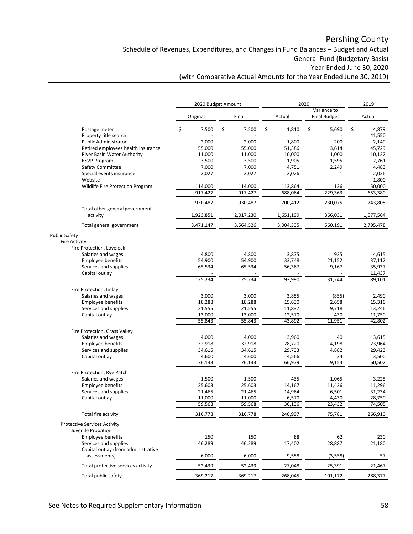Schedule of Revenues, Expenditures, and Changes in Fund Balances – Budget and Actual General Fund (Budgetary Basis) Year Ended June 30, 2020

|                                                           | 2020<br>2020 Budget Amount |             |             | 2019                               |                       |
|-----------------------------------------------------------|----------------------------|-------------|-------------|------------------------------------|-----------------------|
|                                                           | Original                   | Final       | Actual      | Variance to<br><b>Final Budget</b> | Actual                |
| Postage meter<br>Property title search                    | \$<br>7,500                | \$<br>7,500 | \$<br>1,810 | \$<br>5,690                        | \$<br>4,879<br>41,550 |
| <b>Public Administrator</b>                               | 2,000                      | 2,000       | 1,800       | 200                                | 2,149                 |
| Retired employees health insurance                        | 55,000                     | 55,000      | 51,386      | 3,614                              | 45,729                |
| River Basin Water Authority                               | 11,000                     | 11,000      | 10,000      | 1,000                              | 10,122                |
| <b>RSVP Program</b>                                       | 3,500                      | 3,500       | 1,905       | 1,595                              | 2,761                 |
| Safety Committee                                          | 7,000                      | 7,000       | 4,751       | 2,249                              | 4,483                 |
| Special events insurance<br>Website                       | 2,027                      | 2,027       | 2,026       | 1                                  | 2,026<br>1,800        |
| Wildlife Fire Protection Program                          | 114,000                    | 114,000     | 113,864     | 136                                | 50,000                |
|                                                           | 917,427                    | 917,427     | 688,064     | 229,363                            | 653,380               |
|                                                           | 930,487                    | 930,487     | 700,412     | 230,075                            | 743,808               |
| Total other general government<br>activity                | 1,923,851                  | 2,017,230   | 1,651,199   | 366,031                            | 1,577,564             |
| Total general government                                  | 3,471,147                  | 3,564,526   | 3,004,335   | 560,191                            | 2,795,478             |
| <b>Public Safety</b><br><b>Fire Activity</b>              |                            |             |             |                                    |                       |
| Fire Protection, Lovelock                                 |                            |             |             |                                    |                       |
| Salaries and wages                                        | 4,800                      | 4,800       | 3,875       | 925                                | 4,615                 |
| <b>Employee benefits</b>                                  | 54,900                     | 54,900      | 33,748      | 21,152                             | 37,112                |
| Services and supplies                                     | 65,534                     | 65,534      | 56,367      | 9,167                              | 35,937                |
| Capital outlay                                            |                            |             |             |                                    | 11,437                |
|                                                           | 125,234                    | 125,234     | 93,990      | 31,244                             | 89,101                |
| Fire Protection, Imlay                                    |                            |             |             |                                    |                       |
| Salaries and wages                                        | 3,000                      | 3,000       | 3,855       | (855)                              | 2,490                 |
| <b>Employee benefits</b>                                  | 18,288                     | 18,288      | 15,630      | 2,658                              | 15,316                |
| Services and supplies                                     | 21,555                     | 21,555      | 11,837      | 9,718                              | 13,246                |
| Capital outlay                                            | 13,000                     | 13,000      | 12,570      | 430                                | 11,750                |
|                                                           | 55,843                     | 55,843      | 43,892      | 11,951                             | 42,802                |
| Fire Protection, Grass Valley                             |                            |             |             |                                    |                       |
| Salaries and wages                                        | 4,000                      | 4,000       | 3,960       | 40                                 | 3,615                 |
| <b>Employee benefits</b>                                  | 32,918                     | 32,918      | 28,720      | 4,198                              | 23,964                |
| Services and supplies                                     | 34,615                     | 34,615      | 29,733      | 4,882                              | 29,423                |
| Capital outlay                                            | 4,600                      | 4,600       | 4,566       | 34                                 | 3,500                 |
|                                                           | 76,133                     | 76,133      | 66,979      | 9,154                              | 60,502                |
| Fire Protection, Rye Patch                                |                            |             |             |                                    |                       |
| Salaries and wages                                        | 1,500                      | 1,500       | 435         | 1,065                              | 3,225                 |
| <b>Employee benefits</b>                                  | 25,603                     | 25,603      | 14,167      | 11,436                             | 11,296                |
| Services and supplies                                     | 21,465                     | 21,465      | 14,964      | 6,501                              | 31,234                |
| Capital outlay                                            | 11,000                     | 11,000      | 6,570       | 4,430                              | 28,750                |
|                                                           | 59,568                     | 59,568      | 36,136      | 23,432                             | 74,505                |
| Total fire activity                                       | 316,778                    | 316,778     | 240,997     | 75,781                             | 266,910               |
| <b>Protective Services Activity</b><br>Juvenile Probation |                            |             |             |                                    |                       |
| <b>Employee benefits</b>                                  | 150                        | 150         | 88          | 62                                 | 230                   |
| Services and supplies                                     | 46,289                     | 46,289      | 17,402      | 28,887                             | 21,180                |
| Capital outlay (from administrative                       |                            |             |             |                                    |                       |
| assessments)                                              | 6,000                      | 6,000       | 9,558       | (3, 558)                           | 57                    |
| Total protective services activity                        | 52,439                     | 52,439      | 27,048      | 25,391                             | 21,467                |
| Total public safety                                       | 369,217                    | 369,217     | 268,045     | 101,172                            | 288,377               |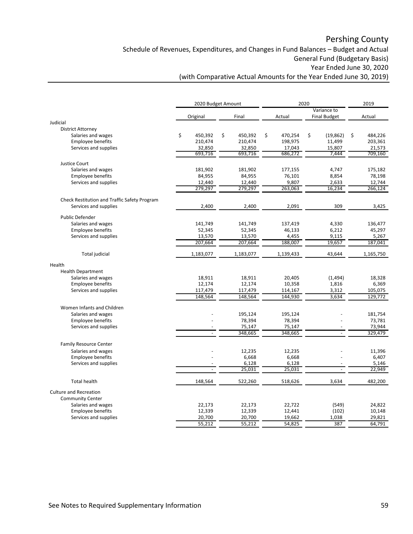Schedule of Revenues, Expenditures, and Changes in Fund Balances – Budget and Actual General Fund (Budgetary Basis) Year Ended June 30, 2020

|                                              | 2020 Budget Amount |               | 2020          |    |                     |    | 2019      |  |
|----------------------------------------------|--------------------|---------------|---------------|----|---------------------|----|-----------|--|
|                                              |                    |               |               |    | Variance to         |    |           |  |
|                                              | Original           | Final         | Actual        |    | <b>Final Budget</b> |    | Actual    |  |
| Judicial                                     |                    |               |               |    |                     |    |           |  |
| <b>District Attorney</b>                     |                    |               |               |    |                     |    |           |  |
| Salaries and wages                           | \$<br>450,392      | \$<br>450,392 | \$<br>470,254 | \$ | (19, 862)           | \$ | 484,226   |  |
| <b>Employee benefits</b>                     | 210,474            | 210,474       | 198,975       |    | 11,499              |    | 203,361   |  |
| Services and supplies                        | 32,850             | 32,850        | 17,043        |    | 15,807              |    | 21,573    |  |
|                                              | 693,716            | 693,716       | 686,272       |    | 7,444               |    | 709,160   |  |
|                                              |                    |               |               |    |                     |    |           |  |
| Justice Court                                |                    |               |               |    |                     |    |           |  |
| Salaries and wages                           | 181,902            | 181,902       | 177,155       |    | 4,747               |    | 175,182   |  |
| <b>Employee benefits</b>                     | 84,955             | 84,955        | 76,101        |    | 8,854               |    | 78,198    |  |
| Services and supplies                        | 12,440             | 12,440        | 9,807         |    | 2,633               |    | 12,744    |  |
|                                              | 279,297            | 279,297       | 263,063       |    | 16,234              |    | 266,124   |  |
| Check Restitution and Traffic Safety Program |                    |               |               |    |                     |    |           |  |
| Services and supplies                        | 2,400              | 2,400         | 2,091         |    | 309                 |    | 3,425     |  |
|                                              |                    |               |               |    |                     |    |           |  |
| Public Defender                              |                    |               |               |    |                     |    |           |  |
| Salaries and wages                           | 141,749            | 141,749       | 137,419       |    | 4,330               |    | 136,477   |  |
| <b>Employee benefits</b>                     | 52,345             | 52,345        | 46,133        |    | 6,212               |    | 45,297    |  |
| Services and supplies                        | 13,570             | 13,570        | 4,455         |    | 9,115               |    | 5,267     |  |
|                                              | 207,664            | 207,664       | 188,007       |    | 19,657              |    | 187,041   |  |
| <b>Total judicial</b>                        | 1,183,077          | 1,183,077     | 1,139,433     |    | 43,644              |    | 1,165,750 |  |
| Health                                       |                    |               |               |    |                     |    |           |  |
| <b>Health Department</b>                     |                    |               |               |    |                     |    |           |  |
| Salaries and wages                           | 18,911             | 18,911        | 20,405        |    | (1, 494)            |    | 18,328    |  |
| <b>Employee benefits</b>                     | 12,174             | 12,174        | 10,358        |    | 1,816               |    | 6,369     |  |
| Services and supplies                        | 117,479            | 117,479       | 114,167       |    | 3,312               |    | 105,075   |  |
|                                              | 148,564            | 148,564       | 144,930       |    | 3,634               |    | 129,772   |  |
|                                              |                    |               |               |    |                     |    |           |  |
| Women Infants and Children                   |                    |               |               |    |                     |    |           |  |
| Salaries and wages                           |                    | 195,124       | 195,124       |    |                     |    | 181,754   |  |
| <b>Employee benefits</b>                     |                    | 78,394        | 78,394        |    |                     |    | 73,781    |  |
| Services and supplies                        |                    | 75,147        | 75,147        |    |                     |    | 73,944    |  |
|                                              | $\overline{a}$     | 348,665       | 348,665       |    |                     |    | 329,479   |  |
| <b>Family Resource Center</b>                |                    |               |               |    |                     |    |           |  |
| Salaries and wages                           |                    | 12,235        | 12,235        |    |                     |    | 11,396    |  |
| <b>Employee benefits</b>                     |                    | 6,668         | 6,668         |    |                     |    | 6,407     |  |
| Services and supplies                        |                    | 6,128         | 6,128         |    |                     |    | 5,146     |  |
|                                              |                    | 25,031        | 25,031        |    | $\sim$              |    | 22,949    |  |
|                                              |                    |               |               |    |                     |    |           |  |
| <b>Total health</b>                          | 148,564            | 522,260       | 518,626       |    | 3,634               |    | 482,200   |  |
| <b>Culture and Recreation</b>                |                    |               |               |    |                     |    |           |  |
| <b>Community Center</b>                      |                    |               |               |    |                     |    |           |  |
| Salaries and wages                           | 22,173             | 22,173        | 22,722        |    | (549)               |    | 24,822    |  |
| <b>Employee benefits</b>                     | 12,339             | 12,339        | 12,441        |    | (102)               |    | 10,148    |  |
| Services and supplies                        | 20,700             | 20,700        | 19,662        |    | 1,038               |    | 29,821    |  |
|                                              | 55,212             | 55,212        | 54,825        |    | 387                 |    | 64,791    |  |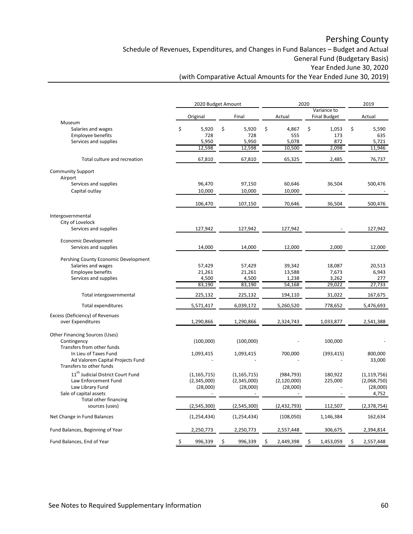Schedule of Revenues, Expenditures, and Changes in Fund Balances – Budget and Actual General Fund (Budgetary Basis) Year Ended June 30, 2020

|                                                 | 2020<br>2020 Budget Amount |               |                 |                     | 2019           |
|-------------------------------------------------|----------------------------|---------------|-----------------|---------------------|----------------|
|                                                 |                            |               |                 | Variance to         |                |
|                                                 | Original                   | Final         | Actual          | <b>Final Budget</b> | Actual         |
| Museum                                          |                            |               |                 |                     |                |
| Salaries and wages                              | \$<br>5,920                | \$<br>5,920   | \$<br>4,867     | \$<br>1,053         | \$<br>5,590    |
| <b>Employee benefits</b>                        | 728                        | 728           | 555             | 173                 | 635            |
| Services and supplies                           | 5,950                      | 5,950         | 5,078           | 872                 | 5,721          |
|                                                 | 12,598                     | 12,598        | 10,500          | 2,098               | 11,946         |
| Total culture and recreation                    | 67,810                     | 67,810        | 65,325          | 2,485               | 76,737         |
| <b>Community Support</b>                        |                            |               |                 |                     |                |
| Airport                                         |                            |               |                 |                     |                |
| Services and supplies                           | 96,470                     | 97,150        | 60,646          | 36,504              | 500,476        |
| Capital outlay                                  | 10,000                     | 10,000        | 10,000          |                     |                |
|                                                 | 106,470                    | 107,150       | 70,646          | 36,504              | 500,476        |
|                                                 |                            |               |                 |                     |                |
| Intergovernmental                               |                            |               |                 |                     |                |
| City of Lovelock                                |                            |               |                 |                     |                |
| Services and supplies                           | 127,942                    | 127,942       | 127,942         |                     | 127,942        |
| <b>Economic Development</b>                     |                            |               |                 |                     |                |
| Services and supplies                           | 14,000                     | 14,000        | 12,000          | 2,000               | 12,000         |
|                                                 |                            |               |                 |                     |                |
| Pershing County Economic Development            |                            |               |                 |                     |                |
| Salaries and wages                              | 57,429                     | 57,429        | 39,342          | 18,087              | 20,513         |
| <b>Employee benefits</b>                        | 21,261                     | 21,261        | 13,588          | 7,673               | 6,943          |
| Services and supplies                           | 4,500                      | 4,500         | 1,238           | 3,262               | 277            |
|                                                 | 83,190                     | 83,190        | 54,168          | 29,022              | 27,733         |
| Total intergovernmental                         | 225,132                    | 225,132       | 194,110         | 31,022              | 167,675        |
| <b>Total expenditures</b>                       | 5,571,417                  | 6,039,172     | 5,260,520       | 778,652             | 5,476,693      |
| Excess (Deficiency) of Revenues                 |                            |               |                 |                     |                |
| over Expenditures                               | 1,290,866                  | 1,290,866     | 2,324,743       | 1,033,877           | 2,541,388      |
| Other Financing Sources (Uses)                  |                            |               |                 |                     |                |
| Contingency                                     | (100,000)                  | (100,000)     |                 | 100,000             |                |
| Transfers from other funds                      |                            |               |                 |                     |                |
| In Lieu of Taxes Fund                           | 1,093,415                  | 1,093,415     | 700,000         | (393, 415)          | 800,000        |
| Ad Valorem Capital Projects Fund                |                            |               |                 |                     | 33,000         |
| Transfers to other funds                        |                            |               |                 |                     |                |
| 11 <sup>th</sup> Judicial District Court Fund   | (1, 165, 715)              |               | (984, 793)      | 180,922             | (1, 119, 756)  |
| Law Enforcement Fund                            |                            | (1, 165, 715) |                 |                     |                |
|                                                 | (2,345,000)                | (2,345,000)   | (2, 120, 000)   | 225,000             | (2,068,750)    |
| Law Library Fund                                | (28,000)                   | (28,000)      | (28,000)        |                     | (28,000)       |
| Sale of capital assets<br>Total other financing |                            |               |                 |                     | 4,752          |
| sources (uses)                                  | (2,545,300)                | (2,545,300)   | (2,432,793)     | 112,507             | (2,378,754)    |
|                                                 |                            |               |                 |                     |                |
| Net Change in Fund Balances                     | (1, 254, 434)              | (1, 254, 434) | (108,050)       | 1,146,384           | 162,634        |
| Fund Balances, Beginning of Year                | 2,250,773                  | 2,250,773     | 2,557,448       | 306,675             | 2,394,814      |
| Fund Balances, End of Year                      | \$<br>996,339              | \$<br>996,339 | Ś.<br>2,449,398 | \$<br>1,453,059     | 2,557,448<br>Ŝ |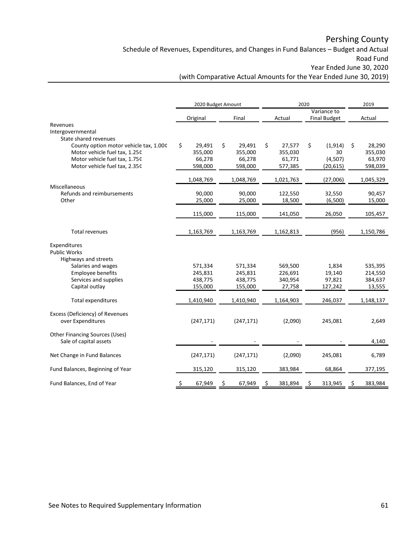Schedule of Revenues, Expenditures, and Changes in Fund Balances – Budget and Actual Road Fund

Year Ended June 30, 2020

| Variance to<br>Final<br>Actual<br><b>Final Budget</b><br>Actual<br>Original<br>Revenues<br>Intergovernmental<br>State shared revenues<br>\$<br>\$<br>\$<br>\$<br>29,491<br>29,491<br>27,577<br>(1, 914)<br>\$<br>28,290<br>County option motor vehicle tax, 1.00¢<br>355,000<br>355,000<br>355,030<br>Motor vehicle fuel tax, 1.25¢<br>30<br>355,030<br>66,278<br>61,771<br>(4,507)<br>63,970<br>Motor vehicle fuel tax, 1.75¢<br>66,278<br>Motor vehicle fuel tax, 2.35¢<br>598,000<br>598,000<br>577,385<br>(20, 615)<br>598,039<br>(27,006)<br>1,048,769<br>1,048,769<br>1,021,763<br>1,045,329<br>Miscellaneous<br>Refunds and reimbursements<br>90,000<br>90,000<br>122,550<br>32,550<br>90,457<br>Other<br>25,000<br>25,000<br>18,500<br>(6,500)<br>15,000<br>115,000<br>115,000<br>141,050<br>26,050<br>105,457<br><b>Total revenues</b><br>(956)<br>1,163,769<br>1,163,769<br>1,162,813<br>1,150,786<br>Expenditures<br><b>Public Works</b><br>Highways and streets<br>Salaries and wages<br>571,334<br>535,395<br>571,334<br>569,500<br>1,834<br>Employee benefits<br>245,831<br>245,831<br>19,140<br>214,550<br>226,691<br>Services and supplies<br>438,775<br>438,775<br>97,821<br>340,954<br>384,637<br>Capital outlay<br>155,000<br>155,000<br>27,758<br>127,242<br>13,555<br>Total expenditures<br>1,410,940<br>246,037<br>1,410,940<br>1,164,903<br>1,148,137<br>Excess (Deficiency) of Revenues<br>over Expenditures<br>(2,090)<br>245,081<br>(247, 171)<br>(247, 171)<br>2,649<br><b>Other Financing Sources (Uses)</b><br>Sale of capital assets<br>4,140<br>Net Change in Fund Balances<br>(247, 171)<br>(247, 171)<br>(2,090)<br>245,081<br>6,789<br>Fund Balances, Beginning of Year<br>315,120<br>315,120<br>383,984<br>377,195<br>68,864<br>Fund Balances, End of Year<br>67,949<br>381,894<br>383,984<br><u>ځ</u><br>67,949<br>313,945 |  | 2020 Budget Amount |  | 2020 |  |  |  | 2019 |  |
|----------------------------------------------------------------------------------------------------------------------------------------------------------------------------------------------------------------------------------------------------------------------------------------------------------------------------------------------------------------------------------------------------------------------------------------------------------------------------------------------------------------------------------------------------------------------------------------------------------------------------------------------------------------------------------------------------------------------------------------------------------------------------------------------------------------------------------------------------------------------------------------------------------------------------------------------------------------------------------------------------------------------------------------------------------------------------------------------------------------------------------------------------------------------------------------------------------------------------------------------------------------------------------------------------------------------------------------------------------------------------------------------------------------------------------------------------------------------------------------------------------------------------------------------------------------------------------------------------------------------------------------------------------------------------------------------------------------------------------------------------------------------------------------------------------------------------------------------------------------|--|--------------------|--|------|--|--|--|------|--|
|                                                                                                                                                                                                                                                                                                                                                                                                                                                                                                                                                                                                                                                                                                                                                                                                                                                                                                                                                                                                                                                                                                                                                                                                                                                                                                                                                                                                                                                                                                                                                                                                                                                                                                                                                                                                                                                                |  |                    |  |      |  |  |  |      |  |
|                                                                                                                                                                                                                                                                                                                                                                                                                                                                                                                                                                                                                                                                                                                                                                                                                                                                                                                                                                                                                                                                                                                                                                                                                                                                                                                                                                                                                                                                                                                                                                                                                                                                                                                                                                                                                                                                |  |                    |  |      |  |  |  |      |  |
|                                                                                                                                                                                                                                                                                                                                                                                                                                                                                                                                                                                                                                                                                                                                                                                                                                                                                                                                                                                                                                                                                                                                                                                                                                                                                                                                                                                                                                                                                                                                                                                                                                                                                                                                                                                                                                                                |  |                    |  |      |  |  |  |      |  |
|                                                                                                                                                                                                                                                                                                                                                                                                                                                                                                                                                                                                                                                                                                                                                                                                                                                                                                                                                                                                                                                                                                                                                                                                                                                                                                                                                                                                                                                                                                                                                                                                                                                                                                                                                                                                                                                                |  |                    |  |      |  |  |  |      |  |
|                                                                                                                                                                                                                                                                                                                                                                                                                                                                                                                                                                                                                                                                                                                                                                                                                                                                                                                                                                                                                                                                                                                                                                                                                                                                                                                                                                                                                                                                                                                                                                                                                                                                                                                                                                                                                                                                |  |                    |  |      |  |  |  |      |  |
|                                                                                                                                                                                                                                                                                                                                                                                                                                                                                                                                                                                                                                                                                                                                                                                                                                                                                                                                                                                                                                                                                                                                                                                                                                                                                                                                                                                                                                                                                                                                                                                                                                                                                                                                                                                                                                                                |  |                    |  |      |  |  |  |      |  |
|                                                                                                                                                                                                                                                                                                                                                                                                                                                                                                                                                                                                                                                                                                                                                                                                                                                                                                                                                                                                                                                                                                                                                                                                                                                                                                                                                                                                                                                                                                                                                                                                                                                                                                                                                                                                                                                                |  |                    |  |      |  |  |  |      |  |
|                                                                                                                                                                                                                                                                                                                                                                                                                                                                                                                                                                                                                                                                                                                                                                                                                                                                                                                                                                                                                                                                                                                                                                                                                                                                                                                                                                                                                                                                                                                                                                                                                                                                                                                                                                                                                                                                |  |                    |  |      |  |  |  |      |  |
|                                                                                                                                                                                                                                                                                                                                                                                                                                                                                                                                                                                                                                                                                                                                                                                                                                                                                                                                                                                                                                                                                                                                                                                                                                                                                                                                                                                                                                                                                                                                                                                                                                                                                                                                                                                                                                                                |  |                    |  |      |  |  |  |      |  |
|                                                                                                                                                                                                                                                                                                                                                                                                                                                                                                                                                                                                                                                                                                                                                                                                                                                                                                                                                                                                                                                                                                                                                                                                                                                                                                                                                                                                                                                                                                                                                                                                                                                                                                                                                                                                                                                                |  |                    |  |      |  |  |  |      |  |
|                                                                                                                                                                                                                                                                                                                                                                                                                                                                                                                                                                                                                                                                                                                                                                                                                                                                                                                                                                                                                                                                                                                                                                                                                                                                                                                                                                                                                                                                                                                                                                                                                                                                                                                                                                                                                                                                |  |                    |  |      |  |  |  |      |  |
|                                                                                                                                                                                                                                                                                                                                                                                                                                                                                                                                                                                                                                                                                                                                                                                                                                                                                                                                                                                                                                                                                                                                                                                                                                                                                                                                                                                                                                                                                                                                                                                                                                                                                                                                                                                                                                                                |  |                    |  |      |  |  |  |      |  |
|                                                                                                                                                                                                                                                                                                                                                                                                                                                                                                                                                                                                                                                                                                                                                                                                                                                                                                                                                                                                                                                                                                                                                                                                                                                                                                                                                                                                                                                                                                                                                                                                                                                                                                                                                                                                                                                                |  |                    |  |      |  |  |  |      |  |
|                                                                                                                                                                                                                                                                                                                                                                                                                                                                                                                                                                                                                                                                                                                                                                                                                                                                                                                                                                                                                                                                                                                                                                                                                                                                                                                                                                                                                                                                                                                                                                                                                                                                                                                                                                                                                                                                |  |                    |  |      |  |  |  |      |  |
|                                                                                                                                                                                                                                                                                                                                                                                                                                                                                                                                                                                                                                                                                                                                                                                                                                                                                                                                                                                                                                                                                                                                                                                                                                                                                                                                                                                                                                                                                                                                                                                                                                                                                                                                                                                                                                                                |  |                    |  |      |  |  |  |      |  |
|                                                                                                                                                                                                                                                                                                                                                                                                                                                                                                                                                                                                                                                                                                                                                                                                                                                                                                                                                                                                                                                                                                                                                                                                                                                                                                                                                                                                                                                                                                                                                                                                                                                                                                                                                                                                                                                                |  |                    |  |      |  |  |  |      |  |
|                                                                                                                                                                                                                                                                                                                                                                                                                                                                                                                                                                                                                                                                                                                                                                                                                                                                                                                                                                                                                                                                                                                                                                                                                                                                                                                                                                                                                                                                                                                                                                                                                                                                                                                                                                                                                                                                |  |                    |  |      |  |  |  |      |  |
|                                                                                                                                                                                                                                                                                                                                                                                                                                                                                                                                                                                                                                                                                                                                                                                                                                                                                                                                                                                                                                                                                                                                                                                                                                                                                                                                                                                                                                                                                                                                                                                                                                                                                                                                                                                                                                                                |  |                    |  |      |  |  |  |      |  |
|                                                                                                                                                                                                                                                                                                                                                                                                                                                                                                                                                                                                                                                                                                                                                                                                                                                                                                                                                                                                                                                                                                                                                                                                                                                                                                                                                                                                                                                                                                                                                                                                                                                                                                                                                                                                                                                                |  |                    |  |      |  |  |  |      |  |
|                                                                                                                                                                                                                                                                                                                                                                                                                                                                                                                                                                                                                                                                                                                                                                                                                                                                                                                                                                                                                                                                                                                                                                                                                                                                                                                                                                                                                                                                                                                                                                                                                                                                                                                                                                                                                                                                |  |                    |  |      |  |  |  |      |  |
|                                                                                                                                                                                                                                                                                                                                                                                                                                                                                                                                                                                                                                                                                                                                                                                                                                                                                                                                                                                                                                                                                                                                                                                                                                                                                                                                                                                                                                                                                                                                                                                                                                                                                                                                                                                                                                                                |  |                    |  |      |  |  |  |      |  |
|                                                                                                                                                                                                                                                                                                                                                                                                                                                                                                                                                                                                                                                                                                                                                                                                                                                                                                                                                                                                                                                                                                                                                                                                                                                                                                                                                                                                                                                                                                                                                                                                                                                                                                                                                                                                                                                                |  |                    |  |      |  |  |  |      |  |
|                                                                                                                                                                                                                                                                                                                                                                                                                                                                                                                                                                                                                                                                                                                                                                                                                                                                                                                                                                                                                                                                                                                                                                                                                                                                                                                                                                                                                                                                                                                                                                                                                                                                                                                                                                                                                                                                |  |                    |  |      |  |  |  |      |  |
|                                                                                                                                                                                                                                                                                                                                                                                                                                                                                                                                                                                                                                                                                                                                                                                                                                                                                                                                                                                                                                                                                                                                                                                                                                                                                                                                                                                                                                                                                                                                                                                                                                                                                                                                                                                                                                                                |  |                    |  |      |  |  |  |      |  |
|                                                                                                                                                                                                                                                                                                                                                                                                                                                                                                                                                                                                                                                                                                                                                                                                                                                                                                                                                                                                                                                                                                                                                                                                                                                                                                                                                                                                                                                                                                                                                                                                                                                                                                                                                                                                                                                                |  |                    |  |      |  |  |  |      |  |
|                                                                                                                                                                                                                                                                                                                                                                                                                                                                                                                                                                                                                                                                                                                                                                                                                                                                                                                                                                                                                                                                                                                                                                                                                                                                                                                                                                                                                                                                                                                                                                                                                                                                                                                                                                                                                                                                |  |                    |  |      |  |  |  |      |  |
|                                                                                                                                                                                                                                                                                                                                                                                                                                                                                                                                                                                                                                                                                                                                                                                                                                                                                                                                                                                                                                                                                                                                                                                                                                                                                                                                                                                                                                                                                                                                                                                                                                                                                                                                                                                                                                                                |  |                    |  |      |  |  |  |      |  |
|                                                                                                                                                                                                                                                                                                                                                                                                                                                                                                                                                                                                                                                                                                                                                                                                                                                                                                                                                                                                                                                                                                                                                                                                                                                                                                                                                                                                                                                                                                                                                                                                                                                                                                                                                                                                                                                                |  |                    |  |      |  |  |  |      |  |
|                                                                                                                                                                                                                                                                                                                                                                                                                                                                                                                                                                                                                                                                                                                                                                                                                                                                                                                                                                                                                                                                                                                                                                                                                                                                                                                                                                                                                                                                                                                                                                                                                                                                                                                                                                                                                                                                |  |                    |  |      |  |  |  |      |  |
|                                                                                                                                                                                                                                                                                                                                                                                                                                                                                                                                                                                                                                                                                                                                                                                                                                                                                                                                                                                                                                                                                                                                                                                                                                                                                                                                                                                                                                                                                                                                                                                                                                                                                                                                                                                                                                                                |  |                    |  |      |  |  |  |      |  |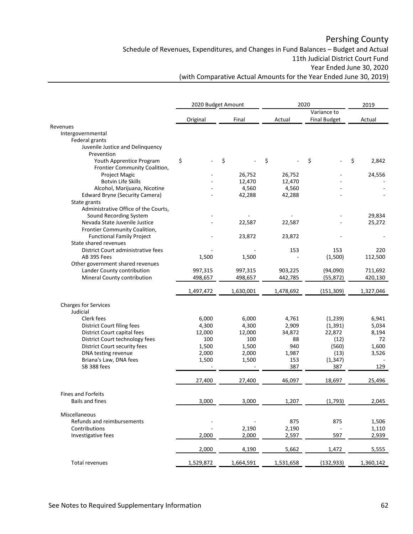Schedule of Revenues, Expenditures, and Changes in Fund Balances – Budget and Actual 11th Judicial District Court Fund Year Ended June 30, 2020

|                                       | 2020 Budget Amount |           | 2020      | 2019                |             |
|---------------------------------------|--------------------|-----------|-----------|---------------------|-------------|
|                                       |                    |           |           | Variance to         |             |
|                                       | Original           | Final     | Actual    | <b>Final Budget</b> | Actual      |
| Revenues                              |                    |           |           |                     |             |
| Intergovernmental                     |                    |           |           |                     |             |
| Federal grants                        |                    |           |           |                     |             |
| Juvenile Justice and Delinquency      |                    |           |           |                     |             |
| Prevention                            |                    |           |           |                     |             |
| Youth Apprentice Program              | \$                 | \$        | \$        | \$                  | \$<br>2,842 |
| Frontier Community Coalition,         |                    |           |           |                     |             |
| Project Magic                         |                    | 26,752    | 26,752    |                     | 24,556      |
| <b>Botvin Life Skills</b>             |                    | 12,470    | 12,470    |                     |             |
| Alcohol, Marijuana, Nicotine          |                    | 4,560     | 4,560     |                     |             |
| <b>Edward Bryne (Security Camera)</b> |                    | 42,288    | 42,288    |                     |             |
| State grants                          |                    |           |           |                     |             |
| Administrative Office of the Courts,  |                    |           |           |                     |             |
| Sound Recording System                |                    |           |           |                     | 29,834      |
| Nevada State Juvenile Justice         |                    | 22,587    | 22,587    |                     | 25,272      |
| Frontier Community Coalition,         |                    |           |           |                     |             |
|                                       |                    |           |           |                     |             |
| <b>Functional Family Project</b>      |                    | 23,872    | 23,872    |                     |             |
| State shared revenues                 |                    |           |           |                     |             |
| District Court administrative fees    |                    |           | 153       | 153                 | 220         |
| AB 395 Fees                           | 1,500              | 1,500     |           | (1,500)             | 112,500     |
| Other government shared revenues      |                    |           |           |                     |             |
| Lander County contribution            | 997,315            | 997,315   | 903,225   | (94,090)            | 711,692     |
| Mineral County contribution           | 498,657            | 498,657   | 442,785   | (55, 872)           | 420,130     |
|                                       | 1,497,472          | 1,630,001 | 1,478,692 | (151, 309)          | 1,327,046   |
|                                       |                    |           |           |                     |             |
| <b>Charges for Services</b>           |                    |           |           |                     |             |
| Judicial                              |                    |           |           |                     |             |
| Clerk fees                            | 6,000              | 6,000     | 4,761     | (1,239)             | 6,941       |
| District Court filing fees            | 4,300              | 4,300     | 2,909     | (1, 391)            | 5,034       |
| District Court capital fees           | 12,000             | 12,000    | 34,872    | 22,872              | 8,194       |
| District Court technology fees        | 100                | 100       | 88        | (12)                | 72          |
| District Court security fees          | 1,500              | 1,500     | 940       | (560)               | 1,600       |
| DNA testing revenue                   | 2,000              | 2,000     | 1,987     | (13)                | 3,526       |
| Briana's Law, DNA fees                | 1,500              | 1,500     | 153       | (1, 347)            |             |
| SB 388 fees                           |                    |           | 387       | 387                 | 129         |
|                                       |                    |           |           |                     |             |
|                                       | 27,400             | 27,400    | 46,097    | 18,697              | 25,496      |
| <b>Fines and Forfeits</b>             |                    |           |           |                     |             |
| Bails and fines                       | 3,000              | 3,000     | 1,207     | (1,793)             | 2,045       |
|                                       |                    |           |           |                     |             |
| Miscellaneous                         |                    |           |           |                     |             |
| Refunds and reimbursements            |                    |           | 875       | 875                 | 1,506       |
| Contributions                         |                    | 2,190     | 2,190     |                     | 1,110       |
| Investigative fees                    | 2,000              | 2,000     | 2,597     | 597                 | 2,939       |
|                                       |                    |           |           |                     |             |
|                                       | 2,000              | 4,190     | 5,662     | 1,472               | 5,555       |
|                                       |                    |           |           |                     |             |
| <b>Total revenues</b>                 | 1,529,872          | 1,664,591 | 1,531,658 | (132, 933)          | 1,360,142   |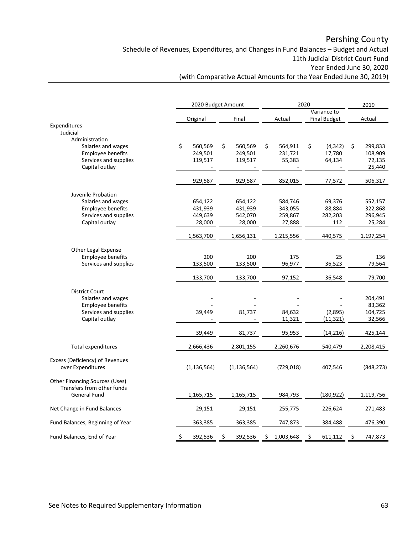Schedule of Revenues, Expenditures, and Changes in Fund Balances – Budget and Actual 11th Judicial District Court Fund Year Ended June 30, 2020

|                                         |                   | 2020 Budget Amount | 2020            | 2019                               |                  |
|-----------------------------------------|-------------------|--------------------|-----------------|------------------------------------|------------------|
|                                         | Original          | Final              | Actual          | Variance to<br><b>Final Budget</b> | Actual           |
| Expenditures                            |                   |                    |                 |                                    |                  |
| Judicial                                |                   |                    |                 |                                    |                  |
| Administration                          |                   |                    |                 |                                    |                  |
| Salaries and wages                      | \$<br>560,569     | \$<br>560,569      | \$<br>564,911   | \$<br>(4, 342)                     | \$<br>299,833    |
| Employee benefits                       | 249,501           | 249,501            | 231,721         | 17,780                             | 108,909          |
| Services and supplies<br>Capital outlay | 119,517           | 119,517            | 55,383          | 64,134                             | 72,135<br>25,440 |
|                                         |                   |                    |                 |                                    |                  |
|                                         | 929,587           | 929,587            | 852,015         | 77,572                             | 506,317          |
| Juvenile Probation                      |                   |                    |                 |                                    |                  |
| Salaries and wages                      | 654,122           | 654,122            | 584,746         | 69,376                             | 552,157          |
| <b>Employee benefits</b>                | 431,939           | 431,939            | 343,055         | 88,884                             | 322,868          |
| Services and supplies<br>Capital outlay | 449,639<br>28,000 | 542,070<br>28,000  | 259,867         | 282,203<br>112                     | 296,945          |
|                                         |                   |                    | 27,888          |                                    | 25,284           |
|                                         | 1,563,700         | 1,656,131          | 1,215,556       | 440,575                            | 1,197,254        |
| Other Legal Expense                     |                   |                    |                 |                                    |                  |
| <b>Employee benefits</b>                | 200               | 200                | 175             | 25                                 | 136              |
| Services and supplies                   | 133,500           | 133,500            | 96,977          | 36,523                             | 79,564           |
|                                         | 133,700           | 133,700            | 97,152          | 36,548                             | 79,700           |
| <b>District Court</b>                   |                   |                    |                 |                                    |                  |
| Salaries and wages                      |                   |                    |                 |                                    | 204,491          |
| <b>Employee benefits</b>                |                   |                    |                 |                                    | 83,362           |
| Services and supplies                   | 39,449            | 81,737             | 84,632          | (2,895)                            | 104,725          |
| Capital outlay                          |                   |                    | 11,321          | (11, 321)                          | 32,566           |
|                                         | 39,449            | 81,737             | 95,953          | (14, 216)                          | 425,144          |
| Total expenditures                      | 2,666,436         | 2,801,155          | 2,260,676       | 540,479                            | 2,208,415        |
| Excess (Deficiency) of Revenues         |                   |                    |                 |                                    |                  |
| over Expenditures                       | (1, 136, 564)     | (1, 136, 564)      | (729, 018)      | 407,546                            | (848, 273)       |
| Other Financing Sources (Uses)          |                   |                    |                 |                                    |                  |
| Transfers from other funds              |                   |                    |                 |                                    |                  |
| <b>General Fund</b>                     | 1,165,715         | 1,165,715          | 984,793         | (180, 922)                         | 1,119,756        |
| Net Change in Fund Balances             | 29,151            | 29,151             | 255,775         | 226,624                            | 271,483          |
| Fund Balances, Beginning of Year        | 363,385           | 363,385            | 747,873         | 384,488                            | 476,390          |
| Fund Balances, End of Year              | \$.<br>392,536    | 392,536<br>\$      | 1,003,648<br>\$ | 611,112<br>\$                      | 747,873<br>\$    |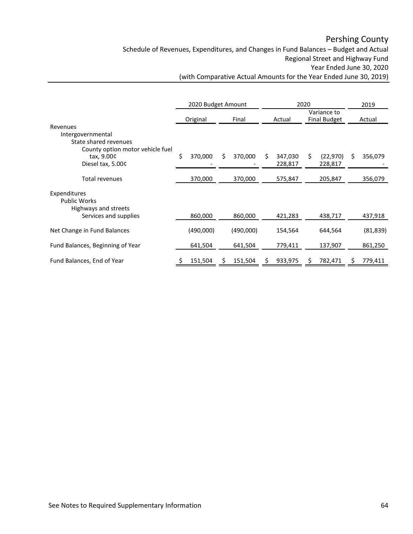Schedule of Revenues, Expenditures, and Changes in Fund Balances – Budget and Actual Regional Street and Highway Fund Year Ended June 30, 2020

|                                                                                            | 2020 Budget Amount                                                |           |    |           | 2020 |                    |    |                      | 2019 |           |
|--------------------------------------------------------------------------------------------|-------------------------------------------------------------------|-----------|----|-----------|------|--------------------|----|----------------------|------|-----------|
|                                                                                            | Variance to<br><b>Final Budget</b><br>Original<br>Final<br>Actual |           |    | Actual    |      |                    |    |                      |      |           |
| Revenues<br>Intergovernmental<br>State shared revenues<br>County option motor vehicle fuel |                                                                   |           |    |           |      |                    |    |                      |      |           |
| tax, 9.00¢<br>Diesel tax, 5.00¢                                                            | \$                                                                | 370,000   | \$ | 370,000   | \$   | 347,030<br>228,817 | Ś. | (22, 970)<br>228,817 | S.   | 356,079   |
| Total revenues                                                                             |                                                                   | 370,000   |    | 370,000   |      | 575,847            |    | 205,847              |      | 356,079   |
| Expenditures<br><b>Public Works</b>                                                        |                                                                   |           |    |           |      |                    |    |                      |      |           |
| Highways and streets<br>Services and supplies                                              |                                                                   | 860,000   |    | 860,000   |      | 421,283            |    | 438,717              |      | 437,918   |
| Net Change in Fund Balances                                                                |                                                                   | (490,000) |    | (490,000) |      | 154,564            |    | 644,564              |      | (81, 839) |
| Fund Balances, Beginning of Year                                                           |                                                                   | 641,504   |    | 641,504   |      | 779,411            |    | 137,907              |      | 861,250   |
| Fund Balances, End of Year                                                                 | \$.                                                               | 151,504   | S  | 151,504   | S    | 933,975            |    | 782,471              | S    | 779,411   |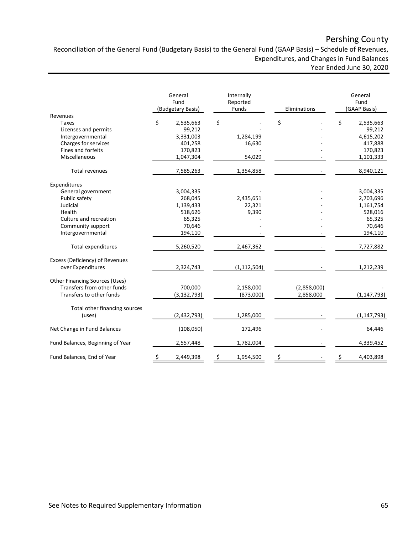Reconciliation of the General Fund (Budgetary Basis) to the General Fund (GAAP Basis) – Schedule of Revenues, Expenditures, and Changes in Fund Balances Year Ended June 30, 2020

|                                       | General<br>Fund<br>(Budgetary Basis) |               | Internally<br>Reported<br>Funds | Eliminations | General<br>Fund<br>(GAAP Basis) |               |  |
|---------------------------------------|--------------------------------------|---------------|---------------------------------|--------------|---------------------------------|---------------|--|
| Revenues<br>Taxes                     | \$                                   | 2,535,663     | \$                              | \$           | \$                              | 2,535,663     |  |
| Licenses and permits                  |                                      | 99,212        |                                 |              |                                 | 99,212        |  |
| Intergovernmental                     |                                      | 3,331,003     | 1,284,199                       |              |                                 | 4,615,202     |  |
| Charges for services                  |                                      | 401,258       | 16,630                          |              |                                 | 417,888       |  |
| Fines and forfeits                    |                                      | 170,823       |                                 |              |                                 | 170,823       |  |
| Miscellaneous                         |                                      | 1,047,304     | 54,029                          |              |                                 | 1,101,333     |  |
| <b>Total revenues</b>                 |                                      | 7,585,263     | 1,354,858                       |              |                                 | 8,940,121     |  |
| Expenditures                          |                                      |               |                                 |              |                                 |               |  |
| General government                    |                                      | 3,004,335     |                                 |              |                                 | 3,004,335     |  |
| Public safety                         |                                      | 268,045       | 2,435,651                       |              |                                 | 2,703,696     |  |
| Judicial                              |                                      | 1,139,433     | 22,321                          |              |                                 | 1,161,754     |  |
| Health                                |                                      | 518,626       | 9,390                           |              |                                 | 528,016       |  |
| Culture and recreation                |                                      | 65,325        |                                 |              |                                 | 65,325        |  |
| Community support                     |                                      | 70,646        |                                 |              |                                 | 70,646        |  |
| Intergovernmental                     |                                      | 194,110       |                                 |              |                                 | 194,110       |  |
| Total expenditures                    |                                      | 5,260,520     | 2,467,362                       |              |                                 | 7,727,882     |  |
| Excess (Deficiency) of Revenues       |                                      |               |                                 |              |                                 |               |  |
| over Expenditures                     |                                      | 2,324,743     | (1, 112, 504)                   |              |                                 | 1,212,239     |  |
| <b>Other Financing Sources (Uses)</b> |                                      |               |                                 |              |                                 |               |  |
| Transfers from other funds            |                                      | 700,000       | 2,158,000                       | (2,858,000)  |                                 |               |  |
| Transfers to other funds              |                                      | (3, 132, 793) | (873,000)                       | 2,858,000    |                                 | (1, 147, 793) |  |
| Total other financing sources         |                                      |               |                                 |              |                                 |               |  |
| (uses)                                |                                      | (2,432,793)   | 1,285,000                       |              |                                 | (1, 147, 793) |  |
| Net Change in Fund Balances           |                                      | (108, 050)    | 172,496                         |              |                                 | 64,446        |  |
| Fund Balances, Beginning of Year      |                                      | 2,557,448     | 1,782,004                       |              |                                 | 4,339,452     |  |
| Fund Balances, End of Year            | \$                                   | 2,449,398     | \$<br>1,954,500                 | \$           | Ş                               | 4,403,898     |  |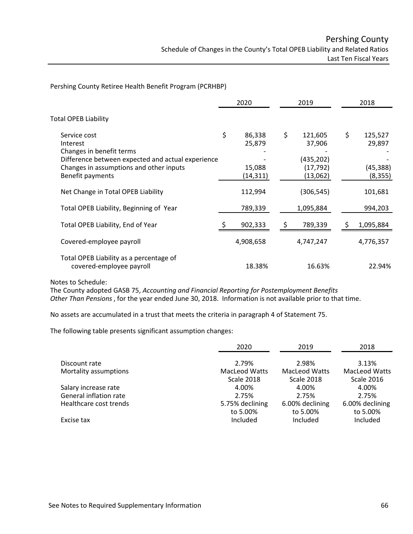Pershing County Retiree Health Benefit Program (PCRHBP)

|                                                                                                                  | 2020                   |    | 2019                               |    |  | 2018                  |  |
|------------------------------------------------------------------------------------------------------------------|------------------------|----|------------------------------------|----|--|-----------------------|--|
| Total OPEB Liability                                                                                             |                        |    |                                    |    |  |                       |  |
| Service cost<br>Interest<br>Changes in benefit terms                                                             | \$<br>86,338<br>25,879 | \$ | 121,605<br>37,906                  | \$ |  | 125,527<br>29,897     |  |
| Difference between expected and actual experience<br>Changes in assumptions and other inputs<br>Benefit payments | 15,088<br>(14, 311)    |    | (435, 202)<br>(17,792)<br>(13,062) |    |  | (45, 388)<br>(8, 355) |  |
| Net Change in Total OPEB Liability                                                                               | 112,994                |    | (306, 545)                         |    |  | 101,681               |  |
| Total OPEB Liability, Beginning of Year                                                                          | 789,339                |    | 1,095,884                          |    |  | 994,203               |  |
| Total OPEB Liability, End of Year                                                                                | 902,333                |    | 789,339                            |    |  | 1,095,884             |  |
| Covered-employee payroll                                                                                         | 4,908,658              |    | 4,747,247                          |    |  | 4,776,357             |  |
| Total OPEB Liability as a percentage of<br>covered-employee payroll                                              | 18.38%                 |    | 16.63%                             |    |  | 22.94%                |  |

Notes to Schedule:

The County adopted GASB 75, *Accounting and Financial Reporting for Postemployment Benefits Other Than Pensions*, for the year ended June 30, 2018. Information is not available prior to that time.

No assets are accumulated in a trust that meets the criteria in paragraph 4 of Statement 75.

The following table presents significant assumption changes:

|                        | 2020                 | 2019                 | 2018                 |  |
|------------------------|----------------------|----------------------|----------------------|--|
| Discount rate          | 2.79%                | 2.98%                | 3.13%                |  |
| Mortality assumptions  | <b>MacLeod Watts</b> | <b>MacLeod Watts</b> | <b>MacLeod Watts</b> |  |
|                        | <b>Scale 2018</b>    | <b>Scale 2018</b>    | <b>Scale 2016</b>    |  |
| Salary increase rate   | 4.00%                | 4.00%                | 4.00%                |  |
| General inflation rate | 2.75%                | 2.75%                | 2.75%                |  |
| Healthcare cost trends | 5.75% declining      | 6.00% declining      | 6.00% declining      |  |
|                        | to 5.00%             | to 5.00%             | to 5.00%             |  |
| Excise tax             | Included             | Included             | Included             |  |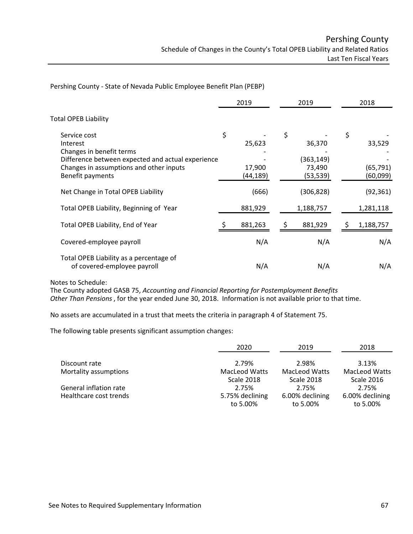Pershing County - State of Nevada Public Employee Benefit Plan (PEBP)

|                                                                                                           | 2019               |    | 2019                 | 2018                      |
|-----------------------------------------------------------------------------------------------------------|--------------------|----|----------------------|---------------------------|
| Total OPEB Liability                                                                                      |                    |    |                      |                           |
| Service cost<br>Interest<br>Changes in benefit terms<br>Difference between expected and actual experience | \$<br>25,623       | \$ | 36,370<br>(363, 149) | \$<br>33,529<br>(65, 791) |
| Changes in assumptions and other inputs<br>Benefit payments                                               | 17,900<br>(44,189) |    | 73,490<br>(53,539)   | (60,099)                  |
| Net Change in Total OPEB Liability                                                                        | (666)              |    | (306, 828)           | (92, 361)                 |
| Total OPEB Liability, Beginning of Year                                                                   | 881,929            |    | 1,188,757            | 1,281,118                 |
| Total OPEB Liability, End of Year                                                                         | 881,263            |    | 881,929              | 1,188,757                 |
| Covered-employee payroll                                                                                  | N/A                |    | N/A                  | N/A                       |
| Total OPEB Liability as a percentage of<br>of covered-employee payroll                                    | N/A                |    | N/A                  | N/A                       |

Notes to Schedule:

The County adopted GASB 75, *Accounting and Financial Reporting for Postemployment Benefits Other Than Pensions*, for the year ended June 30, 2018. Information is not available prior to that time.

No assets are accumulated in a trust that meets the criteria in paragraph 4 of Statement 75.

The following table presents significant assumption changes:

|                        | 2020                        | 2019                        | 2018                        |
|------------------------|-----------------------------|-----------------------------|-----------------------------|
| Discount rate          | 2.79%                       | 2.98%                       | 3.13%                       |
| Mortality assumptions  | MacLeod Watts               | <b>MacLeod Watts</b>        | <b>MacLeod Watts</b>        |
|                        | <b>Scale 2018</b>           | <b>Scale 2018</b>           | <b>Scale 2016</b>           |
| General inflation rate | 2.75%                       | 2.75%                       | 2.75%                       |
| Healthcare cost trends | 5.75% declining<br>to 5.00% | 6.00% declining<br>to 5.00% | 6.00% declining<br>to 5.00% |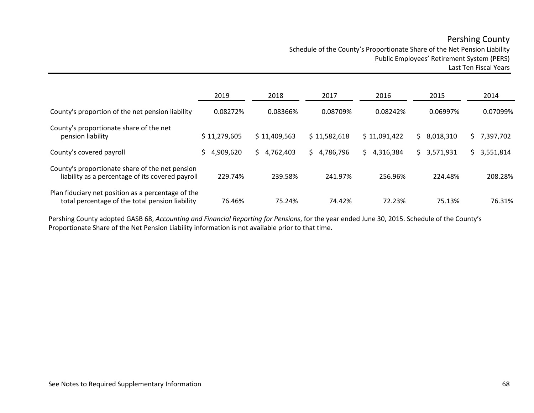Schedule of the County's Proportionate Share of the Net Pension Liability

Public Employees' Retirement System (PERS) Last Ten Fiscal Years

|                                                                                                       | 2019            | 2018            | 2017            | 2016            | 2015            | 2014            |
|-------------------------------------------------------------------------------------------------------|-----------------|-----------------|-----------------|-----------------|-----------------|-----------------|
| County's proportion of the net pension liability                                                      | 0.08272%        | 0.08366%        | 0.08709%        | 0.08242%        | 0.06997%        | 0.07099%        |
| County's proportionate share of the net<br>pension liability                                          | \$11,279,605    | \$11,409,563    | \$11,582,618    | \$11,091,422    | 8,018,310<br>S  | 7,397,702<br>S. |
| County's covered payroll                                                                              | 4,909,620<br>S. | 4,762,403<br>S. | 4,786,796<br>S. | 4,316,384<br>S. | 3,571,931<br>Ś. | 3,551,814<br>S. |
| County's proportionate share of the net pension<br>liability as a percentage of its covered payroll   | 229.74%         | 239.58%         | 241.97%         | 256.96%         | 224.48%         | 208.28%         |
| Plan fiduciary net position as a percentage of the<br>total percentage of the total pension liability | 76.46%          | 75.24%          | 74.42%          | 72.23%          | 75.13%          | 76.31%          |

Pershing County adopted GASB 68, *Accounting and Financial Reporting for Pensions*, for the year ended June 30, 2015. Schedule of the County's Proportionate Share of the Net Pension Liability information is not available prior to that time.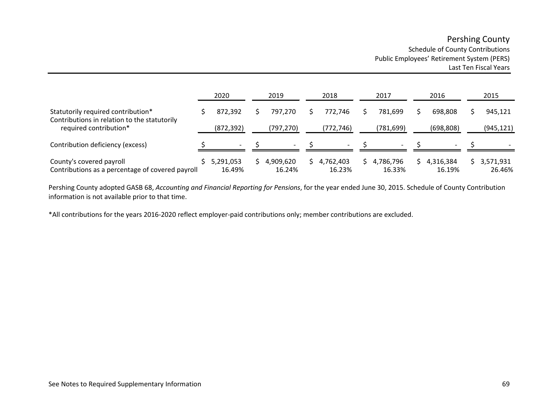Schedule of County Contributions Public Employees' Retirement System (PERS)

Last Ten Fiscal Years

|                                                                                    | 2020 |                          | 2019 |                          | 2018 |                     |  | 2017                     | 2016                | 2015                |
|------------------------------------------------------------------------------------|------|--------------------------|------|--------------------------|------|---------------------|--|--------------------------|---------------------|---------------------|
| Statutorily required contribution*<br>Contributions in relation to the statutorily |      | 872,392                  |      | 797.270                  |      | 772.746             |  | 781.699                  | 698,808             | 945.121             |
| required contribution*                                                             |      | (872, 392)               |      | (797,270)                |      | (772, 746)          |  | (781,699)                | (698, 808)          | (945, 121)          |
| Contribution deficiency (excess)                                                   |      | $\overline{\phantom{0}}$ |      | $\overline{\phantom{0}}$ |      |                     |  | $\overline{\phantom{a}}$ | $\sim$              |                     |
| County's covered payroll<br>Contributions as a percentage of covered payroll       |      | 5,291,053<br>16.49%      |      | 4,909,620<br>16.24%      |      | 4,762,403<br>16.23% |  | 4,786,796<br>16.33%      | 4,316,384<br>16.19% | 3,571,931<br>26.46% |

Pershing County adopted GASB 68, *Accounting and Financial Reporting for Pensions*, for the year ended June 30, 2015. Schedule of County Contribution information is not available prior to that time.

\*All contributions for the years 2016-2020 reflect employer-paid contributions only; member contributions are excluded.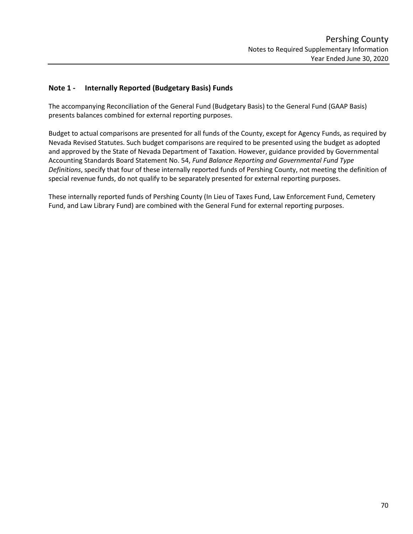#### **Note 1 - Internally Reported (Budgetary Basis) Funds**

The accompanying Reconciliation of the General Fund (Budgetary Basis) to the General Fund (GAAP Basis) presents balances combined for external reporting purposes.

Budget to actual comparisons are presented for all funds of the County, except for Agency Funds, as required by Nevada Revised Statutes. Such budget comparisons are required to be presented using the budget as adopted and approved by the State of Nevada Department of Taxation. However, guidance provided by Governmental Accounting Standards Board Statement No. 54, *Fund Balance Reporting and Governmental Fund Type Definitions*, specify that four of these internally reported funds of Pershing County, not meeting the definition of special revenue funds, do not qualify to be separately presented for external reporting purposes.

These internally reported funds of Pershing County (In Lieu of Taxes Fund, Law Enforcement Fund, Cemetery Fund, and Law Library Fund) are combined with the General Fund for external reporting purposes.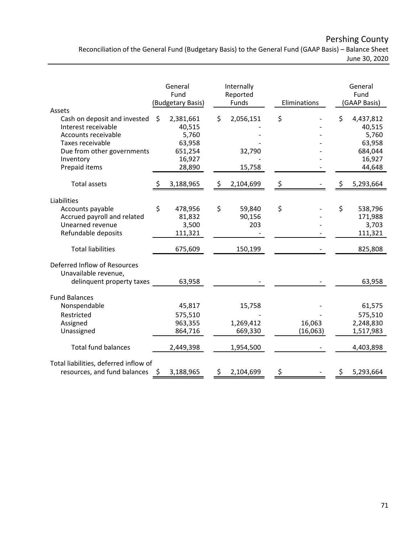Reconciliation of the General Fund (Budgetary Basis) to the General Fund (GAAP Basis) – Balance Sheet June 30, 2020

|                                                                                                                                                                                                                            | General<br>Fund<br>(Budgetary Basis) |                                                                       |     | Internally<br>Reported<br>Funds             | Eliminations       | General<br>Fund<br>(GAAP Basis)                                             |
|----------------------------------------------------------------------------------------------------------------------------------------------------------------------------------------------------------------------------|--------------------------------------|-----------------------------------------------------------------------|-----|---------------------------------------------|--------------------|-----------------------------------------------------------------------------|
| Assets<br>Cash on deposit and invested<br>Interest receivable<br>Accounts receivable<br>Taxes receivable<br>Due from other governments<br>Inventory<br>Prepaid items                                                       | \$                                   | 2,381,661<br>40,515<br>5,760<br>63,958<br>651,254<br>16,927<br>28,890 | \$  | 2,056,151<br>32,790<br>15,758               | \$                 | \$<br>4,437,812<br>40,515<br>5,760<br>63,958<br>684,044<br>16,927<br>44,648 |
| <b>Total assets</b>                                                                                                                                                                                                        | \$                                   | 3,188,965                                                             | \$  | 2,104,699                                   | \$                 | \$<br>5,293,664                                                             |
| Liabilities<br>Accounts payable<br>Accrued payroll and related<br>Unearned revenue<br>Refundable deposits<br><b>Total liabilities</b><br>Deferred Inflow of Resources<br>Unavailable revenue,<br>delinquent property taxes | \$                                   | 478,956<br>81,832<br>3,500<br>111,321<br>675,609<br>63,958            | \$  | 59,840<br>90,156<br>203<br>150,199          | \$                 | \$<br>538,796<br>171,988<br>3,703<br>111,321<br>825,808<br>63,958           |
| <b>Fund Balances</b><br>Nonspendable<br>Restricted<br>Assigned<br>Unassigned<br><b>Total fund balances</b>                                                                                                                 |                                      | 45,817<br>575,510<br>963,355<br>864,716<br>2,449,398                  |     | 15,758<br>1,269,412<br>669,330<br>1,954,500 | 16,063<br>(16,063) | 61,575<br>575,510<br>2,248,830<br>1,517,983<br>4,403,898                    |
| Total liabilities, deferred inflow of<br>resources, and fund balances                                                                                                                                                      | \$                                   | 3,188,965                                                             | \$. | 2,104,699                                   | \$                 | \$<br>5,293,664                                                             |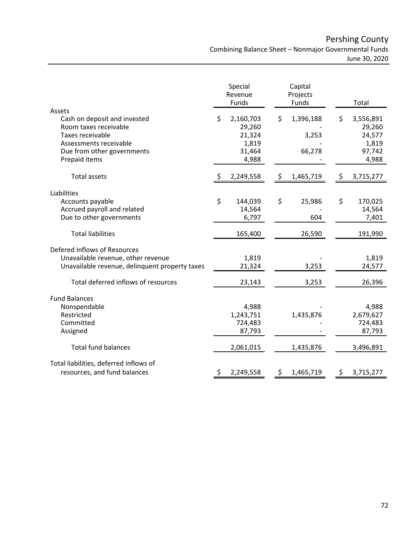Pershing County Combining Balance Sheet – Nonmajor Governmental Funds

June 30, 2020

|                                                                                                                                                              | Special<br>Revenue<br><b>Funds</b>                              | Capital<br>Projects<br>Funds       | Total                                                           |
|--------------------------------------------------------------------------------------------------------------------------------------------------------------|-----------------------------------------------------------------|------------------------------------|-----------------------------------------------------------------|
| Assets<br>Cash on deposit and invested<br>Room taxes receivable<br>Taxes receivable<br>Assessments receivable<br>Due from other governments<br>Prepaid items | \$<br>2,160,703<br>29,260<br>21,324<br>1,819<br>31,464<br>4,988 | \$<br>1,396,188<br>3,253<br>66,278 | \$<br>3,556,891<br>29,260<br>24,577<br>1,819<br>97,742<br>4,988 |
| <b>Total assets</b>                                                                                                                                          | 2,249,558                                                       | 1,465,719<br>\$.                   | 3,715,277<br>Ş.                                                 |
| Liabilities<br>Accounts payable<br>Accrued payroll and related<br>Due to other governments<br><b>Total liabilities</b>                                       | \$<br>144,039<br>14,564<br>6,797<br>165,400                     | \$<br>25,986<br>604<br>26,590      | \$<br>170,025<br>14,564<br>7,401<br>191,990                     |
| Defered Inflows of Resources<br>Unavailable revenue, other revenue<br>Unavailable revenue, delinquent property taxes                                         | 1,819<br>21,324                                                 | 3,253                              | 1,819<br>24,577                                                 |
| Total deferred inflows of resources                                                                                                                          | 23,143                                                          | 3,253                              | 26,396                                                          |
| <b>Fund Balances</b><br>Nonspendable<br>Restricted<br>Committed<br>Assigned<br><b>Total fund balances</b>                                                    | 4,988<br>1,243,751<br>724,483<br>87,793<br>2,061,015            | 1,435,876<br>1,435,876             | 4,988<br>2,679,627<br>724,483<br>87,793<br>3,496,891            |
| Total liabilities, deferred inflows of<br>resources, and fund balances                                                                                       | 2,249,558<br>Ş.                                                 | 1,465,719<br>\$                    | 3,715,277<br>\$.                                                |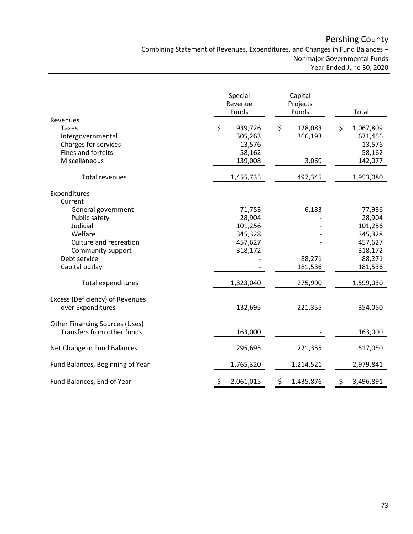#### Combining Statement of Revenues, Expenditures, and Changes in Fund Balances – Nonmajor Governmental Funds Year Ended June 30, 2020

|                                                                                                                                                                   | Special<br>Revenue<br>Funds                                               | Capital<br>Projects<br>Funds          | Total                                                                                          |
|-------------------------------------------------------------------------------------------------------------------------------------------------------------------|---------------------------------------------------------------------------|---------------------------------------|------------------------------------------------------------------------------------------------|
| Revenues<br><b>Taxes</b><br>Intergovernmental<br>Charges for services<br>Fines and forfeits<br>Miscellaneous                                                      | \$<br>939,726<br>305,263<br>13,576<br>58,162<br>139,008                   | \$<br>128,083<br>366,193<br>3,069     | \$<br>1,067,809<br>671,456<br>13,576<br>58,162<br>142,077                                      |
| <b>Total revenues</b>                                                                                                                                             | 1,455,735                                                                 | 497,345                               | 1,953,080                                                                                      |
| Expenditures<br>Current                                                                                                                                           |                                                                           |                                       |                                                                                                |
| General government<br>Public safety<br>Judicial<br>Welfare<br>Culture and recreation<br>Community support<br>Debt service<br>Capital outlay<br>Total expenditures | 71,753<br>28,904<br>101,256<br>345,328<br>457,627<br>318,172<br>1,323,040 | 6,183<br>88,271<br>181,536<br>275,990 | 77,936<br>28,904<br>101,256<br>345,328<br>457,627<br>318,172<br>88,271<br>181,536<br>1,599,030 |
| Excess (Deficiency) of Revenues<br>over Expenditures                                                                                                              | 132,695                                                                   | 221,355                               | 354,050                                                                                        |
| <b>Other Financing Sources (Uses)</b><br>Transfers from other funds                                                                                               | 163,000                                                                   |                                       | 163,000                                                                                        |
| Net Change in Fund Balances                                                                                                                                       | 295,695                                                                   | 221,355                               | 517,050                                                                                        |
| Fund Balances, Beginning of Year                                                                                                                                  | 1,765,320                                                                 | 1,214,521                             | 2,979,841                                                                                      |
| Fund Balances, End of Year                                                                                                                                        | \$<br>2,061,015                                                           | \$<br>1,435,876                       | \$<br>3,496,891                                                                                |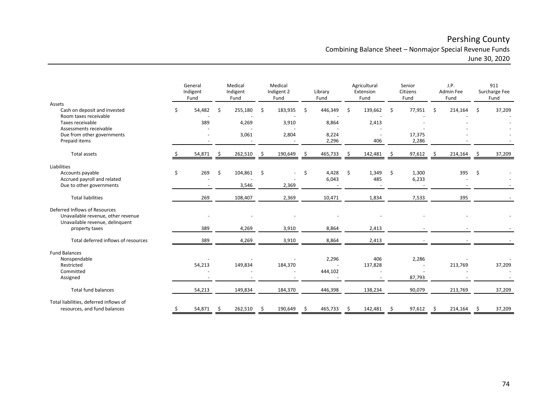#### Pershing County Combining Balance Sheet – Nonmajor Special Revenue Funds June 30, 2020

|                                                                                                        | General<br>Indigent<br>Fund |     | Medical<br>Indigent<br>Fund |     | Medical<br>Indigent 2<br>Fund |    | Library<br>Fund |    | Agricultural<br>Extension<br>Fund |     | Senior<br>Citizens<br>Fund |     | J.P.<br>Admin Fee<br>Fund |                    | 911<br>Surcharge Fee<br>Fund |
|--------------------------------------------------------------------------------------------------------|-----------------------------|-----|-----------------------------|-----|-------------------------------|----|-----------------|----|-----------------------------------|-----|----------------------------|-----|---------------------------|--------------------|------------------------------|
| Assets<br>Cash on deposit and invested                                                                 | \$<br>54,482                | \$  | 255,180                     | Ŝ.  | 183,935                       | \$ | 446,349         | Ŝ. | 139,662                           | \$  | 77,951                     | Ŝ.  | 214,164                   | -\$                | 37,209                       |
| Room taxes receivable                                                                                  |                             |     |                             |     |                               |    |                 |    |                                   |     |                            |     |                           |                    |                              |
| Taxes receivable<br>Assessments receivable                                                             | 389                         |     | 4,269                       |     | 3,910                         |    | 8,864           |    | 2,413                             |     |                            |     |                           |                    |                              |
| Due from other governments                                                                             |                             |     | 3,061                       |     | 2,804                         |    | 8,224           |    |                                   |     | 17,375                     |     |                           |                    |                              |
| Prepaid items                                                                                          |                             |     |                             |     |                               |    | 2,296           |    | 406                               |     | 2,286                      |     |                           |                    |                              |
| Total assets                                                                                           | 54,871                      | -\$ | 262,510                     | \$  | 190,649                       | S  | 465,733         |    | 142,481                           |     | 97,612                     |     | 214,164                   |                    | 37,209                       |
| Liabilities                                                                                            |                             |     |                             |     |                               |    |                 |    |                                   |     |                            |     |                           |                    |                              |
| Accounts payable                                                                                       | \$<br>269                   | \$  | 104,861                     | \$  | $\sim$                        | \$ | 4,428           | \$ | 1,349                             | -\$ | 1,300                      |     | 395                       | $\mathsf{\hat{S}}$ |                              |
| Accrued payroll and related                                                                            |                             |     |                             |     |                               |    | 6,043           |    | 485                               |     | 6,233                      |     |                           |                    |                              |
| Due to other governments                                                                               |                             |     | 3,546                       |     | 2,369                         |    |                 |    |                                   |     |                            |     |                           |                    |                              |
| <b>Total liabilities</b>                                                                               | 269                         |     | 108,407                     |     | 2,369                         |    | 10,471          |    | 1,834                             |     | 7,533                      |     | 395                       |                    |                              |
| Deferred Inflows of Resources<br>Unavailable revenue, other revenue<br>Unavailable revenue, delinquent |                             |     |                             |     |                               |    |                 |    |                                   |     |                            |     |                           |                    |                              |
| property taxes                                                                                         | 389                         |     | 4,269                       |     | 3,910                         |    | 8,864           |    | 2,413                             |     |                            |     |                           |                    |                              |
| Total deferred inflows of resources                                                                    | 389                         |     | 4,269                       |     | 3,910                         |    | 8,864           |    | 2,413                             |     |                            |     |                           |                    |                              |
| <b>Fund Balances</b>                                                                                   |                             |     |                             |     |                               |    |                 |    |                                   |     |                            |     |                           |                    |                              |
| Nonspendable                                                                                           |                             |     |                             |     |                               |    | 2,296           |    | 406                               |     | 2,286                      |     |                           |                    |                              |
| Restricted                                                                                             | 54,213                      |     | 149,834                     |     | 184,370                       |    |                 |    | 137,828                           |     |                            |     | 213,769                   |                    | 37,209                       |
| Committed<br>Assigned                                                                                  |                             |     |                             |     |                               |    | 444,102         |    |                                   |     | 87,793                     |     |                           |                    |                              |
|                                                                                                        |                             |     |                             |     |                               |    |                 |    |                                   |     |                            |     |                           |                    |                              |
| <b>Total fund balances</b>                                                                             | 54,213                      |     | 149,834                     |     | 184,370                       |    | 446,398         |    | 138,234                           |     | 90,079                     |     | 213,769                   |                    | 37,209                       |
| Total liabilities, deferred inflows of                                                                 |                             |     |                             |     |                               |    |                 |    |                                   |     |                            |     |                           |                    |                              |
| resources, and fund balances                                                                           | 54,871                      | -\$ | 262,510                     | -\$ | 190,649                       | \$ | 465,733         | -S | 142,481                           | \$  | 97,612                     | -\$ | 214,164                   | -\$                | 37,209                       |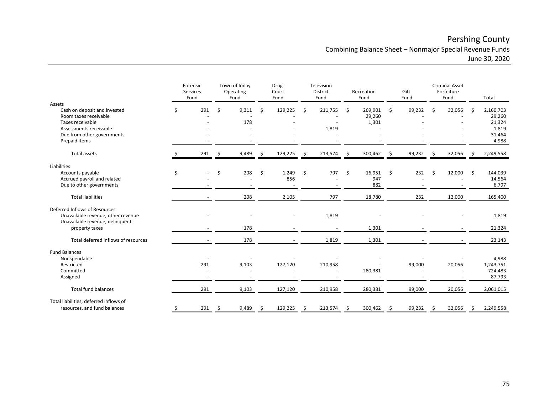#### Pershing County Combining Balance Sheet – Nonmajor Special Revenue Funds June 30, 2020

|                                           | Forensic<br>Town of Imlay<br>Services<br>Operating<br>Fund<br>Fund |     |     |       | Television<br>Drug<br>Court<br>District<br>Fund<br>Fund |         |     | Recreation<br>Fund |     | Gift<br>Fund |     | <b>Criminal Asset</b><br>Forfeiture<br>Fund |    | Total  |     |                 |
|-------------------------------------------|--------------------------------------------------------------------|-----|-----|-------|---------------------------------------------------------|---------|-----|--------------------|-----|--------------|-----|---------------------------------------------|----|--------|-----|-----------------|
| Assets                                    |                                                                    |     |     |       |                                                         |         |     |                    |     |              |     |                                             |    |        |     |                 |
| Cash on deposit and invested              | \$                                                                 | 291 | \$  | 9,311 | Ŝ.                                                      | 129,225 | \$  | 211,755            | \$  | 269,901      | Ŝ.  | 99,232                                      | \$ | 32,056 | -\$ | 2,160,703       |
| Room taxes receivable<br>Taxes receivable |                                                                    |     |     | 178   |                                                         |         |     |                    |     | 29,260       |     |                                             |    |        |     | 29,260          |
| Assessments receivable                    |                                                                    |     |     |       |                                                         |         |     | 1,819              |     | 1,301        |     |                                             |    |        |     | 21,324<br>1,819 |
| Due from other governments                |                                                                    |     |     |       |                                                         |         |     |                    |     |              |     |                                             |    |        |     | 31,464          |
| Prepaid items                             |                                                                    |     |     |       |                                                         |         |     |                    |     |              |     |                                             |    |        |     | 4,988           |
| Total assets                              |                                                                    | 291 | Ś   | 9,489 | -\$                                                     | 129,225 | \$  | 213,574            | -\$ | 300,462      | -\$ | 99,232                                      | -S | 32,056 | -\$ | 2,249,558       |
| Liabilities                               |                                                                    |     |     |       |                                                         |         |     |                    |     |              |     |                                             |    |        |     |                 |
| Accounts payable                          | \$                                                                 |     | \$  | 208   | \$                                                      | 1,249   | \$  | 797                | \$  | 16,951       | \$  | 232                                         | Ŝ. | 12,000 | -\$ | 144,039         |
| Accrued payroll and related               |                                                                    |     |     |       |                                                         | 856     |     |                    |     | 947          |     |                                             |    |        |     | 14,564          |
| Due to other governments                  |                                                                    |     |     |       |                                                         |         |     |                    |     | 882          |     |                                             |    |        |     | 6,797           |
| <b>Total liabilities</b>                  |                                                                    |     |     | 208   |                                                         | 2,105   |     | 797                |     | 18,780       |     | 232                                         |    | 12,000 |     | 165,400         |
| Deferred Inflows of Resources             |                                                                    |     |     |       |                                                         |         |     |                    |     |              |     |                                             |    |        |     |                 |
| Unavailable revenue, other revenue        |                                                                    |     |     |       |                                                         |         |     | 1,819              |     |              |     |                                             |    |        |     | 1,819           |
| Unavailable revenue, delinquent           |                                                                    |     |     |       |                                                         |         |     |                    |     |              |     |                                             |    |        |     |                 |
| property taxes                            |                                                                    |     |     | 178   |                                                         |         |     |                    |     | 1,301        |     |                                             |    |        |     | 21,324          |
| Total deferred inflows of resources       |                                                                    |     |     | 178   |                                                         |         |     | 1,819              |     | 1,301        |     |                                             |    |        |     | 23,143          |
| <b>Fund Balances</b>                      |                                                                    |     |     |       |                                                         |         |     |                    |     |              |     |                                             |    |        |     |                 |
| Nonspendable                              |                                                                    |     |     |       |                                                         |         |     |                    |     |              |     |                                             |    |        |     | 4,988           |
| Restricted                                |                                                                    | 291 |     | 9,103 |                                                         | 127,120 |     | 210,958            |     |              |     | 99,000                                      |    | 20,056 |     | 1,243,751       |
| Committed                                 |                                                                    |     |     |       |                                                         |         |     |                    |     | 280,381      |     |                                             |    |        |     | 724,483         |
| Assigned                                  |                                                                    |     |     |       |                                                         |         |     |                    |     |              |     |                                             |    |        |     | 87,793          |
| <b>Total fund balances</b>                |                                                                    | 291 |     | 9,103 |                                                         | 127,120 |     | 210,958            |     | 280,381      |     | 99,000                                      |    | 20,056 |     | 2,061,015       |
| Total liabilities, deferred inflows of    |                                                                    |     |     |       |                                                         |         |     |                    |     |              |     |                                             |    |        |     |                 |
| resources, and fund balances              |                                                                    | 291 | -\$ | 9,489 | .s                                                      | 129,225 | \$. | 213,574            | -\$ | 300,462      | \$. | 99,232                                      | .s | 32,056 | \$  | 2,249,558       |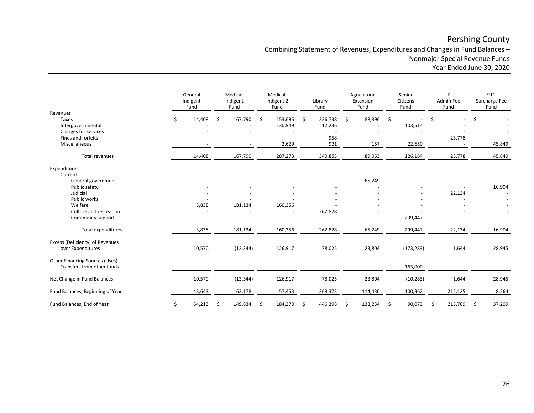Combining Statement of Revenues, Expenditures and Changes in Fund Balances –

Nonmajor Special Revenue Funds

Year Ended June 30, 2020

|                                                              | General<br>Indigent<br>Fund |     | Medical<br>Indigent<br>Fund | Medical<br>Indigent 2<br>Fund | Library<br>Fund | Agricultural<br>Extension<br>Fund |     | Senior<br>Citizens<br>Fund |   | J.P.<br>Admin Fee<br>Fund |     | 911<br>Surcharge Fee<br>Fund |
|--------------------------------------------------------------|-----------------------------|-----|-----------------------------|-------------------------------|-----------------|-----------------------------------|-----|----------------------------|---|---------------------------|-----|------------------------------|
| Revenues<br>Taxes                                            | \$<br>14,408                | \$  | 167,790                     | \$<br>153,695                 | \$<br>326,738   | \$<br>88,896                      | \$  |                            | Ś |                           | Ś   |                              |
| Intergovernmental<br>Charges for services                    |                             |     |                             | 130,949                       | 12,236          |                                   |     | 103,514                    |   |                           |     |                              |
| Fines and forfeits<br>Miscellaneous                          |                             |     |                             | 2,629                         | 958<br>921      | 157                               |     | 22,650                     |   | 23,778                    |     | 45,849                       |
| Total revenues                                               | 14,408                      |     | 167,790                     | 287,273                       | 340,853         | 89,053                            |     | 126,164                    |   | 23,778                    |     | 45,849                       |
| Expenditures<br>Current                                      |                             |     |                             |                               |                 |                                   |     |                            |   |                           |     |                              |
| General government                                           |                             |     |                             |                               |                 | 65,249                            |     |                            |   |                           |     |                              |
| Public safety<br>Judicial                                    |                             |     |                             |                               |                 |                                   |     |                            |   | 22,134                    |     | 16,904                       |
| Public works                                                 |                             |     |                             |                               |                 |                                   |     |                            |   |                           |     |                              |
| Welfare<br>Culture and recreation<br>Community support       | 3,838                       |     | 181,134                     | 160,356                       | 262,828         |                                   |     | 299,447                    |   |                           |     |                              |
| <b>Total expenditures</b>                                    | 3,838                       |     | 181,134                     | 160,356                       | 262,828         | 65,249                            |     | 299,447                    |   | 22,134                    |     | 16,904                       |
| Excess (Deficiency) of Revenues<br>over Expenditures         | 10,570                      |     | (13, 344)                   | 126,917                       | 78,025          | 23,804                            |     | (173, 283)                 |   | 1,644                     |     | 28,945                       |
| Other Financing Sources (Uses)<br>Transfers from other funds |                             |     |                             |                               |                 |                                   |     | 163,000                    |   |                           |     |                              |
| Net Change in Fund Balances                                  | 10,570                      |     | (13, 344)                   | 126,917                       | 78,025          | 23,804                            |     | (10, 283)                  |   | 1,644                     |     | 28,945                       |
| Fund Balances, Beginning of Year                             | 43,643                      |     | 163,178                     | 57,453                        | 368,373         | 114,430                           |     | 100,362                    |   | 212,125                   |     | 8,264                        |
| Fund Balances, End of Year                                   | \$<br>54,213                | -\$ | 149,834                     | 184,370                       | \$<br>446,398   | 138,234                           | -\$ | 90,079                     | S | 213,769                   | \$. | 37,209                       |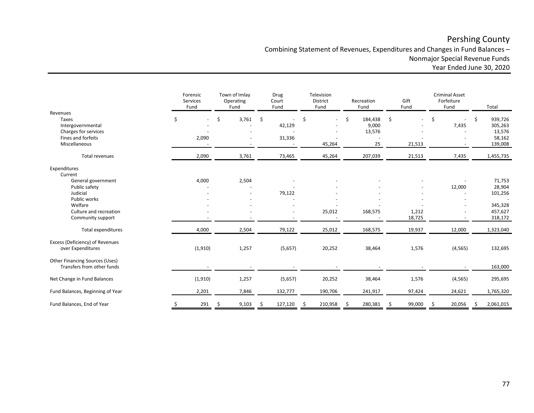Combining Statement of Revenues, Expenditures and Changes in Fund Balances –

Nonmajor Special Revenue Funds

Year Ended June 30, 2020

|                                                              | Forensic<br>Services<br>Fund |         | Town of Imlay<br>Operating<br>Fund |                          | Drug<br>Court<br>Fund | Television<br>District<br>Fund |    | Recreation<br>Fund         |     | Gift<br>Fund    | <b>Criminal Asset</b><br>Forfeiture<br>Fund |          | Total                              |
|--------------------------------------------------------------|------------------------------|---------|------------------------------------|--------------------------|-----------------------|--------------------------------|----|----------------------------|-----|-----------------|---------------------------------------------|----------|------------------------------------|
| Revenues                                                     |                              |         |                                    |                          |                       |                                |    |                            |     |                 |                                             |          |                                    |
| Taxes<br>Intergovernmental<br>Charges for services           | \$                           |         | \$                                 | 3,761                    | \$<br>42,129          | \$                             | \$ | 184,438<br>9,000<br>13,576 | \$  |                 | \$                                          | 7,435    | \$<br>939,726<br>305,263<br>13,576 |
| Fines and forfeits<br>Miscellaneous                          |                              | 2,090   |                                    |                          | 31,336                | 45,264                         |    | 25                         |     | 21,513          |                                             |          | 58,162<br>139,008                  |
| <b>Total revenues</b>                                        |                              | 2,090   | 3,761                              |                          | 73,465                | 45,264                         |    | 207,039                    |     | 21,513          |                                             | 7,435    | 1,455,735                          |
| Expenditures<br>Current                                      |                              |         |                                    |                          |                       |                                |    |                            |     |                 |                                             |          |                                    |
| General government<br>Public safety                          |                              | 4,000   | 2,504                              |                          |                       |                                |    |                            |     |                 |                                             | 12,000   | 71,753<br>28,904                   |
| Judicial<br>Public works                                     |                              |         |                                    | $\overline{\phantom{a}}$ | 79,122                |                                |    |                            |     |                 |                                             |          | 101,256                            |
| Welfare<br>Culture and recreation<br>Community support       |                              |         |                                    |                          |                       | 25,012                         |    | 168,575                    |     | 1,212<br>18,725 |                                             |          | 345,328<br>457,627<br>318,172      |
| Total expenditures                                           |                              | 4,000   | 2,504                              |                          | 79,122                | 25,012                         |    | 168,575                    |     | 19,937          |                                             | 12,000   | 1,323,040                          |
| Excess (Deficiency) of Revenues<br>over Expenditures         |                              | (1,910) | 1,257                              |                          | (5,657)               | 20,252                         |    | 38,464                     |     | 1,576           |                                             | (4, 565) | 132,695                            |
| Other Financing Sources (Uses)<br>Transfers from other funds |                              |         |                                    |                          |                       |                                |    |                            |     |                 |                                             |          | 163,000                            |
| Net Change in Fund Balances                                  |                              | (1,910) | 1,257                              |                          | (5,657)               | 20,252                         |    | 38,464                     |     | 1,576           |                                             | (4, 565) | 295,695                            |
| Fund Balances, Beginning of Year                             |                              | 2,201   |                                    | 7,846                    | 132,777               | 190,706                        |    | 241,917                    |     | 97,424          |                                             | 24,621   | 1,765,320                          |
| Fund Balances, End of Year                                   | \$                           | 291     | \$                                 | 9,103                    | 127,120<br>S          | \$<br>210,958                  | -S | 280,381                    | -\$ | 99,000          | S                                           | 20,056   | 2,061,015                          |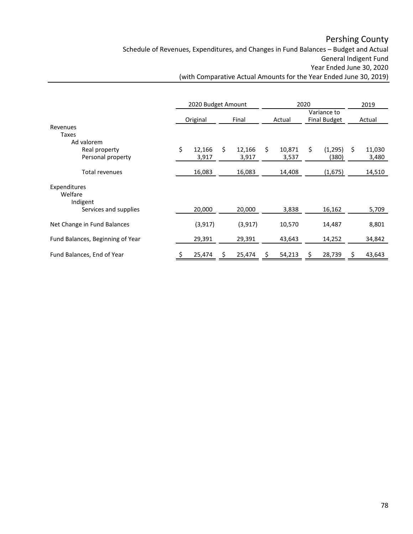Schedule of Revenues, Expenditures, and Changes in Fund Balances – Budget and Actual General Indigent Fund Year Ended June 30, 2020

|                         |                                  |          | 2020 Budget Amount |              | 2020 |        |    |                                    |    | 2019   |
|-------------------------|----------------------------------|----------|--------------------|--------------|------|--------|----|------------------------------------|----|--------|
|                         |                                  | Original |                    | Final        |      | Actual |    | Variance to<br><b>Final Budget</b> |    | Actual |
| Revenues<br>Taxes       |                                  |          |                    |              |      |        |    |                                    |    |        |
|                         | Ad valorem                       |          |                    |              |      |        |    |                                    |    |        |
|                         | Real property                    | \$       | 12,166             | \$<br>12,166 | \$   | 10,871 | \$ | (1, 295)                           | Ś. | 11,030 |
|                         | Personal property                |          | 3,917              | 3,917        |      | 3,537  |    | (380)                              |    | 3,480  |
|                         | Total revenues                   |          | 16,083             | 16,083       |      | 14,408 |    | (1,675)                            |    | 14,510 |
| Expenditures<br>Welfare | Indigent                         |          |                    |              |      |        |    |                                    |    |        |
|                         | Services and supplies            |          | 20,000             | 20,000       |      | 3,838  |    | 16,162                             |    | 5,709  |
|                         | Net Change in Fund Balances      |          | (3, 917)           | (3, 917)     |      | 10,570 |    | 14,487                             |    | 8,801  |
|                         | Fund Balances, Beginning of Year |          | 29,391             | 29,391       |      | 43,643 |    | 14,252                             |    | 34,842 |
|                         | Fund Balances, End of Year       |          | 25,474             | \$<br>25,474 | Ş    | 54,213 |    | 28,739                             |    | 43,643 |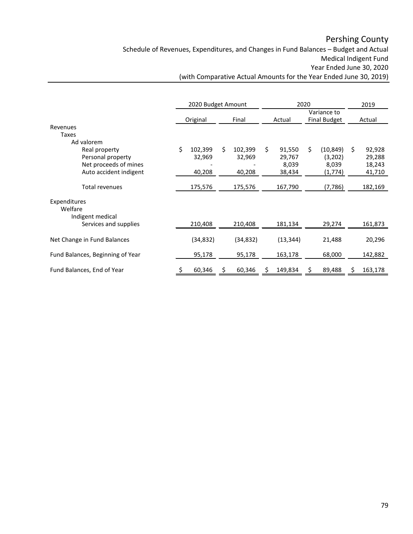Schedule of Revenues, Expenditures, and Changes in Fund Balances – Budget and Actual Medical Indigent Fund Year Ended June 30, 2020

|                                  |          | 2020 Budget Amount |    |           | 2020 |           |   |                                    |    | 2019    |
|----------------------------------|----------|--------------------|----|-----------|------|-----------|---|------------------------------------|----|---------|
|                                  | Original |                    |    | Final     |      | Actual    |   | Variance to<br><b>Final Budget</b> |    | Actual  |
| Revenues                         |          |                    |    |           |      |           |   |                                    |    |         |
| Taxes                            |          |                    |    |           |      |           |   |                                    |    |         |
| Ad valorem                       |          |                    |    |           |      |           |   |                                    |    |         |
| Real property                    | \$       | 102,399            | \$ | 102,399   | \$   | 91,550    | Ś | (10, 849)                          | \$ | 92,928  |
| Personal property                |          | 32,969             |    | 32,969    |      | 29,767    |   | (3,202)                            |    | 29,288  |
| Net proceeds of mines            |          |                    |    |           |      | 8,039     |   | 8,039                              |    | 18,243  |
| Auto accident indigent           |          | 40,208             |    | 40,208    |      | 38,434    |   | (1,774)                            |    | 41,710  |
|                                  |          |                    |    |           |      |           |   |                                    |    |         |
| Total revenues                   |          | 175,576            |    | 175,576   |      | 167,790   |   | (7, 786)                           |    | 182,169 |
| Expenditures<br>Welfare          |          |                    |    |           |      |           |   |                                    |    |         |
| Indigent medical                 |          | 210,408            |    | 210,408   |      | 181,134   |   |                                    |    |         |
| Services and supplies            |          |                    |    |           |      |           |   | 29,274                             |    | 161,873 |
| Net Change in Fund Balances      |          | (34, 832)          |    | (34, 832) |      | (13, 344) |   | 21,488                             |    | 20,296  |
| Fund Balances, Beginning of Year |          | 95,178             |    | 95,178    |      | 163,178   |   | 68,000                             |    | 142,882 |
| Fund Balances, End of Year       | \$       | 60,346             | \$ | 60,346    | S    | 149,834   | S | 89,488                             | S  | 163,178 |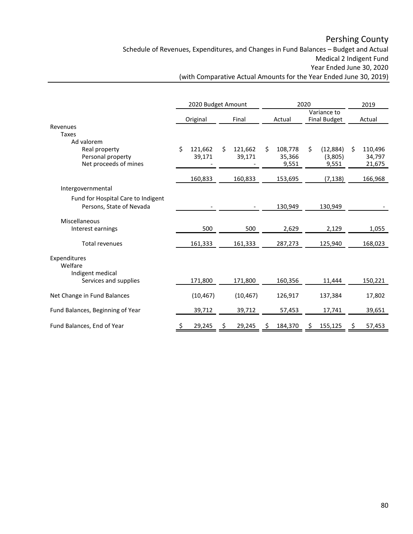Schedule of Revenues, Expenditures, and Changes in Fund Balances – Budget and Actual Medical 2 Indigent Fund Year Ended June 30, 2020

|                                    | 2020 Budget Amount |           |    |           |    | 2020    |    | 2019                               |    |         |
|------------------------------------|--------------------|-----------|----|-----------|----|---------|----|------------------------------------|----|---------|
|                                    |                    | Original  |    | Final     |    | Actual  |    | Variance to<br><b>Final Budget</b> |    | Actual  |
| Revenues                           |                    |           |    |           |    |         |    |                                    |    |         |
| <b>Taxes</b>                       |                    |           |    |           |    |         |    |                                    |    |         |
| Ad valorem                         |                    |           |    |           |    |         |    |                                    |    |         |
| Real property                      | \$                 | 121,662   | \$ | 121,662   | \$ | 108,778 | \$ | (12, 884)                          | \$ | 110,496 |
| Personal property                  |                    | 39,171    |    | 39,171    |    | 35,366  |    | (3,805)                            |    | 34,797  |
| Net proceeds of mines              |                    |           |    |           |    | 9,551   |    | 9,551                              |    | 21,675  |
|                                    |                    | 160,833   |    | 160,833   |    | 153,695 |    | (7, 138)                           |    | 166,968 |
| Intergovernmental                  |                    |           |    |           |    |         |    |                                    |    |         |
| Fund for Hospital Care to Indigent |                    |           |    |           |    |         |    |                                    |    |         |
| Persons, State of Nevada           |                    |           |    |           |    | 130,949 |    | 130,949                            |    |         |
|                                    |                    |           |    |           |    |         |    |                                    |    |         |
| Miscellaneous                      |                    |           |    |           |    |         |    |                                    |    |         |
| Interest earnings                  |                    | 500       |    | 500       |    | 2,629   |    | 2,129                              |    | 1,055   |
| <b>Total revenues</b>              |                    | 161,333   |    | 161,333   |    | 287,273 |    | 125,940                            |    | 168,023 |
| Expenditures                       |                    |           |    |           |    |         |    |                                    |    |         |
| Welfare                            |                    |           |    |           |    |         |    |                                    |    |         |
| Indigent medical                   |                    |           |    |           |    |         |    |                                    |    |         |
| Services and supplies              |                    | 171,800   |    | 171,800   |    | 160,356 |    | 11,444                             |    | 150,221 |
|                                    |                    |           |    |           |    |         |    |                                    |    |         |
| Net Change in Fund Balances        |                    | (10, 467) |    | (10, 467) |    | 126,917 |    | 137,384                            |    | 17,802  |
| Fund Balances, Beginning of Year   |                    | 39,712    |    | 39,712    |    | 57,453  |    | 17,741                             |    | 39,651  |
| Fund Balances, End of Year         | \$                 | 29,245    | \$ | 29,245    | \$ | 184,370 | S  | 155,125                            | S  | 57,453  |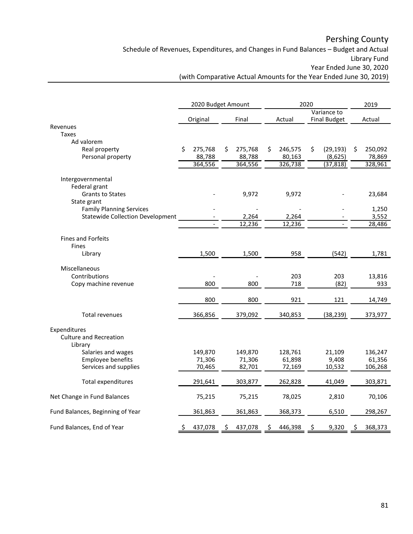Schedule of Revenues, Expenditures, and Changes in Fund Balances – Budget and Actual Library Fund Year Ended June 30, 2020

|                                         | 2020 Budget Amount |         |    |         |    | 2020    |    | 2019                               |    |         |
|-----------------------------------------|--------------------|---------|----|---------|----|---------|----|------------------------------------|----|---------|
|                                         | Original           |         |    | Final   |    | Actual  |    | Variance to<br><b>Final Budget</b> |    | Actual  |
| Revenues                                |                    |         |    |         |    |         |    |                                    |    |         |
| Taxes                                   |                    |         |    |         |    |         |    |                                    |    |         |
| Ad valorem                              |                    |         |    |         |    |         |    |                                    |    |         |
| Real property                           | Ś                  | 275,768 | Ś  | 275,768 | \$ | 246,575 | \$ | (29, 193)                          | \$ | 250,092 |
| Personal property                       |                    | 88,788  |    | 88,788  |    | 80,163  |    | (8,625)                            |    | 78,869  |
|                                         |                    | 364,556 |    | 364,556 |    | 326,738 |    | (37, 818)                          |    | 328,961 |
| Intergovernmental                       |                    |         |    |         |    |         |    |                                    |    |         |
| Federal grant                           |                    |         |    |         |    |         |    |                                    |    |         |
| <b>Grants to States</b>                 |                    |         |    | 9,972   |    | 9,972   |    |                                    |    | 23,684  |
| State grant                             |                    |         |    |         |    |         |    |                                    |    |         |
| <b>Family Planning Services</b>         |                    |         |    |         |    |         |    |                                    |    | 1,250   |
| <b>Statewide Collection Development</b> |                    |         |    | 2,264   |    | 2,264   |    |                                    |    | 3,552   |
|                                         |                    |         |    | 12,236  |    | 12,236  |    |                                    |    | 28,486  |
| Fines and Forfeits                      |                    |         |    |         |    |         |    |                                    |    |         |
| Fines                                   |                    |         |    |         |    |         |    |                                    |    |         |
| Library                                 |                    | 1,500   |    | 1,500   |    | 958     |    | (542)                              |    | 1,781   |
|                                         |                    |         |    |         |    |         |    |                                    |    |         |
| Miscellaneous                           |                    |         |    |         |    |         |    |                                    |    |         |
| Contributions                           |                    |         |    |         |    | 203     |    | 203                                |    | 13,816  |
| Copy machine revenue                    |                    | 800     |    | 800     |    | 718     |    | (82)                               |    | 933     |
|                                         |                    | 800     |    | 800     |    | 921     |    | 121                                |    | 14,749  |
| Total revenues                          |                    | 366,856 |    | 379,092 |    | 340,853 |    | (38, 239)                          |    | 373,977 |
| Expenditures                            |                    |         |    |         |    |         |    |                                    |    |         |
| <b>Culture and Recreation</b>           |                    |         |    |         |    |         |    |                                    |    |         |
| Library                                 |                    |         |    |         |    |         |    |                                    |    |         |
| Salaries and wages                      |                    | 149,870 |    | 149,870 |    | 128,761 |    | 21,109                             |    | 136,247 |
| <b>Employee benefits</b>                |                    | 71,306  |    | 71,306  |    | 61,898  |    | 9,408                              |    | 61,356  |
| Services and supplies                   |                    | 70,465  |    | 82,701  |    | 72,169  |    | 10,532                             |    | 106,268 |
| <b>Total expenditures</b>               |                    | 291,641 |    | 303,877 |    | 262,828 |    | 41,049                             |    | 303,871 |
| Net Change in Fund Balances             |                    | 75,215  |    | 75,215  |    | 78,025  |    | 2,810                              |    | 70,106  |
| Fund Balances, Beginning of Year        |                    | 361,863 |    | 361,863 |    | 368,373 |    | 6,510                              |    | 298,267 |
| Fund Balances, End of Year              | \$                 | 437,078 | \$ | 437,078 | \$ | 446,398 | \$ | 9,320                              | \$ | 368,373 |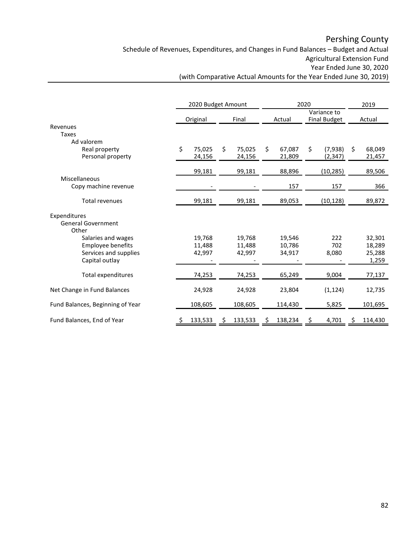Schedule of Revenues, Expenditures, and Changes in Fund Balances – Budget and Actual Agricultural Extension Fund Year Ended June 30, 2020

|                                         | 2020 Budget Amount |          |    | 2020    |    |         |    |                                    | 2019 |                 |
|-----------------------------------------|--------------------|----------|----|---------|----|---------|----|------------------------------------|------|-----------------|
|                                         |                    | Original |    | Final   |    | Actual  |    | Variance to<br><b>Final Budget</b> |      | Actual          |
| Revenues                                |                    |          |    |         |    |         |    |                                    |      |                 |
| <b>Taxes</b>                            |                    |          |    |         |    |         |    |                                    |      |                 |
| Ad valorem                              |                    |          |    |         |    |         |    |                                    |      |                 |
| Real property                           | \$                 | 75.025   | \$ | 75,025  | \$ | 67,087  | \$ | (7,938)                            | \$   | 68,049          |
| Personal property                       |                    | 24,156   |    | 24,156  |    | 21,809  |    | (2, 347)                           |      | 21,457          |
|                                         |                    | 99,181   |    | 99,181  |    | 88,896  |    | (10, 285)                          |      | 89,506          |
| Miscellaneous                           |                    |          |    |         |    |         |    |                                    |      |                 |
| Copy machine revenue                    |                    |          |    |         |    | 157     |    | 157                                |      | 366             |
| <b>Total revenues</b>                   |                    | 99,181   |    | 99,181  |    | 89,053  |    | (10, 128)                          |      | 89,872          |
| Expenditures                            |                    |          |    |         |    |         |    |                                    |      |                 |
| <b>General Government</b><br>Other      |                    |          |    |         |    |         |    |                                    |      |                 |
| Salaries and wages                      |                    | 19,768   |    | 19,768  |    | 19,546  |    | 222                                |      | 32,301          |
| Employee benefits                       |                    | 11,488   |    | 11,488  |    | 10,786  |    | 702                                |      | 18,289          |
| Services and supplies<br>Capital outlay |                    | 42,997   |    | 42,997  |    | 34,917  |    | 8,080                              |      | 25,288<br>1,259 |
| Total expenditures                      |                    | 74,253   |    | 74,253  |    | 65,249  |    | 9,004                              |      | 77,137          |
| Net Change in Fund Balances             |                    | 24,928   |    | 24,928  |    | 23,804  |    | (1, 124)                           |      | 12,735          |
| Fund Balances, Beginning of Year        |                    | 108,605  |    | 108,605 |    | 114,430 |    | 5,825                              |      | 101,695         |
| Fund Balances, End of Year              |                    | 133,533  |    | 133,533 |    | 138,234 |    | 4,701                              |      | 114,430         |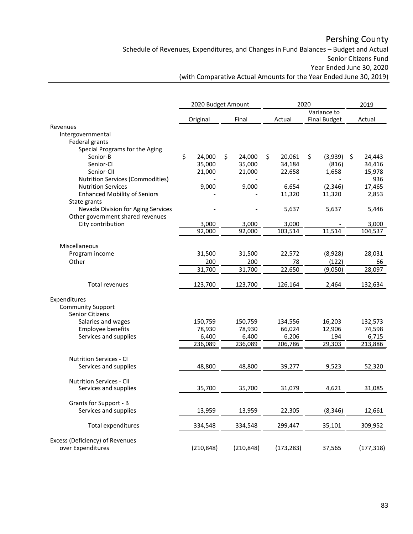Schedule of Revenues, Expenditures, and Changes in Fund Balances – Budget and Actual Senior Citizens Fund Year Ended June 30, 2020

|                                     | 2020 Budget Amount |                     |    | 2020       |    |            |    | 2019                |              |
|-------------------------------------|--------------------|---------------------|----|------------|----|------------|----|---------------------|--------------|
|                                     |                    |                     |    |            |    |            |    | Variance to         |              |
|                                     |                    | Original            |    | Final      |    | Actual     |    | <b>Final Budget</b> | Actual       |
| Revenues                            |                    |                     |    |            |    |            |    |                     |              |
| Intergovernmental                   |                    |                     |    |            |    |            |    |                     |              |
| Federal grants                      |                    |                     |    |            |    |            |    |                     |              |
| Special Programs for the Aging      |                    |                     |    |            |    |            |    |                     |              |
| Senior-B                            | \$                 | 24,000              | \$ | 24,000     | \$ | 20,061     | \$ | (3,939)             | \$<br>24,443 |
| Senior-Cl                           |                    | 35,000              |    | 35,000     |    | 34,184     |    | (816)               | 34,416       |
| Senior-CII                          |                    | 21,000              |    | 21,000     |    | 22,658     |    | 1,658               | 15,978       |
| Nutrition Services (Commodities)    |                    |                     |    |            |    |            |    |                     | 936          |
| <b>Nutrition Services</b>           |                    | 9,000               |    | 9,000      |    | 6,654      |    | (2, 346)            | 17,465       |
| <b>Enhanced Mobility of Seniors</b> |                    |                     |    |            |    | 11,320     |    | 11,320              | 2,853        |
| State grants                        |                    |                     |    |            |    |            |    |                     |              |
| Nevada Division for Aging Services  |                    |                     |    |            |    | 5,637      |    | 5,637               | 5,446        |
| Other government shared revenues    |                    |                     |    |            |    |            |    |                     |              |
| City contribution                   |                    | 3,000               |    | 3,000      |    | 3,000      |    |                     | 3,000        |
|                                     |                    | $\overline{9}2,000$ |    | 92,000     |    | 103,514    |    | 11,514              | 104,537      |
|                                     |                    |                     |    |            |    |            |    |                     |              |
| Miscellaneous                       |                    |                     |    |            |    |            |    |                     |              |
| Program income                      |                    | 31,500              |    | 31,500     |    | 22,572     |    | (8,928)             | 28,031       |
| Other                               |                    | 200                 |    | 200        |    | 78         |    | (122)               | 66           |
|                                     |                    | 31,700              |    | 31,700     |    | 22,650     |    | (9,050)             | 28,097       |
|                                     |                    |                     |    |            |    |            |    |                     |              |
| Total revenues                      |                    | 123,700             |    | 123,700    |    | 126,164    |    | 2,464               | 132,634      |
| Expenditures                        |                    |                     |    |            |    |            |    |                     |              |
| <b>Community Support</b>            |                    |                     |    |            |    |            |    |                     |              |
| Senior Citizens                     |                    |                     |    |            |    |            |    |                     |              |
| Salaries and wages                  |                    | 150,759             |    | 150,759    |    | 134,556    |    | 16,203              | 132,573      |
| Employee benefits                   |                    | 78,930              |    | 78,930     |    | 66,024     |    | 12,906              | 74,598       |
| Services and supplies               |                    | 6,400               |    | 6,400      |    | 6,206      |    | 194                 | 6,715        |
|                                     |                    | 236,089             |    | 236,089    |    | 206,786    |    | 29,303              | 213,886      |
|                                     |                    |                     |    |            |    |            |    |                     |              |
| <b>Nutrition Services - Cl</b>      |                    |                     |    |            |    |            |    |                     |              |
| Services and supplies               |                    | 48,800              |    | 48,800     |    | 39,277     |    | 9,523               | 52,320       |
|                                     |                    |                     |    |            |    |            |    |                     |              |
| <b>Nutrition Services - CII</b>     |                    |                     |    |            |    |            |    |                     |              |
| Services and supplies               |                    | 35,700              |    | 35,700     |    | 31,079     |    | 4,621               | 31,085       |
| Grants for Support - B              |                    |                     |    |            |    |            |    |                     |              |
| Services and supplies               |                    | 13,959              |    | 13,959     |    | 22,305     |    | (8, 346)            | 12,661       |
|                                     |                    |                     |    |            |    |            |    |                     |              |
| Total expenditures                  |                    | 334,548             |    | 334,548    |    | 299,447    |    | 35,101              | 309,952      |
| Excess (Deficiency) of Revenues     |                    |                     |    |            |    |            |    |                     |              |
| over Expenditures                   |                    | (210, 848)          |    | (210, 848) |    | (173, 283) |    | 37,565              | (177, 318)   |
|                                     |                    |                     |    |            |    |            |    |                     |              |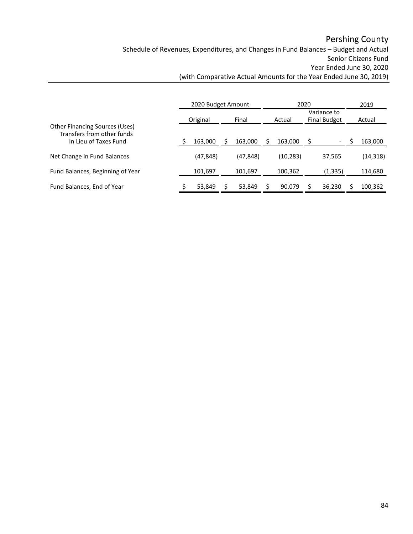Schedule of Revenues, Expenditures, and Changes in Fund Balances – Budget and Actual Senior Citizens Fund Year Ended June 30, 2020

|                                                                                              | 2020 Budget Amount |          |  |           |  | 2020      | 2019 |                                    |  |          |
|----------------------------------------------------------------------------------------------|--------------------|----------|--|-----------|--|-----------|------|------------------------------------|--|----------|
|                                                                                              |                    | Original |  | Final     |  | Actual    |      | Variance to<br><b>Final Budget</b> |  | Actual   |
| <b>Other Financing Sources (Uses)</b><br>Transfers from other funds<br>In Lieu of Taxes Fund |                    | 163,000  |  | 163,000   |  | 163,000   | S    | $\overline{\phantom{0}}$           |  | 163,000  |
| Net Change in Fund Balances                                                                  |                    | (47,848) |  | (47, 848) |  | (10, 283) |      | 37,565                             |  | (14,318) |
| Fund Balances, Beginning of Year                                                             |                    | 101,697  |  | 101,697   |  | 100,362   |      | (1, 335)                           |  | 114,680  |
| Fund Balances, End of Year                                                                   |                    | 53.849   |  | 53.849    |  | 90.079    |      | 36,230                             |  | 100,362  |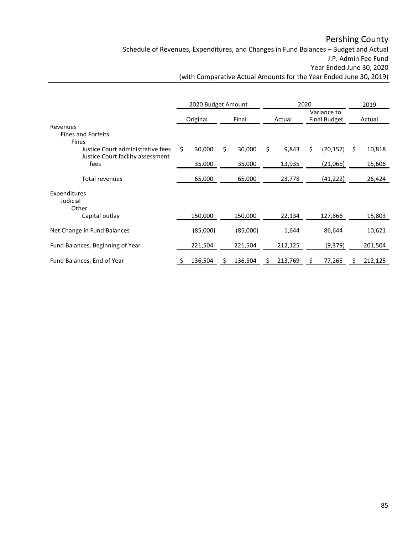Schedule of Revenues, Expenditures, and Changes in Fund Balances – Budget and Actual J.P. Admin Fee Fund Year Ended June 30, 2020

|                                                                        | 2020 Budget Amount |          |       |          |        | 2020    |                                    |           |   | 2019    |
|------------------------------------------------------------------------|--------------------|----------|-------|----------|--------|---------|------------------------------------|-----------|---|---------|
|                                                                        | Original           |          | Final |          | Actual |         | Variance to<br><b>Final Budget</b> |           |   | Actual  |
| Revenues                                                               |                    |          |       |          |        |         |                                    |           |   |         |
| <b>Fines and Forfeits</b>                                              |                    |          |       |          |        |         |                                    |           |   |         |
| <b>Fines</b>                                                           |                    |          |       |          |        |         |                                    |           |   |         |
| Justice Court administrative fees<br>Justice Court facility assessment | S.                 | 30,000   | \$    | 30,000   | \$     | 9,843   | \$                                 | (20, 157) | S | 10,818  |
| fees                                                                   |                    | 35,000   |       | 35,000   |        | 13,935  |                                    | (21,065)  |   | 15,606  |
|                                                                        |                    |          |       |          |        |         |                                    |           |   |         |
| <b>Total revenues</b>                                                  |                    | 65,000   |       | 65,000   |        | 23,778  |                                    | (41,222)  |   | 26,424  |
| Expenditures<br>Judicial<br>Other<br>Capital outlay                    |                    | 150,000  |       | 150,000  |        | 22,134  |                                    | 127,866   |   | 15,803  |
|                                                                        |                    |          |       |          |        |         |                                    |           |   |         |
| Net Change in Fund Balances                                            |                    | (85,000) |       | (85,000) |        | 1,644   |                                    | 86,644    |   | 10,621  |
| Fund Balances, Beginning of Year                                       |                    | 221,504  |       | 221,504  |        | 212,125 |                                    | (9, 379)  |   | 201,504 |
| Fund Balances, End of Year                                             | \$                 | 136,504  | S     | 136,504  | S      | 213,769 | S.                                 | 77,265    | S | 212,125 |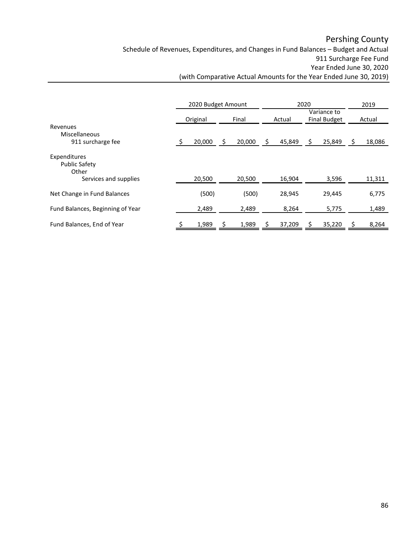Schedule of Revenues, Expenditures, and Changes in Fund Balances – Budget and Actual 911 Surcharge Fee Fund Year Ended June 30, 2020

|                                                                        | 2020 Budget Amount |        |     |        |   | 2020   | 2019 |                                    |  |        |
|------------------------------------------------------------------------|--------------------|--------|-----|--------|---|--------|------|------------------------------------|--|--------|
|                                                                        | Original           |        |     | Final  |   | Actual |      | Variance to<br><b>Final Budget</b> |  | Actual |
| Revenues<br>Miscellaneous                                              |                    |        |     |        |   |        |      |                                    |  |        |
| 911 surcharge fee                                                      |                    | 20,000 | \$. | 20,000 | Ş | 45,849 |      | 25,849                             |  | 18,086 |
| Expenditures<br><b>Public Safety</b><br>Other<br>Services and supplies |                    | 20,500 |     | 20,500 |   | 16,904 |      | 3,596                              |  | 11,311 |
| Net Change in Fund Balances                                            |                    | (500)  |     | (500)  |   | 28,945 |      | 29,445                             |  | 6,775  |
| Fund Balances, Beginning of Year                                       |                    | 2,489  |     | 2,489  |   | 8,264  |      | 5,775                              |  | 1,489  |
| Fund Balances, End of Year                                             |                    | 1,989  | Ş   | 1,989  |   | 37,209 |      | 35,220                             |  | 8,264  |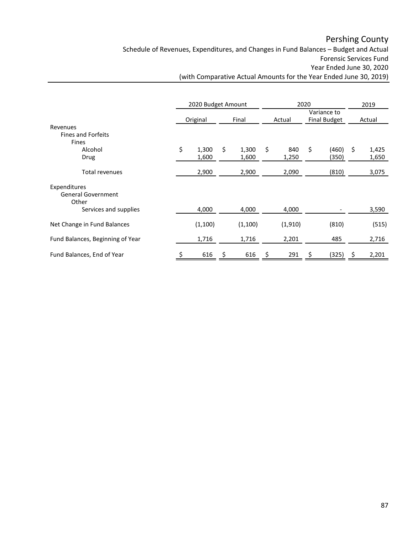Schedule of Revenues, Expenditures, and Changes in Fund Balances – Budget and Actual Forensic Services Fund Year Ended June 30, 2020

|                                                    | 2020 Budget Amount |          |       |         |        | 2020     |                                    | 2019  |    |        |
|----------------------------------------------------|--------------------|----------|-------|---------|--------|----------|------------------------------------|-------|----|--------|
|                                                    |                    | Original | Final |         | Actual |          | Variance to<br><b>Final Budget</b> |       |    | Actual |
| Revenues                                           |                    |          |       |         |        |          |                                    |       |    |        |
| <b>Fines and Forfeits</b>                          |                    |          |       |         |        |          |                                    |       |    |        |
| Fines                                              |                    |          |       |         |        |          |                                    |       |    |        |
| Alcohol                                            | \$                 | 1,300    | \$    | 1,300   | \$     | 840      | \$                                 | (460) | \$ | 1,425  |
| Drug                                               |                    | 1,600    |       | 1,600   |        | 1,250    |                                    | (350) |    | 1,650  |
| Total revenues                                     |                    | 2,900    |       | 2,900   |        | 2,090    |                                    | (810) |    | 3,075  |
| Expenditures<br><b>General Government</b><br>Other |                    |          |       |         |        |          |                                    |       |    |        |
| Services and supplies                              |                    | 4,000    |       | 4,000   |        | 4,000    |                                    |       |    | 3,590  |
| Net Change in Fund Balances                        |                    | (1, 100) |       | (1,100) |        | (1, 910) |                                    | (810) |    | (515)  |
| Fund Balances, Beginning of Year                   |                    | 1,716    |       | 1,716   |        | 2,201    |                                    | 485   |    | 2,716  |
| Fund Balances, End of Year                         |                    | 616      | \$    | 616     | \$     | 291      | \$                                 | (325) |    | 2,201  |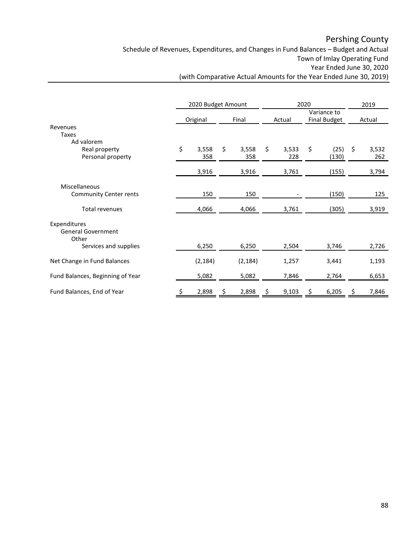Schedule of Revenues, Expenditures, and Changes in Fund Balances – Budget and Actual Town of Imlay Operating Fund Year Ended June 30, 2020

|                                    | 2020 Budget Amount |              |    |              |        | 2020         |                                    | 2019          |    |              |
|------------------------------------|--------------------|--------------|----|--------------|--------|--------------|------------------------------------|---------------|----|--------------|
|                                    |                    | Original     |    | Final        | Actual |              | Variance to<br><b>Final Budget</b> |               |    | Actual       |
| Revenues                           |                    |              |    |              |        |              |                                    |               |    |              |
| <b>Taxes</b><br>Ad valorem         |                    |              |    |              |        |              |                                    |               |    |              |
| Real property<br>Personal property | \$                 | 3,558<br>358 | \$ | 3,558<br>358 | \$     | 3,533<br>228 | \$                                 | (25)<br>(130) | \$ | 3,532<br>262 |
|                                    |                    | 3,916        |    | 3,916        |        | 3,761        |                                    | (155)         |    | 3,794        |
| Miscellaneous                      |                    |              |    |              |        |              |                                    |               |    |              |
| <b>Community Center rents</b>      |                    | 150          |    | 150          |        |              |                                    | (150)         |    | 125          |
| Total revenues                     |                    | 4,066        |    | 4,066        |        | 3,761        |                                    | (305)         |    | 3,919        |
| Expenditures                       |                    |              |    |              |        |              |                                    |               |    |              |
| <b>General Government</b><br>Other |                    |              |    |              |        |              |                                    |               |    |              |
| Services and supplies              |                    | 6,250        |    | 6,250        |        | 2,504        |                                    | 3,746         |    | 2,726        |
| Net Change in Fund Balances        |                    | (2, 184)     |    | (2, 184)     |        | 1,257        |                                    | 3,441         |    | 1,193        |
| Fund Balances, Beginning of Year   |                    | 5,082        |    | 5,082        |        | 7,846        |                                    | 2,764         |    | 6,653        |
| Fund Balances, End of Year         |                    | 2,898        |    | 2,898        |        | 9,103        |                                    | 6,205         |    | 7,846        |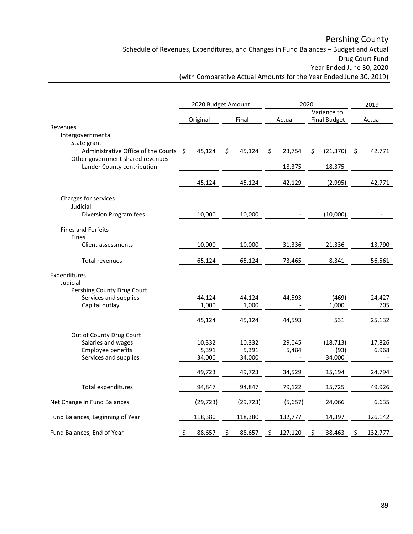Schedule of Revenues, Expenditures, and Changes in Fund Balances – Budget and Actual Drug Court Fund Year Ended June 30, 2020

|                                                                                                                | 2020 Budget Amount |                 |    | 2020            |    |         |    | 2019                               |    |               |
|----------------------------------------------------------------------------------------------------------------|--------------------|-----------------|----|-----------------|----|---------|----|------------------------------------|----|---------------|
|                                                                                                                | Original           |                 |    | Final           |    | Actual  |    | Variance to<br><b>Final Budget</b> |    | Actual        |
| Revenues                                                                                                       |                    |                 |    |                 |    |         |    |                                    |    |               |
| Intergovernmental<br>State grant<br>Administrative Office of the Courts \$<br>Other government shared revenues |                    | 45,124          | \$ | 45,124          | \$ | 23,754  | \$ | (21, 370)                          | \$ | 42,771        |
| Lander County contribution                                                                                     |                    |                 |    |                 |    | 18,375  |    | 18,375                             |    |               |
|                                                                                                                |                    | 45,124          |    | 45,124          |    | 42,129  |    | (2,995)                            |    | 42,771        |
| Charges for services<br>Judicial                                                                               |                    |                 |    |                 |    |         |    |                                    |    |               |
| Diversion Program fees                                                                                         |                    | 10,000          |    | 10,000          |    |         |    | (10,000)                           |    |               |
| <b>Fines and Forfeits</b><br><b>Fines</b>                                                                      |                    |                 |    |                 |    |         |    |                                    |    |               |
| Client assessments                                                                                             |                    | 10,000          |    | 10,000          |    | 31,336  |    | 21,336                             |    | 13,790        |
| <b>Total revenues</b>                                                                                          |                    | 65,124          |    | 65,124          |    | 73,465  |    | 8,341                              |    | 56,561        |
| Expenditures<br>Judicial                                                                                       |                    |                 |    |                 |    |         |    |                                    |    |               |
| Pershing County Drug Court<br>Services and supplies<br>Capital outlay                                          |                    | 44,124<br>1,000 |    | 44,124<br>1,000 |    | 44,593  |    | (469)<br>1,000                     |    | 24,427<br>705 |
|                                                                                                                |                    | 45,124          |    | 45,124          |    | 44,593  |    | 531                                |    | 25,132        |
| Out of County Drug Court<br>Salaries and wages                                                                 |                    | 10,332          |    | 10,332          |    | 29,045  |    | (18, 713)                          |    | 17,826        |
| <b>Employee benefits</b>                                                                                       |                    | 5,391           |    | 5,391           |    | 5,484   |    | (93)                               |    | 6,968         |
| Services and supplies                                                                                          |                    | 34,000          |    | 34,000          |    |         |    | 34,000                             |    |               |
|                                                                                                                |                    | 49,723          |    | 49,723          |    | 34,529  |    | 15,194                             |    | 24,794        |
| <b>Total expenditures</b>                                                                                      |                    | 94,847          |    | 94,847          |    | 79,122  |    | 15,725                             |    | 49,926        |
| Net Change in Fund Balances                                                                                    |                    | (29, 723)       |    | (29, 723)       |    | (5,657) |    | 24,066                             |    | 6,635         |
| Fund Balances, Beginning of Year                                                                               | 118,380            |                 |    | 118,380         |    | 132,777 |    | 14,397                             |    | 126,142       |
| Fund Balances, End of Year                                                                                     | -Ş                 | 88,657          | S  | 88,657          | \$ | 127,120 | \$ | 38,463                             | Ş  | 132,777       |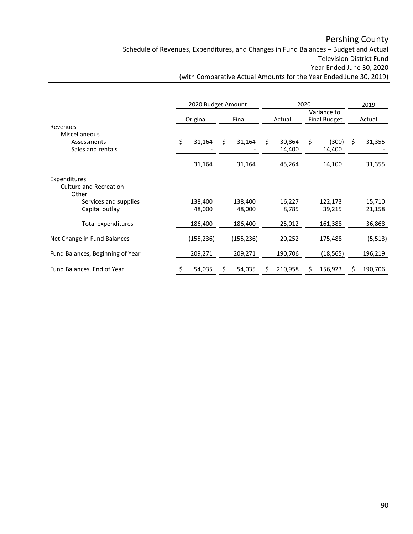Schedule of Revenues, Expenditures, and Changes in Fund Balances – Budget and Actual Television District Fund Year Ended June 30, 2020

|                                                                      | 2020 Budget Amount |                   |       |                   |        | 2020             |                                    | 2019              |    |                  |
|----------------------------------------------------------------------|--------------------|-------------------|-------|-------------------|--------|------------------|------------------------------------|-------------------|----|------------------|
|                                                                      |                    | Original          | Final |                   | Actual |                  | Variance to<br><b>Final Budget</b> |                   |    | Actual           |
| Revenues<br><b>Miscellaneous</b><br>Assessments<br>Sales and rentals | \$                 | 31,164            | \$    | 31,164            | \$     | 30,864<br>14,400 | \$                                 | (300)<br>14,400   | Ŝ. | 31,355           |
|                                                                      |                    | 31,164            |       | 31,164            |        | 45,264           |                                    | 14,100            |    | 31,355           |
| Expenditures<br><b>Culture and Recreation</b><br>Other               |                    |                   |       |                   |        |                  |                                    |                   |    |                  |
| Services and supplies<br>Capital outlay                              |                    | 138,400<br>48,000 |       | 138,400<br>48,000 |        | 16,227<br>8,785  |                                    | 122,173<br>39,215 |    | 15,710<br>21,158 |
| Total expenditures                                                   |                    | 186,400           |       | 186,400           |        | 25,012           |                                    | 161,388           |    | 36,868           |
| Net Change in Fund Balances                                          |                    | (155, 236)        |       | (155, 236)        |        | 20,252           |                                    | 175,488           |    | (5, 513)         |
| Fund Balances, Beginning of Year                                     |                    | 209,271           |       | 209,271           |        | 190,706          |                                    | (18, 565)         |    | 196,219          |
| Fund Balances, End of Year                                           | \$.                | 54,035            | \$    | 54,035            | S      | 210,958          | S                                  | 156,923           | S  | 190,706          |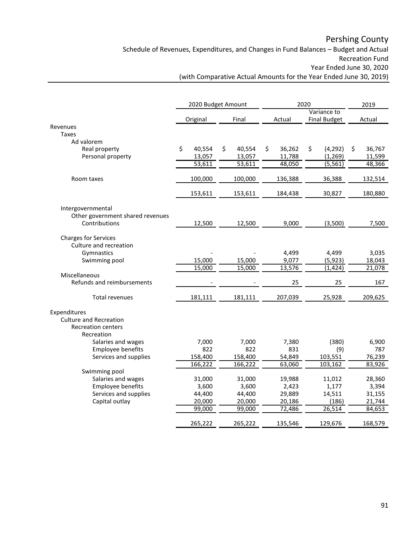Schedule of Revenues, Expenditures, and Changes in Fund Balances – Budget and Actual Recreation Fund Year Ended June 30, 2020

|                                                   |              | 2020 Budget Amount | 2020         | 2019                               |              |
|---------------------------------------------------|--------------|--------------------|--------------|------------------------------------|--------------|
|                                                   | Original     | Final              | Actual       | Variance to<br><b>Final Budget</b> | Actual       |
| Revenues                                          |              |                    |              |                                    |              |
| <b>Taxes</b>                                      |              |                    |              |                                    |              |
| Ad valorem                                        |              |                    |              |                                    |              |
| Real property                                     | \$<br>40,554 | \$<br>40,554       | \$<br>36,262 | \$<br>(4, 292)                     | 36,767<br>\$ |
| Personal property                                 | 13,057       | 13,057             | 11,788       | (1, 269)                           | 11,599       |
|                                                   | 53,611       | 53,611             | 48,050       | (5, 561)                           | 48,366       |
| Room taxes                                        | 100,000      | 100,000            | 136,388      | 36,388                             | 132,514      |
|                                                   | 153,611      | 153,611            | 184,438      | 30,827                             | 180,880      |
|                                                   |              |                    |              |                                    |              |
| Intergovernmental                                 |              |                    |              |                                    |              |
| Other government shared revenues<br>Contributions | 12,500       | 12,500             | 9,000        | (3,500)                            | 7,500        |
|                                                   |              |                    |              |                                    |              |
| <b>Charges for Services</b>                       |              |                    |              |                                    |              |
| Culture and recreation                            |              |                    |              |                                    |              |
| Gymnastics                                        |              |                    | 4,499        | 4,499                              | 3,035        |
| Swimming pool                                     | 15,000       | 15,000             | 9,077        | (5, 923)                           | 18,043       |
|                                                   | 15,000       | 15,000             | 13,576       | (1, 424)                           | 21,078       |
| Miscellaneous                                     |              |                    |              |                                    |              |
| Refunds and reimbursements                        |              |                    | 25           | 25                                 | 167          |
| Total revenues                                    | 181,111      | 181,111            | 207,039      | 25,928                             | 209,625      |
| Expenditures                                      |              |                    |              |                                    |              |
| <b>Culture and Recreation</b>                     |              |                    |              |                                    |              |
| <b>Recreation centers</b>                         |              |                    |              |                                    |              |
| Recreation                                        |              |                    |              |                                    |              |
| Salaries and wages                                | 7,000        | 7,000              | 7,380        | (380)                              | 6,900        |
| Employee benefits                                 | 822          | 822                | 831          | (9)                                | 787          |
| Services and supplies                             | 158,400      | 158,400            | 54,849       | 103,551                            | 76,239       |
|                                                   | 166,222      | 166,222            | 63,060       | 103,162                            | 83,926       |
| Swimming pool                                     |              |                    |              |                                    |              |
| Salaries and wages                                | 31,000       | 31,000             | 19,988       | 11,012                             | 28,360       |
| Employee benefits                                 | 3,600        | 3,600              | 2,423        | 1,177                              | 3,394        |
| Services and supplies                             | 44,400       | 44,400             | 29,889       | 14,511                             | 31,155       |
| Capital outlay                                    | 20,000       | 20,000             | 20,186       | (186)                              | 21,744       |
|                                                   | 99,000       | 99,000             | 72,486       | 26,514                             | 84,653       |
|                                                   | 265,222      | 265,222            | 135,546      | 129,676                            | 168,579      |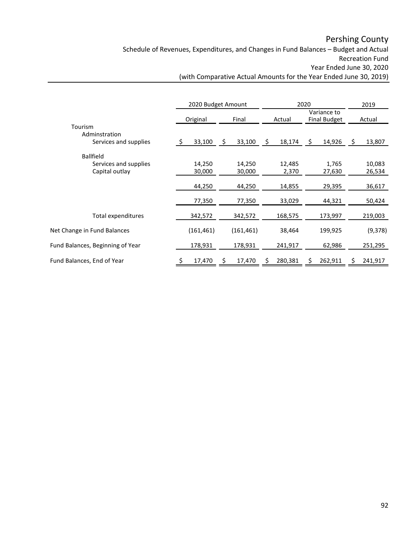Schedule of Revenues, Expenditures, and Changes in Fund Balances – Budget and Actual Recreation Fund Year Ended June 30, 2020

|                                                             |    | 2020 Budget Amount |                  |    |                 | 2020 |                                    |   | 2019             |
|-------------------------------------------------------------|----|--------------------|------------------|----|-----------------|------|------------------------------------|---|------------------|
|                                                             |    | Original           | Final            |    | Actual          |      | Variance to<br><b>Final Budget</b> |   | Actual           |
| Tourism<br>Adminstration<br>Services and supplies           | -S | 33,100             | \$<br>33,100     | \$ | 18,174          | \$   | 14,926                             | S | 13,807           |
| <b>Ballfield</b><br>Services and supplies<br>Capital outlay |    | 14,250<br>30,000   | 14,250<br>30,000 |    | 12,485<br>2,370 |      | 1,765<br>27,630                    |   | 10,083<br>26,534 |
|                                                             |    | 44,250             | 44,250           |    | 14,855          |      | 29,395                             |   | 36,617           |
|                                                             |    | 77,350             | 77,350           |    | 33,029          |      | 44,321                             |   | 50,424           |
| Total expenditures                                          |    | 342,572            | 342,572          |    | 168,575         |      | 173,997                            |   | 219,003          |
| Net Change in Fund Balances                                 |    | (161, 461)         | (161, 461)       |    | 38,464          |      | 199,925                            |   | (9, 378)         |
| Fund Balances, Beginning of Year                            |    | 178,931            | 178,931          |    | 241,917         |      | 62,986                             |   | 251,295          |
| Fund Balances, End of Year                                  | \$ | 17,470             | \$<br>17,470     | S  | 280,381         | S    | 262,911                            | S | 241,917          |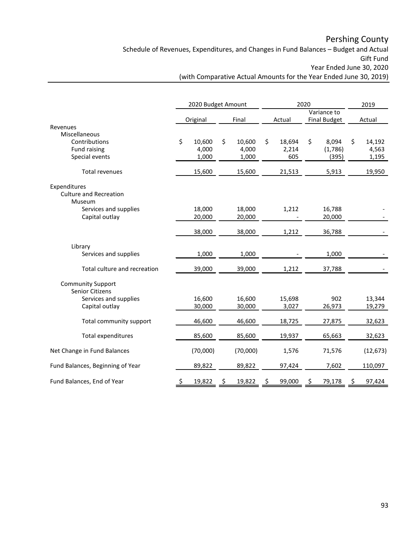Schedule of Revenues, Expenditures, and Changes in Fund Balances – Budget and Actual Gift Fund

Year Ended June 30, 2020

|                                                         | 2020 Budget Amount |                  |      | 2020             |          |                 |    |                                    | 2019 |                  |
|---------------------------------------------------------|--------------------|------------------|------|------------------|----------|-----------------|----|------------------------------------|------|------------------|
|                                                         |                    | Original         |      | Final            |          | Actual          |    | Variance to<br><b>Final Budget</b> |      | Actual           |
| Revenues<br>Miscellaneous<br>Contributions              | \$                 | 10,600           | \$   | 10,600           | \$       | 18,694          | \$ | 8,094                              | \$   | 14,192           |
| Fund raising<br>Special events                          |                    | 4,000<br>1,000   |      | 4,000<br>1,000   |          | 2,214<br>605    |    | (1,786)<br>(395)                   |      | 4,563<br>1,195   |
| <b>Total revenues</b>                                   |                    | 15,600           |      | 15,600           |          | 21,513          |    | 5,913                              |      | 19,950           |
| Expenditures<br><b>Culture and Recreation</b><br>Museum |                    |                  |      |                  |          |                 |    |                                    |      |                  |
| Services and supplies<br>Capital outlay                 |                    | 18,000<br>20,000 |      | 18,000<br>20,000 |          | 1,212           |    | 16,788<br>20,000                   |      |                  |
|                                                         |                    | 38,000           |      | 38,000           |          | 1,212           |    | 36,788                             |      |                  |
| Library<br>Services and supplies                        |                    | 1,000            |      | 1,000            |          |                 |    | 1,000                              |      |                  |
| Total culture and recreation                            |                    | 39,000           |      | 39,000           |          | 1,212           |    | 37,788                             |      |                  |
| <b>Community Support</b><br>Senior Citizens             |                    |                  |      |                  |          |                 |    |                                    |      |                  |
| Services and supplies<br>Capital outlay                 |                    | 16,600<br>30,000 |      | 16,600<br>30,000 |          | 15,698<br>3,027 |    | 902<br>26,973                      |      | 13,344<br>19,279 |
| Total community support                                 |                    | 46,600           |      | 46,600           |          | 18,725          |    | 27,875                             |      | 32,623           |
| Total expenditures                                      |                    | 85,600           |      | 85,600           |          | 19,937          |    | 65,663                             |      | 32,623           |
| Net Change in Fund Balances                             |                    | (70,000)         |      | (70,000)         |          | 1,576           |    | 71,576                             |      | (12, 673)        |
| Fund Balances, Beginning of Year                        |                    | 89,822           |      | 89,822           |          | 97,424          |    | 7,602                              |      | 110,097          |
| Fund Balances, End of Year                              | $\ddot{\phi}$      | 19,822           | - \$ | 19,822           | <u>ې</u> | 99,000          | \$ | 79,178                             | -Ş   | 97,424           |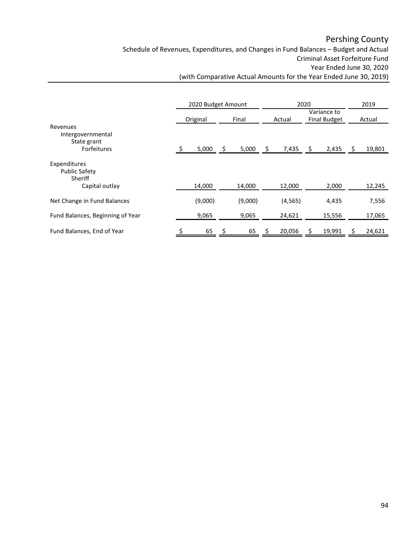Schedule of Revenues, Expenditures, and Changes in Fund Balances – Budget and Actual Criminal Asset Forfeiture Fund Year Ended June 30, 2020

|                                                 | 2020 Budget Amount |          |    |         | 2020 |          |     |                                    | 2019 |        |
|-------------------------------------------------|--------------------|----------|----|---------|------|----------|-----|------------------------------------|------|--------|
|                                                 |                    | Original |    | Final   |      | Actual   |     | Variance to<br><b>Final Budget</b> |      | Actual |
| Revenues                                        |                    |          |    |         |      |          |     |                                    |      |        |
| Intergovernmental                               |                    |          |    |         |      |          |     |                                    |      |        |
| State grant                                     |                    |          |    |         |      |          |     |                                    |      |        |
| <b>Forfeitures</b>                              |                    | 5,000    | \$ | 5,000   | \$   | 7,435    | \$. | 2,435                              | -S   | 19,801 |
| Expenditures<br><b>Public Safety</b><br>Sheriff |                    |          |    |         |      |          |     |                                    |      |        |
| Capital outlay                                  |                    | 14,000   |    | 14,000  |      | 12,000   |     | 2,000                              |      | 12,245 |
| Net Change in Fund Balances                     |                    | (9,000)  |    | (9,000) |      | (4, 565) |     | 4,435                              |      | 7,556  |
| Fund Balances, Beginning of Year                |                    | 9,065    |    | 9,065   |      | 24,621   |     | 15,556                             |      | 17,065 |
| Fund Balances, End of Year                      |                    | 65       | Ş  | 65      | Ş    | 20,056   |     | 19,991                             |      | 24,621 |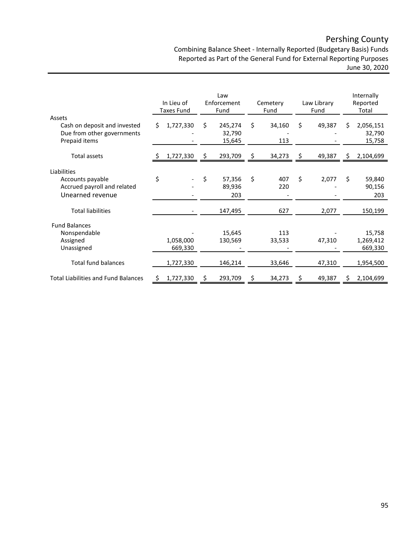Combining Balance Sheet - Internally Reported (Budgetary Basis) Funds Reported as Part of the General Fund for External Reporting Purposes June 30, 2020

|                                                                                    |    | In Lieu of<br><b>Taxes Fund</b> | Law<br>Enforcement<br>Fund    |    | Cemetery<br>Fund | Law Library<br>Fund | Internally<br>Reported<br>Total |                                |
|------------------------------------------------------------------------------------|----|---------------------------------|-------------------------------|----|------------------|---------------------|---------------------------------|--------------------------------|
| Assets<br>Cash on deposit and invested<br>Due from other governments               | Ś. | 1,727,330                       | \$<br>245,274<br>32,790       | \$ | 34,160           | \$<br>49,387        | \$                              | 2,056,151<br>32,790            |
| Prepaid items<br>Total assets                                                      | S  | 1,727,330                       | \$<br>15,645<br>293,709       | \$ | 113<br>34,273    | \$<br>49,387        | \$                              | 15,758<br>2,104,699            |
| Liabilities<br>Accounts payable<br>Accrued payroll and related<br>Unearned revenue | \$ |                                 | \$<br>57,356<br>89,936<br>203 | \$ | 407<br>220       | \$<br>2,077         | \$                              | 59,840<br>90,156<br>203        |
| <b>Total liabilities</b>                                                           |    |                                 | 147,495                       |    | 627              | 2,077               |                                 | 150,199                        |
| <b>Fund Balances</b><br>Nonspendable<br>Assigned<br>Unassigned                     |    | 1,058,000<br>669,330            | 15,645<br>130,569             |    | 113<br>33,533    | 47,310              |                                 | 15,758<br>1,269,412<br>669,330 |
| <b>Total fund balances</b>                                                         |    | 1,727,330                       | 146,214                       |    | 33,646           | 47,310              |                                 | 1,954,500                      |
| <b>Total Liabilities and Fund Balances</b>                                         | Ś. | 1,727,330                       | \$<br>293,709                 | \$ | 34,273           | \$<br>49,387        | \$.                             | 2,104,699                      |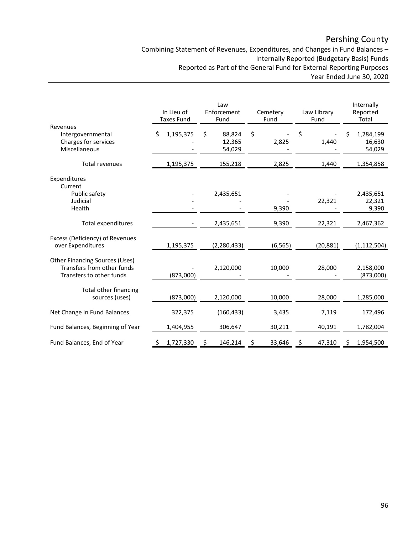Combining Statement of Revenues, Expenditures, and Changes in Fund Balances – Internally Reported (Budgetary Basis) Funds Reported as Part of the General Fund for External Reporting Purposes Year Ended June 30, 2020

|                                                                                                 |    | In Lieu of<br><b>Taxes Fund</b> | Law<br>Enforcement<br>Fund       |    | Cemetery<br>Fund | Law Library<br>Fund |    | Internally<br>Reported<br>Total |
|-------------------------------------------------------------------------------------------------|----|---------------------------------|----------------------------------|----|------------------|---------------------|----|---------------------------------|
| Revenues<br>Intergovernmental<br>Charges for services<br>Miscellaneous                          | Ś  | 1,195,375                       | \$<br>88,824<br>12,365<br>54,029 | Ś. | 2,825            | \$<br>1,440         | Ś  | 1,284,199<br>16,630<br>54,029   |
| Total revenues                                                                                  |    | 1,195,375                       | 155,218                          |    | 2,825            | 1,440               |    | 1,354,858                       |
| Expenditures<br>Current<br>Public safety<br>Judicial                                            |    |                                 | 2,435,651                        |    |                  | 22,321              |    | 2,435,651<br>22,321             |
| Health                                                                                          |    |                                 |                                  |    | 9,390            |                     |    | 9,390                           |
| <b>Total expenditures</b>                                                                       |    |                                 | 2,435,651                        |    | 9,390            | 22,321              |    | 2,467,362                       |
| Excess (Deficiency) of Revenues<br>over Expenditures                                            |    | 1,195,375                       | (2, 280, 433)                    |    | (6, 565)         | (20, 881)           |    | (1, 112, 504)                   |
| <b>Other Financing Sources (Uses)</b><br>Transfers from other funds<br>Transfers to other funds |    | (873,000)                       | 2,120,000                        |    | 10,000           | 28,000              |    | 2,158,000<br>(873,000)          |
| <b>Total other financing</b><br>sources (uses)                                                  |    | (873,000)                       | 2,120,000                        |    | 10,000           | 28,000              |    | 1,285,000                       |
| Net Change in Fund Balances                                                                     |    | 322,375                         | (160, 433)                       |    | 3,435            | 7,119               |    | 172,496                         |
| Fund Balances, Beginning of Year                                                                |    | 1,404,955                       | 306,647                          |    | 30,211           | 40,191              |    | 1,782,004                       |
| Fund Balances, End of Year                                                                      | \$ | 1,727,330                       | \$<br>146,214                    | \$ | 33,646           | \$<br>47,310        | \$ | 1,954,500                       |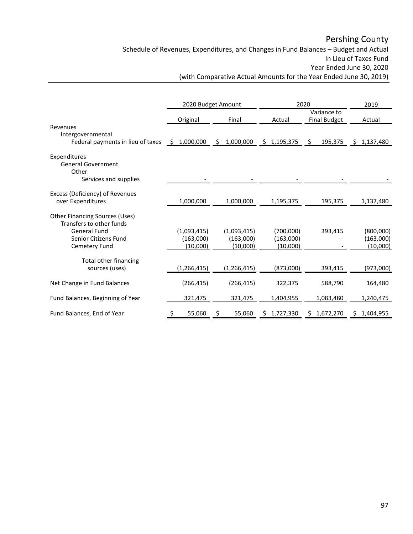Schedule of Revenues, Expenditures, and Changes in Fund Balances – Budget and Actual In Lieu of Taxes Fund Year Ended June 30, 2020

|                                                                                                                                   |                                      | 2020 Budget Amount                   | 2020                               | 2019                               |                                    |
|-----------------------------------------------------------------------------------------------------------------------------------|--------------------------------------|--------------------------------------|------------------------------------|------------------------------------|------------------------------------|
|                                                                                                                                   | Original                             | Final                                | Actual                             | Variance to<br><b>Final Budget</b> | Actual                             |
| Revenues<br>Intergovernmental<br>Federal payments in lieu of taxes                                                                | \$1,000,000                          | 1,000,000<br>Ŝ.                      | \$<br>1,195,375                    | \$<br>195,375                      | \$1,137,480                        |
| Expenditures<br><b>General Government</b><br>Other<br>Services and supplies                                                       |                                      |                                      |                                    |                                    |                                    |
| Excess (Deficiency) of Revenues<br>over Expenditures                                                                              | 1,000,000                            | 1,000,000                            | 1,195,375                          | 195,375                            | 1,137,480                          |
| <b>Other Financing Sources (Uses)</b><br>Transfers to other funds<br><b>General Fund</b><br>Senior Citizens Fund<br>Cemetery Fund | (1,093,415)<br>(163,000)<br>(10,000) | (1,093,415)<br>(163,000)<br>(10,000) | (700,000)<br>(163,000)<br>(10,000) | 393,415                            | (800,000)<br>(163,000)<br>(10,000) |
| <b>Total other financing</b><br>sources (uses)                                                                                    | (1, 266, 415)                        | (1, 266, 415)                        | (873,000)                          | 393,415                            | (973,000)                          |
| Net Change in Fund Balances                                                                                                       | (266, 415)                           | (266, 415)                           | 322,375                            | 588,790                            | 164,480                            |
| Fund Balances, Beginning of Year                                                                                                  | 321,475                              | 321,475                              | 1,404,955                          | 1,083,480                          | 1,240,475                          |
| Fund Balances, End of Year                                                                                                        | 55,060                               | 55,060                               | 1,727,330                          | 1,672,270                          | 1,404,955                          |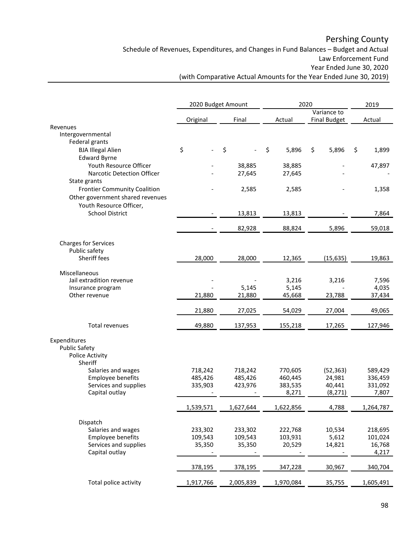Schedule of Revenues, Expenditures, and Changes in Fund Balances – Budget and Actual Law Enforcement Fund Year Ended June 30, 2020

|                                         |                    | 2020 Budget Amount | 2020               | 2019                |                    |
|-----------------------------------------|--------------------|--------------------|--------------------|---------------------|--------------------|
|                                         |                    |                    |                    | Variance to         |                    |
|                                         | Original           | Final              | Actual             | <b>Final Budget</b> | Actual             |
| Revenues<br>Intergovernmental           |                    |                    |                    |                     |                    |
| Federal grants                          |                    |                    |                    |                     |                    |
| <b>BJA Illegal Alien</b>                | \$                 | \$                 | \$<br>5,896        | \$<br>5,896         | \$<br>1,899        |
| <b>Edward Byrne</b>                     |                    |                    |                    |                     |                    |
| Youth Resource Officer                  |                    | 38,885             | 38,885             |                     | 47,897             |
| Narcotic Detection Officer              |                    | 27,645             | 27,645             |                     |                    |
| State grants                            |                    |                    |                    |                     |                    |
| <b>Frontier Community Coalition</b>     |                    | 2,585              | 2,585              |                     | 1,358              |
| Other government shared revenues        |                    |                    |                    |                     |                    |
| Youth Resource Officer,                 |                    |                    |                    |                     |                    |
| <b>School District</b>                  |                    | 13,813             | 13,813             |                     | 7,864              |
|                                         |                    |                    |                    |                     |                    |
|                                         |                    | 82,928             | 88,824             | 5,896               | 59,018             |
| <b>Charges for Services</b>             |                    |                    |                    |                     |                    |
| Public safety                           |                    |                    |                    |                     |                    |
| Sheriff fees                            | 28,000             | 28,000             | 12,365             | (15, 635)           | 19,863             |
|                                         |                    |                    |                    |                     |                    |
| Miscellaneous                           |                    |                    |                    |                     |                    |
| Jail extradition revenue                |                    |                    | 3,216              | 3,216               | 7,596              |
| Insurance program                       |                    | 5,145              | 5,145              |                     | 4,035              |
| Other revenue                           | 21,880             | 21,880             | 45,668             | 23,788              | 37,434             |
|                                         | 21,880             | 27,025             | 54,029             | 27,004              | 49,065             |
|                                         |                    |                    |                    |                     |                    |
| <b>Total revenues</b>                   | 49,880             | 137,953            | 155,218            | 17,265              | 127,946            |
| Expenditures                            |                    |                    |                    |                     |                    |
| <b>Public Safety</b>                    |                    |                    |                    |                     |                    |
| Police Activity                         |                    |                    |                    |                     |                    |
| Sheriff                                 |                    |                    |                    |                     |                    |
| Salaries and wages                      | 718,242            | 718,242            | 770,605            | (52, 363)           | 589,429            |
| Employee benefits                       | 485,426            | 485,426            | 460,445            | 24,981              | 336,459            |
| Services and supplies<br>Capital outlay | 335,903            | 423,976            | 383,535<br>8,271   | 40,441<br>(8, 271)  | 331,092            |
|                                         |                    |                    |                    |                     | 7,807              |
|                                         | 1,539,571          | 1,627,644          | 1,622,856          | 4,788               | 1,264,787          |
|                                         |                    |                    |                    |                     |                    |
| Dispatch                                |                    |                    |                    |                     |                    |
| Salaries and wages<br>Employee benefits | 233,302<br>109,543 | 233,302<br>109,543 | 222,768<br>103,931 | 10,534<br>5,612     | 218,695<br>101,024 |
| Services and supplies                   | 35,350             | 35,350             | 20,529             | 14,821              | 16,768             |
| Capital outlay                          |                    |                    |                    |                     | 4,217              |
|                                         |                    |                    |                    |                     |                    |
|                                         | 378,195            | 378,195            | 347,228            | 30,967              | 340,704            |
| Total police activity                   | 1,917,766          | 2,005,839          | 1,970,084          | 35,755              | 1,605,491          |
|                                         |                    |                    |                    |                     |                    |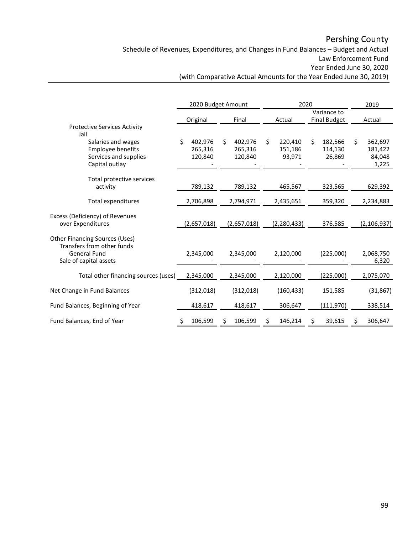Schedule of Revenues, Expenditures, and Changes in Fund Balances – Budget and Actual Law Enforcement Fund Year Ended June 30, 2020

|                                                                                                                      |                                     | 2020 Budget Amount                  | 2020                               |                                    | 2019                                        |  |
|----------------------------------------------------------------------------------------------------------------------|-------------------------------------|-------------------------------------|------------------------------------|------------------------------------|---------------------------------------------|--|
|                                                                                                                      | Original                            | Final                               | Actual                             | Variance to<br><b>Final Budget</b> | Actual                                      |  |
| <b>Protective Services Activity</b><br>Jail                                                                          |                                     |                                     |                                    |                                    |                                             |  |
| Salaries and wages<br>Employee benefits<br>Services and supplies<br>Capital outlay                                   | Ś.<br>402,976<br>265,316<br>120,840 | \$<br>402,976<br>265,316<br>120,840 | \$<br>220,410<br>151,186<br>93,971 | Ŝ.<br>182,566<br>114,130<br>26,869 | 362,697<br>\$<br>181,422<br>84,048<br>1,225 |  |
| Total protective services<br>activity                                                                                | 789,132                             | 789,132                             | 465,567                            | 323,565                            | 629,392                                     |  |
| <b>Total expenditures</b>                                                                                            | 2,706,898                           | 2,794,971                           | 2,435,651                          | 359,320                            | 2,234,883                                   |  |
| Excess (Deficiency) of Revenues<br>over Expenditures                                                                 | (2,657,018)                         | (2,657,018)                         | (2, 280, 433)                      | 376,585                            | (2, 106, 937)                               |  |
| <b>Other Financing Sources (Uses)</b><br>Transfers from other funds<br><b>General Fund</b><br>Sale of capital assets | 2,345,000                           | 2,345,000                           | 2,120,000                          | (225,000)                          | 2,068,750<br>6,320                          |  |
| Total other financing sources (uses)                                                                                 | 2,345,000                           | 2,345,000                           | 2,120,000                          | (225,000)                          | 2,075,070                                   |  |
| Net Change in Fund Balances                                                                                          | (312,018)                           | (312,018)                           | (160, 433)                         | 151,585                            | (31, 867)                                   |  |
| Fund Balances, Beginning of Year                                                                                     | 418,617                             | 418,617                             | 306,647                            | (111,970)                          | 338,514                                     |  |
| Fund Balances, End of Year                                                                                           | 106,599                             | 106,599                             | 146,214                            | 39,615                             | 306,647                                     |  |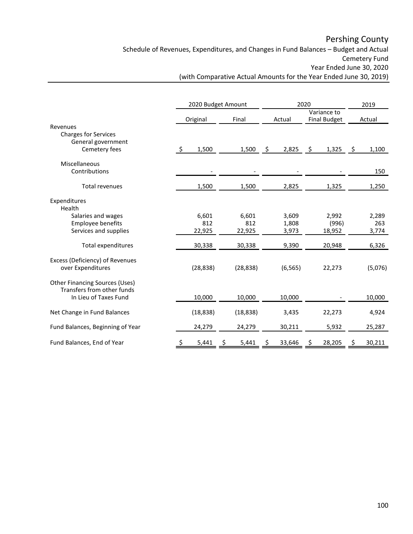Schedule of Revenues, Expenditures, and Changes in Fund Balances – Budget and Actual Cemetery Fund Year Ended June 30, 2020

|                                                                                              | 2020 Budget Amount  |           |  | 2020      |    |          |               |                                    | 2019 |         |
|----------------------------------------------------------------------------------------------|---------------------|-----------|--|-----------|----|----------|---------------|------------------------------------|------|---------|
|                                                                                              |                     | Original  |  | Final     |    | Actual   |               | Variance to<br><b>Final Budget</b> |      | Actual  |
| Revenues<br><b>Charges for Services</b><br>General government<br>Cemetery fees               | $\ddot{\mathsf{S}}$ | 1,500     |  | 1,500     | \$ | 2,825    | $\frac{1}{2}$ | 1,325                              | \$   | 1,100   |
|                                                                                              |                     |           |  |           |    |          |               |                                    |      |         |
| Miscellaneous<br>Contributions                                                               |                     |           |  |           |    |          |               |                                    |      | 150     |
| <b>Total revenues</b>                                                                        |                     | 1,500     |  | 1,500     |    | 2,825    |               | 1,325                              |      | 1,250   |
| Expenditures<br>Health                                                                       |                     |           |  |           |    |          |               |                                    |      |         |
| Salaries and wages                                                                           |                     | 6,601     |  | 6,601     |    | 3,609    |               | 2,992                              |      | 2,289   |
| Employee benefits                                                                            |                     | 812       |  | 812       |    | 1,808    |               | (996)                              |      | 263     |
| Services and supplies                                                                        |                     | 22,925    |  | 22,925    |    | 3,973    |               | 18,952                             |      | 3,774   |
| <b>Total expenditures</b>                                                                    |                     | 30,338    |  | 30,338    |    | 9,390    |               | 20,948                             |      | 6,326   |
| Excess (Deficiency) of Revenues<br>over Expenditures                                         |                     | (28, 838) |  | (28, 838) |    | (6, 565) |               | 22,273                             |      | (5,076) |
| <b>Other Financing Sources (Uses)</b><br>Transfers from other funds<br>In Lieu of Taxes Fund |                     | 10,000    |  | 10,000    |    | 10,000   |               |                                    |      | 10,000  |
|                                                                                              |                     |           |  |           |    |          |               |                                    |      |         |
| Net Change in Fund Balances                                                                  |                     | (18, 838) |  | (18, 838) |    | 3,435    |               | 22,273                             |      | 4,924   |
| Fund Balances, Beginning of Year                                                             |                     | 24,279    |  | 24,279    |    | 30,211   |               | 5,932                              |      | 25,287  |
| Fund Balances, End of Year                                                                   |                     | 5,441     |  | 5,441     |    | 33,646   |               | 28,205                             |      | 30,211  |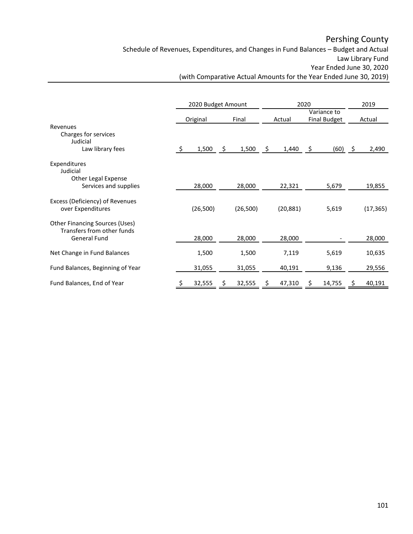Schedule of Revenues, Expenditures, and Changes in Fund Balances – Budget and Actual Law Library Fund Year Ended June 30, 2020

|                                                                              | 2020 Budget Amount |           |    |           |               | 2020      | 2019                               |  |           |
|------------------------------------------------------------------------------|--------------------|-----------|----|-----------|---------------|-----------|------------------------------------|--|-----------|
|                                                                              |                    | Original  |    | Final     |               | Actual    | Variance to<br><b>Final Budget</b> |  | Actual    |
| Revenues<br>Charges for services<br>Judicial<br>Law library fees             | -Ś                 | 1,500     | \$ | 1,500     | $\ddot{\phi}$ | 1,440     | \$<br>$(60)$ \$                    |  | 2,490     |
| Expenditures<br>Judicial<br>Other Legal Expense                              |                    |           |    |           |               |           |                                    |  |           |
| Services and supplies                                                        |                    | 28,000    |    | 28,000    |               | 22,321    | 5,679                              |  | 19,855    |
| Excess (Deficiency) of Revenues<br>over Expenditures                         |                    | (26, 500) |    | (26, 500) |               | (20, 881) | 5,619                              |  | (17, 365) |
| Other Financing Sources (Uses)<br>Transfers from other funds<br>General Fund |                    | 28,000    |    | 28,000    |               | 28,000    |                                    |  | 28,000    |
| Net Change in Fund Balances                                                  |                    | 1,500     |    | 1,500     |               | 7,119     | 5,619                              |  | 10,635    |
| Fund Balances, Beginning of Year                                             |                    | 31,055    |    | 31,055    |               | 40,191    | 9,136                              |  | 29,556    |
| Fund Balances, End of Year                                                   |                    | 32,555    | \$ | 32,555    | Ş             | 47,310    | 14,755                             |  | 40,191    |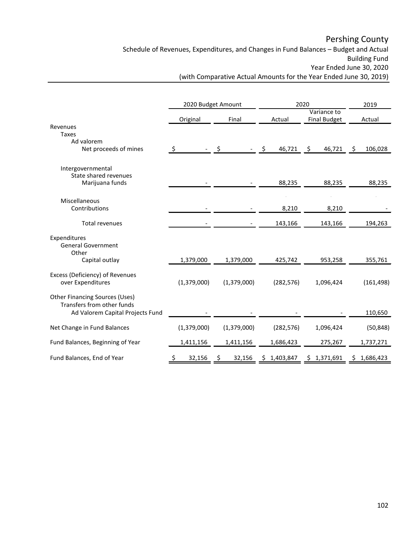Schedule of Revenues, Expenditures, and Changes in Fund Balances – Budget and Actual Building Fund Year Ended June 30, 2020

|                                                                                                         | 2020 Budget Amount |             | 2020                                                                                         | 2019                               |                 |  |
|---------------------------------------------------------------------------------------------------------|--------------------|-------------|----------------------------------------------------------------------------------------------|------------------------------------|-----------------|--|
|                                                                                                         | Original           | Final       | Actual                                                                                       | Variance to<br><b>Final Budget</b> | Actual          |  |
| Revenues<br><b>Taxes</b><br>Ad valorem                                                                  |                    |             |                                                                                              |                                    |                 |  |
| Net proceeds of mines                                                                                   | \$                 | \$          | $-5$<br>$46,721$ \$                                                                          | 46,721                             | 106,028<br>- \$ |  |
| Intergovernmental<br>State shared revenues<br>Marijuana funds                                           |                    |             | 88,235                                                                                       | 88,235                             | 88,235          |  |
|                                                                                                         |                    |             |                                                                                              |                                    |                 |  |
| Miscellaneous<br>Contributions                                                                          |                    |             | 8,210                                                                                        | 8,210                              |                 |  |
| <b>Total revenues</b>                                                                                   |                    |             | 143,166                                                                                      | 143,166                            | 194,263         |  |
| Expenditures<br><b>General Government</b><br>Other                                                      |                    |             |                                                                                              |                                    |                 |  |
| Capital outlay                                                                                          | 1,379,000          | 1,379,000   | 425,742                                                                                      | 953,258                            | 355,761         |  |
| Excess (Deficiency) of Revenues<br>over Expenditures                                                    | (1,379,000)        | (1,379,000) | (282, 576)                                                                                   | 1,096,424                          | (161, 498)      |  |
| <b>Other Financing Sources (Uses)</b><br>Transfers from other funds<br>Ad Valorem Capital Projects Fund |                    |             |                                                                                              |                                    | 110,650         |  |
|                                                                                                         |                    |             |                                                                                              |                                    |                 |  |
| Net Change in Fund Balances                                                                             | (1,379,000)        | (1,379,000) | (282, 576)                                                                                   | 1,096,424                          | (50, 848)       |  |
| Fund Balances, Beginning of Year                                                                        | 1,411,156          | 1,411,156   | 1,686,423                                                                                    | 275,267                            | 1,737,271       |  |
| Fund Balances, End of Year                                                                              | 32,156             |             | $\frac{2}{5}$ 32,156 $\frac{2}{5}$ 1,403,847 $\frac{2}{5}$ 1,371,691 $\frac{2}{5}$ 1,686,423 |                                    |                 |  |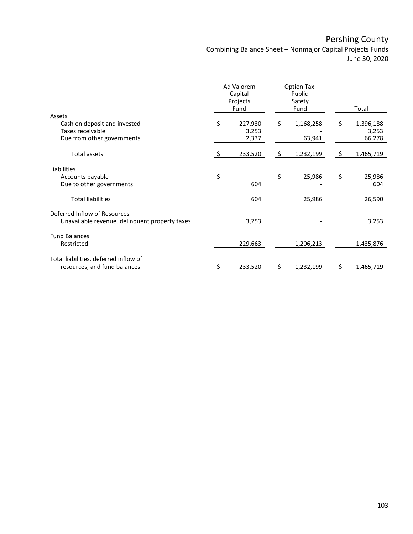Pershing County Combining Balance Sheet – Nonmajor Capital Projects Funds

June 30, 2020

|                                                                                          | Ad Valorem<br>Capital<br>Projects<br>Fund |     | <b>Option Tax-</b><br>Public<br>Safety<br>Fund |    | Total                        |
|------------------------------------------------------------------------------------------|-------------------------------------------|-----|------------------------------------------------|----|------------------------------|
| Assets<br>Cash on deposit and invested<br>Taxes receivable<br>Due from other governments | \$<br>227,930<br>3,253<br>2,337           | \$  | 1,168,258<br>63,941                            | \$ | 1,396,188<br>3,253<br>66,278 |
| Total assets                                                                             | 233,520                                   | \$, | 1,232,199                                      | Ş  | 1,465,719                    |
| Liabilities<br>Accounts payable<br>Due to other governments<br><b>Total liabilities</b>  | \$<br>604<br>604                          | \$  | 25,986<br>25,986                               | \$ | 25,986<br>604<br>26,590      |
| Deferred Inflow of Resources<br>Unavailable revenue, delinquent property taxes           | 3,253                                     |     |                                                |    | 3,253                        |
| <b>Fund Balances</b><br>Restricted                                                       | 229,663                                   |     | 1,206,213                                      |    | 1,435,876                    |
| Total liabilities, deferred inflow of<br>resources, and fund balances                    | \$<br>233,520                             | \$, | 1,232,199                                      | \$ | 1,465,719                    |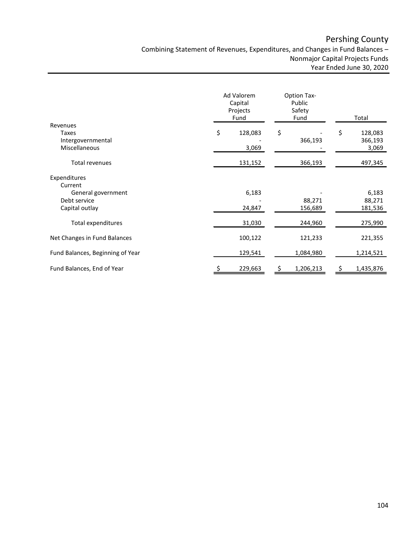Combining Statement of Revenues, Expenditures, and Changes in Fund Balances – Nonmajor Capital Projects Funds Year Ended June 30, 2020

|                                  | Ad Valorem<br>Capital<br>Projects<br>Fund | <b>Option Tax-</b><br>Public<br>Safety<br>Fund | Total                    |  |  |
|----------------------------------|-------------------------------------------|------------------------------------------------|--------------------------|--|--|
| Revenues                         |                                           |                                                |                          |  |  |
| Taxes<br>Intergovernmental       | \$<br>128,083                             | \$<br>366,193                                  | \$<br>128,083<br>366,193 |  |  |
| Miscellaneous                    | 3,069                                     |                                                | 3,069                    |  |  |
| Total revenues                   | 131,152                                   | 366,193                                        | 497,345                  |  |  |
| Expenditures                     |                                           |                                                |                          |  |  |
| Current<br>General government    | 6,183                                     |                                                | 6,183                    |  |  |
| Debt service                     |                                           | 88,271                                         | 88,271                   |  |  |
| Capital outlay                   | 24,847                                    | 156,689                                        | 181,536                  |  |  |
| Total expenditures               | 31,030                                    | 244,960                                        | 275,990                  |  |  |
| Net Changes in Fund Balances     | 100,122                                   | 121,233                                        | 221,355                  |  |  |
| Fund Balances, Beginning of Year | 129,541                                   | 1,084,980                                      | 1,214,521                |  |  |
| Fund Balances, End of Year       | 229,663<br>\$                             | 1,206,213<br>Ş                                 | \$<br>1,435,876          |  |  |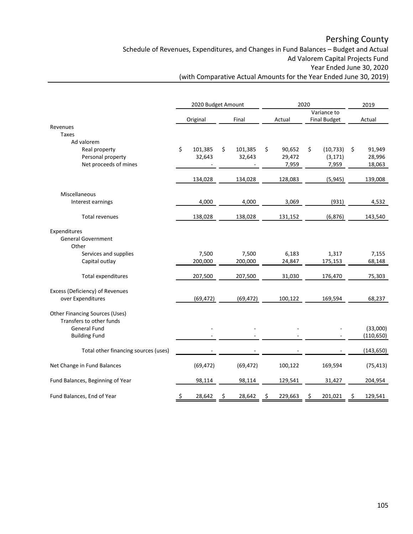Schedule of Revenues, Expenditures, and Changes in Fund Balances – Budget and Actual Ad Valorem Capital Projects Fund Year Ended June 30, 2020

|                                                                   | 2020 Budget Amount |    |           | 2020 |         |             |                     | 2019 |            |
|-------------------------------------------------------------------|--------------------|----|-----------|------|---------|-------------|---------------------|------|------------|
|                                                                   |                    |    |           |      |         | Variance to |                     |      |            |
|                                                                   | Original           |    | Final     |      | Actual  |             | <b>Final Budget</b> |      | Actual     |
| Revenues                                                          |                    |    |           |      |         |             |                     |      |            |
| Taxes                                                             |                    |    |           |      |         |             |                     |      |            |
| Ad valorem                                                        |                    |    |           |      |         |             |                     |      |            |
| Real property                                                     | \$<br>101,385      | \$ | 101,385   | \$   | 90,652  | \$          | (10, 733)           | \$   | 91,949     |
| Personal property                                                 | 32,643             |    | 32,643    |      | 29,472  |             | (3, 171)            |      | 28,996     |
| Net proceeds of mines                                             |                    |    |           |      | 7,959   |             | 7,959               |      | 18,063     |
|                                                                   | 134,028            |    | 134,028   |      | 128,083 |             | (5, 945)            |      | 139,008    |
| Miscellaneous                                                     |                    |    |           |      |         |             |                     |      |            |
| Interest earnings                                                 | 4,000              |    | 4,000     |      | 3,069   |             | (931)               |      | 4,532      |
|                                                                   |                    |    |           |      |         |             |                     |      |            |
| Total revenues                                                    | 138,028            |    | 138,028   |      | 131,152 |             | (6, 876)            |      | 143,540    |
| Expenditures                                                      |                    |    |           |      |         |             |                     |      |            |
| <b>General Government</b>                                         |                    |    |           |      |         |             |                     |      |            |
| Other                                                             |                    |    |           |      |         |             |                     |      |            |
| Services and supplies                                             | 7,500              |    | 7,500     |      | 6,183   |             | 1,317               |      | 7,155      |
| Capital outlay                                                    | 200,000            |    | 200,000   |      | 24,847  |             | 175,153             |      | 68,148     |
| Total expenditures                                                | 207,500            |    | 207,500   |      | 31,030  |             | 176,470             |      | 75,303     |
| Excess (Deficiency) of Revenues                                   |                    |    |           |      |         |             |                     |      |            |
| over Expenditures                                                 | (69, 472)          |    | (69, 472) |      | 100,122 |             | 169,594             |      | 68,237     |
| <b>Other Financing Sources (Uses)</b><br>Transfers to other funds |                    |    |           |      |         |             |                     |      |            |
| <b>General Fund</b>                                               |                    |    |           |      |         |             |                     |      | (33,000)   |
| <b>Building Fund</b>                                              |                    |    |           |      |         |             |                     |      | (110, 650) |
| Total other financing sources (uses)                              |                    |    |           |      |         |             |                     |      | (143, 650) |
| Net Change in Fund Balances                                       | (69, 472)          |    | (69, 472) |      | 100,122 |             | 169,594             |      | (75, 413)  |
| Fund Balances, Beginning of Year                                  | 98,114             |    | 98,114    |      | 129,541 |             | 31,427              |      | 204,954    |
| Fund Balances, End of Year                                        | \$<br>28,642       | S  | 28,642    | \$   | 229,663 | \$          | 201,021             | \$   | 129,541    |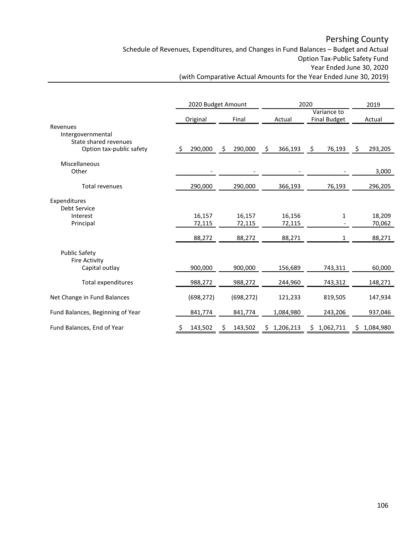Schedule of Revenues, Expenditures, and Changes in Fund Balances – Budget and Actual Option Tax-Public Safety Fund Year Ended June 30, 2020

|                                                                                    |                  | 2020 Budget Amount | 2020             | 2019                               |                  |
|------------------------------------------------------------------------------------|------------------|--------------------|------------------|------------------------------------|------------------|
|                                                                                    | Original         | Final              | Actual           | Variance to<br><b>Final Budget</b> | Actual           |
| Revenues<br>Intergovernmental<br>State shared revenues<br>Option tax-public safety | 290,000<br>Ŝ.    | 290,000<br>Ŝ.      | Ŝ.<br>366,193    | 76,193<br>\$                       | 293,205<br>\$    |
|                                                                                    |                  |                    |                  |                                    |                  |
| Miscellaneous<br>Other                                                             |                  |                    |                  |                                    | 3,000            |
| <b>Total revenues</b>                                                              | 290,000          | 290,000            | 366,193          | 76,193                             | 296,205          |
| Expenditures<br>Debt Service                                                       |                  |                    |                  |                                    |                  |
| Interest<br>Principal                                                              | 16,157<br>72,115 | 16,157<br>72,115   | 16,156<br>72,115 | 1                                  | 18,209<br>70,062 |
|                                                                                    | 88,272           | 88,272             | 88,271           | 1                                  | 88,271           |
| <b>Public Safety</b><br><b>Fire Activity</b>                                       |                  |                    |                  |                                    |                  |
| Capital outlay                                                                     | 900,000          | 900,000            | 156,689          | 743,311                            | 60,000           |
| <b>Total expenditures</b>                                                          | 988,272          | 988,272            | 244,960          | 743,312                            | 148,271          |
| Net Change in Fund Balances                                                        | (698, 272)       | (698, 272)         | 121,233          | 819,505                            | 147,934          |
| Fund Balances, Beginning of Year                                                   | 841,774          | 841,774            | 1,084,980        | 243,206                            | 937,046          |
| Fund Balances, End of Year                                                         | 143,502          | 143,502<br>Ş.      | \$1,206,213      | \$1,062,711                        | 1,084,980<br>S.  |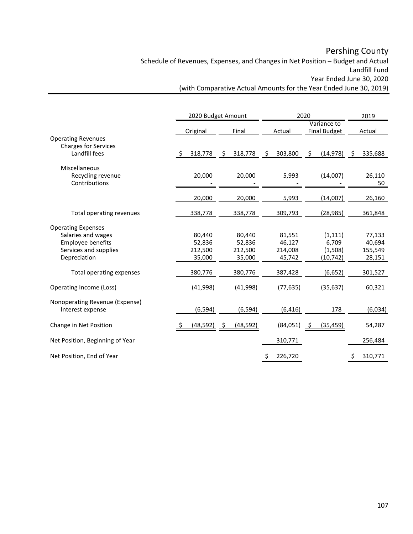Schedule of Revenues, Expenses, and Changes in Net Position – Budget and Actual Landfill Fund Year Ended June 30, 2020

|                                                                                                               |                                       | 2020 Budget Amount                    |                                       | 2020                                      | 2019                                  |  |
|---------------------------------------------------------------------------------------------------------------|---------------------------------------|---------------------------------------|---------------------------------------|-------------------------------------------|---------------------------------------|--|
|                                                                                                               | Original                              | Final                                 | Actual                                | Variance to<br><b>Final Budget</b>        | Actual                                |  |
| <b>Operating Revenues</b><br><b>Charges for Services</b><br>Landfill fees                                     | \$<br>318,778                         | 318,778<br>S                          | 303,800<br>\$                         | \$<br>(14, 978)                           | 335,688<br>S                          |  |
| Miscellaneous<br>Recycling revenue<br>Contributions                                                           | 20,000                                | 20,000                                | 5,993                                 | (14,007)                                  | 26,110<br>50                          |  |
|                                                                                                               | 20,000                                | 20,000                                | 5,993                                 | (14,007)                                  | 26,160                                |  |
| Total operating revenues                                                                                      | 338,778                               | 338,778                               | 309,793                               | (28, 985)                                 | 361,848                               |  |
| <b>Operating Expenses</b><br>Salaries and wages<br>Employee benefits<br>Services and supplies<br>Depreciation | 80,440<br>52,836<br>212,500<br>35,000 | 80,440<br>52,836<br>212,500<br>35,000 | 81,551<br>46,127<br>214,008<br>45,742 | (1, 111)<br>6,709<br>(1,508)<br>(10, 742) | 77,133<br>40,694<br>155,549<br>28,151 |  |
| Total operating expenses                                                                                      | 380,776                               | 380,776                               | 387,428                               | (6, 652)                                  | 301,527                               |  |
| Operating Income (Loss)                                                                                       | (41,998)                              | (41,998)                              | (77, 635)                             | (35, 637)                                 | 60,321                                |  |
| Nonoperating Revenue (Expense)<br>Interest expense                                                            | (6, 594)                              | (6, 594)                              | (6, 416)                              | 178                                       | (6,034)                               |  |
| Change in Net Position                                                                                        | (48,592)                              | (48, 592)<br>- \$                     | (84,051)                              | (35, 459)<br>- Ş                          | 54,287                                |  |
| Net Position, Beginning of Year                                                                               |                                       |                                       | 310,771                               |                                           | 256,484                               |  |
| Net Position, End of Year                                                                                     |                                       |                                       | 226,720                               |                                           | 310,771                               |  |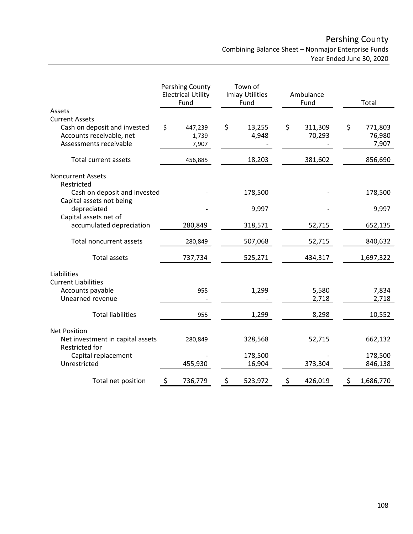Pershing County Combining Balance Sheet – Nonmajor Enterprise Funds Year Ended June 30, 2020

|                                                                                    | <b>Pershing County</b><br><b>Electrical Utility</b><br>Fund | Town of<br><b>Imlay Utilities</b><br>Fund | Ambulance<br>Fund       | Total                            |
|------------------------------------------------------------------------------------|-------------------------------------------------------------|-------------------------------------------|-------------------------|----------------------------------|
| Assets                                                                             |                                                             |                                           |                         |                                  |
| <b>Current Assets</b>                                                              |                                                             |                                           |                         |                                  |
| Cash on deposit and invested<br>Accounts receivable, net<br>Assessments receivable | \$<br>447,239<br>1,739<br>7,907                             | \$<br>13,255<br>4,948                     | \$<br>311,309<br>70,293 | \$<br>771,803<br>76,980<br>7,907 |
| Total current assets                                                               | 456,885                                                     | 18,203                                    | 381,602                 | 856,690                          |
| <b>Noncurrent Assets</b><br>Restricted                                             |                                                             |                                           |                         |                                  |
| Cash on deposit and invested<br>Capital assets not being                           |                                                             | 178,500                                   |                         | 178,500                          |
| depreciated<br>Capital assets net of                                               |                                                             | 9,997                                     |                         | 9,997                            |
| accumulated depreciation                                                           | 280,849                                                     | 318,571                                   | 52,715                  | 652,135                          |
| <b>Total noncurrent assets</b>                                                     | 280,849                                                     | 507,068                                   | 52,715                  | 840,632                          |
| <b>Total assets</b>                                                                | 737,734                                                     | 525,271                                   | 434,317                 | 1,697,322                        |
| Liabilities<br><b>Current Liabilities</b>                                          |                                                             |                                           |                         |                                  |
| Accounts payable<br>Unearned revenue                                               | 955                                                         | 1,299                                     | 5,580<br>2,718          | 7,834<br>2,718                   |
| <b>Total liabilities</b>                                                           | 955                                                         | 1,299                                     | 8,298                   | 10,552                           |
| <b>Net Position</b><br>Net investment in capital assets<br>Restricted for          | 280,849                                                     | 328,568                                   | 52,715                  | 662,132                          |
| Capital replacement<br>Unrestricted                                                | 455,930                                                     | 178,500<br>16,904                         | 373,304                 | 178,500<br>846,138               |
| Total net position                                                                 | \$<br>736,779                                               | \$<br>523,972                             | \$<br>426,019           | \$<br>1,686,770                  |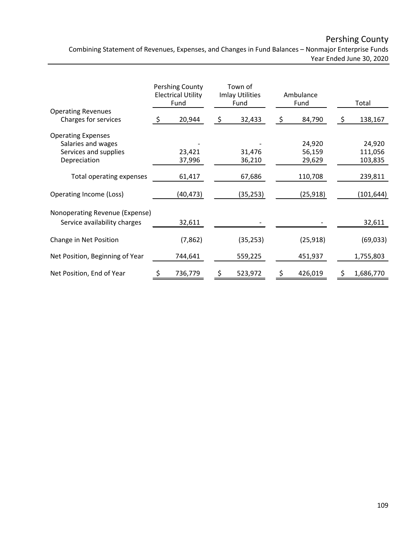Combining Statement of Revenues, Expenses, and Changes in Fund Balances – Nonmajor Enterprise Funds Year Ended June 30, 2020

|                                                 | Pershing County<br><b>Electrical Utility</b><br>Fund | Town of<br><b>Imlay Utilities</b><br>Ambulance<br>Fund<br>Fund |           |    |           | Total           |  |
|-------------------------------------------------|------------------------------------------------------|----------------------------------------------------------------|-----------|----|-----------|-----------------|--|
| <b>Operating Revenues</b>                       |                                                      |                                                                |           |    |           |                 |  |
| Charges for services                            | 20,944                                               | S                                                              | 32,433    | S  | 84,790    | \$<br>138,167   |  |
| <b>Operating Expenses</b><br>Salaries and wages |                                                      |                                                                |           |    | 24,920    | 24,920          |  |
| Services and supplies                           | 23,421                                               |                                                                | 31,476    |    | 56,159    | 111,056         |  |
| Depreciation                                    | 37,996                                               |                                                                | 36,210    |    | 29,629    | 103,835         |  |
| Total operating expenses                        | 61,417                                               |                                                                | 67,686    |    | 110,708   | 239,811         |  |
| Operating Income (Loss)                         | (40, 473)                                            |                                                                | (35, 253) |    | (25, 918) | (101, 644)      |  |
| Nonoperating Revenue (Expense)                  |                                                      |                                                                |           |    |           |                 |  |
| Service availability charges                    | 32,611                                               |                                                                |           |    |           | 32,611          |  |
| Change in Net Position                          | (7,862)                                              |                                                                | (35, 253) |    | (25, 918) | (69, 033)       |  |
| Net Position, Beginning of Year                 | 744,641                                              |                                                                | 559,225   |    | 451,937   | 1,755,803       |  |
| Net Position, End of Year                       | \$<br>736,779                                        | \$                                                             | 523,972   | \$ | 426,019   | \$<br>1,686,770 |  |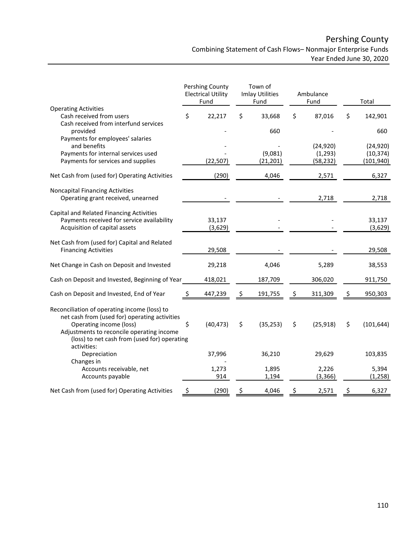## Pershing County Combining Statement of Cash Flows– Nonmajor Enterprise Funds Year Ended June 30, 2020

|                                                                             | Pershing County<br><b>Electrical Utility</b><br>Fund | Town of<br><b>Imlay Utilities</b><br>Fund | Ambulance<br>Fund | Total             |
|-----------------------------------------------------------------------------|------------------------------------------------------|-------------------------------------------|-------------------|-------------------|
| <b>Operating Activities</b>                                                 |                                                      |                                           |                   |                   |
| Cash received from users<br>Cash received from interfund services           | \$<br>22,217                                         | \$<br>33,668                              | \$<br>87,016      | \$<br>142,901     |
| provided                                                                    |                                                      | 660                                       |                   | 660               |
| Payments for employees' salaries<br>and benefits                            |                                                      |                                           | (24, 920)         | (24, 920)         |
| Payments for internal services used                                         |                                                      | (9,081)                                   | (1, 293)          | (10, 374)         |
| Payments for services and supplies                                          | (22, 507)                                            | (21, 201)                                 | (58, 232)         | (101, 940)        |
| Net Cash from (used for) Operating Activities                               | (290)                                                | 4,046                                     | 2,571             | 6,327             |
| <b>Noncapital Financing Activities</b>                                      |                                                      |                                           |                   |                   |
| Operating grant received, unearned                                          |                                                      |                                           | 2,718             | 2,718             |
| Capital and Related Financing Activities                                    |                                                      |                                           |                   |                   |
| Payments received for service availability<br>Acquisition of capital assets | 33,137<br>(3,629)                                    |                                           |                   | 33,137<br>(3,629) |
| Net Cash from (used for) Capital and Related                                |                                                      |                                           |                   |                   |
| <b>Financing Activities</b>                                                 | 29,508                                               |                                           |                   | 29,508            |
| Net Change in Cash on Deposit and Invested                                  | 29,218                                               | 4,046                                     | 5,289             | 38,553            |
| Cash on Deposit and Invested, Beginning of Year                             | 418,021                                              | 187,709                                   | 306,020           | 911,750           |
| Cash on Deposit and Invested, End of Year                                   | \$<br>447,239                                        | \$<br>191,755                             | \$<br>311,309     | \$<br>950,303     |
| Reconciliation of operating income (loss) to                                |                                                      |                                           |                   |                   |
| net cash from (used for) operating activities<br>Operating income (loss)    | \$<br>(40, 473)                                      | \$<br>(35, 253)                           | \$<br>(25, 918)   | \$<br>(101, 644)  |
| Adjustments to reconcile operating income                                   |                                                      |                                           |                   |                   |
| (loss) to net cash from (used for) operating                                |                                                      |                                           |                   |                   |
| activities:<br>Depreciation                                                 | 37,996                                               | 36,210                                    | 29,629            | 103,835           |
| Changes in                                                                  |                                                      |                                           |                   |                   |
| Accounts receivable, net                                                    | 1,273                                                | 1,895                                     | 2,226             | 5,394             |
| Accounts payable                                                            | 914                                                  | 1,194                                     | (3, 366)          | (1, 258)          |
| Net Cash from (used for) Operating Activities                               | \$<br>(290)                                          | \$<br>4,046                               | \$<br>2,571       | \$<br>6,327       |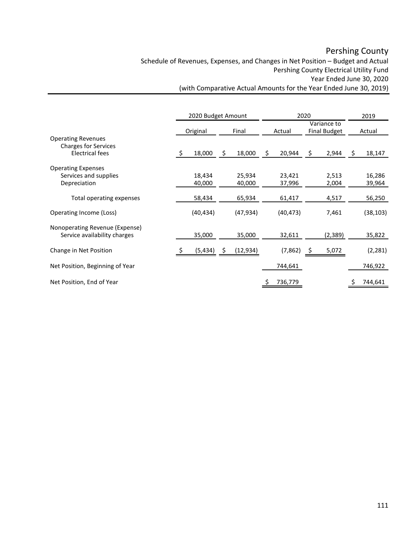Schedule of Revenues, Expenses, and Changes in Net Position – Budget and Actual Pershing County Electrical Utility Fund Year Ended June 30, 2020

|                                                                                    | 2020 Budget Amount |           |     |           | 2020          |     | 2019                               |   |           |
|------------------------------------------------------------------------------------|--------------------|-----------|-----|-----------|---------------|-----|------------------------------------|---|-----------|
|                                                                                    |                    | Original  |     | Final     | Actual        |     | Variance to<br><b>Final Budget</b> |   | Actual    |
| <b>Operating Revenues</b><br><b>Charges for Services</b><br><b>Electrical fees</b> | -\$                | 18,000    | \$  | 18,000    | \$<br>20,944  | \$. | 2,944                              | S | 18,147    |
| <b>Operating Expenses</b><br>Services and supplies                                 |                    | 18,434    |     | 25,934    | 23,421        |     | 2,513                              |   | 16,286    |
| Depreciation                                                                       |                    | 40,000    |     | 40,000    | 37,996        |     | 2,004                              |   | 39,964    |
| Total operating expenses                                                           |                    | 58,434    |     | 65,934    | 61,417        |     | 4,517                              |   | 56,250    |
| Operating Income (Loss)                                                            |                    | (40, 434) |     | (47, 934) | (40, 473)     |     | 7,461                              |   | (38, 103) |
| Nonoperating Revenue (Expense)<br>Service availability charges                     |                    | 35,000    |     | 35,000    | 32,611        |     | (2, 389)                           |   | 35,822    |
| Change in Net Position                                                             |                    | (5, 434)  | \$_ | (12,934)  | (7, 862)      | - Ş | 5,072                              |   | (2, 281)  |
| Net Position, Beginning of Year                                                    |                    |           |     |           | 744,641       |     |                                    |   | 746,922   |
| Net Position, End of Year                                                          |                    |           |     |           | \$<br>736,779 |     |                                    |   | 744,641   |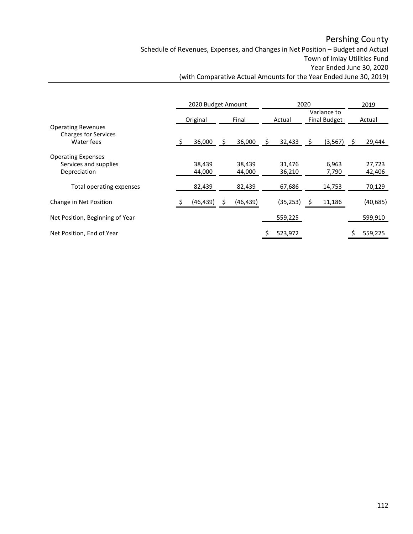Schedule of Revenues, Expenses, and Changes in Net Position – Budget and Actual Town of Imlay Utilities Fund Year Ended June 30, 2020

|                                                          | 2020 Budget Amount |           |    |           |   | 2020      |   | 2019                               |   |           |
|----------------------------------------------------------|--------------------|-----------|----|-----------|---|-----------|---|------------------------------------|---|-----------|
|                                                          |                    | Original  |    | Final     |   | Actual    |   | Variance to<br><b>Final Budget</b> |   | Actual    |
| <b>Operating Revenues</b><br><b>Charges for Services</b> |                    |           |    |           |   |           |   |                                    |   |           |
| Water fees                                               | -Ś                 | 36,000    | \$ | 36,000    | Ş | 32,433    | S | (3, 567)                           | S | 29,444    |
| <b>Operating Expenses</b>                                |                    |           |    |           |   |           |   |                                    |   |           |
| Services and supplies                                    |                    | 38,439    |    | 38,439    |   | 31,476    |   | 6,963                              |   | 27,723    |
| Depreciation                                             |                    | 44,000    |    | 44,000    |   | 36,210    |   | 7,790                              |   | 42,406    |
| Total operating expenses                                 |                    | 82,439    |    | 82,439    |   | 67,686    |   | 14,753                             |   | 70,129    |
| Change in Net Position                                   |                    | (46, 439) | S  | (46, 439) |   | (35, 253) |   | 11,186                             |   | (40, 685) |
| Net Position, Beginning of Year                          |                    |           |    |           |   | 559,225   |   |                                    |   | 599,910   |
| Net Position, End of Year                                |                    |           |    |           |   | 523,972   |   |                                    |   | 559,225   |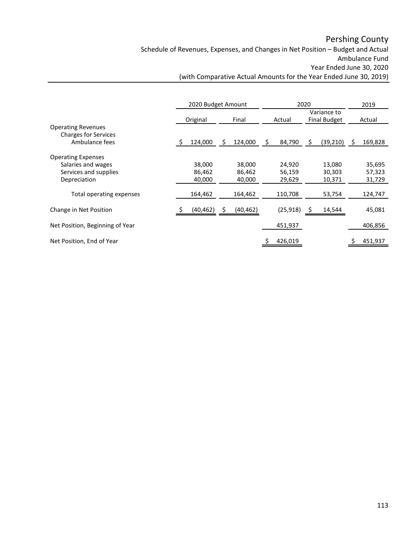Schedule of Revenues, Expenses, and Changes in Net Position – Budget and Actual Ambulance Fund Year Ended June 30, 2020

|                                                                            | 2020 Budget Amount |                            |    |                            |    | 2020                               |        | 2019                       |   |                            |
|----------------------------------------------------------------------------|--------------------|----------------------------|----|----------------------------|----|------------------------------------|--------|----------------------------|---|----------------------------|
|                                                                            | Original<br>Final  |                            |    | Actual                     |    | Variance to<br><b>Final Budget</b> | Actual |                            |   |                            |
| <b>Operating Revenues</b><br><b>Charges for Services</b><br>Ambulance fees | S                  | 124,000                    | \$ | 124,000                    | \$ | 84,790                             | S      | (39, 210)                  | S | 169,828                    |
| <b>Operating Expenses</b>                                                  |                    |                            |    |                            |    |                                    |        |                            |   |                            |
| Salaries and wages<br>Services and supplies<br>Depreciation                |                    | 38,000<br>86,462<br>40,000 |    | 38,000<br>86,462<br>40,000 |    | 24,920<br>56,159<br>29,629         |        | 13,080<br>30,303<br>10,371 |   | 35,695<br>57,323<br>31,729 |
| Total operating expenses                                                   |                    | 164,462                    |    | 164,462                    |    | 110,708                            |        | 53,754                     |   | 124,747                    |
| Change in Net Position                                                     |                    | (40, 462)                  | s  | (40, 462)                  |    | (25, 918)                          |        | 14,544                     |   | 45,081                     |
| Net Position, Beginning of Year                                            |                    |                            |    |                            |    | 451,937                            |        |                            |   | 406,856                    |
| Net Position, End of Year                                                  |                    |                            |    |                            |    | 426,019                            |        |                            |   | 451,937                    |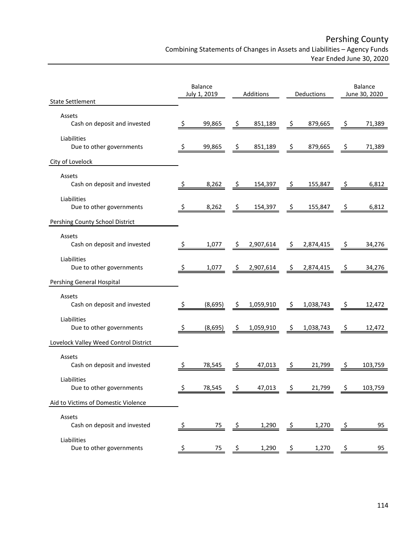Combining Statements of Changes in Assets and Liabilities – Agency Funds

Year Ended June 30, 2020

|                                         |     | <b>Balance</b><br>July 1, 2019 |               | Additions | Deductions    |           |                     | <b>Balance</b><br>June 30, 2020 |  |  |
|-----------------------------------------|-----|--------------------------------|---------------|-----------|---------------|-----------|---------------------|---------------------------------|--|--|
| <b>State Settlement</b>                 |     |                                |               |           |               |           |                     |                                 |  |  |
| Assets<br>Cash on deposit and invested  | S   | 99,865                         | \$.           | 851,189   | -\$           | 879,665   | -\$                 | 71,389                          |  |  |
| Liabilities<br>Due to other governments | Ş   | 99,865                         | \$            | 851,189   | $\frac{5}{5}$ | 879,665   | $\varsigma$         | 71,389                          |  |  |
| City of Lovelock                        |     |                                |               |           |               |           |                     |                                 |  |  |
| Assets<br>Cash on deposit and invested  | \$. | 8,262                          | - Ş           | 154,397   | - \$          | 155,847   | -Ş                  | 6,812                           |  |  |
| Liabilities<br>Due to other governments | \$  | 8,262                          | $\frac{1}{2}$ | 154,397   | <u>_\$</u>    | 155,847   | <u>ځـ</u>           | 6,812                           |  |  |
| Pershing County School District         |     |                                |               |           |               |           |                     |                                 |  |  |
| Assets<br>Cash on deposit and invested  | \$. | 1,077                          | -Ş            | 2,907,614 | \$            | 2,874,415 | -Ş                  | 34,276                          |  |  |
| Liabilities<br>Due to other governments | \$. | 1,077                          | Ş.            | 2,907,614 | -\$           | 2,874,415 | $\ddot{\bm{\zeta}}$ | 34,276                          |  |  |
| <b>Pershing General Hospital</b>        |     |                                |               |           |               |           |                     |                                 |  |  |
| Assets<br>Cash on deposit and invested  | \$. | (8,695)                        | Ş.            | 1,059,910 | \$.           | 1,038,743 | $\ddot{\phi}$       | 12,472                          |  |  |
| Liabilities<br>Due to other governments | \$  | (8,695)                        | \$.           | 1,059,910 | \$            | 1,038,743 | $\frac{1}{2}$       | 12,472                          |  |  |
| Lovelock Valley Weed Control District   |     |                                |               |           |               |           |                     |                                 |  |  |
| Assets<br>Cash on deposit and invested  | \$. | 78,545                         | Ş.            | 47,013    | \$            | 21,799    | -Ş                  | 103,759                         |  |  |
| Liabilities<br>Due to other governments |     | 78,545                         | \$            | 47,013    | \$            | 21,799    | \$                  | 103,759                         |  |  |
| Aid to Victims of Domestic Violence     |     |                                |               |           |               |           |                     |                                 |  |  |
| Assets<br>Cash on deposit and invested  | \$  | 75                             | \$            | 1,290     | \$            | 1,270     | $\ddot{\phi}$       | 95                              |  |  |
| Liabilities<br>Due to other governments |     | 75                             |               | 1,290     | Ş             | 1,270     |                     | 95                              |  |  |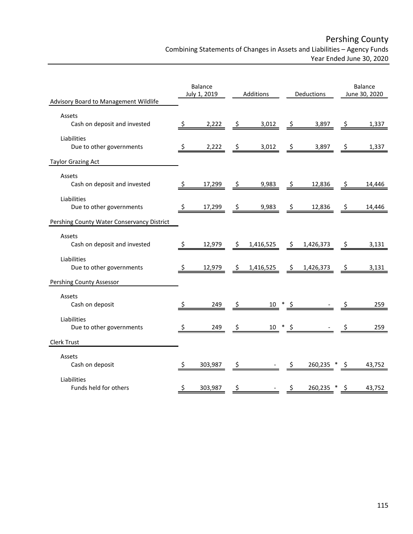Pershing County

Combining Statements of Changes in Assets and Liabilities – Agency Funds

Year Ended June 30, 2020

| <b>Advisory Board to Management Wildlife</b> |     | <b>Balance</b><br>July 1, 2019 |              | Additions | Deductions |           |      | Balance<br>June 30, 2020 |
|----------------------------------------------|-----|--------------------------------|--------------|-----------|------------|-----------|------|--------------------------|
| Assets                                       |     |                                |              |           |            |           |      |                          |
| Cash on deposit and invested                 | \$  | 2,222                          | \$           | 3,012     | \$         | 3,897     | \$   | 1,337                    |
| Liabilities<br>Due to other governments      | \$  | 2,222                          | <u>_\$</u>   | 3,012     | <u>_\$</u> | 3,897     | \$   | 1,337                    |
| <b>Taylor Grazing Act</b>                    |     |                                |              |           |            |           |      |                          |
| Assets<br>Cash on deposit and invested       | \$  | 17,299                         | <u>_\$_</u>  | 9,983     | <u>\$</u>  | 12,836    | -Ş   | 14,446                   |
| Liabilities<br>Due to other governments      | Ş.  | 17,299                         | \$           | 9,983     | -\$        | 12,836    | -\$  | 14,446                   |
| Pershing County Water Conservancy District   |     |                                |              |           |            |           |      |                          |
| Assets<br>Cash on deposit and invested       | \$. | 12,979                         | $\mathsf{S}$ | 1,416,525 | - \$       | 1,426,373 | - Ş  | 3,131                    |
| Liabilities<br>Due to other governments      | \$  | 12,979                         | \$.          | 1,416,525 | \$         | 1,426,373 | \$   | 3,131                    |
| Pershing County Assessor                     |     |                                |              |           |            |           |      |                          |
| Assets<br>Cash on deposit                    | S   | 249                            | \$.          | $10 * $$  |            |           |      | 259                      |
| Liabilities<br>Due to other governments      | S   | 249                            | \$           | $10 * $$  |            |           |      | 259                      |
| Clerk Trust                                  |     |                                |              |           |            |           |      |                          |
| Assets<br>Cash on deposit                    | S   | 303,987                        | Ş.           |           | Ş          | 260,235 * | - \$ | 43,752                   |
| Liabilities<br>Funds held for others         | \$  | 303,987                        | \$           |           | S          | 260,235 * | -\$  | 43,752                   |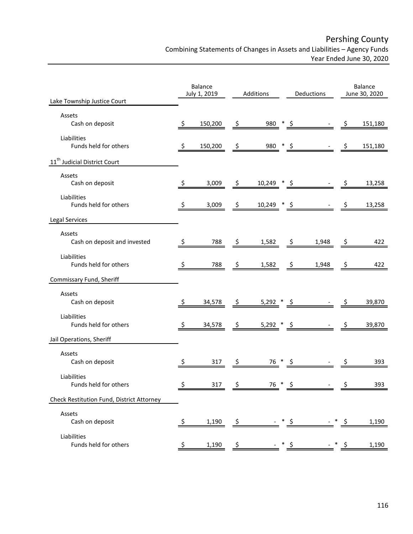Pershing County

Combining Statements of Changes in Assets and Liabilities – Agency Funds

Year Ended June 30, 2020

|                                           |    | <b>Balance</b><br>July 1, 2019 | Additions          |                         |        | Deductions | Balance<br>June 30, 2020 |     |         |
|-------------------------------------------|----|--------------------------------|--------------------|-------------------------|--------|------------|--------------------------|-----|---------|
| Lake Township Justice Court               |    |                                |                    |                         |        |            |                          |     |         |
| Assets<br>Cash on deposit                 | \$ | 150,200                        | $\frac{5}{2}$      | $980 * $$               |        |            |                          | \$. | 151,180 |
| Liabilities<br>Funds held for others      | \$ | 150,200                        | \$                 | $980 * $$               |        |            |                          | \$. | 151,180 |
| 11 <sup>th</sup> Judicial District Court  |    |                                |                    |                         |        |            |                          |     |         |
| Assets<br>Cash on deposit                 | \$ | 3,009                          | \$                 | $\frac{10,249}{ }$ * \$ |        |            |                          |     | 13,258  |
| Liabilities<br>Funds held for others      | \$ | 3,009                          | $\ddot{\phi}$      | $10,249$ * \$           |        |            |                          | -S  | 13,258  |
| <b>Legal Services</b>                     |    |                                |                    |                         |        |            |                          |     |         |
| Assets<br>Cash on deposit and invested    | \$ | 788                            | $\frac{5}{5}$      | 1,582                   |        | ي ۔        | 1,948                    | -\$ | 422     |
| Liabilities<br>Funds held for others      |    | 788                            | $\hat{\vec{\tau}}$ | 1,582                   |        | <u>_\$</u> | 1,948                    | \$  | 422     |
| Commissary Fund, Sheriff                  |    |                                |                    |                         |        |            |                          |     |         |
| Assets<br>Cash on deposit                 | \$ | 34,578                         | \$                 | 5,292 $*$ \$            |        |            |                          | -Ş  | 39,870  |
| Liabilities<br>Funds held for others      | S  | 34,578                         | $\frac{1}{2}$      | $5,292$ * \$            |        |            |                          |     | 39,870  |
| Jail Operations, Sheriff                  |    |                                |                    |                         |        |            |                          |     |         |
| Assets<br>Cash on deposit                 |    | 317                            | -S                 | 76 * \$                 |        |            |                          |     | 393     |
| Liabilities<br>Funds held for others      | \$ | 317                            | \$                 | 76                      | $\ast$ | \$         |                          | S   | 393     |
| Check Restitution Fund, District Attorney |    |                                |                    |                         |        |            |                          |     |         |
| Assets<br>Cash on deposit                 | S  | 1,190                          | \$                 |                         |        |            |                          | \$  | 1,190   |
| Liabilities<br>Funds held for others      | Ş  | 1,190                          | Ş.                 |                         |        |            |                          | Ş.  | 1,190   |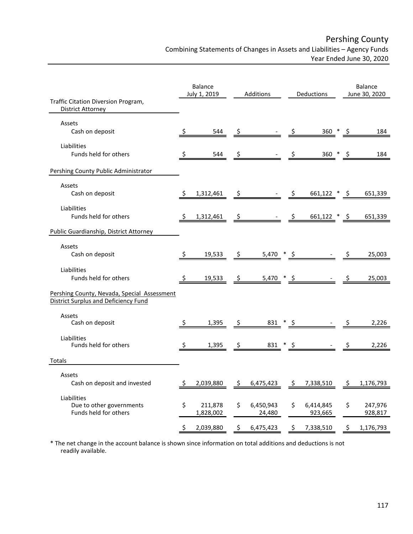Combining Statements of Changes in Assets and Liabilities – Agency Funds

Year Ended June 30, 2020

|                                                                                            |     | Balance<br>July 1, 2019 | Additions           |                     | Deductions          |                      | <b>Balance</b><br>June 30, 2020 |                    |
|--------------------------------------------------------------------------------------------|-----|-------------------------|---------------------|---------------------|---------------------|----------------------|---------------------------------|--------------------|
| Traffic Citation Diversion Program,<br><b>District Attorney</b>                            |     |                         |                     |                     |                     |                      |                                 |                    |
| Assets<br>Cash on deposit                                                                  |     | 544                     | -Ş                  |                     | - Ş                 | $360$ *              | − Ş                             | 184                |
| Liabilities<br>Funds held for others                                                       | \$, | 544                     | $\ddot{\mathsf{S}}$ |                     | -\$                 | $360 * $$            |                                 | 184                |
| Pershing County Public Administrator                                                       |     |                         |                     |                     |                     |                      |                                 |                    |
| Assets<br>Cash on deposit                                                                  | S   | 1,312,461               | \$                  |                     | S                   | 661,122 *            | - \$                            | 651,339            |
| Liabilities<br>Funds held for others                                                       | S.  | 1,312,461               | \$                  |                     | $\ddot{\mathsf{S}}$ | $661,122$ * \$       |                                 | 651,339            |
| Public Guardianship, District Attorney                                                     |     |                         |                     |                     |                     |                      |                                 |                    |
| Assets<br>Cash on deposit                                                                  | S.  | 19,533                  | \$                  | $5,470$ * \$        |                     |                      |                                 | 25,003             |
| Liabilities<br>Funds held for others                                                       |     | 19,533                  | - Ş                 | $5,470$ * \$        |                     |                      |                                 | 25,003             |
| Pershing County, Nevada, Special Assessment<br><b>District Surplus and Deficiency Fund</b> |     |                         |                     |                     |                     |                      |                                 |                    |
| Assets<br>Cash on deposit                                                                  | S   | 1,395                   | S                   | 831                 | S                   |                      |                                 | 2,226              |
| Liabilities<br>Funds held for others                                                       |     | 1,395                   | \$.                 | $831 * $$           |                     |                      |                                 | 2,226              |
| Totals                                                                                     |     |                         |                     |                     |                     |                      |                                 |                    |
| Assets<br>Cash on deposit and invested                                                     | \$  | 2,039,880               | \$                  | 6,475,423           | \$                  | 7,338,510            | \$                              | 1,176,793          |
| Liabilities<br>Due to other governments<br>Funds held for others                           | \$  | 211,878<br>1,828,002    | \$                  | 6,450,943<br>24,480 | \$                  | 6,414,845<br>923,665 | \$                              | 247,976<br>928,817 |
|                                                                                            | \$. | 2,039,880               | \$                  | 6,475,423           | \$                  | 7,338,510            | \$                              | 1,176,793          |

\* The net change in the account balance is shown since information on total additions and deductions is not readily available.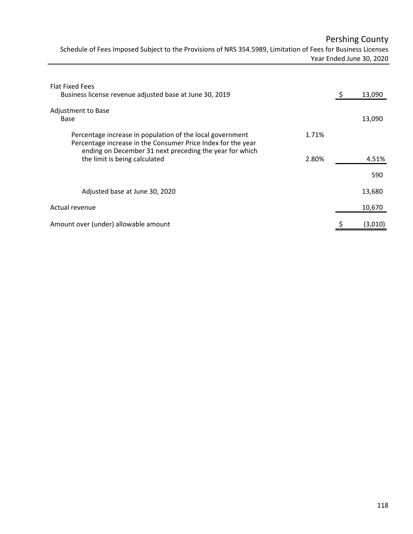Schedule of Fees Imposed Subject to the Provisions of NRS 354.5989, Limitation of Fees for Business Licenses Year Ended June 30, 2020

| <b>Flat Fixed Fees</b><br>Business license revenue adjusted base at June 30, 2019                                                                                                    |       | S | 13,090  |
|--------------------------------------------------------------------------------------------------------------------------------------------------------------------------------------|-------|---|---------|
| Adjustment to Base<br>Base                                                                                                                                                           |       |   | 13,090  |
| Percentage increase in population of the local government<br>Percentage increase in the Consumer Price Index for the year<br>ending on December 31 next preceding the year for which | 1.71% |   |         |
| the limit is being calculated                                                                                                                                                        | 2.80% |   | 4.51%   |
|                                                                                                                                                                                      |       |   | 590     |
| Adjusted base at June 30, 2020                                                                                                                                                       |       |   | 13,680  |
| Actual revenue                                                                                                                                                                       |       |   | 10,670  |
| Amount over (under) allowable amount                                                                                                                                                 |       |   | (3,010) |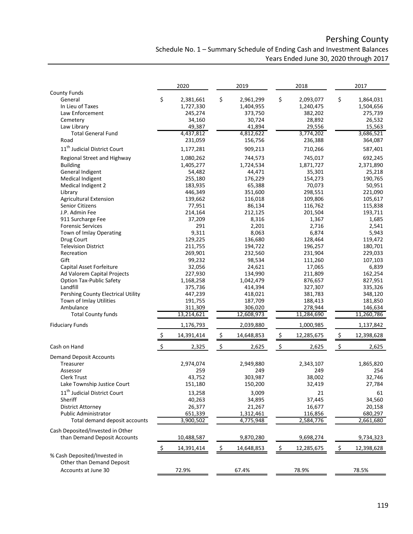### Schedule No. 1 – Summary Schedule of Ending Cash and Investment Balances Years Ended June 30, 2020 through 2017

|                                          |                      | 2020                 | 2019                |                           | 2018                |                           | 2017                 |
|------------------------------------------|----------------------|----------------------|---------------------|---------------------------|---------------------|---------------------------|----------------------|
| <b>County Funds</b>                      |                      |                      |                     |                           |                     |                           |                      |
| General                                  | \$                   | 2,381,661            | \$<br>2,961,299     | \$                        | 2,093,077           | \$                        | 1,864,031            |
| In Lieu of Taxes                         |                      | 1,727,330            | 1,404,955           |                           | 1,240,475           |                           | 1,504,656            |
| Law Enforcement                          |                      | 245,274              | 373,750             |                           | 382,202             |                           | 275,739              |
| Cemetery                                 |                      | 34,160<br>49,387     | 30,724              |                           | 28,892              |                           | 26,532               |
| Law Library<br><b>Total General Fund</b> |                      |                      | 41,894<br>4,812,622 |                           | 29,556<br>3,774,202 |                           | 15,563               |
| Road                                     |                      | 4,437,812<br>231,059 | 156,756             |                           | 236,388             |                           | 3,686,521<br>364,087 |
| 11 <sup>th</sup> Judicial District Court |                      | 1,177,281            | 909,213             |                           | 710,266             |                           | 587,401              |
| Regional Street and Highway              |                      | 1,080,262            | 744,573             |                           | 745,017             |                           | 692,245              |
| <b>Building</b>                          |                      | 1,405,277            | 1,724,534           |                           | 1,871,727           |                           | 2,371,890            |
| General Indigent                         |                      | 54,482               | 44,471              |                           | 35,301              |                           | 25,218               |
| Medical Indigent                         |                      | 255,180              | 176,229             |                           | 154,273             |                           | 190,765              |
| Medical Indigent 2                       |                      | 183,935              | 65,388              |                           | 70,073              |                           | 50,951               |
| Library                                  |                      | 446,349              | 351,600             |                           | 298,551             |                           | 221,090              |
| <b>Agricultural Extension</b>            |                      | 139,662              | 116,018             |                           | 109,806             |                           | 105,617              |
| Senior Citizens                          |                      | 77,951               | 86,134              |                           | 116,762             |                           | 115,838              |
| J.P. Admin Fee                           |                      | 214,164              | 212,125             |                           | 201,504             |                           | 193,711              |
| 911 Surcharge Fee                        |                      | 37,209               | 8,316               |                           | 1,367               |                           | 1,685                |
| <b>Forensic Services</b>                 |                      | 291                  | 2,201               |                           | 2,716               |                           | 2,541                |
| Town of Imlay Operating                  |                      | 9,311                | 8,063               |                           | 6,874               |                           | 5,943                |
| Drug Court                               |                      | 129,225              | 136,680             |                           | 128,464             |                           | 119,472              |
| <b>Television District</b>               |                      | 211,755              | 194,722             |                           | 196,257             |                           | 180,701              |
| Recreation                               |                      | 269,901              | 232,560             |                           | 231,904             |                           | 229,033              |
| Gift                                     |                      | 99,232               | 98,534              |                           | 111,260             |                           | 107,103              |
| Capital Asset Forfeiture                 |                      | 32,056               | 24,621              |                           | 17,065              |                           | 6,839                |
| Ad Valorem Capital Projects              |                      | 227,930              | 134,990             |                           | 211,809             |                           | 162,254              |
| <b>Option Tax-Public Safety</b>          |                      | 1,168,258            | 1,042,479           |                           | 876,657             |                           | 827,951              |
| Landfill                                 |                      | 375,736              | 414,394             |                           | 327,307             |                           | 335,326              |
| Pershing County Electrical Utility       |                      | 447,239              | 418,021             |                           | 381,783             |                           | 348,120              |
| Town of Imlay Utilities                  |                      | 191,755              | 187,709             |                           | 188,413             |                           | 181,850              |
| Ambulance                                |                      | 311,309              | 306,020             |                           | 278,944             |                           | 146,634              |
| <b>Total County funds</b>                |                      | 13,214,621           | 12,608,973          |                           | 11,284,690          |                           | 11,260,786           |
| <b>Fiduciary Funds</b>                   |                      | 1,176,793            | 2,039,880           |                           | 1,000,985           |                           | 1,137,842            |
|                                          | \$                   | 14,391,414           | \$<br>14,648,853    | \$                        | 12,285,675          | \$                        | 12,398,628           |
| Cash on Hand                             | $\boldsymbol{\zeta}$ | 2,325                | \$<br>2,625         | $\boldsymbol{\mathsf{S}}$ | 2,625               | $\boldsymbol{\mathsf{S}}$ | 2,625                |
| <b>Demand Deposit Accounts</b>           |                      |                      |                     |                           |                     |                           |                      |
| Treasurer                                |                      | 2,974,074            | 2,949,880           |                           | 2,343,107           |                           | 1,865,820            |
| Assessor                                 |                      | 259                  | 249                 |                           | 249                 |                           | 254                  |
| Clerk Trust                              |                      | 43,752               | 303,987             |                           | 38,002              |                           | 32,746               |
| Lake Township Justice Court              |                      | 151,180              | 150,200             |                           | 32,419              |                           | 27,784               |
| 11 <sup>th</sup> Judicial District Court |                      | 13,258               | 3,009               |                           | 21                  |                           | 61                   |
| Sheriff                                  |                      | 40,263               | 34,895              |                           | 37,445              |                           | 34,560               |
| <b>District Attorney</b>                 |                      | 26,377               | 21,267              |                           | 16,677              |                           | 20,158               |
| <b>Public Administrator</b>              |                      | 651,339              | 1,312,461           |                           | 116,856             |                           | 680,297              |
| Total demand deposit accounts            |                      | 3,900,502            | 4,775,948           |                           | 2,584,776           |                           | 2,661,680            |
| Cash Deposited/Invested in Other         |                      |                      |                     |                           |                     |                           |                      |
| than Demand Deposit Accounts             |                      | 10,488,587           | 9,870,280           |                           | 9,698,274           |                           | 9,734,323            |
|                                          | \$                   | 14,391,414           | \$<br>14,648,853    | \$                        | 12,285,675          | \$                        | 12,398,628           |
| % Cash Deposited/Invested in             |                      |                      |                     |                           |                     |                           |                      |
| Other than Demand Deposit                |                      |                      |                     |                           |                     |                           |                      |
| Accounts at June 30                      |                      | 72.9%                | 67.4%               |                           | 78.9%               |                           | 78.5%                |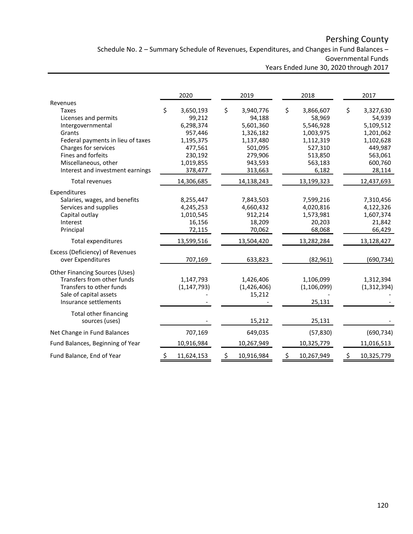Schedule No. 2 – Summary Schedule of Revenues, Expenditures, and Changes in Fund Balances – Governmental Funds Years Ended June 30, 2020 through 2017

|                                       | 2020             | 2019             | 2018             | 2017             |
|---------------------------------------|------------------|------------------|------------------|------------------|
| Revenues                              |                  |                  |                  |                  |
| <b>Taxes</b>                          | 3,650,193<br>\$  | \$<br>3,940,776  | \$<br>3,866,607  | \$<br>3,327,630  |
| Licenses and permits                  | 99,212           | 94,188           | 58,969           | 54,939           |
| Intergovernmental                     | 6,298,374        | 5,601,360        | 5,546,928        | 5,109,512        |
| Grants                                | 957,446          | 1,326,182        | 1,003,975        | 1,201,062        |
| Federal payments in lieu of taxes     | 1,195,375        | 1,137,480        | 1,112,319        | 1,102,628        |
| Charges for services                  | 477,561          | 501,095          | 527,310          | 449,987          |
| Fines and forfeits                    | 230,192          | 279,906          | 513,850          | 563,061          |
| Miscellaneous, other                  | 1,019,855        | 943,593          | 563,183          | 600,760          |
| Interest and investment earnings      | 378,477          | 313,663          | 6,182            | 28,114           |
| <b>Total revenues</b>                 | 14,306,685       | 14,138,243       | 13,199,323       | 12,437,693       |
| Expenditures                          |                  |                  |                  |                  |
| Salaries, wages, and benefits         | 8,255,447        | 7,843,503        | 7,599,216        | 7,310,456        |
| Services and supplies                 | 4,245,253        | 4,660,432        | 4,020,816        | 4,122,326        |
| Capital outlay                        | 1,010,545        | 912,214          | 1,573,981        | 1,607,374        |
| Interest                              | 16,156           | 18,209           | 20,203           | 21,842           |
| Principal                             | 72,115           | 70,062           | 68,068           | 66,429           |
| Total expenditures                    | 13,599,516       | 13,504,420       | 13,282,284       | 13,128,427       |
| Excess (Deficiency) of Revenues       |                  |                  |                  |                  |
| over Expenditures                     | 707,169          | 633,823          | (82, 961)        | (690, 734)       |
| <b>Other Financing Sources (Uses)</b> |                  |                  |                  |                  |
| Transfers from other funds            | 1,147,793        | 1,426,406        | 1,106,099        | 1,312,394        |
| Transfers to other funds              | (1, 147, 793)    | (1,426,406)      | (1, 106, 099)    | (1,312,394)      |
| Sale of capital assets                |                  | 15,212           |                  |                  |
| Insurance settlements                 |                  |                  | 25,131           |                  |
| Total other financing                 |                  |                  |                  |                  |
| sources (uses)                        |                  | 15,212           | 25,131           |                  |
| Net Change in Fund Balances           | 707,169          | 649,035          | (57, 830)        | (690, 734)       |
| Fund Balances, Beginning of Year      | 10,916,984       | 10,267,949       | 10,325,779       | 11,016,513       |
| Fund Balance, End of Year             | \$<br>11,624,153 | \$<br>10,916,984 | \$<br>10,267,949 | \$<br>10,325,779 |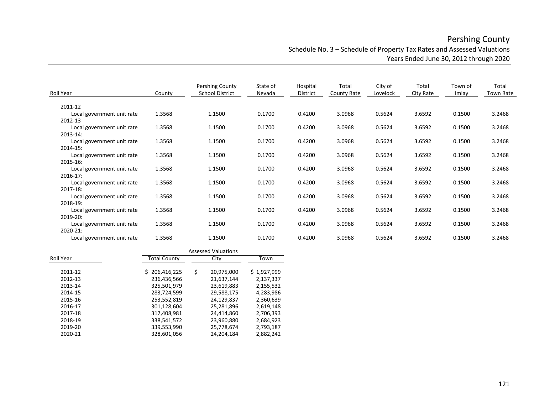# Pershing County Schedule No. 3 – Schedule of Property Tax Rates and Assessed Valuations

| Years Ended June 30, 2012 through 2020 |  |  |  |
|----------------------------------------|--|--|--|
|----------------------------------------|--|--|--|

| Roll Year                                   | County | Pershing County<br><b>School District</b> | State of<br>Nevada | Hospital<br>District | Total<br>County Rate | City of<br>Lovelock | Total<br>City Rate | Town of<br>Imlay | Total<br>Town Rate |
|---------------------------------------------|--------|-------------------------------------------|--------------------|----------------------|----------------------|---------------------|--------------------|------------------|--------------------|
| 2011-12                                     |        |                                           |                    |                      |                      |                     |                    |                  |                    |
| Local government unit rate<br>2012-13       | 1.3568 | 1.1500                                    | 0.1700             | 0.4200               | 3.0968               | 0.5624              | 3.6592             | 0.1500           | 3.2468             |
| Local government unit rate<br>2013-14:      | 1.3568 | 1.1500                                    | 0.1700             | 0.4200               | 3.0968               | 0.5624              | 3.6592             | 0.1500           | 3.2468             |
| Local government unit rate<br>2014-15:      | 1.3568 | 1.1500                                    | 0.1700             | 0.4200               | 3.0968               | 0.5624              | 3.6592             | 0.1500           | 3.2468             |
| Local government unit rate<br>2015-16:      | 1.3568 | 1.1500                                    | 0.1700             | 0.4200               | 3.0968               | 0.5624              | 3.6592             | 0.1500           | 3.2468             |
| Local government unit rate<br>$2016 - 17$ : | 1.3568 | 1.1500                                    | 0.1700             | 0.4200               | 3.0968               | 0.5624              | 3.6592             | 0.1500           | 3.2468             |
| Local government unit rate<br>2017-18:      | 1.3568 | 1.1500                                    | 0.1700             | 0.4200               | 3.0968               | 0.5624              | 3.6592             | 0.1500           | 3.2468             |
| Local government unit rate<br>2018-19:      | 1.3568 | 1.1500                                    | 0.1700             | 0.4200               | 3.0968               | 0.5624              | 3.6592             | 0.1500           | 3.2468             |
| Local government unit rate<br>2019-20:      | 1.3568 | 1.1500                                    | 0.1700             | 0.4200               | 3.0968               | 0.5624              | 3.6592             | 0.1500           | 3.2468             |
| Local government unit rate<br>2020-21:      | 1.3568 | 1.1500                                    | 0.1700             | 0.4200               | 3.0968               | 0.5624              | 3.6592             | 0.1500           | 3.2468             |
| Local government unit rate                  | 1.3568 | 1.1500                                    | 0.1700             | 0.4200               | 3.0968               | 0.5624              | 3.6592             | 0.1500           | 3.2468             |

|           |                     | <b>Assessed Valuations</b> |             |
|-----------|---------------------|----------------------------|-------------|
| Roll Year | <b>Total County</b> | City                       | Town        |
| 2011-12   | \$206,416,225       | \$<br>20,975,000           | \$1,927,999 |
| 2012-13   | 236,436,566         | 21,637,144                 | 2,137,337   |
| 2013-14   | 325,501,979         | 23,619,883                 | 2,155,532   |
| 2014-15   | 283,724,599         | 29,588,175                 | 4,283,986   |
| 2015-16   | 253,552,819         | 24,129,837                 | 2,360,639   |
| 2016-17   | 301,128,604         | 25,281,896                 | 2,619,148   |
| 2017-18   | 317,408,981         | 24,414,860                 | 2,706,393   |
| 2018-19   | 338,541,572         | 23,960,880                 | 2,684,923   |
| 2019-20   | 339,553,990         | 25,778,674                 | 2,793,187   |
| 2020-21   | 328,601,056         | 24,204,184                 | 2,882,242   |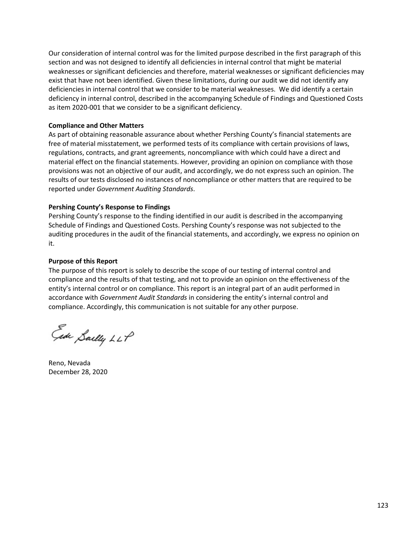Our consideration of internal control was for the limited purpose described in the first paragraph of this section and was not designed to identify all deficiencies in internal control that might be material weaknesses or significant deficiencies and therefore, material weaknesses or significant deficiencies may exist that have not been identified. Given these limitations, during our audit we did not identify any deficiencies in internal control that we consider to be material weaknesses. We did identify a certain deficiency in internal control, described in the accompanying Schedule of Findings and Questioned Costs as item 2020-001 that we consider to be a significant deficiency.

#### **Compliance and Other Matters**

As part of obtaining reasonable assurance about whether Pershing County's financial statements are free of material misstatement, we performed tests of its compliance with certain provisions of laws, regulations, contracts, and grant agreements, noncompliance with which could have a direct and material effect on the financial statements. However, providing an opinion on compliance with those provisions was not an objective of our audit, and accordingly, we do not express such an opinion. The results of our tests disclosed no instances of noncompliance or other matters that are required to be reported under *Government Auditing Standards*.

#### **Pershing County's Response to Findings**

Pershing County's response to the finding identified in our audit is described in the accompanying Schedule of Findings and Questioned Costs. Pershing County's response was not subjected to the auditing procedures in the audit of the financial statements, and accordingly, we express no opinion on it.

#### **Purpose of this Report**

The purpose of this report is solely to describe the scope of our testing of internal control and compliance and the results of that testing, and not to provide an opinion on the effectiveness of the entity's internal control or on compliance. This report is an integral part of an audit performed in accordance with *Government Audit Standards* in considering the entity's internal control and compliance. Accordingly, this communication is not suitable for any other purpose.

Ede Sailly LLP

Reno, Nevada December 28, 2020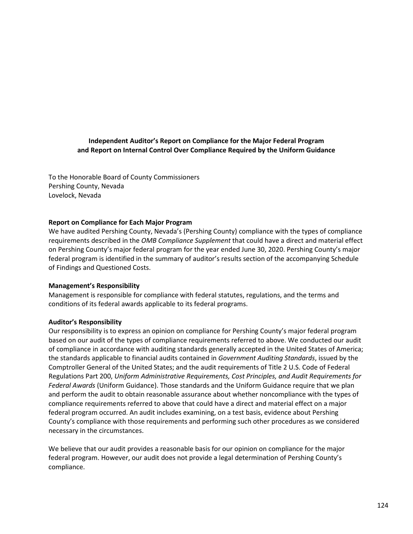

**CPAs & BUSINESS ADVISORS** 

#### **Independent Auditor's Report on Compliance for the Major Federal Program and Report on Internal Control Over Compliance Required by the Uniform Guidance**

To the Honorable Board of County Commissioners Pershing County, Nevada Lovelock, Nevada

#### **Report on Compliance for Each Major Program**

We have audited Pershing County, Nevada's (Pershing County) compliance with the types of compliance requirements described in the *OMB Compliance Supplement* that could have a direct and material effect on Pershing County's major federal program for the year ended June 30, 2020. Pershing County's major federal program is identified in the summary of auditor's results section of the accompanying Schedule of Findings and Questioned Costs.

#### **Management's Responsibility**

Management is responsible for compliance with federal statutes, regulations, and the terms and conditions of its federal awards applicable to its federal programs.

#### **Auditor's Responsibility**

Our responsibility is to express an opinion on compliance for Pershing County's major federal program based on our audit of the types of compliance requirements referred to above. We conducted our audit of compliance in accordance with auditing standards generally accepted in the United States of America; the standards applicable to financial audits contained in *Government Auditing Standards*, issued by the Comptroller General of the United States; and the audit requirements of Title 2 U.S. Code of Federal Regulations Part 200, *Uniform Administrative Requirements, Cost Principles, and Audit Requirements for Federal Awards* (Uniform Guidance). Those standards and the Uniform Guidance require that we plan and perform the audit to obtain reasonable assurance about whether noncompliance with the types of compliance requirements referred to above that could have a direct and material effect on a major federal program occurred. An audit includes examining, on a test basis, evidence about Pershing County's compliance with those requirements and performing such other procedures as we considered necessary in the circumstances.

We believe that our audit provides a reasonable basis for our opinion on compliance for the major federal program. However, our audit does not provide a legal determination of Pershing County's compliance.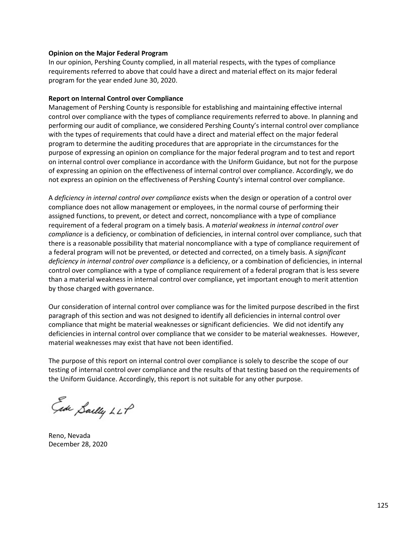#### **Opinion on the Major Federal Program**

In our opinion, Pershing County complied, in all material respects, with the types of compliance requirements referred to above that could have a direct and material effect on its major federal program for the year ended June 30, 2020.

#### **Report on Internal Control over Compliance**

Management of Pershing County is responsible for establishing and maintaining effective internal control over compliance with the types of compliance requirements referred to above. In planning and performing our audit of compliance, we considered Pershing County's internal control over compliance with the types of requirements that could have a direct and material effect on the major federal program to determine the auditing procedures that are appropriate in the circumstances for the purpose of expressing an opinion on compliance for the major federal program and to test and report on internal control over compliance in accordance with the Uniform Guidance, but not for the purpose of expressing an opinion on the effectiveness of internal control over compliance. Accordingly, we do not express an opinion on the effectiveness of Pershing County's internal control over compliance.

A *deficiency in internal control over compliance* exists when the design or operation of a control over compliance does not allow management or employees, in the normal course of performing their assigned functions, to prevent, or detect and correct, noncompliance with a type of compliance requirement of a federal program on a timely basis. A *material weakness in internal control over compliance* is a deficiency, or combination of deficiencies, in internal control over compliance, such that there is a reasonable possibility that material noncompliance with a type of compliance requirement of a federal program will not be prevented, or detected and corrected, on a timely basis. A *significant deficiency in internal control over compliance* is a deficiency, or a combination of deficiencies, in internal control over compliance with a type of compliance requirement of a federal program that is less severe than a material weakness in internal control over compliance, yet important enough to merit attention by those charged with governance.

Our consideration of internal control over compliance was for the limited purpose described in the first paragraph of this section and was not designed to identify all deficiencies in internal control over compliance that might be material weaknesses or significant deficiencies. We did not identify any deficiencies in internal control over compliance that we consider to be material weaknesses. However, material weaknesses may exist that have not been identified.

The purpose of this report on internal control over compliance is solely to describe the scope of our testing of internal control over compliance and the results of that testing based on the requirements of the Uniform Guidance. Accordingly, this report is not suitable for any other purpose.

Ede Sailly LLP

Reno, Nevada December 28, 2020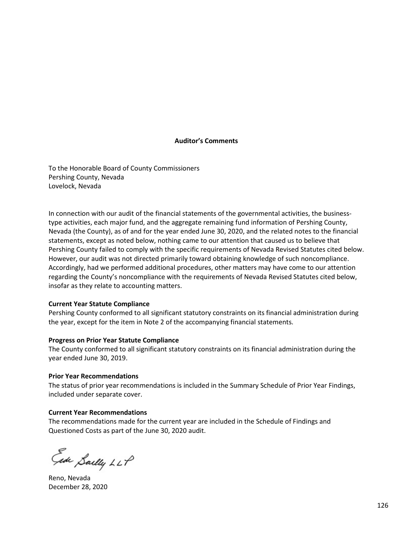

**CPAs & BUSINESS ADVISORS** 

#### **Auditor's Comments**

To the Honorable Board of County Commissioners Pershing County, Nevada Lovelock, Nevada

In connection with our audit of the financial statements of the governmental activities, the businesstype activities, each major fund, and the aggregate remaining fund information of Pershing County, Nevada (the County), as of and for the year ended June 30, 2020, and the related notes to the financial statements, except as noted below, nothing came to our attention that caused us to believe that Pershing County failed to comply with the specific requirements of Nevada Revised Statutes cited below. However, our audit was not directed primarily toward obtaining knowledge of such noncompliance. Accordingly, had we performed additional procedures, other matters may have come to our attention regarding the County's noncompliance with the requirements of Nevada Revised Statutes cited below, insofar as they relate to accounting matters.

#### **Current Year Statute Compliance**

Pershing County conformed to all significant statutory constraints on its financial administration during the year, except for the item in Note 2 of the accompanying financial statements.

#### **Progress on Prior Year Statute Compliance**

The County conformed to all significant statutory constraints on its financial administration during the year ended June 30, 2019.

#### **Prior Year Recommendations**

The status of prior year recommendations is included in the Summary Schedule of Prior Year Findings, included under separate cover.

#### **Current Year Recommendations**

The recommendations made for the current year are included in the Schedule of Findings and Questioned Costs as part of the June 30, 2020 audit.

Ede Sailly LLP

Reno, Nevada December 28, 2020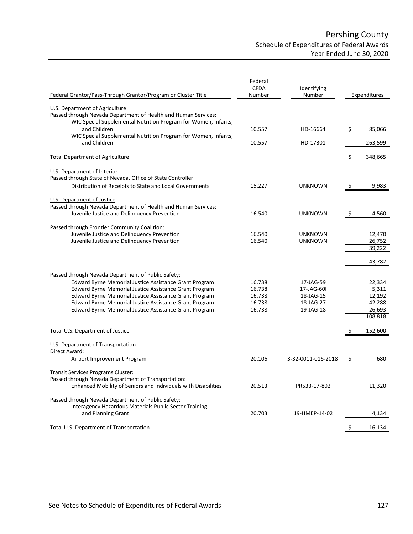## Pershing County Schedule of Expenditures of Federal Awards Year Ended June 30, 2020

| Federal Grantor/Pass-Through Grantor/Program or Cluster Title                                    | Federal<br><b>CFDA</b><br>Number | Identifying<br>Number |               | Expenditures     |
|--------------------------------------------------------------------------------------------------|----------------------------------|-----------------------|---------------|------------------|
|                                                                                                  |                                  |                       |               |                  |
| U.S. Department of Agriculture<br>Passed through Nevada Department of Health and Human Services: |                                  |                       |               |                  |
| WIC Special Supplemental Nutrition Program for Women, Infants,                                   |                                  |                       |               |                  |
| and Children                                                                                     | 10.557                           | HD-16664              | \$            | 85,066           |
| WIC Special Supplemental Nutrition Program for Women, Infants,                                   |                                  |                       |               |                  |
| and Children                                                                                     | 10.557                           | HD-17301              |               | 263,599          |
|                                                                                                  |                                  |                       |               |                  |
| <b>Total Department of Agriculture</b>                                                           |                                  |                       |               | 348,665          |
| U.S. Department of Interior                                                                      |                                  |                       |               |                  |
| Passed through State of Nevada, Office of State Controller:                                      |                                  |                       |               |                  |
| Distribution of Receipts to State and Local Governments                                          | 15.227                           | <b>UNKNOWN</b>        | -\$           | 9,983            |
|                                                                                                  |                                  |                       |               |                  |
| U.S. Department of Justice                                                                       |                                  |                       |               |                  |
| Passed through Nevada Department of Health and Human Services:                                   |                                  |                       |               |                  |
| Juvenile Justice and Delinquency Prevention                                                      | 16.540                           | <b>UNKNOWN</b>        | \$            | 4,560            |
|                                                                                                  |                                  |                       |               |                  |
| Passed through Frontier Community Coalition:                                                     |                                  |                       |               |                  |
| Juvenile Justice and Delinquency Prevention                                                      | 16.540<br>16.540                 | <b>UNKNOWN</b>        |               | 12,470           |
| Juvenile Justice and Delinquency Prevention                                                      |                                  | <b>UNKNOWN</b>        |               | 26,752<br>39,222 |
|                                                                                                  |                                  |                       |               |                  |
|                                                                                                  |                                  |                       |               | 43,782           |
|                                                                                                  |                                  |                       |               |                  |
| Passed through Nevada Department of Public Safety:                                               |                                  |                       |               |                  |
| Edward Byrne Memorial Justice Assistance Grant Program                                           | 16.738                           | 17-JAG-59             |               | 22,334           |
| Edward Byrne Memorial Justice Assistance Grant Program                                           | 16.738                           | 17-JAG-60I            |               | 5,311            |
| Edward Byrne Memorial Justice Assistance Grant Program                                           | 16.738                           | 18-JAG-15             |               | 12,192           |
| Edward Byrne Memorial Justice Assistance Grant Program                                           | 16.738                           | 18-JAG-27             |               | 42,288           |
| Edward Byrne Memorial Justice Assistance Grant Program                                           | 16.738                           | 19-JAG-18             |               | 26,693           |
|                                                                                                  |                                  |                       |               | 108,818          |
| Total U.S. Department of Justice                                                                 |                                  |                       | -S            | 152,600          |
|                                                                                                  |                                  |                       |               |                  |
| <b>U.S. Department of Transportation</b>                                                         |                                  |                       |               |                  |
| Direct Award:                                                                                    |                                  |                       |               |                  |
| Airport Improvement Program                                                                      | 20.106                           | 3-32-0011-016-2018    | \$            | 680              |
|                                                                                                  |                                  |                       |               |                  |
| Transit Services Programs Cluster:<br>Passed through Nevada Department of Transportation:        |                                  |                       |               |                  |
| Enhanced Mobility of Seniors and Individuals with Disabilities                                   | 20.513                           | PR533-17-802          |               | 11,320           |
|                                                                                                  |                                  |                       |               |                  |
| Passed through Nevada Department of Public Safety:                                               |                                  |                       |               |                  |
| Interagency Hazardous Materials Public Sector Training                                           |                                  |                       |               |                  |
| and Planning Grant                                                                               | 20.703                           | 19-HMEP-14-02         |               | 4,134            |
|                                                                                                  |                                  |                       |               |                  |
| Total U.S. Department of Transportation                                                          |                                  |                       | $\ddot{\phi}$ | 16,134           |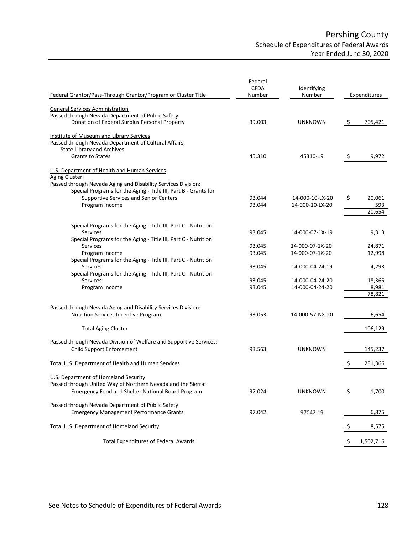## Pershing County Schedule of Expenditures of Federal Awards Year Ended June 30, 2020

| Federal Grantor/Pass-Through Grantor/Program or Cluster Title                                                    | Federal<br><b>CFDA</b><br>Number | Identifying<br>Number              |    | Expenditures    |
|------------------------------------------------------------------------------------------------------------------|----------------------------------|------------------------------------|----|-----------------|
|                                                                                                                  |                                  |                                    |    |                 |
| <b>General Services Administration</b>                                                                           |                                  |                                    |    |                 |
| Passed through Nevada Department of Public Safety:<br>Donation of Federal Surplus Personal Property              | 39.003                           | <b>UNKNOWN</b>                     | \$ | 705,421         |
|                                                                                                                  |                                  |                                    |    |                 |
| Institute of Museum and Library Services                                                                         |                                  |                                    |    |                 |
| Passed through Nevada Department of Cultural Affairs,                                                            |                                  |                                    |    |                 |
| State Library and Archives:<br><b>Grants to States</b>                                                           | 45.310                           | 45310-19                           | -S | 9,972           |
|                                                                                                                  |                                  |                                    |    |                 |
| U.S. Department of Health and Human Services                                                                     |                                  |                                    |    |                 |
| Aging Cluster:                                                                                                   |                                  |                                    |    |                 |
| Passed through Nevada Aging and Disability Services Division:                                                    |                                  |                                    |    |                 |
| Special Programs for the Aging - Title III, Part B - Grants for<br><b>Supportive Services and Senior Centers</b> | 93.044                           | 14-000-10-LX-20                    | \$ | 20,061          |
| Program Income                                                                                                   | 93.044                           | 14-000-10-LX-20                    |    | 593             |
|                                                                                                                  |                                  |                                    |    | 20,654          |
|                                                                                                                  |                                  |                                    |    |                 |
| Special Programs for the Aging - Title III, Part C - Nutrition                                                   |                                  |                                    |    |                 |
| <b>Services</b>                                                                                                  | 93.045                           | 14-000-07-1X-19                    |    | 9,313           |
| Special Programs for the Aging - Title III, Part C - Nutrition<br>Services                                       | 93.045                           | 14-000-07-1X-20                    |    | 24,871          |
| Program Income                                                                                                   | 93.045                           | 14-000-07-1X-20                    |    | 12,998          |
| Special Programs for the Aging - Title III, Part C - Nutrition                                                   |                                  |                                    |    |                 |
| <b>Services</b>                                                                                                  | 93.045                           | 14-000-04-24-19                    |    | 4,293           |
| Special Programs for the Aging - Title III, Part C - Nutrition                                                   |                                  |                                    |    |                 |
| <b>Services</b><br>Program Income                                                                                | 93.045<br>93.045                 | 14-000-04-24-20<br>14-000-04-24-20 |    | 18,365<br>8,981 |
|                                                                                                                  |                                  |                                    |    | 78,821          |
|                                                                                                                  |                                  |                                    |    |                 |
| Passed through Nevada Aging and Disability Services Division:                                                    |                                  |                                    |    |                 |
| Nutrition Services Incentive Program                                                                             | 93.053                           | 14-000-57-NX-20                    |    | 6,654           |
| <b>Total Aging Cluster</b>                                                                                       |                                  |                                    |    | 106,129         |
|                                                                                                                  |                                  |                                    |    |                 |
| Passed through Nevada Division of Welfare and Supportive Services:                                               |                                  |                                    |    |                 |
| Child Support Enforcement                                                                                        | 93.563                           | <b>UNKNOWN</b>                     |    | 145,237         |
|                                                                                                                  |                                  |                                    |    |                 |
| Total U.S. Department of Health and Human Services                                                               |                                  |                                    |    | 251,366         |
| U.S. Department of Homeland Security                                                                             |                                  |                                    |    |                 |
| Passed through United Way of Northern Nevada and the Sierra:                                                     |                                  |                                    |    |                 |
| Emergency Food and Shelter National Board Program                                                                | 97.024                           | <b>UNKNOWN</b>                     | \$ | 1,700           |
|                                                                                                                  |                                  |                                    |    |                 |
| Passed through Nevada Department of Public Safety:                                                               | 97.042                           |                                    |    |                 |
| <b>Emergency Management Performance Grants</b>                                                                   |                                  | 97042.19                           |    | 6,875           |
| Total U.S. Department of Homeland Security                                                                       |                                  |                                    |    | 8,575           |
|                                                                                                                  |                                  |                                    |    |                 |
| <b>Total Expenditures of Federal Awards</b>                                                                      |                                  |                                    |    | 1,502,716       |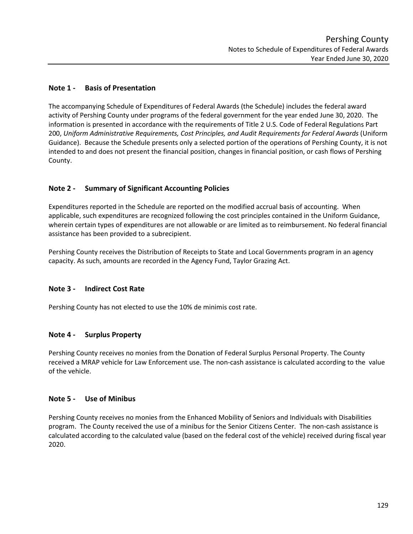### **Note 1 - Basis of Presentation**

The accompanying Schedule of Expenditures of Federal Awards (the Schedule) includes the federal award activity of Pershing County under programs of the federal government for the year ended June 30, 2020. The information is presented in accordance with the requirements of Title 2 U.S. Code of Federal Regulations Part 200, *Uniform Administrative Requirements, Cost Principles, and Audit Requirements for Federal Awards* (Uniform Guidance). Because the Schedule presents only a selected portion of the operations of Pershing County, it is not intended to and does not present the financial position, changes in financial position, or cash flows of Pershing County.

### **Note 2 - Summary of Significant Accounting Policies**

Expenditures reported in the Schedule are reported on the modified accrual basis of accounting. When applicable, such expenditures are recognized following the cost principles contained in the Uniform Guidance, wherein certain types of expenditures are not allowable or are limited as to reimbursement. No federal financial assistance has been provided to a subrecipient.

Pershing County receives the Distribution of Receipts to State and Local Governments program in an agency capacity. As such, amounts are recorded in the Agency Fund, Taylor Grazing Act.

#### **Note 3 - Indirect Cost Rate**

Pershing County has not elected to use the 10% de minimis cost rate.

#### **Note 4 - Surplus Property**

Pershing County receives no monies from the Donation of Federal Surplus Personal Property. The County received a MRAP vehicle for Law Enforcement use. The non-cash assistance is calculated according to the value of the vehicle.

#### **Note 5 - Use of Minibus**

Pershing County receives no monies from the Enhanced Mobility of Seniors and Individuals with Disabilities program. The County received the use of a minibus for the Senior Citizens Center. The non-cash assistance is calculated according to the calculated value (based on the federal cost of the vehicle) received during fiscal year 2020.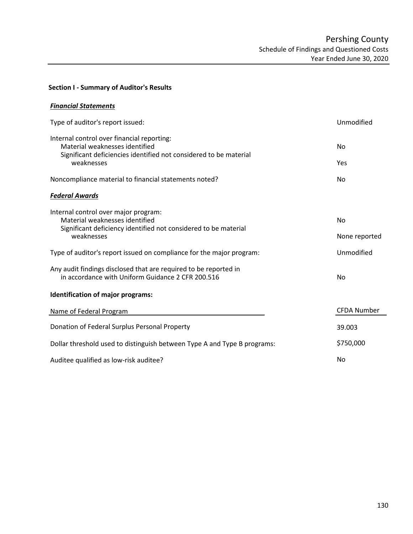#### **Section I - Summary of Auditor's Results**

| <b>Financial Statements</b>                                                                                                                       |                    |  |
|---------------------------------------------------------------------------------------------------------------------------------------------------|--------------------|--|
| Type of auditor's report issued:                                                                                                                  | Unmodified         |  |
| Internal control over financial reporting:<br>Material weaknesses identified<br>Significant deficiencies identified not considered to be material | <b>No</b>          |  |
| weaknesses                                                                                                                                        | Yes                |  |
| Noncompliance material to financial statements noted?                                                                                             | No                 |  |
| <b>Federal Awards</b>                                                                                                                             |                    |  |
| Internal control over major program:<br>Material weaknesses identified<br>Significant deficiency identified not considered to be material         | <b>No</b>          |  |
| weaknesses                                                                                                                                        | None reported      |  |
| Type of auditor's report issued on compliance for the major program:                                                                              | Unmodified         |  |
| Any audit findings disclosed that are required to be reported in<br>in accordance with Uniform Guidance 2 CFR 200.516                             | <b>No</b>          |  |
| Identification of major programs:                                                                                                                 |                    |  |
| Name of Federal Program                                                                                                                           | <b>CFDA Number</b> |  |
| Donation of Federal Surplus Personal Property                                                                                                     | 39.003             |  |
| Dollar threshold used to distinguish between Type A and Type B programs:                                                                          | \$750,000          |  |
| Auditee qualified as low-risk auditee?                                                                                                            | No                 |  |